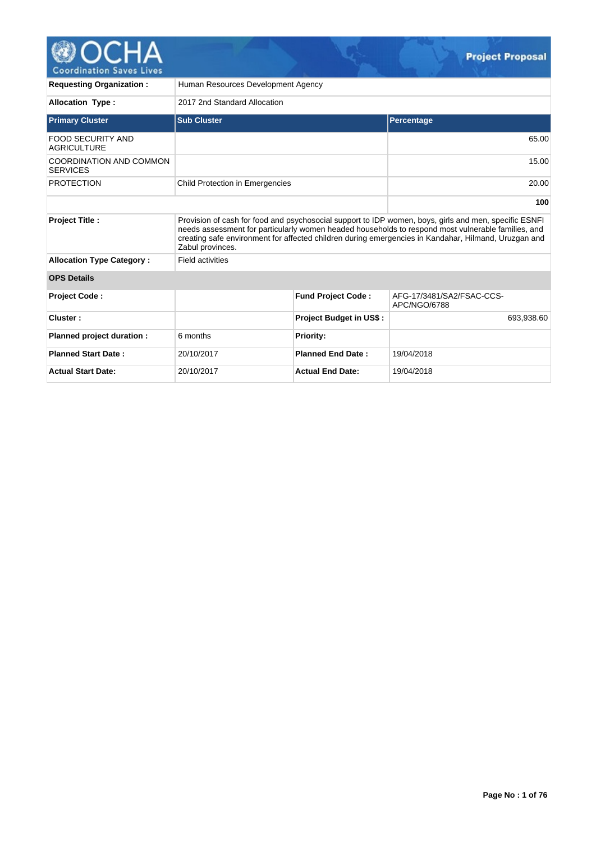

| <b>Requesting Organization:</b>                | Human Resources Development Agency     |                                |                                                                                                                                                                                                                                                                                                                     |  |  |  |
|------------------------------------------------|----------------------------------------|--------------------------------|---------------------------------------------------------------------------------------------------------------------------------------------------------------------------------------------------------------------------------------------------------------------------------------------------------------------|--|--|--|
| <b>Allocation Type:</b>                        | 2017 2nd Standard Allocation           |                                |                                                                                                                                                                                                                                                                                                                     |  |  |  |
| <b>Primary Cluster</b>                         | <b>Sub Cluster</b>                     |                                | <b>Percentage</b>                                                                                                                                                                                                                                                                                                   |  |  |  |
| <b>FOOD SECURITY AND</b><br><b>AGRICULTURE</b> |                                        |                                | 65.00                                                                                                                                                                                                                                                                                                               |  |  |  |
| COORDINATION AND COMMON<br><b>SERVICES</b>     |                                        |                                | 15.00                                                                                                                                                                                                                                                                                                               |  |  |  |
| <b>PROTECTION</b>                              | <b>Child Protection in Emergencies</b> |                                | 20.00                                                                                                                                                                                                                                                                                                               |  |  |  |
|                                                |                                        |                                | 100                                                                                                                                                                                                                                                                                                                 |  |  |  |
| <b>Project Title:</b>                          | Zabul provinces.                       |                                | Provision of cash for food and psychosocial support to IDP women, boys, girls and men, specific ESNFI<br>needs assessment for particularly women headed households to respond most vulnerable families, and<br>creating safe environment for affected children during emergencies in Kandahar, Hilmand, Uruzgan and |  |  |  |
| <b>Allocation Type Category:</b>               | <b>Field activities</b>                |                                |                                                                                                                                                                                                                                                                                                                     |  |  |  |
| <b>OPS Details</b>                             |                                        |                                |                                                                                                                                                                                                                                                                                                                     |  |  |  |
| Project Code:                                  |                                        | <b>Fund Project Code:</b>      | AFG-17/3481/SA2/FSAC-CCS-<br>APC/NGO/6788                                                                                                                                                                                                                                                                           |  |  |  |
| Cluster:                                       |                                        | <b>Project Budget in US\$:</b> | 693.938.60                                                                                                                                                                                                                                                                                                          |  |  |  |
| Planned project duration :                     | 6 months                               | <b>Priority:</b>               |                                                                                                                                                                                                                                                                                                                     |  |  |  |
| <b>Planned Start Date:</b>                     | 20/10/2017                             | <b>Planned End Date:</b>       | 19/04/2018                                                                                                                                                                                                                                                                                                          |  |  |  |
| <b>Actual Start Date:</b>                      | 20/10/2017                             | <b>Actual End Date:</b>        | 19/04/2018                                                                                                                                                                                                                                                                                                          |  |  |  |

 $\mathcal{G}_\mathcal{F}$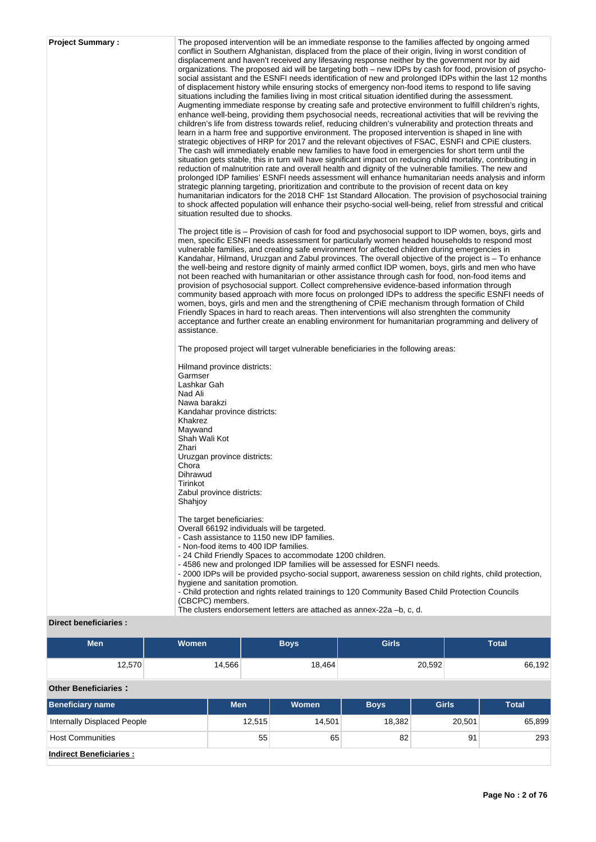| <b>Project Summary:</b> | The proposed intervention will be an immediate response to the families affected by ongoing armed<br>conflict in Southern Afghanistan, displaced from the place of their origin, living in worst condition of<br>displacement and haven't received any lifesaving response neither by the government nor by aid<br>organizations. The proposed aid will be targeting both – new IDPs by cash for food, provision of psycho-<br>social assistant and the ESNFI needs identification of new and prolonged IDPs within the last 12 months<br>of displacement history while ensuring stocks of emergency non-food items to respond to life saving<br>situations including the families living in most critical situation identified during the assessment.<br>Augmenting immediate response by creating safe and protective environment to fulfill children's rights,<br>enhance well-being, providing them psychosocial needs, recreational activities that will be reviving the<br>children's life from distress towards relief, reducing children's vulnerability and protection threats and<br>learn in a harm free and supportive environment. The proposed intervention is shaped in line with<br>strategic objectives of HRP for 2017 and the relevant objectives of FSAC, ESNFI and CPIE clusters.<br>The cash will immediately enable new families to have food in emergencies for short term until the<br>situation gets stable, this in turn will have significant impact on reducing child mortality, contributing in<br>reduction of malnutrition rate and overall health and dignity of the vulnerable families. The new and<br>prolonged IDP families' ESNFI needs assessment will enhance humanitarian needs analysis and inform<br>strategic planning targeting, prioritization and contribute to the provision of recent data on key<br>humanitarian indicators for the 2018 CHF 1st Standard Allocation. The provision of psychosocial training<br>to shock affected population will enhance their psycho-social well-being, relief from stressful and critical<br>situation resulted due to shocks.<br>The project title is – Provision of cash for food and psychosocial support to IDP women, boys, girls and<br>men, specific ESNFI needs assessment for particularly women headed households to respond most<br>vulnerable families, and creating safe environment for affected children during emergencies in<br>Kandahar, Hilmand, Uruzgan and Zabul provinces. The overall objective of the project is – To enhance<br>the well-being and restore dignity of mainly armed conflict IDP women, boys, girls and men who have<br>not been reached with humanitarian or other assistance through cash for food, non-food items and<br>provision of psychosocial support. Collect comprehensive evidence-based information through<br>community based approach with more focus on prolonged IDPs to address the specific ESNFI needs of<br>women, boys, girls and men and the strengthening of CPIE mechanism through formation of Child<br>Friendly Spaces in hard to reach areas. Then interventions will also strenghten the community |
|-------------------------|-------------------------------------------------------------------------------------------------------------------------------------------------------------------------------------------------------------------------------------------------------------------------------------------------------------------------------------------------------------------------------------------------------------------------------------------------------------------------------------------------------------------------------------------------------------------------------------------------------------------------------------------------------------------------------------------------------------------------------------------------------------------------------------------------------------------------------------------------------------------------------------------------------------------------------------------------------------------------------------------------------------------------------------------------------------------------------------------------------------------------------------------------------------------------------------------------------------------------------------------------------------------------------------------------------------------------------------------------------------------------------------------------------------------------------------------------------------------------------------------------------------------------------------------------------------------------------------------------------------------------------------------------------------------------------------------------------------------------------------------------------------------------------------------------------------------------------------------------------------------------------------------------------------------------------------------------------------------------------------------------------------------------------------------------------------------------------------------------------------------------------------------------------------------------------------------------------------------------------------------------------------------------------------------------------------------------------------------------------------------------------------------------------------------------------------------------------------------------------------------------------------------------------------------------------------------------------------------------------------------------------------------------------------------------------------------------------------------------------------------------------------------------------------------------------------------------------------------------------------------------------------------------------------------------------------------------------------------------------------------------------------------------------------------------------------------------------------------------------------------------------------------------------------|
|                         | acceptance and further create an enabling environment for humanitarian programming and delivery of<br>assistance.                                                                                                                                                                                                                                                                                                                                                                                                                                                                                                                                                                                                                                                                                                                                                                                                                                                                                                                                                                                                                                                                                                                                                                                                                                                                                                                                                                                                                                                                                                                                                                                                                                                                                                                                                                                                                                                                                                                                                                                                                                                                                                                                                                                                                                                                                                                                                                                                                                                                                                                                                                                                                                                                                                                                                                                                                                                                                                                                                                                                                                           |
|                         | The proposed project will target vulnerable beneficiaries in the following areas:                                                                                                                                                                                                                                                                                                                                                                                                                                                                                                                                                                                                                                                                                                                                                                                                                                                                                                                                                                                                                                                                                                                                                                                                                                                                                                                                                                                                                                                                                                                                                                                                                                                                                                                                                                                                                                                                                                                                                                                                                                                                                                                                                                                                                                                                                                                                                                                                                                                                                                                                                                                                                                                                                                                                                                                                                                                                                                                                                                                                                                                                           |
|                         | Hilmand province districts:<br>Garmser<br>Lashkar Gah                                                                                                                                                                                                                                                                                                                                                                                                                                                                                                                                                                                                                                                                                                                                                                                                                                                                                                                                                                                                                                                                                                                                                                                                                                                                                                                                                                                                                                                                                                                                                                                                                                                                                                                                                                                                                                                                                                                                                                                                                                                                                                                                                                                                                                                                                                                                                                                                                                                                                                                                                                                                                                                                                                                                                                                                                                                                                                                                                                                                                                                                                                       |
|                         | Nad Ali<br>Nawa barakzi                                                                                                                                                                                                                                                                                                                                                                                                                                                                                                                                                                                                                                                                                                                                                                                                                                                                                                                                                                                                                                                                                                                                                                                                                                                                                                                                                                                                                                                                                                                                                                                                                                                                                                                                                                                                                                                                                                                                                                                                                                                                                                                                                                                                                                                                                                                                                                                                                                                                                                                                                                                                                                                                                                                                                                                                                                                                                                                                                                                                                                                                                                                                     |
|                         | Kandahar province districts:<br>Khakrez                                                                                                                                                                                                                                                                                                                                                                                                                                                                                                                                                                                                                                                                                                                                                                                                                                                                                                                                                                                                                                                                                                                                                                                                                                                                                                                                                                                                                                                                                                                                                                                                                                                                                                                                                                                                                                                                                                                                                                                                                                                                                                                                                                                                                                                                                                                                                                                                                                                                                                                                                                                                                                                                                                                                                                                                                                                                                                                                                                                                                                                                                                                     |
|                         | Maywand<br>Shah Wali Kot                                                                                                                                                                                                                                                                                                                                                                                                                                                                                                                                                                                                                                                                                                                                                                                                                                                                                                                                                                                                                                                                                                                                                                                                                                                                                                                                                                                                                                                                                                                                                                                                                                                                                                                                                                                                                                                                                                                                                                                                                                                                                                                                                                                                                                                                                                                                                                                                                                                                                                                                                                                                                                                                                                                                                                                                                                                                                                                                                                                                                                                                                                                                    |
|                         | Zhari                                                                                                                                                                                                                                                                                                                                                                                                                                                                                                                                                                                                                                                                                                                                                                                                                                                                                                                                                                                                                                                                                                                                                                                                                                                                                                                                                                                                                                                                                                                                                                                                                                                                                                                                                                                                                                                                                                                                                                                                                                                                                                                                                                                                                                                                                                                                                                                                                                                                                                                                                                                                                                                                                                                                                                                                                                                                                                                                                                                                                                                                                                                                                       |
|                         | Uruzgan province districts:<br>Chora                                                                                                                                                                                                                                                                                                                                                                                                                                                                                                                                                                                                                                                                                                                                                                                                                                                                                                                                                                                                                                                                                                                                                                                                                                                                                                                                                                                                                                                                                                                                                                                                                                                                                                                                                                                                                                                                                                                                                                                                                                                                                                                                                                                                                                                                                                                                                                                                                                                                                                                                                                                                                                                                                                                                                                                                                                                                                                                                                                                                                                                                                                                        |
|                         | Dihrawud<br>Tirinkot                                                                                                                                                                                                                                                                                                                                                                                                                                                                                                                                                                                                                                                                                                                                                                                                                                                                                                                                                                                                                                                                                                                                                                                                                                                                                                                                                                                                                                                                                                                                                                                                                                                                                                                                                                                                                                                                                                                                                                                                                                                                                                                                                                                                                                                                                                                                                                                                                                                                                                                                                                                                                                                                                                                                                                                                                                                                                                                                                                                                                                                                                                                                        |
|                         | Zabul province districts:<br>Shahjoy                                                                                                                                                                                                                                                                                                                                                                                                                                                                                                                                                                                                                                                                                                                                                                                                                                                                                                                                                                                                                                                                                                                                                                                                                                                                                                                                                                                                                                                                                                                                                                                                                                                                                                                                                                                                                                                                                                                                                                                                                                                                                                                                                                                                                                                                                                                                                                                                                                                                                                                                                                                                                                                                                                                                                                                                                                                                                                                                                                                                                                                                                                                        |
|                         | The target beneficiaries:<br>Overall 66192 individuals will be targeted.                                                                                                                                                                                                                                                                                                                                                                                                                                                                                                                                                                                                                                                                                                                                                                                                                                                                                                                                                                                                                                                                                                                                                                                                                                                                                                                                                                                                                                                                                                                                                                                                                                                                                                                                                                                                                                                                                                                                                                                                                                                                                                                                                                                                                                                                                                                                                                                                                                                                                                                                                                                                                                                                                                                                                                                                                                                                                                                                                                                                                                                                                    |
|                         | - Cash assistance to 1150 new IDP families.<br>- Non-food items to 400 IDP families.                                                                                                                                                                                                                                                                                                                                                                                                                                                                                                                                                                                                                                                                                                                                                                                                                                                                                                                                                                                                                                                                                                                                                                                                                                                                                                                                                                                                                                                                                                                                                                                                                                                                                                                                                                                                                                                                                                                                                                                                                                                                                                                                                                                                                                                                                                                                                                                                                                                                                                                                                                                                                                                                                                                                                                                                                                                                                                                                                                                                                                                                        |
|                         | - 24 Child Friendly Spaces to accommodate 1200 children.                                                                                                                                                                                                                                                                                                                                                                                                                                                                                                                                                                                                                                                                                                                                                                                                                                                                                                                                                                                                                                                                                                                                                                                                                                                                                                                                                                                                                                                                                                                                                                                                                                                                                                                                                                                                                                                                                                                                                                                                                                                                                                                                                                                                                                                                                                                                                                                                                                                                                                                                                                                                                                                                                                                                                                                                                                                                                                                                                                                                                                                                                                    |
|                         | - 4586 new and prolonged IDP families will be assessed for ESNFI needs.<br>- 2000 IDPs will be provided psycho-social support, awareness session on child rights, child protection,                                                                                                                                                                                                                                                                                                                                                                                                                                                                                                                                                                                                                                                                                                                                                                                                                                                                                                                                                                                                                                                                                                                                                                                                                                                                                                                                                                                                                                                                                                                                                                                                                                                                                                                                                                                                                                                                                                                                                                                                                                                                                                                                                                                                                                                                                                                                                                                                                                                                                                                                                                                                                                                                                                                                                                                                                                                                                                                                                                         |
|                         | hygiene and sanitation promotion.<br>- Child protection and rights related trainings to 120 Community Based Child Protection Councils                                                                                                                                                                                                                                                                                                                                                                                                                                                                                                                                                                                                                                                                                                                                                                                                                                                                                                                                                                                                                                                                                                                                                                                                                                                                                                                                                                                                                                                                                                                                                                                                                                                                                                                                                                                                                                                                                                                                                                                                                                                                                                                                                                                                                                                                                                                                                                                                                                                                                                                                                                                                                                                                                                                                                                                                                                                                                                                                                                                                                       |
|                         | (CBCPC) members.<br>The clusters endorsement letters are attached as annex-22a -b, c, d.                                                                                                                                                                                                                                                                                                                                                                                                                                                                                                                                                                                                                                                                                                                                                                                                                                                                                                                                                                                                                                                                                                                                                                                                                                                                                                                                                                                                                                                                                                                                                                                                                                                                                                                                                                                                                                                                                                                                                                                                                                                                                                                                                                                                                                                                                                                                                                                                                                                                                                                                                                                                                                                                                                                                                                                                                                                                                                                                                                                                                                                                    |
| Direct beneficiaries :  |                                                                                                                                                                                                                                                                                                                                                                                                                                                                                                                                                                                                                                                                                                                                                                                                                                                                                                                                                                                                                                                                                                                                                                                                                                                                                                                                                                                                                                                                                                                                                                                                                                                                                                                                                                                                                                                                                                                                                                                                                                                                                                                                                                                                                                                                                                                                                                                                                                                                                                                                                                                                                                                                                                                                                                                                                                                                                                                                                                                                                                                                                                                                                             |

| <b>Men</b>                         | <b>Women</b> |            |        | <b>Boys</b>  | <b>Girls</b> |              |        | <b>Total</b> |
|------------------------------------|--------------|------------|--------|--------------|--------------|--------------|--------|--------------|
| 12,570                             |              | 14,566     |        | 18,464       |              | 20,592       | 66,192 |              |
| <b>Other Beneficiaries:</b>        |              |            |        |              |              |              |        |              |
| <b>Beneficiary name</b>            |              | <b>Men</b> |        | <b>Women</b> | <b>Boys</b>  | <b>Girls</b> |        | <b>Total</b> |
| <b>Internally Displaced People</b> |              |            | 12,515 | 14,501       | 18,382       |              | 20,501 | 65,899       |
| <b>Host Communities</b>            |              |            | 55     | 65           | 82           |              | 91     | 293          |
| <b>Indirect Beneficiaries:</b>     |              |            |        |              |              |              |        |              |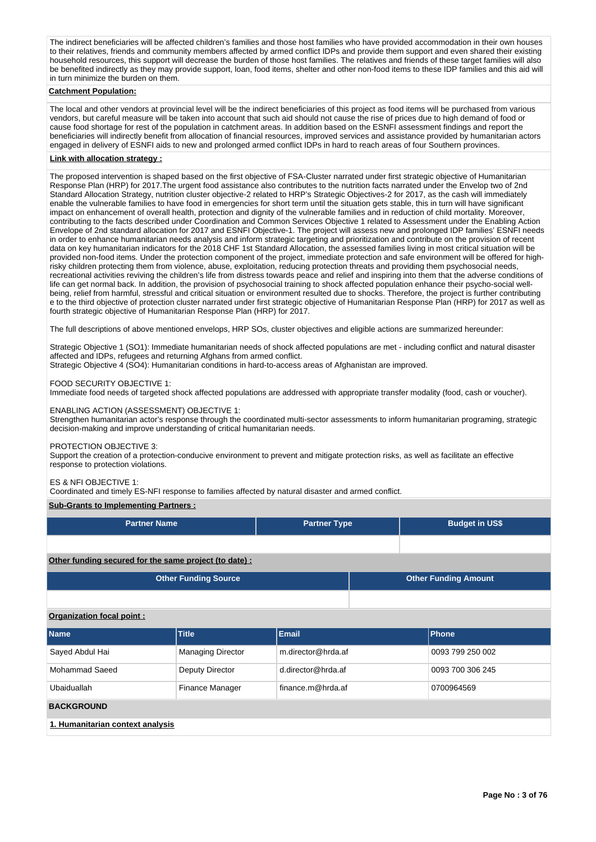The indirect beneficiaries will be affected children's families and those host families who have provided accommodation in their own houses to their relatives, friends and community members affected by armed conflict IDPs and provide them support and even shared their existing household resources, this support will decrease the burden of those host families. The relatives and friends of these target families will also be benefited indirectly as they may provide support, loan, food items, shelter and other non-food items to these IDP families and this aid will in turn minimize the burden on them.

### **Catchment Population:**

The local and other vendors at provincial level will be the indirect beneficiaries of this project as food items will be purchased from various vendors, but careful measure will be taken into account that such aid should not cause the rise of prices due to high demand of food or cause food shortage for rest of the population in catchment areas. In addition based on the ESNFI assessment findings and report the beneficiaries will indirectly benefit from allocation of financial resources, improved services and assistance provided by humanitarian actors engaged in delivery of ESNFI aids to new and prolonged armed conflict IDPs in hard to reach areas of four Southern provinces.

### **Link with allocation strategy :**

The proposed intervention is shaped based on the first objective of FSA-Cluster narrated under first strategic objective of Humanitarian Response Plan (HRP) for 2017.The urgent food assistance also contributes to the nutrition facts narrated under the Envelop two of 2nd Standard Allocation Strategy, nutrition cluster objective-2 related to HRP's Strategic Objectives-2 for 2017, as the cash will immediately enable the vulnerable families to have food in emergencies for short term until the situation gets stable, this in turn will have significant impact on enhancement of overall health, protection and dignity of the vulnerable families and in reduction of child mortality. Moreover, contributing to the facts described under Coordination and Common Services Objective 1 related to Assessment under the Enabling Action Envelope of 2nd standard allocation for 2017 and ESNFI Objective-1. The project will assess new and prolonged IDP families' ESNFI needs in order to enhance humanitarian needs analysis and inform strategic targeting and prioritization and contribute on the provision of recent data on key humanitarian indicators for the 2018 CHF 1st Standard Allocation, the assessed families living in most critical situation will be provided non-food items. Under the protection component of the project, immediate protection and safe environment will be offered for highrisky children protecting them from violence, abuse, exploitation, reducing protection threats and providing them psychosocial needs, recreational activities reviving the children's life from distress towards peace and relief and inspiring into them that the adverse conditions of life can get normal back. In addition, the provision of psychosocial training to shock affected population enhance their psycho-social wellbeing, relief from harmful, stressful and critical situation or environment resulted due to shocks. Therefore, the project is further contributing e to the third objective of protection cluster narrated under first strategic objective of Humanitarian Response Plan (HRP) for 2017 as well as fourth strategic objective of Humanitarian Response Plan (HRP) for 2017.

The full descriptions of above mentioned envelops, HRP SOs, cluster objectives and eligible actions are summarized hereunder:

Strategic Objective 1 (SO1): Immediate humanitarian needs of shock affected populations are met - including conflict and natural disaster affected and IDPs, refugees and returning Afghans from armed conflict.

Strategic Objective 4 (SO4): Humanitarian conditions in hard-to-access areas of Afghanistan are improved.

#### FOOD SECURITY OBJECTIVE 1:

Immediate food needs of targeted shock affected populations are addressed with appropriate transfer modality (food, cash or voucher).

### ENABLING ACTION (ASSESSMENT) OBJECTIVE 1:

Strengthen humanitarian actor's response through the coordinated multi-sector assessments to inform humanitarian programing, strategic decision-making and improve understanding of critical humanitarian needs.

### PROTECTION OBJECTIVE 3:

Support the creation of a protection-conducive environment to prevent and mitigate protection risks, as well as facilitate an effective response to protection violations.

#### ES & NFI OBJECTIVE 1:

Coordinated and timely ES-NFI response to families affected by natural disaster and armed conflict.

### **Sub-Grants to Implementing Partners :**

| <b>Partner Name</b>                                   | <b>Partner Type</b> | <b>Budget in US\$</b> |
|-------------------------------------------------------|---------------------|-----------------------|
|                                                       |                     |                       |
| Other funding secured for the same project (to date): |                     |                       |

**Other Funding Source Other Funding Amount**

# **Organization focal point :**

| <b>Name</b>                      | <b>Title</b>             | Email              | <b>Phone</b>     |  |  |  |
|----------------------------------|--------------------------|--------------------|------------------|--|--|--|
| Sayed Abdul Hai                  | <b>Managing Director</b> | m.director@hrda.af | 0093 799 250 002 |  |  |  |
| Mohammad Saeed                   | Deputy Director          | d.director@hrda.af | 0093 700 306 245 |  |  |  |
| Ubaiduallah                      | Finance Manager          | finance.m@hrda.af  | 0700964569       |  |  |  |
| <b>BACKGROUND</b>                |                          |                    |                  |  |  |  |
| 1. Humanitarian context analysis |                          |                    |                  |  |  |  |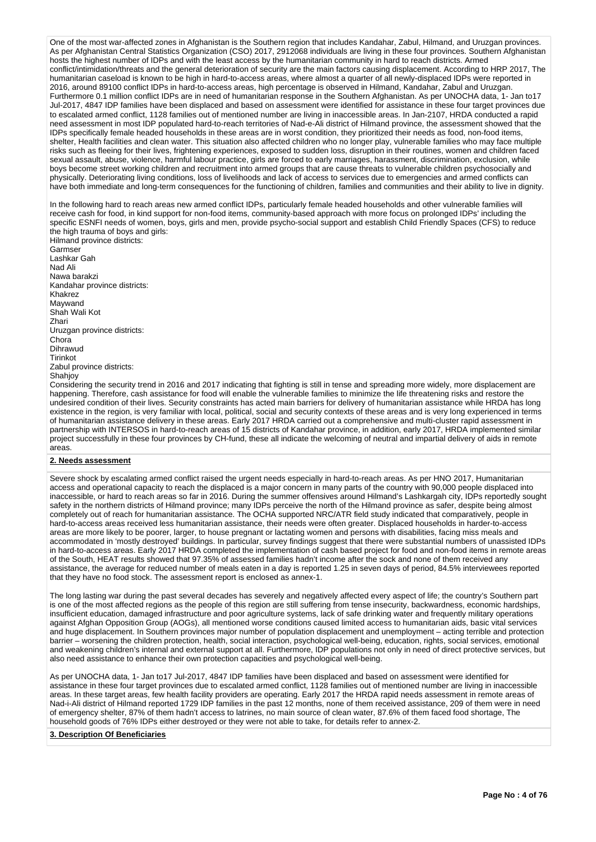One of the most war-affected zones in Afghanistan is the Southern region that includes Kandahar, Zabul, Hilmand, and Uruzgan provinces. As per Afghanistan Central Statistics Organization (CSO) 2017, 2912068 individuals are living in these four provinces. Southern Afghanistan hosts the highest number of IDPs and with the least access by the humanitarian community in hard to reach districts. Armed conflict/intimidation/threats and the general deterioration of security are the main factors causing displacement. According to HRP 2017, The humanitarian caseload is known to be high in hard-to-access areas, where almost a quarter of all newly-displaced IDPs were reported in 2016, around 89100 conflict IDPs in hard-to-access areas, high percentage is observed in Hilmand, Kandahar, Zabul and Uruzgan. Furthermore 0.1 million conflict IDPs are in need of humanitarian response in the Southern Afghanistan. As per UNOCHA data, 1- Jan to17 Jul-2017, 4847 IDP families have been displaced and based on assessment were identified for assistance in these four target provinces due to escalated armed conflict, 1128 families out of mentioned number are living in inaccessible areas. In Jan-2107, HRDA conducted a rapid need assessment in most IDP populated hard-to-reach territories of Nad-e-Ali district of Hilmand province, the assessment showed that the IDPs specifically female headed households in these areas are in worst condition, they prioritized their needs as food, non-food items, shelter, Health facilities and clean water. This situation also affected children who no longer play, vulnerable families who may face multiple risks such as fleeing for their lives, frightening experiences, exposed to sudden loss, disruption in their routines, women and children faced sexual assault, abuse, violence, harmful labour practice, girls are forced to early marriages, harassment, discrimination, exclusion, while boys become street working children and recruitment into armed groups that are cause threats to vulnerable children psychosocially and physically. Deteriorating living conditions, loss of livelihoods and lack of access to services due to emergencies and armed conflicts can have both immediate and long-term consequences for the functioning of children, families and communities and their ability to live in dignity.

In the following hard to reach areas new armed conflict IDPs, particularly female headed households and other vulnerable families will receive cash for food, in kind support for non-food items, community-based approach with more focus on prolonged IDPs' including the specific ESNFI needs of women, boys, girls and men, provide psycho-social support and establish Child Friendly Spaces (CFS) to reduce the high trauma of boys and girls:

Hilmand province districts: Garmser Lashkar Gah Nad Ali Nawa barakzi Kandahar province districts: Khakrez Maywand Shah Wali Kot Zhari Uruzgan province districts: Chora Dihrawud Tirinkot Zabul province districts: Shahjoy

Considering the security trend in 2016 and 2017 indicating that fighting is still in tense and spreading more widely, more displacement are happening. Therefore, cash assistance for food will enable the vulnerable families to minimize the life threatening risks and restore the undesired condition of their lives. Security constraints has acted main barriers for delivery of humanitarian assistance while HRDA has long existence in the region, is very familiar with local, political, social and security contexts of these areas and is very long experienced in terms of humanitarian assistance delivery in these areas. Early 2017 HRDA carried out a comprehensive and multi-cluster rapid assessment in partnership with INTERSOS in hard-to-reach areas of 15 districts of Kandahar province, in addition, early 2017, HRDA implemented similar project successfully in these four provinces by CH-fund, these all indicate the welcoming of neutral and impartial delivery of aids in remote areas.

# **2. Needs assessment**

Severe shock by escalating armed conflict raised the urgent needs especially in hard-to-reach areas. As per HNO 2017, Humanitarian access and operational capacity to reach the displaced is a major concern in many parts of the country with 90,000 people displaced into inaccessible, or hard to reach areas so far in 2016. During the summer offensives around Hilmand's Lashkargah city, IDPs reportedly sought safety in the northern districts of Hilmand province; many IDPs perceive the north of the Hilmand province as safer, despite being almost completely out of reach for humanitarian assistance. The OCHA supported NRC/ATR field study indicated that comparatively, people in hard-to-access areas received less humanitarian assistance, their needs were often greater. Displaced households in harder-to-access areas are more likely to be poorer, larger, to house pregnant or lactating women and persons with disabilities, facing miss meals and accommodated in 'mostly destroyed' buildings. In particular, survey findings suggest that there were substantial numbers of unassisted IDPs in hard-to-access areas. Early 2017 HRDA completed the implementation of cash based project for food and non-food items in remote areas of the South, HEAT results showed that 97.35% of assessed families hadn't income after the sock and none of them received any assistance, the average for reduced number of meals eaten in a day is reported 1.25 in seven days of period, 84.5% interviewees reported that they have no food stock. The assessment report is enclosed as annex-1.

The long lasting war during the past several decades has severely and negatively affected every aspect of life; the country's Southern part is one of the most affected regions as the people of this region are still suffering from tense insecurity, backwardness, economic hardships, insufficient education, damaged infrastructure and poor agriculture systems, lack of safe drinking water and frequently military operations against Afghan Opposition Group (AOGs), all mentioned worse conditions caused limited access to humanitarian aids, basic vital services and huge displacement. In Southern provinces major number of population displacement and unemployment – acting terrible and protection barrier – worsening the children protection, health, social interaction, psychological well-being, education, rights, social services, emotional and weakening children's internal and external support at all. Furthermore, IDP populations not only in need of direct protective services, but also need assistance to enhance their own protection capacities and psychological well-being.

As per UNOCHA data, 1- Jan to17 Jul-2017, 4847 IDP families have been displaced and based on assessment were identified for assistance in these four target provinces due to escalated armed conflict, 1128 families out of mentioned number are living in inaccessible areas. In these target areas, few health facility providers are operating. Early 2017 the HRDA rapid needs assessment in remote areas of Nad-i-Ali district of Hilmand reported 1729 IDP families in the past 12 months, none of them received assistance, 209 of them were in need of emergency shelter, 87% of them hadn't access to latrines, no main source of clean water, 87.6% of them faced food shortage, The household goods of 76% IDPs either destroyed or they were not able to take, for details refer to annex-2.

#### **3. Description Of Beneficiaries**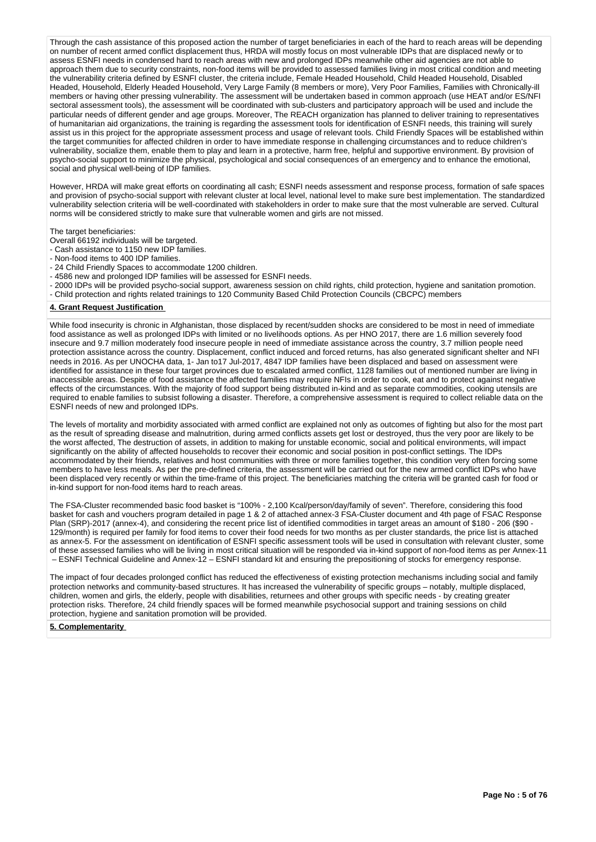Through the cash assistance of this proposed action the number of target beneficiaries in each of the hard to reach areas will be depending on number of recent armed conflict displacement thus, HRDA will mostly focus on most vulnerable IDPs that are displaced newly or to assess ESNFI needs in condensed hard to reach areas with new and prolonged IDPs meanwhile other aid agencies are not able to approach them due to security constraints, non-food items will be provided to assessed families living in most critical condition and meeting the vulnerability criteria defined by ESNFI cluster, the criteria include, Female Headed Household, Child Headed Household, Disabled Headed, Household, Elderly Headed Household, Very Large Family (8 members or more), Very Poor Families, Families with Chronically-ill members or having other pressing vulnerability. The assessment will be undertaken based in common approach (use HEAT and/or ES/NFI sectoral assessment tools), the assessment will be coordinated with sub-clusters and participatory approach will be used and include the particular needs of different gender and age groups. Moreover, The REACH organization has planned to deliver training to representatives of humanitarian aid organizations, the training is regarding the assessment tools for identification of ESNFI needs, this training will surely assist us in this project for the appropriate assessment process and usage of relevant tools. Child Friendly Spaces will be established within the target communities for affected children in order to have immediate response in challenging circumstances and to reduce children's vulnerability, socialize them, enable them to play and learn in a protective, harm free, helpful and supportive environment. By provision of psycho-social support to minimize the physical, psychological and social consequences of an emergency and to enhance the emotional, social and physical well-being of IDP families.

However, HRDA will make great efforts on coordinating all cash; ESNFI needs assessment and response process, formation of safe spaces and provision of psycho-social support with relevant cluster at local level, national level to make sure best implementation. The standardized vulnerability selection criteria will be well-coordinated with stakeholders in order to make sure that the most vulnerable are served. Cultural norms will be considered strictly to make sure that vulnerable women and girls are not missed.

The target beneficiaries:

- Overall 66192 individuals will be targeted.
- Cash assistance to 1150 new IDP families.
- Non-food items to 400 IDP families.
- 24 Child Friendly Spaces to accommodate 1200 children.
- 4586 new and prolonged IDP families will be assessed for ESNFI needs.
- 2000 IDPs will be provided psycho-social support, awareness session on child rights, child protection, hygiene and sanitation promotion.
- Child protection and rights related trainings to 120 Community Based Child Protection Councils (CBCPC) members

#### **4. Grant Request Justification**

While food insecurity is chronic in Afghanistan, those displaced by recent/sudden shocks are considered to be most in need of immediate food assistance as well as prolonged IDPs with limited or no livelihoods options. As per HNO 2017, there are 1.6 million severely food insecure and 9.7 million moderately food insecure people in need of immediate assistance across the country, 3.7 million people need protection assistance across the country. Displacement, conflict induced and forced returns, has also generated significant shelter and NFI needs in 2016. As per UNOCHA data, 1- Jan to17 Jul-2017, 4847 IDP families have been displaced and based on assessment were identified for assistance in these four target provinces due to escalated armed conflict, 1128 families out of mentioned number are living in inaccessible areas. Despite of food assistance the affected families may require NFIs in order to cook, eat and to protect against negative effects of the circumstances. With the majority of food support being distributed in-kind and as separate commodities, cooking utensils are required to enable families to subsist following a disaster. Therefore, a comprehensive assessment is required to collect reliable data on the ESNFI needs of new and prolonged IDPs.

The levels of mortality and morbidity associated with armed conflict are explained not only as outcomes of fighting but also for the most part as the result of spreading disease and malnutrition, during armed conflicts assets get lost or destroyed, thus the very poor are likely to be the worst affected, The destruction of assets, in addition to making for unstable economic, social and political environments, will impact significantly on the ability of affected households to recover their economic and social position in post-conflict settings. The IDPs accommodated by their friends, relatives and host communities with three or more families together, this condition very often forcing some members to have less meals. As per the pre-defined criteria, the assessment will be carried out for the new armed conflict IDPs who have been displaced very recently or within the time-frame of this project. The beneficiaries matching the criteria will be granted cash for food or in-kind support for non-food items hard to reach areas.

The FSA-Cluster recommended basic food basket is "100% - 2,100 Kcal/person/day/family of seven". Therefore, considering this food basket for cash and vouchers program detailed in page 1 & 2 of attached annex-3 FSA-Cluster document and 4th page of FSAC Response Plan (SRP)-2017 (annex-4), and considering the recent price list of identified commodities in target areas an amount of \$180 - 206 (\$90 - 129/month) is required per family for food items to cover their food needs for two months as per cluster standards, the price list is attached as annex-5. For the assessment on identification of ESNFI specific assessment tools will be used in consultation with relevant cluster, some of these assessed families who will be living in most critical situation will be responded via in-kind support of non-food items as per Annex-11 – ESNFI Technical Guideline and Annex-12 – ESNFI standard kit and ensuring the prepositioning of stocks for emergency response.

The impact of four decades prolonged conflict has reduced the effectiveness of existing protection mechanisms including social and family protection networks and community-based structures. It has increased the vulnerability of specific groups – notably, multiple displaced, children, women and girls, the elderly, people with disabilities, returnees and other groups with specific needs - by creating greater protection risks. Therefore, 24 child friendly spaces will be formed meanwhile psychosocial support and training sessions on child protection, hygiene and sanitation promotion will be provided.

### **5. Complementarity**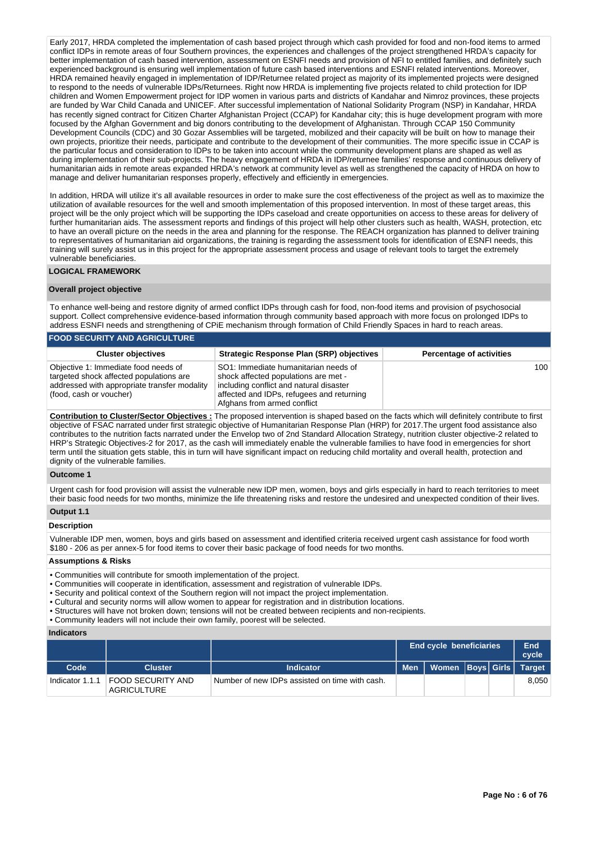Early 2017, HRDA completed the implementation of cash based project through which cash provided for food and non-food items to armed conflict IDPs in remote areas of four Southern provinces, the experiences and challenges of the project strengthened HRDA's capacity for better implementation of cash based intervention, assessment on ESNFI needs and provision of NFI to entitled families, and definitely such experienced background is ensuring well implementation of future cash based interventions and ESNFI related interventions. Moreover, HRDA remained heavily engaged in implementation of IDP/Returnee related project as majority of its implemented projects were designed to respond to the needs of vulnerable IDPs/Returnees. Right now HRDA is implementing five projects related to child protection for IDP children and Women Empowerment project for IDP women in various parts and districts of Kandahar and Nimroz provinces, these projects are funded by War Child Canada and UNICEF. After successful implementation of National Solidarity Program (NSP) in Kandahar, HRDA has recently signed contract for Citizen Charter Afghanistan Project (CCAP) for Kandahar city; this is huge development program with more focused by the Afghan Government and big donors contributing to the development of Afghanistan. Through CCAP 150 Community Development Councils (CDC) and 30 Gozar Assemblies will be targeted, mobilized and their capacity will be built on how to manage their own projects, prioritize their needs, participate and contribute to the development of their communities. The more specific issue in CCAP is the particular focus and consideration to IDPs to be taken into account while the community development plans are shaped as well as during implementation of their sub-projects. The heavy engagement of HRDA in IDP/returnee families' response and continuous delivery of humanitarian aids in remote areas expanded HRDA's network at community level as well as strengthened the capacity of HRDA on how to manage and deliver humanitarian responses properly, effectively and efficiently in emergencies.

In addition, HRDA will utilize it's all available resources in order to make sure the cost effectiveness of the project as well as to maximize the utilization of available resources for the well and smooth implementation of this proposed intervention. In most of these target areas, this project will be the only project which will be supporting the IDPs caseload and create opportunities on access to these areas for delivery of further humanitarian aids. The assessment reports and findings of this project will help other clusters such as health, WASH, protection, etc to have an overall picture on the needs in the area and planning for the response. The REACH organization has planned to deliver training to representatives of humanitarian aid organizations, the training is regarding the assessment tools for identification of ESNFI needs, this training will surely assist us in this project for the appropriate assessment process and usage of relevant tools to target the extremely vulnerable beneficiaries.

### **LOGICAL FRAMEWORK**

### **Overall project objective**

To enhance well-being and restore dignity of armed conflict IDPs through cash for food, non-food items and provision of psychosocial support. Collect comprehensive evidence-based information through community based approach with more focus on prolonged IDPs to address ESNFI needs and strengthening of CPiE mechanism through formation of Child Friendly Spaces in hard to reach areas. **FOOD SECURITY AND AGRICULTURE**

| <b>FUUD SECURIT AND AURICULTURE</b>                                                                                                                        |                                                                                                                                                                                                     |                                 |  |  |  |  |  |
|------------------------------------------------------------------------------------------------------------------------------------------------------------|-----------------------------------------------------------------------------------------------------------------------------------------------------------------------------------------------------|---------------------------------|--|--|--|--|--|
| <b>Cluster objectives</b>                                                                                                                                  | <b>Strategic Response Plan (SRP) objectives</b>                                                                                                                                                     | <b>Percentage of activities</b> |  |  |  |  |  |
| Objective 1: Immediate food needs of<br>targeted shock affected populations are<br>addressed with appropriate transfer modality<br>(food, cash or voucher) | SO1: Immediate humanitarian needs of<br>shock affected populations are met -<br>including conflict and natural disaster<br>affected and IDPs, refugees and returning<br>Afghans from armed conflict | 100                             |  |  |  |  |  |

**Contribution to Cluster/Sector Objectives :** The proposed intervention is shaped based on the facts which will definitely contribute to first objective of FSAC narrated under first strategic objective of Humanitarian Response Plan (HRP) for 2017.The urgent food assistance also contributes to the nutrition facts narrated under the Envelop two of 2nd Standard Allocation Strategy, nutrition cluster objective-2 related to HRP's Strategic Objectives-2 for 2017, as the cash will immediately enable the vulnerable families to have food in emergencies for short term until the situation gets stable, this in turn will have significant impact on reducing child mortality and overall health, protection and dignity of the vulnerable families.

### **Outcome 1**

Urgent cash for food provision will assist the vulnerable new IDP men, women, boys and girls especially in hard to reach territories to meet their basic food needs for two months, minimize the life threatening risks and restore the undesired and unexpected condition of their lives.

# **Output 1.1**

# **Description**

Vulnerable IDP men, women, boys and girls based on assessment and identified criteria received urgent cash assistance for food worth \$180 - 206 as per annex-5 for food items to cover their basic package of food needs for two months.

### **Assumptions & Risks**

- Communities will contribute for smooth implementation of the project.
- Communities will cooperate in identification, assessment and registration of vulnerable IDPs.
- Security and political context of the Southern region will not impact the project implementation.
- Cultural and security norms will allow women to appear for registration and in distribution locations.
- Structures will have not broken down; tensions will not be created between recipients and non-recipients.
- Community leaders will not include their own family, poorest will be selected.

### **Indicators**

|                 |                                         |                                                | <b>End cycle beneficiaries</b> |                               |  | End<br>cvcle |       |
|-----------------|-----------------------------------------|------------------------------------------------|--------------------------------|-------------------------------|--|--------------|-------|
| Code            | <b>Cluster</b>                          | <b>Indicator</b>                               | <b>Men</b>                     | Women   Boys   Girls   Target |  |              |       |
| Indicator 1.1.1 | FOOD SECURITY AND<br><b>AGRICULTURE</b> | Number of new IDPs assisted on time with cash. |                                |                               |  |              | 8.050 |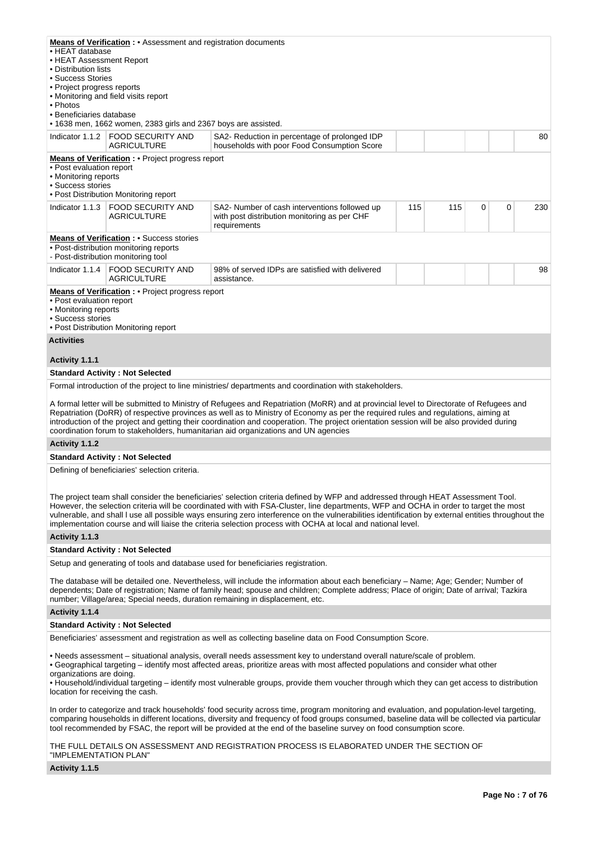| • HEAT database<br>• HEAT Assessment Report<br>• Distribution lists<br>• Success Stories<br>• Project progress reports<br>• Photos<br>• Beneficiaries database                                                                                                                                                                                                                                                                                                                                                   | <b>Means of Verification:</b> • Assessment and registration documents<br>• Monitoring and field visits report<br>• 1638 men, 1662 women, 2383 girls and 2367 boys are assisted. |                                                                                                               |     |     |   |   |     |
|------------------------------------------------------------------------------------------------------------------------------------------------------------------------------------------------------------------------------------------------------------------------------------------------------------------------------------------------------------------------------------------------------------------------------------------------------------------------------------------------------------------|---------------------------------------------------------------------------------------------------------------------------------------------------------------------------------|---------------------------------------------------------------------------------------------------------------|-----|-----|---|---|-----|
| Indicator $1.1.2$                                                                                                                                                                                                                                                                                                                                                                                                                                                                                                | <b>FOOD SECURITY AND</b><br><b>AGRICULTURE</b>                                                                                                                                  | SA2- Reduction in percentage of prolonged IDP<br>households with poor Food Consumption Score                  |     |     |   |   | 80  |
| • Post evaluation report<br>• Monitoring reports<br>• Success stories                                                                                                                                                                                                                                                                                                                                                                                                                                            | <b>Means of Verification:</b> • Project progress report<br>• Post Distribution Monitoring report                                                                                |                                                                                                               |     |     |   |   |     |
| Indicator 1.1.3                                                                                                                                                                                                                                                                                                                                                                                                                                                                                                  | <b>FOOD SECURITY AND</b><br><b>AGRICULTURE</b>                                                                                                                                  | SA2- Number of cash interventions followed up<br>with post distribution monitoring as per CHF<br>requirements | 115 | 115 | 0 | 0 | 230 |
|                                                                                                                                                                                                                                                                                                                                                                                                                                                                                                                  | <b>Means of Verification:</b> • Success stories<br>• Post-distribution monitoring reports<br>- Post-distribution monitoring tool                                                |                                                                                                               |     |     |   |   |     |
| Indicator 1.1.4                                                                                                                                                                                                                                                                                                                                                                                                                                                                                                  | <b>FOOD SECURITY AND</b><br><b>AGRICULTURE</b>                                                                                                                                  | 98% of served IDPs are satisfied with delivered<br>assistance.                                                |     |     |   |   | 98  |
| • Post evaluation report<br>• Monitoring reports<br>• Success stories                                                                                                                                                                                                                                                                                                                                                                                                                                            | <b>Means of Verification:</b> • Project progress report<br>• Post Distribution Monitoring report                                                                                |                                                                                                               |     |     |   |   |     |
| <b>Activities</b>                                                                                                                                                                                                                                                                                                                                                                                                                                                                                                |                                                                                                                                                                                 |                                                                                                               |     |     |   |   |     |
| Activity 1.1.1                                                                                                                                                                                                                                                                                                                                                                                                                                                                                                   |                                                                                                                                                                                 |                                                                                                               |     |     |   |   |     |
|                                                                                                                                                                                                                                                                                                                                                                                                                                                                                                                  | <b>Standard Activity: Not Selected</b>                                                                                                                                          |                                                                                                               |     |     |   |   |     |
|                                                                                                                                                                                                                                                                                                                                                                                                                                                                                                                  |                                                                                                                                                                                 | Formal introduction of the project to line ministries/ departments and coordination with stakeholders.        |     |     |   |   |     |
| A formal letter will be submitted to Ministry of Refugees and Repatriation (MoRR) and at provincial level to Directorate of Refugees and<br>Repatriation (DoRR) of respective provinces as well as to Ministry of Economy as per the required rules and regulations, aiming at<br>introduction of the project and getting their coordination and cooperation. The project orientation session will be also provided during<br>coordination forum to stakeholders, humanitarian aid organizations and UN agencies |                                                                                                                                                                                 |                                                                                                               |     |     |   |   |     |
| Activity 1.1.2                                                                                                                                                                                                                                                                                                                                                                                                                                                                                                   |                                                                                                                                                                                 |                                                                                                               |     |     |   |   |     |
|                                                                                                                                                                                                                                                                                                                                                                                                                                                                                                                  | <b>Standard Activity: Not Selected</b>                                                                                                                                          |                                                                                                               |     |     |   |   |     |
|                                                                                                                                                                                                                                                                                                                                                                                                                                                                                                                  | Defining of beneficiaries' selection criteria.                                                                                                                                  |                                                                                                               |     |     |   |   |     |

The project team shall consider the beneficiaries' selection criteria defined by WFP and addressed through HEAT Assessment Tool. However, the selection criteria will be coordinated with with FSA-Cluster, line departments, WFP and OCHA in order to target the most vulnerable, and shall l use all possible ways ensuring zero interference on the vulnerabilities identification by external entities throughout the implementation course and will liaise the criteria selection process with OCHA at local and national level.

### **Activity 1.1.3**

### **Standard Activity : Not Selected**

Setup and generating of tools and database used for beneficiaries registration.

The database will be detailed one. Nevertheless, will include the information about each beneficiary – Name; Age; Gender; Number of dependents; Date of registration; Name of family head; spouse and children; Complete address; Place of origin; Date of arrival; Tazkira number; Village/area; Special needs, duration remaining in displacement, etc.

#### **Activity 1.1.4**

#### **Standard Activity : Not Selected**

Beneficiaries' assessment and registration as well as collecting baseline data on Food Consumption Score.

• Needs assessment – situational analysis, overall needs assessment key to understand overall nature/scale of problem.

• Geographical targeting – identify most affected areas, prioritize areas with most affected populations and consider what other organizations are doing.

• Household/individual targeting – identify most vulnerable groups, provide them voucher through which they can get access to distribution location for receiving the cash.

In order to categorize and track households' food security across time, program monitoring and evaluation, and population-level targeting, comparing households in different locations, diversity and frequency of food groups consumed, baseline data will be collected via particular tool recommended by FSAC, the report will be provided at the end of the baseline survey on food consumption score.

THE FULL DETAILS ON ASSESSMENT AND REGISTRATION PROCESS IS ELABORATED UNDER THE SECTION OF "IMPLEMENTATION PLAN"

#### **Activity 1.1.5**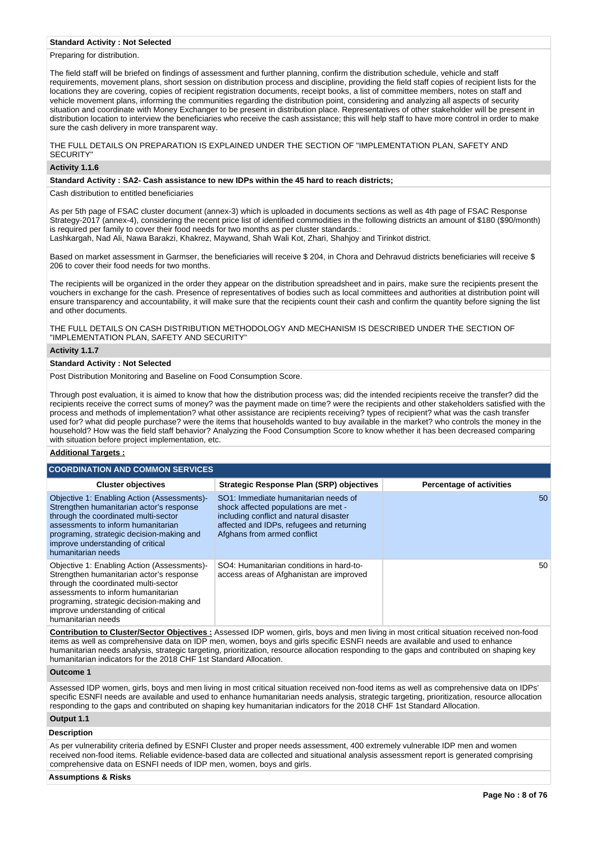#### **Standard Activity : Not Selected**

Preparing for distribution.

The field staff will be briefed on findings of assessment and further planning, confirm the distribution schedule, vehicle and staff requirements, movement plans, short session on distribution process and discipline, providing the field staff copies of recipient lists for the locations they are covering, copies of recipient registration documents, receipt books, a list of committee members, notes on staff and vehicle movement plans, informing the communities regarding the distribution point, considering and analyzing all aspects of security situation and coordinate with Money Exchanger to be present in distribution place. Representatives of other stakeholder will be present in distribution location to interview the beneficiaries who receive the cash assistance; this will help staff to have more control in order to make sure the cash delivery in more transparent way.

THE FULL DETAILS ON PREPARATION IS EXPLAINED UNDER THE SECTION OF "IMPLEMENTATION PLAN, SAFETY AND SECURITY"

### **Activity 1.1.6**

### **Standard Activity : SA2- Cash assistance to new IDPs within the 45 hard to reach districts;**

Cash distribution to entitled beneficiaries

As per 5th page of FSAC cluster document (annex-3) which is uploaded in documents sections as well as 4th page of FSAC Response Strategy-2017 (annex-4), considering the recent price list of identified commodities in the following districts an amount of \$180 (\$90/month) is required per family to cover their food needs for two months as per cluster standards.: Lashkargah, Nad Ali, Nawa Barakzi, Khakrez, Maywand, Shah Wali Kot, Zhari, Shahjoy and Tirinkot district.

Based on market assessment in Garmser, the beneficiaries will receive \$ 204, in Chora and Dehravud districts beneficiaries will receive \$ 206 to cover their food needs for two months.

The recipients will be organized in the order they appear on the distribution spreadsheet and in pairs, make sure the recipients present the vouchers in exchange for the cash. Presence of representatives of bodies such as local committees and authorities at distribution point will ensure transparency and accountability, it will make sure that the recipients count their cash and confirm the quantity before signing the list and other documents.

THE FULL DETAILS ON CASH DISTRIBUTION METHODOLOGY AND MECHANISM IS DESCRIBED UNDER THE SECTION OF "IMPLEMENTATION PLAN, SAFETY AND SECURITY"

### **Activity 1.1.7**

### **Standard Activity : Not Selected**

Post Distribution Monitoring and Baseline on Food Consumption Score.

Through post evaluation, it is aimed to know that how the distribution process was; did the intended recipients receive the transfer? did the recipients receive the correct sums of money? was the payment made on time? were the recipients and other stakeholders satisfied with the process and methods of implementation? what other assistance are recipients receiving? types of recipient? what was the cash transfer used for? what did people purchase? were the items that households wanted to buy available in the market? who controls the money in the household? How was the field staff behavior? Analyzing the Food Consumption Score to know whether it has been decreased comparing with situation before project implementation, etc.

### **Additional Targets :**

| <b>COORDINATION AND COMMON SERVICES</b>                                                                                                                                                                                                                                       |                                                                                                                                                                                                     |                                 |  |  |  |  |  |  |
|-------------------------------------------------------------------------------------------------------------------------------------------------------------------------------------------------------------------------------------------------------------------------------|-----------------------------------------------------------------------------------------------------------------------------------------------------------------------------------------------------|---------------------------------|--|--|--|--|--|--|
| <b>Cluster objectives</b>                                                                                                                                                                                                                                                     | <b>Strategic Response Plan (SRP) objectives</b>                                                                                                                                                     | <b>Percentage of activities</b> |  |  |  |  |  |  |
| Objective 1: Enabling Action (Assessments)-<br>Strengthen humanitarian actor's response<br>through the coordinated multi-sector<br>assessments to inform humanitarian<br>programing, strategic decision-making and<br>improve understanding of critical<br>humanitarian needs | SO1: Immediate humanitarian needs of<br>shock affected populations are met -<br>including conflict and natural disaster<br>affected and IDPs, refugees and returning<br>Afghans from armed conflict | 50                              |  |  |  |  |  |  |
| Objective 1: Enabling Action (Assessments)-<br>Strengthen humanitarian actor's response<br>through the coordinated multi-sector<br>assessments to inform humanitarian<br>programing, strategic decision-making and<br>improve understanding of critical<br>humanitarian needs | SO4: Humanitarian conditions in hard-to-<br>access areas of Afghanistan are improved                                                                                                                | 50                              |  |  |  |  |  |  |

**Contribution to Cluster/Sector Objectives :** Assessed IDP women, girls, boys and men living in most critical situation received non-food items as well as comprehensive data on IDP men, women, boys and girls specific ESNFI needs are available and used to enhance humanitarian needs analysis, strategic targeting, prioritization, resource allocation responding to the gaps and contributed on shaping key humanitarian indicators for the 2018 CHF 1st Standard Allocation.

#### **Outcome 1**

Assessed IDP women, girls, boys and men living in most critical situation received non-food items as well as comprehensive data on IDPs' specific ESNFI needs are available and used to enhance humanitarian needs analysis, strategic targeting, prioritization, resource allocation responding to the gaps and contributed on shaping key humanitarian indicators for the 2018 CHF 1st Standard Allocation.

# **Output 1.1**

# **Description**

As per vulnerability criteria defined by ESNFI Cluster and proper needs assessment, 400 extremely vulnerable IDP men and women received non-food items. Reliable evidence-based data are collected and situational analysis assessment report is generated comprising comprehensive data on ESNFI needs of IDP men, women, boys and girls.

#### **Assumptions & Risks**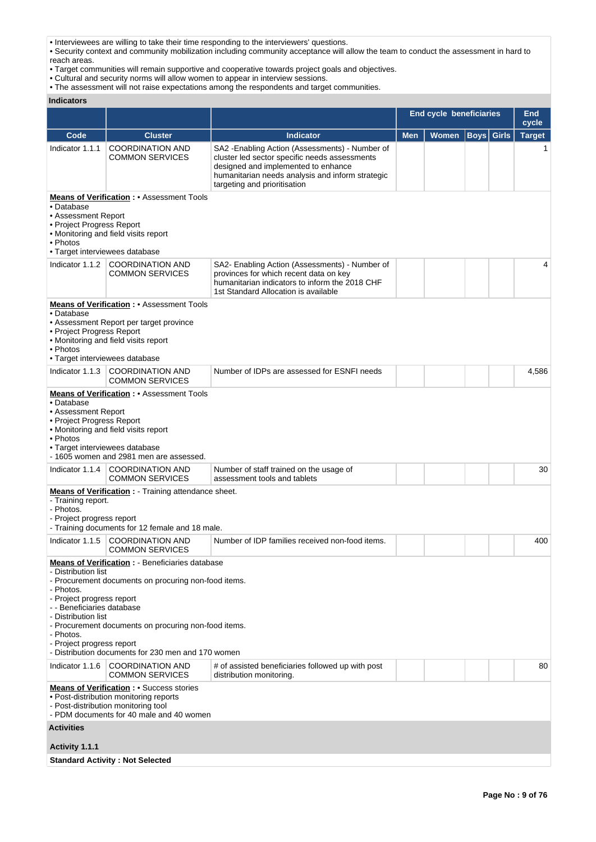• Interviewees are willing to take their time responding to the interviewers' questions.

• Security context and community mobilization including community acceptance will allow the team to conduct the assessment in hard to reach areas.

• Target communities will remain supportive and cooperative towards project goals and objectives.

• Cultural and security norms will allow women to appear in interview sessions.

• The assessment will not raise expectations among the respondents and target communities.

**Indicators**

|                                                                                                                                                              |                                                                                                                                                                                                                              |                                                                                                                                                                                                                             | End cycle beneficiaries | <b>End</b><br>cycle |                   |  |               |
|--------------------------------------------------------------------------------------------------------------------------------------------------------------|------------------------------------------------------------------------------------------------------------------------------------------------------------------------------------------------------------------------------|-----------------------------------------------------------------------------------------------------------------------------------------------------------------------------------------------------------------------------|-------------------------|---------------------|-------------------|--|---------------|
| Code                                                                                                                                                         | <b>Cluster</b>                                                                                                                                                                                                               | <b>Indicator</b>                                                                                                                                                                                                            | <b>Men</b>              | Women               | <b>Boys</b> Girls |  | <b>Target</b> |
| Indicator 1.1.1                                                                                                                                              | <b>COORDINATION AND</b><br><b>COMMON SERVICES</b>                                                                                                                                                                            | SA2 - Enabling Action (Assessments) - Number of<br>cluster led sector specific needs assessments<br>designed and implemented to enhance<br>humanitarian needs analysis and inform strategic<br>targeting and prioritisation |                         |                     |                   |  |               |
| • Database<br>• Assessment Report<br>• Project Progress Report<br>• Photos<br>• Target interviewees database                                                 | <b>Means of Verification:</b> • Assessment Tools<br>• Monitoring and field visits report                                                                                                                                     |                                                                                                                                                                                                                             |                         |                     |                   |  |               |
|                                                                                                                                                              | Indicator 1.1.2 COORDINATION AND<br><b>COMMON SERVICES</b>                                                                                                                                                                   | SA2- Enabling Action (Assessments) - Number of<br>provinces for which recent data on key<br>humanitarian indicators to inform the 2018 CHF<br>1st Standard Allocation is available                                          |                         |                     |                   |  | 4             |
| • Database<br>• Project Progress Report<br>• Photos<br>• Target interviewees database                                                                        | <b>Means of Verification:</b> • Assessment Tools<br>• Assessment Report per target province<br>• Monitoring and field visits report                                                                                          |                                                                                                                                                                                                                             |                         |                     |                   |  |               |
| Indicator 1.1.3                                                                                                                                              | <b>COORDINATION AND</b><br><b>COMMON SERVICES</b>                                                                                                                                                                            | Number of IDPs are assessed for ESNFI needs                                                                                                                                                                                 |                         |                     |                   |  | 4,586         |
| • Database<br>• Assessment Report<br>• Project Progress Report<br>• Photos<br>• Target interviewees database<br>Indicator 1.1.4                              | • Monitoring and field visits report<br>- 1605 women and 2981 men are assessed.<br><b>COORDINATION AND</b><br><b>COMMON SERVICES</b>                                                                                         | Number of staff trained on the usage of<br>assessment tools and tablets                                                                                                                                                     |                         |                     |                   |  | 30            |
| - Training report.<br>- Photos.<br>- Project progress report                                                                                                 | <b>Means of Verification :</b> Training attendance sheet.<br>- Training documents for 12 female and 18 male.                                                                                                                 |                                                                                                                                                                                                                             |                         |                     |                   |  |               |
| Indicator 1.1.5                                                                                                                                              | <b>COORDINATION AND</b><br><b>COMMON SERVICES</b>                                                                                                                                                                            | Number of IDP families received non-food items.                                                                                                                                                                             |                         |                     |                   |  | 400           |
| - Distribution list<br>- Photos.<br>- Project progress report<br>- - Beneficiaries database<br>- Distribution list<br>- Photos.<br>- Project progress report | <b>Means of Verification:</b> - Beneficiaries database<br>- Procurement documents on procuring non-food items.<br>- Procurement documents on procuring non-food items.<br>- Distribution documents for 230 men and 170 women |                                                                                                                                                                                                                             |                         |                     |                   |  |               |
| Indicator 1.1.6                                                                                                                                              | <b>COORDINATION AND</b><br><b>COMMON SERVICES</b>                                                                                                                                                                            | # of assisted beneficiaries followed up with post<br>distribution monitoring.                                                                                                                                               |                         |                     |                   |  | 80            |
|                                                                                                                                                              | <b>Means of Verification: •</b> Success stories<br>• Post-distribution monitoring reports<br>- Post-distribution monitoring tool<br>- PDM documents for 40 male and 40 women                                                 |                                                                                                                                                                                                                             |                         |                     |                   |  |               |
| <b>Activities</b>                                                                                                                                            |                                                                                                                                                                                                                              |                                                                                                                                                                                                                             |                         |                     |                   |  |               |
| Activity 1.1.1                                                                                                                                               |                                                                                                                                                                                                                              |                                                                                                                                                                                                                             |                         |                     |                   |  |               |
|                                                                                                                                                              | <b>Standard Activity: Not Selected</b>                                                                                                                                                                                       |                                                                                                                                                                                                                             |                         |                     |                   |  |               |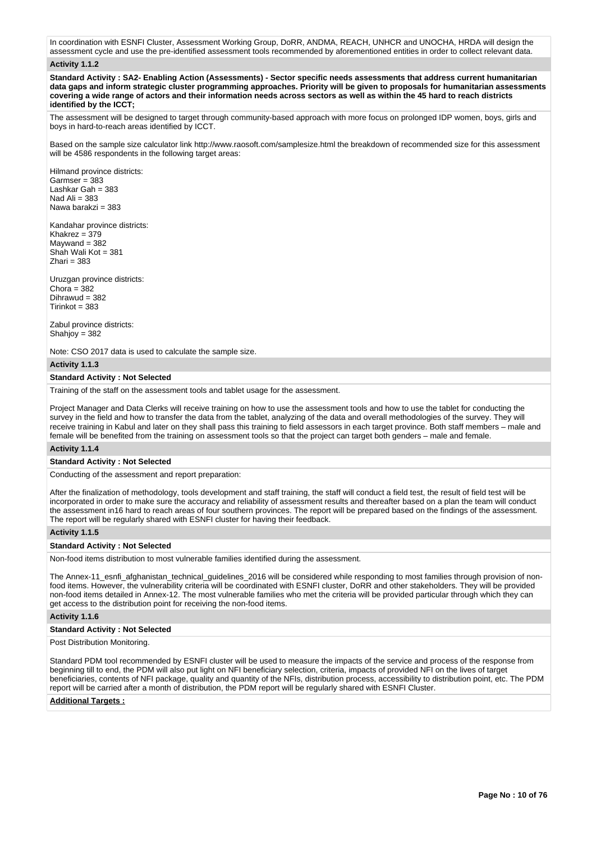In coordination with ESNFI Cluster, Assessment Working Group, DoRR, ANDMA, REACH, UNHCR and UNOCHA, HRDA will design the assessment cycle and use the pre-identified assessment tools recommended by aforementioned entities in order to collect relevant data.

### **Activity 1.1.2**

**Standard Activity : SA2- Enabling Action (Assessments) - Sector specific needs assessments that address current humanitarian data gaps and inform strategic cluster programming approaches. Priority will be given to proposals for humanitarian assessments covering a wide range of actors and their information needs across sectors as well as within the 45 hard to reach districts identified by the ICCT;**

The assessment will be designed to target through community-based approach with more focus on prolonged IDP women, boys, girls and boys in hard-to-reach areas identified by ICCT.

Based on the sample size calculator link http://www.raosoft.com/samplesize.html the breakdown of recommended size for this assessment will be 4586 respondents in the following target areas:

Hilmand province districts:  $Garnser = 383$ Lashkar Gah = 383 Nad Ali = 383 Nawa barakzi = 383

Kandahar province districts: Khakrez = 379  $M$ aywand = 382 Shah Wali Kot = 381  $Z$ hari = 383

Uruzgan province districts: Chora =  $382$ Dihrawud = 382  $Tirinkot = 383$ 

Zabul province districts: Shahjoy = 382

Note: CSO 2017 data is used to calculate the sample size.

#### **Activity 1.1.3**

### **Standard Activity : Not Selected**

Training of the staff on the assessment tools and tablet usage for the assessment.

Project Manager and Data Clerks will receive training on how to use the assessment tools and how to use the tablet for conducting the survey in the field and how to transfer the data from the tablet, analyzing of the data and overall methodologies of the survey. They will receive training in Kabul and later on they shall pass this training to field assessors in each target province. Both staff members – male and female will be benefited from the training on assessment tools so that the project can target both genders – male and female.

### **Activity 1.1.4**

### **Standard Activity : Not Selected**

Conducting of the assessment and report preparation:

After the finalization of methodology, tools development and staff training, the staff will conduct a field test, the result of field test will be incorporated in order to make sure the accuracy and reliability of assessment results and thereafter based on a plan the team will conduct the assessment in16 hard to reach areas of four southern provinces. The report will be prepared based on the findings of the assessment. The report will be regularly shared with ESNFI cluster for having their feedback.

### **Activity 1.1.5**

#### **Standard Activity : Not Selected**

Non-food items distribution to most vulnerable families identified during the assessment.

The Annex-11\_esnfi\_afghanistan\_technical\_guidelines\_2016 will be considered while responding to most families through provision of nonfood items. However, the vulnerability criteria will be coordinated with ESNFI cluster, DoRR and other stakeholders. They will be provided non-food items detailed in Annex-12. The most vulnerable families who met the criteria will be provided particular through which they can get access to the distribution point for receiving the non-food items.

### **Activity 1.1.6**

### **Standard Activity : Not Selected**

Post Distribution Monitoring.

Standard PDM tool recommended by ESNFI cluster will be used to measure the impacts of the service and process of the response from beginning till to end, the PDM will also put light on NFI beneficiary selection, criteria, impacts of provided NFI on the lives of target beneficiaries, contents of NFI package, quality and quantity of the NFIs, distribution process, accessibility to distribution point, etc. The PDM report will be carried after a month of distribution, the PDM report will be regularly shared with ESNFI Cluster.

### **Additional Targets :**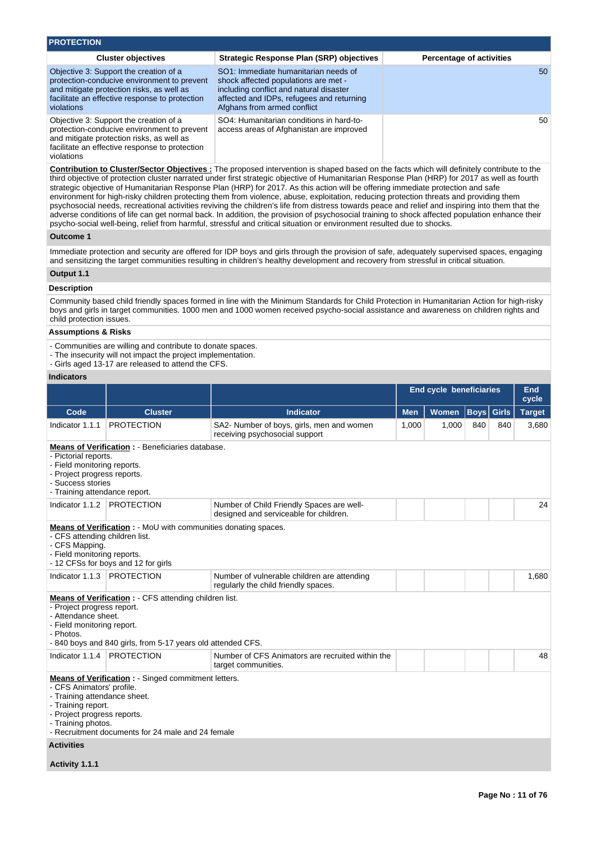| <b>PROTECTION</b>                                                                                                                                                                                  |                                                                                                                                                                                                     |                                 |  |  |  |  |  |
|----------------------------------------------------------------------------------------------------------------------------------------------------------------------------------------------------|-----------------------------------------------------------------------------------------------------------------------------------------------------------------------------------------------------|---------------------------------|--|--|--|--|--|
| <b>Cluster objectives</b>                                                                                                                                                                          | Strategic Response Plan (SRP) objectives                                                                                                                                                            | <b>Percentage of activities</b> |  |  |  |  |  |
| Objective 3: Support the creation of a<br>protection-conducive environment to prevent<br>and mitigate protection risks, as well as<br>facilitate an effective response to protection<br>violations | SO1: Immediate humanitarian needs of<br>shock affected populations are met -<br>including conflict and natural disaster<br>affected and IDPs, refugees and returning<br>Afghans from armed conflict | 50                              |  |  |  |  |  |
| Objective 3: Support the creation of a<br>protection-conducive environment to prevent<br>and mitigate protection risks, as well as<br>facilitate an effective response to protection<br>violations | SO4: Humanitarian conditions in hard-to-<br>access areas of Afghanistan are improved                                                                                                                | 50                              |  |  |  |  |  |

**Contribution to Cluster/Sector Objectives :** The proposed intervention is shaped based on the facts which will definitely contribute to the third objective of protection cluster narrated under first strategic objective of Humanitarian Response Plan (HRP) for 2017 as well as fourth strategic objective of Humanitarian Response Plan (HRP) for 2017. As this action will be offering immediate protection and safe environment for high-risky children protecting them from violence, abuse, exploitation, reducing protection threats and providing them psychosocial needs, recreational activities reviving the children's life from distress towards peace and relief and inspiring into them that the adverse conditions of life can get normal back. In addition, the provision of psychosocial training to shock affected population enhance their psycho-social well-being, relief from harmful, stressful and critical situation or environment resulted due to shocks.

### **Outcome 1**

Immediate protection and security are offered for IDP boys and girls through the provision of safe, adequately supervised spaces, engaging and sensitizing the target communities resulting in children's healthy development and recovery from stressful in critical situation.

# **Output 1.1**

### **Description**

Community based child friendly spaces formed in line with the Minimum Standards for Child Protection in Humanitarian Action for high-risky boys and girls in target communities. 1000 men and 1000 women received psycho-social assistance and awareness on children rights and child protection issues.

### **Assumptions & Risks**

- Communities are willing and contribute to donate spaces.
- The insecurity will not impact the project implementation.
- Girls aged 13-17 are released to attend the CFS.

### **Indicators**

|                                                                                                                                          |                                                                                                                                                                                                                                                         |                                                                                     | <b>End cycle beneficiaries</b> |       |                   |     | End<br>cycle  |  |
|------------------------------------------------------------------------------------------------------------------------------------------|---------------------------------------------------------------------------------------------------------------------------------------------------------------------------------------------------------------------------------------------------------|-------------------------------------------------------------------------------------|--------------------------------|-------|-------------------|-----|---------------|--|
| Code                                                                                                                                     | <b>Cluster</b>                                                                                                                                                                                                                                          | <b>Indicator</b>                                                                    | <b>Men</b>                     | Women | <b>Boys</b> Girls |     | <b>Target</b> |  |
| Indicator 1.1.1                                                                                                                          | <b>PROTECTION</b>                                                                                                                                                                                                                                       | SA2- Number of boys, girls, men and women<br>receiving psychosocial support         | 1,000                          | 1,000 | 840               | 840 | 3,680         |  |
| - Pictorial reports.<br>- Field monitoring reports.<br>- Project progress reports.<br>- Success stories<br>- Training attendance report. | Means of Verification : - Beneficiaries database.                                                                                                                                                                                                       |                                                                                     |                                |       |                   |     |               |  |
| Indicator 1.1.2                                                                                                                          | <b>PROTECTION</b>                                                                                                                                                                                                                                       | Number of Child Friendly Spaces are well-<br>designed and serviceable for children. |                                |       |                   |     | 24            |  |
| - CFS attending children list.<br>- CFS Mapping.<br>- Field monitoring reports.                                                          | <b>Means of Verification :</b> - MoU with communities donating spaces.<br>- 12 CFSs for boys and 12 for girls                                                                                                                                           |                                                                                     |                                |       |                   |     |               |  |
| Indicator 1.1.3                                                                                                                          | <b>PROTECTION</b>                                                                                                                                                                                                                                       | Number of vulnerable children are attending<br>regularly the child friendly spaces. |                                |       |                   |     | 1,680         |  |
| - Project progress report.<br>- Attendance sheet.<br>- Field monitoring report.<br>- Photos.                                             | <b>Means of Verification : - CFS attending children list.</b><br>- 840 boys and 840 girls, from 5-17 years old attended CFS.                                                                                                                            |                                                                                     |                                |       |                   |     |               |  |
| Indicator 1.1.4                                                                                                                          | <b>PROTECTION</b>                                                                                                                                                                                                                                       | Number of CFS Animators are recruited within the<br>target communities.             |                                |       |                   |     | 48            |  |
| <b>Activities</b>                                                                                                                        | <b>Means of Verification:</b> - Singed commitment letters.<br>- CFS Animators' profile.<br>- Training attendance sheet.<br>- Training report.<br>- Project progress reports.<br>- Training photos.<br>- Recruitment documents for 24 male and 24 female |                                                                                     |                                |       |                   |     |               |  |

**Activity 1.1.1**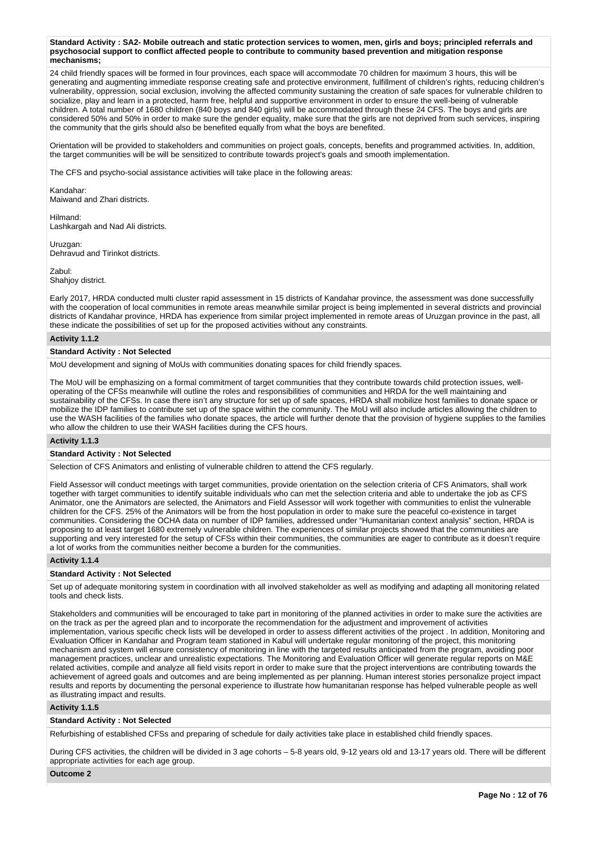**Standard Activity : SA2- Mobile outreach and static protection services to women, men, girls and boys; principled referrals and psychosocial support to conflict affected people to contribute to community based prevention and mitigation response mechanisms;**

24 child friendly spaces will be formed in four provinces, each space will accommodate 70 children for maximum 3 hours, this will be generating and augmenting immediate response creating safe and protective environment, fulfillment of children's rights, reducing children's vulnerability, oppression, social exclusion, involving the affected community sustaining the creation of safe spaces for vulnerable children to socialize, play and learn in a protected, harm free, helpful and supportive environment in order to ensure the well-being of vulnerable children. A total number of 1680 children (840 boys and 840 girls) will be accommodated through these 24 CFS. The boys and girls are considered 50% and 50% in order to make sure the gender equality, make sure that the girls are not deprived from such services, inspiring the community that the girls should also be benefited equally from what the boys are benefited.

Orientation will be provided to stakeholders and communities on project goals, concepts, benefits and programmed activities. In, addition, the target communities will be will be sensitized to contribute towards project's goals and smooth implementation.

The CFS and psycho-social assistance activities will take place in the following areas:

Kandahar: Maiwand and Zhari districts.

Hilmand: Lashkargah and Nad Ali districts.

Uruzgan: Dehravud and Tirinkot districts.

Zabul: Shahjoy district.

Early 2017, HRDA conducted multi cluster rapid assessment in 15 districts of Kandahar province, the assessment was done successfully with the cooperation of local communities in remote areas meanwhile similar project is being implemented in several districts and provincial districts of Kandahar province, HRDA has experience from similar project implemented in remote areas of Uruzgan province in the past, all these indicate the possibilities of set up for the proposed activities without any constraints.

### **Activity 1.1.2**

### **Standard Activity : Not Selected**

MoU development and signing of MoUs with communities donating spaces for child friendly spaces.

The MoU will be emphasizing on a formal commitment of target communities that they contribute towards child protection issues, welloperating of the CFSs meanwhile will outline the roles and responsibilities of communities and HRDA for the well maintaining and sustainability of the CFSs. In case there isn't any structure for set up of safe spaces, HRDA shall mobilize host families to donate space or mobilize the IDP families to contribute set up of the space within the community. The MoU will also include articles allowing the children to use the WASH facilities of the families who donate spaces, the article will further denote that the provision of hygiene supplies to the families who allow the children to use their WASH facilities during the CFS hours.

#### **Activity 1.1.3**

#### **Standard Activity : Not Selected**

Selection of CFS Animators and enlisting of vulnerable children to attend the CFS regularly.

Field Assessor will conduct meetings with target communities, provide orientation on the selection criteria of CFS Animators, shall work together with target communities to identify suitable individuals who can met the selection criteria and able to undertake the job as CFS Animator, one the Animators are selected, the Animators and Field Assessor will work together with communities to enlist the vulnerable children for the CFS. 25% of the Animators will be from the host population in order to make sure the peaceful co-existence in target communities. Considering the OCHA data on number of IDP families, addressed under "Humanitarian context analysis" section, HRDA is proposing to at least target 1680 extremely vulnerable children. The experiences of similar projects showed that the communities are supporting and very interested for the setup of CFSs within their communities, the communities are eager to contribute as it doesn't require a lot of works from the communities neither become a burden for the communities.

### **Activity 1.1.4**

# **Standard Activity : Not Selected**

Set up of adequate monitoring system in coordination with all involved stakeholder as well as modifying and adapting all monitoring related tools and check lists.

Stakeholders and communities will be encouraged to take part in monitoring of the planned activities in order to make sure the activities are on the track as per the agreed plan and to incorporate the recommendation for the adjustment and improvement of activities implementation, various specific check lists will be developed in order to assess different activities of the project . In addition, Monitoring and Evaluation Officer in Kandahar and Program team stationed in Kabul will undertake regular monitoring of the project, this monitoring mechanism and system will ensure consistency of monitoring in line with the targeted results anticipated from the program, avoiding poor management practices, unclear and unrealistic expectations. The Monitoring and Evaluation Officer will generate regular reports on M&E related activities, compile and analyze all field visits report in order to make sure that the project interventions are contributing towards the achievement of agreed goals and outcomes and are being implemented as per planning. Human interest stories personalize project impact results and reports by documenting the personal experience to illustrate how humanitarian response has helped vulnerable people as well as illustrating impact and results.

# **Activity 1.1.5**

### **Standard Activity : Not Selected**

Refurbishing of established CFSs and preparing of schedule for daily activities take place in established child friendly spaces.

During CFS activities, the children will be divided in 3 age cohorts – 5-8 years old, 9-12 years old and 13-17 years old. There will be different appropriate activities for each age group.

#### **Outcome 2**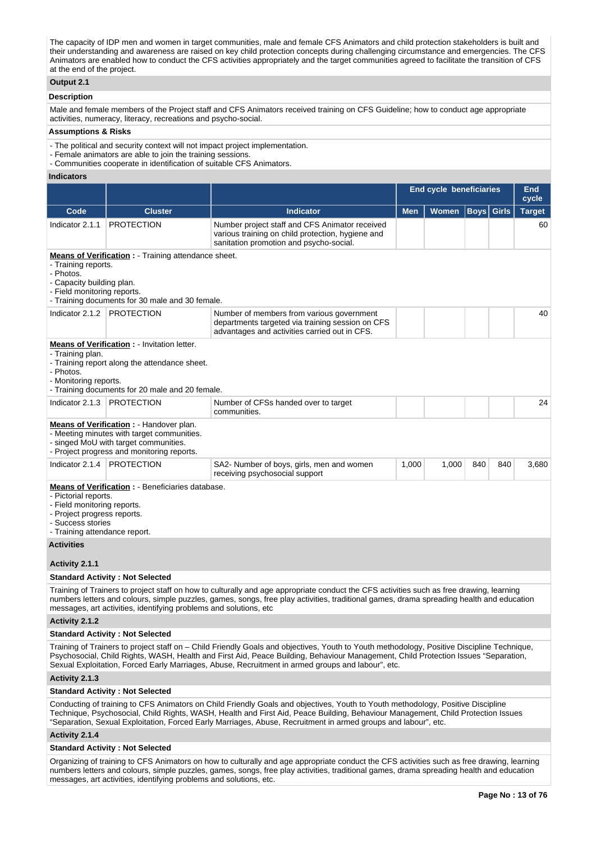The capacity of IDP men and women in target communities, male and female CFS Animators and child protection stakeholders is built and their understanding and awareness are raised on key child protection concepts during challenging circumstance and emergencies. The CFS Animators are enabled how to conduct the CFS activities appropriately and the target communities agreed to facilitate the transition of CFS at the end of the project.

# **Output 2.1**

### **Description**

Male and female members of the Project staff and CFS Animators received training on CFS Guideline; how to conduct age appropriate activities, numeracy, literacy, recreations and psycho-social.

### **Assumptions & Risks**

- The political and security context will not impact project implementation.
- Female animators are able to join the training sessions.
- Communities cooperate in identification of suitable CFS Animators.

#### **Indicators**

|                                                                                                                                                                                                                  |                                                                                                                                                                               |                                                                                                                                                                                                                                                                                                                                                                                       | <b>End cycle beneficiaries</b> | <b>End</b><br>cycle |     |                   |               |
|------------------------------------------------------------------------------------------------------------------------------------------------------------------------------------------------------------------|-------------------------------------------------------------------------------------------------------------------------------------------------------------------------------|---------------------------------------------------------------------------------------------------------------------------------------------------------------------------------------------------------------------------------------------------------------------------------------------------------------------------------------------------------------------------------------|--------------------------------|---------------------|-----|-------------------|---------------|
| Code                                                                                                                                                                                                             | <b>Cluster</b>                                                                                                                                                                | <b>Indicator</b>                                                                                                                                                                                                                                                                                                                                                                      | <b>Men</b>                     | Women               |     | <b>Boys</b> Girls | <b>Target</b> |
| Indicator 2.1.1                                                                                                                                                                                                  | <b>PROTECTION</b>                                                                                                                                                             | Number project staff and CFS Animator received<br>various training on child protection, hygiene and<br>sanitation promotion and psycho-social.                                                                                                                                                                                                                                        |                                |                     |     |                   | 60            |
| - Training reports.<br>- Photos.<br>- Capacity building plan.<br>- Field monitoring reports.                                                                                                                     | <b>Means of Verification :</b> - Training attendance sheet.<br>- Training documents for 30 male and 30 female.                                                                |                                                                                                                                                                                                                                                                                                                                                                                       |                                |                     |     |                   |               |
| Indicator 2.1.2   PROTECTION                                                                                                                                                                                     |                                                                                                                                                                               | Number of members from various government<br>departments targeted via training session on CFS<br>advantages and activities carried out in CFS.                                                                                                                                                                                                                                        |                                |                     |     |                   | 40            |
| <b>Means of Verification:</b> - Invitation letter.<br>- Training plan.<br>- Training report along the attendance sheet.<br>- Photos.<br>- Monitoring reports.<br>- Training documents for 20 male and 20 female. |                                                                                                                                                                               |                                                                                                                                                                                                                                                                                                                                                                                       |                                |                     |     |                   |               |
| Indicator 2.1.3                                                                                                                                                                                                  | <b>PROTECTION</b>                                                                                                                                                             | Number of CFSs handed over to target<br>communities.                                                                                                                                                                                                                                                                                                                                  |                                |                     |     |                   | 24            |
|                                                                                                                                                                                                                  | Means of Verification : - Handover plan.<br>- Meeting minutes with target communities.<br>- singed MoU with target communities.<br>- Project progress and monitoring reports. |                                                                                                                                                                                                                                                                                                                                                                                       |                                |                     |     |                   |               |
| Indicator 2.1.4                                                                                                                                                                                                  | <b>PROTECTION</b>                                                                                                                                                             | SA2- Number of boys, girls, men and women<br>receiving psychosocial support                                                                                                                                                                                                                                                                                                           | 1,000                          | 1,000               | 840 | 840               | 3,680         |
| - Pictorial reports.<br>- Field monitoring reports.<br>- Project progress reports.<br>- Success stories<br>- Training attendance report.                                                                         | <b>Means of Verification:</b> - Beneficiaries database.                                                                                                                       |                                                                                                                                                                                                                                                                                                                                                                                       |                                |                     |     |                   |               |
| <b>Activities</b>                                                                                                                                                                                                |                                                                                                                                                                               |                                                                                                                                                                                                                                                                                                                                                                                       |                                |                     |     |                   |               |
| Activity 2.1.1                                                                                                                                                                                                   |                                                                                                                                                                               |                                                                                                                                                                                                                                                                                                                                                                                       |                                |                     |     |                   |               |
|                                                                                                                                                                                                                  | <b>Standard Activity: Not Selected</b>                                                                                                                                        |                                                                                                                                                                                                                                                                                                                                                                                       |                                |                     |     |                   |               |
|                                                                                                                                                                                                                  | messages, art activities, identifying problems and solutions, etc                                                                                                             | Training of Trainers to project staff on how to culturally and age appropriate conduct the CFS activities such as free drawing, learning<br>numbers letters and colours, simple puzzles, games, songs, free play activities, traditional games, drama spreading health and education                                                                                                  |                                |                     |     |                   |               |
| Activity 2.1.2                                                                                                                                                                                                   |                                                                                                                                                                               |                                                                                                                                                                                                                                                                                                                                                                                       |                                |                     |     |                   |               |
|                                                                                                                                                                                                                  | <b>Standard Activity: Not Selected</b>                                                                                                                                        |                                                                                                                                                                                                                                                                                                                                                                                       |                                |                     |     |                   |               |
|                                                                                                                                                                                                                  |                                                                                                                                                                               | Training of Trainers to project staff on – Child Friendly Goals and objectives, Youth to Youth methodology, Positive Discipline Technique,<br>Psychosocial, Child Rights, WASH, Health and First Aid, Peace Building, Behaviour Management, Child Protection Issues "Separation,<br>Sexual Exploitation, Forced Early Marriages, Abuse, Recruitment in armed groups and labour", etc. |                                |                     |     |                   |               |
| Activity 2.1.3                                                                                                                                                                                                   |                                                                                                                                                                               |                                                                                                                                                                                                                                                                                                                                                                                       |                                |                     |     |                   |               |
|                                                                                                                                                                                                                  | <b>Standard Activity: Not Selected</b>                                                                                                                                        |                                                                                                                                                                                                                                                                                                                                                                                       |                                |                     |     |                   |               |
|                                                                                                                                                                                                                  |                                                                                                                                                                               | Conducting of training to CFS Animators on Child Friendly Goals and objectives, Youth to Youth methodology, Positive Discipline<br>Technique, Psychosocial, Child Rights, WASH, Health and First Aid, Peace Building, Behaviour Management, Child Protection Issues<br>"Separation, Sexual Exploitation, Forced Early Marriages, Abuse, Recruitment in armed groups and labour", etc. |                                |                     |     |                   |               |

**Activity 2.1.4** 

### **Standard Activity : Not Selected**

Organizing of training to CFS Animators on how to culturally and age appropriate conduct the CFS activities such as free drawing, learning numbers letters and colours, simple puzzles, games, songs, free play activities, traditional games, drama spreading health and education messages, art activities, identifying problems and solutions, etc.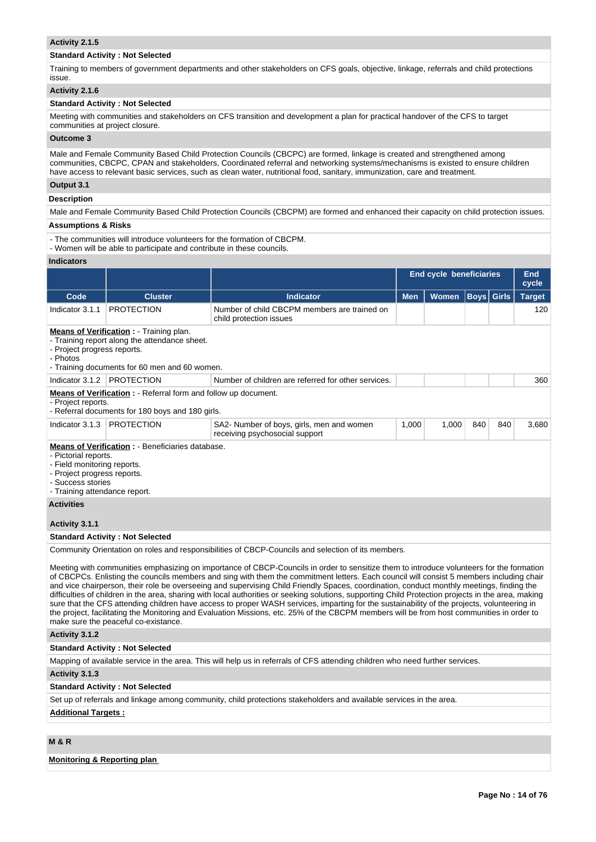### **Activity 2.1.5**

### **Standard Activity : Not Selected**

Training to members of government departments and other stakeholders on CFS goals, objective, linkage, referrals and child protections issue.

### **Activity 2.1.6**

# **Standard Activity : Not Selected**

Meeting with communities and stakeholders on CFS transition and development a plan for practical handover of the CFS to target communities at project closure.

### **Outcome 3**

Male and Female Community Based Child Protection Councils (CBCPC) are formed, linkage is created and strengthened among communities, CBCPC, CPAN and stakeholders, Coordinated referral and networking systems/mechanisms is existed to ensure children have access to relevant basic services, such as clean water, nutritional food, sanitary, immunization, care and treatment.

### **Output 3.1**

### **Description**

Male and Female Community Based Child Protection Councils (CBCPM) are formed and enhanced their capacity on child protection issues.

# **Assumptions & Risks**

- The communities will introduce volunteers for the formation of CBCPM.

- Women will be able to participate and contribute in these councils.

# **Indicators**

| iliulualui s                                                                                                                             |                                                                                                                                                  |                                                                                                                                                                                                                                                                                                                                                                                                                                   |            |                                |             |              |                     |
|------------------------------------------------------------------------------------------------------------------------------------------|--------------------------------------------------------------------------------------------------------------------------------------------------|-----------------------------------------------------------------------------------------------------------------------------------------------------------------------------------------------------------------------------------------------------------------------------------------------------------------------------------------------------------------------------------------------------------------------------------|------------|--------------------------------|-------------|--------------|---------------------|
|                                                                                                                                          |                                                                                                                                                  |                                                                                                                                                                                                                                                                                                                                                                                                                                   |            | <b>End cycle beneficiaries</b> |             |              | <b>End</b><br>cycle |
| Code                                                                                                                                     | <b>Cluster</b>                                                                                                                                   | <b>Indicator</b>                                                                                                                                                                                                                                                                                                                                                                                                                  | <b>Men</b> | <b>Women</b>                   | <b>Boys</b> | <b>Girls</b> | <b>Target</b>       |
| Indicator 3.1.1                                                                                                                          | <b>PROTECTION</b>                                                                                                                                | Number of child CBCPM members are trained on<br>child protection issues                                                                                                                                                                                                                                                                                                                                                           |            |                                |             |              | 120                 |
| - Project progress reports.<br>- Photos                                                                                                  | <b>Means of Verification:</b> - Training plan.<br>- Training report along the attendance sheet.<br>- Training documents for 60 men and 60 women. |                                                                                                                                                                                                                                                                                                                                                                                                                                   |            |                                |             |              |                     |
| Indicator 3.1.2                                                                                                                          | <b>PROTECTION</b>                                                                                                                                | Number of children are referred for other services.                                                                                                                                                                                                                                                                                                                                                                               |            |                                |             |              | 360                 |
| - Project reports.                                                                                                                       | Means of Verification : - Referral form and follow up document.<br>- Referral documents for 180 boys and 180 girls.                              |                                                                                                                                                                                                                                                                                                                                                                                                                                   |            |                                |             |              |                     |
| Indicator 3.1.3                                                                                                                          | <b>PROTECTION</b>                                                                                                                                | SA2- Number of boys, girls, men and women<br>receiving psychosocial support                                                                                                                                                                                                                                                                                                                                                       | 1,000      | 1,000                          | 840         | 840          | 3,680               |
| - Pictorial reports.<br>- Field monitoring reports.<br>- Project progress reports.<br>- Success stories<br>- Training attendance report. | <b>Means of Verification : - Beneficiaries database.</b>                                                                                         |                                                                                                                                                                                                                                                                                                                                                                                                                                   |            |                                |             |              |                     |
| <b>Activities</b>                                                                                                                        |                                                                                                                                                  |                                                                                                                                                                                                                                                                                                                                                                                                                                   |            |                                |             |              |                     |
| Activity 3.1.1                                                                                                                           |                                                                                                                                                  |                                                                                                                                                                                                                                                                                                                                                                                                                                   |            |                                |             |              |                     |
|                                                                                                                                          | <b>Standard Activity: Not Selected</b>                                                                                                           |                                                                                                                                                                                                                                                                                                                                                                                                                                   |            |                                |             |              |                     |
|                                                                                                                                          |                                                                                                                                                  | Community Orientation on roles and responsibilities of CBCP-Councils and selection of its members.                                                                                                                                                                                                                                                                                                                                |            |                                |             |              |                     |
|                                                                                                                                          |                                                                                                                                                  | Meeting with communities emphasizing on importance of CBCP-Councils in order to sensitize them to introduce volunteers for the formation<br>of CBCPCs. Enlisting the councils members and sing with them the commitment letters. Each council will consist 5 members including chair<br>and vice chairperson, their role be overseeing and supervising Child Friendly Spaces, coordination, conduct monthly meetings, finding the |            |                                |             |              |                     |

difficulties of children in the area, sharing with local authorities or seeking solutions, supporting Child Protection projects in the area, making sure that the CFS attending children have access to proper WASH services, imparting for the sustainability of the projects, volunteering in the project, facilitating the Monitoring and Evaluation Missions, etc. 25% of the CBCPM members will be from host communities in order to make sure the peaceful co-existance.

### **Activity 3.1.2**

### **Standard Activity : Not Selected**

Mapping of available service in the area. This will help us in referrals of CFS attending children who need further services.

**Activity 3.1.3** 

#### **Standard Activity : Not Selected**

Set up of referrals and linkage among community, child protections stakeholders and available services in the area.

#### **Additional Targets :**

# **M & R**

#### **Monitoring & Reporting plan**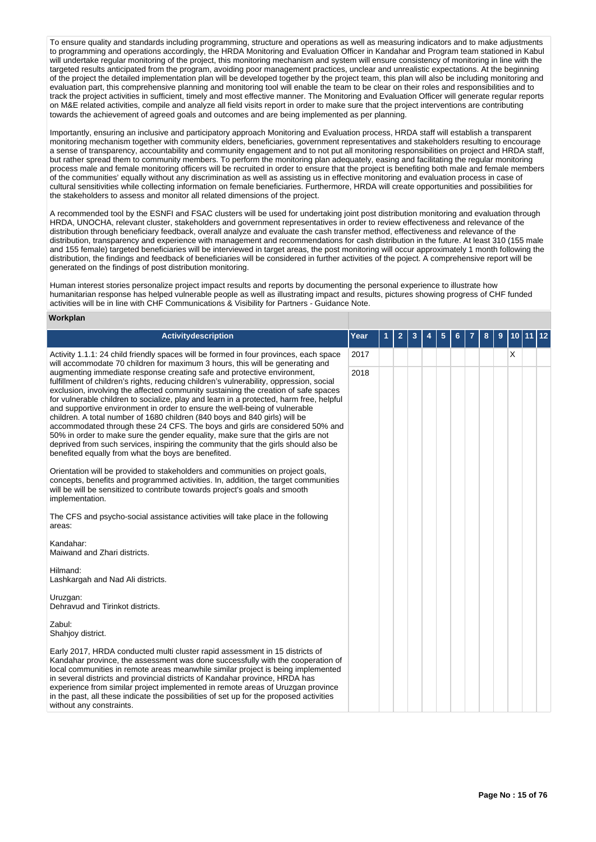To ensure quality and standards including programming, structure and operations as well as measuring indicators and to make adjustments to programming and operations accordingly, the HRDA Monitoring and Evaluation Officer in Kandahar and Program team stationed in Kabul will undertake regular monitoring of the project, this monitoring mechanism and system will ensure consistency of monitoring in line with the targeted results anticipated from the program, avoiding poor management practices, unclear and unrealistic expectations. At the beginning of the project the detailed implementation plan will be developed together by the project team, this plan will also be including monitoring and evaluation part, this comprehensive planning and monitoring tool will enable the team to be clear on their roles and responsibilities and to track the project activities in sufficient, timely and most effective manner. The Monitoring and Evaluation Officer will generate regular reports on M&E related activities, compile and analyze all field visits report in order to make sure that the project interventions are contributing towards the achievement of agreed goals and outcomes and are being implemented as per planning.

Importantly, ensuring an inclusive and participatory approach Monitoring and Evaluation process, HRDA staff will establish a transparent monitoring mechanism together with community elders, beneficiaries, government representatives and stakeholders resulting to encourage a sense of transparency, accountability and community engagement and to not put all monitoring responsibilities on project and HRDA staff, but rather spread them to community members. To perform the monitoring plan adequately, easing and facilitating the regular monitoring process male and female monitoring officers will be recruited in order to ensure that the project is benefiting both male and female members of the communities' equally without any discrimination as well as assisting us in effective monitoring and evaluation process in case of cultural sensitivities while collecting information on female beneficiaries. Furthermore, HRDA will create opportunities and possibilities for the stakeholders to assess and monitor all related dimensions of the project.

A recommended tool by the ESNFI and FSAC clusters will be used for undertaking joint post distribution monitoring and evaluation through HRDA, UNOCHA, relevant cluster, stakeholders and government representatives in order to review effectiveness and relevance of the distribution through beneficiary feedback, overall analyze and evaluate the cash transfer method, effectiveness and relevance of the distribution, transparency and experience with management and recommendations for cash distribution in the future. At least 310 (155 male and 155 female) targeted beneficiaries will be interviewed in target areas, the post monitoring will occur approximately 1 month following the distribution, the findings and feedback of beneficiaries will be considered in further activities of the poject. A comprehensive report will be generated on the findings of post distribution monitoring.

Human interest stories personalize project impact results and reports by documenting the personal experience to illustrate how humanitarian response has helped vulnerable people as well as illustrating impact and results, pictures showing progress of CHF funded activities will be in line with CHF Communications & Visibility for Partners - Guidance Note.

### **Workplan**

| Activitydescription                                                                                                                                                                                                                                                                                                                                                                                                                                                                                                                                                                                         | Year         | 1 | 2 | 3 | 4 | 5 | 6 | 8 | 9 | 10 | 11 | 12 |
|-------------------------------------------------------------------------------------------------------------------------------------------------------------------------------------------------------------------------------------------------------------------------------------------------------------------------------------------------------------------------------------------------------------------------------------------------------------------------------------------------------------------------------------------------------------------------------------------------------------|--------------|---|---|---|---|---|---|---|---|----|----|----|
| Activity 1.1.1: 24 child friendly spaces will be formed in four provinces, each space<br>will accommodate 70 children for maximum 3 hours, this will be generating and<br>augmenting immediate response creating safe and protective environment,<br>fulfillment of children's rights, reducing children's vulnerability, oppression, social<br>exclusion, involving the affected community sustaining the creation of safe spaces<br>for vulnerable children to socialize, play and learn in a protected, harm free, helpful<br>and supportive environment in order to ensure the well-being of vulnerable | 2017<br>2018 |   |   |   |   |   |   |   |   | X  |    |    |
| children. A total number of 1680 children (840 boys and 840 girls) will be<br>accommodated through these 24 CFS. The boys and girls are considered 50% and<br>50% in order to make sure the gender equality, make sure that the girls are not<br>deprived from such services, inspiring the community that the girls should also be<br>benefited equally from what the boys are benefited.                                                                                                                                                                                                                  |              |   |   |   |   |   |   |   |   |    |    |    |
| Orientation will be provided to stakeholders and communities on project goals,<br>concepts, benefits and programmed activities. In, addition, the target communities<br>will be will be sensitized to contribute towards project's goals and smooth<br>implementation.                                                                                                                                                                                                                                                                                                                                      |              |   |   |   |   |   |   |   |   |    |    |    |
| The CFS and psycho-social assistance activities will take place in the following<br>areas:                                                                                                                                                                                                                                                                                                                                                                                                                                                                                                                  |              |   |   |   |   |   |   |   |   |    |    |    |
| Kandahar:<br>Maiwand and Zhari districts.                                                                                                                                                                                                                                                                                                                                                                                                                                                                                                                                                                   |              |   |   |   |   |   |   |   |   |    |    |    |
| Hilmand:<br>Lashkargah and Nad Ali districts.                                                                                                                                                                                                                                                                                                                                                                                                                                                                                                                                                               |              |   |   |   |   |   |   |   |   |    |    |    |
| Uruzgan:<br>Dehravud and Tirinkot districts.                                                                                                                                                                                                                                                                                                                                                                                                                                                                                                                                                                |              |   |   |   |   |   |   |   |   |    |    |    |
| Zabul:<br>Shahjoy district.                                                                                                                                                                                                                                                                                                                                                                                                                                                                                                                                                                                 |              |   |   |   |   |   |   |   |   |    |    |    |
| Early 2017, HRDA conducted multi cluster rapid assessment in 15 districts of<br>Kandahar province, the assessment was done successfully with the cooperation of<br>local communities in remote areas meanwhile similar project is being implemented<br>in several districts and provincial districts of Kandahar province, HRDA has<br>experience from similar project implemented in remote areas of Uruzgan province<br>in the past, all these indicate the possibilities of set up for the proposed activities<br>without any constraints.                                                               |              |   |   |   |   |   |   |   |   |    |    |    |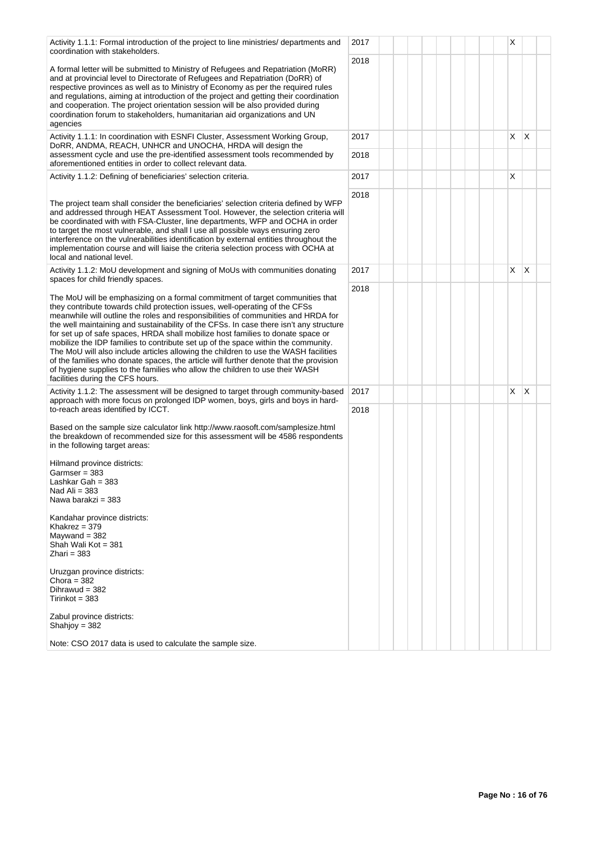| Activity 1.1.1: Formal introduction of the project to line ministries/ departments and<br>coordination with stakeholders.                                                                                                                                                                                                                                                                                                                                                                                                                                                                                                                                                                                                                                                                                               | 2017         |  |  |  |  | Х |   |  |
|-------------------------------------------------------------------------------------------------------------------------------------------------------------------------------------------------------------------------------------------------------------------------------------------------------------------------------------------------------------------------------------------------------------------------------------------------------------------------------------------------------------------------------------------------------------------------------------------------------------------------------------------------------------------------------------------------------------------------------------------------------------------------------------------------------------------------|--------------|--|--|--|--|---|---|--|
| A formal letter will be submitted to Ministry of Refugees and Repatriation (MoRR)<br>and at provincial level to Directorate of Refugees and Repatriation (DoRR) of<br>respective provinces as well as to Ministry of Economy as per the required rules<br>and regulations, aiming at introduction of the project and getting their coordination<br>and cooperation. The project orientation session will be also provided during<br>coordination forum to stakeholders, humanitarian aid organizations and UN<br>agencies                                                                                                                                                                                                                                                                                               | 2018         |  |  |  |  |   |   |  |
| Activity 1.1.1: In coordination with ESNFI Cluster, Assessment Working Group,<br>DoRR, ANDMA, REACH, UNHCR and UNOCHA, HRDA will design the<br>assessment cycle and use the pre-identified assessment tools recommended by<br>aforementioned entities in order to collect relevant data.                                                                                                                                                                                                                                                                                                                                                                                                                                                                                                                                | 2017<br>2018 |  |  |  |  | X | X |  |
| Activity 1.1.2: Defining of beneficiaries' selection criteria.                                                                                                                                                                                                                                                                                                                                                                                                                                                                                                                                                                                                                                                                                                                                                          | 2017         |  |  |  |  | X |   |  |
| The project team shall consider the beneficiaries' selection criteria defined by WFP<br>and addressed through HEAT Assessment Tool. However, the selection criteria will<br>be coordinated with with FSA-Cluster, line departments, WFP and OCHA in order<br>to target the most vulnerable, and shall I use all possible ways ensuring zero<br>interference on the vulnerabilities identification by external entities throughout the<br>implementation course and will liaise the criteria selection process with OCHA at<br>local and national level.                                                                                                                                                                                                                                                                 | 2018         |  |  |  |  |   |   |  |
| Activity 1.1.2: MoU development and signing of MoUs with communities donating<br>spaces for child friendly spaces.                                                                                                                                                                                                                                                                                                                                                                                                                                                                                                                                                                                                                                                                                                      | 2017         |  |  |  |  | X | X |  |
| The MoU will be emphasizing on a formal commitment of target communities that<br>they contribute towards child protection issues, well-operating of the CFSs<br>meanwhile will outline the roles and responsibilities of communities and HRDA for<br>the well maintaining and sustainability of the CFSs. In case there isn't any structure<br>for set up of safe spaces, HRDA shall mobilize host families to donate space or<br>mobilize the IDP families to contribute set up of the space within the community.<br>The MoU will also include articles allowing the children to use the WASH facilities<br>of the families who donate spaces, the article will further denote that the provision<br>of hygiene supplies to the families who allow the children to use their WASH<br>facilities during the CFS hours. | 2018         |  |  |  |  |   |   |  |
| Activity 1.1.2: The assessment will be designed to target through community-based<br>approach with more focus on prolonged IDP women, boys, girls and boys in hard-                                                                                                                                                                                                                                                                                                                                                                                                                                                                                                                                                                                                                                                     | 2017         |  |  |  |  | X | X |  |
| to-reach areas identified by ICCT.<br>Based on the sample size calculator link http://www.raosoft.com/samplesize.html<br>the breakdown of recommended size for this assessment will be 4586 respondents<br>in the following target areas:<br>Hilmand province districts:<br>Garmser = 383<br>Lashkar Gah = 383<br>Nad Ali = 383<br>Nawa barakzi = 383                                                                                                                                                                                                                                                                                                                                                                                                                                                                   | 2018         |  |  |  |  |   |   |  |
| Kandahar province districts:<br>Khakrez = $379$<br>Maywand $=$ 382<br>Shah Wali Kot = 381<br>Zhari = 383<br>Uruzgan province districts:                                                                                                                                                                                                                                                                                                                                                                                                                                                                                                                                                                                                                                                                                 |              |  |  |  |  |   |   |  |
| Chora = $382$<br>Dihrawud = $382$<br>$Tirinkot = 383$                                                                                                                                                                                                                                                                                                                                                                                                                                                                                                                                                                                                                                                                                                                                                                   |              |  |  |  |  |   |   |  |
| Zabul province districts:<br>Shahjoy = $382$                                                                                                                                                                                                                                                                                                                                                                                                                                                                                                                                                                                                                                                                                                                                                                            |              |  |  |  |  |   |   |  |
| Note: CSO 2017 data is used to calculate the sample size.                                                                                                                                                                                                                                                                                                                                                                                                                                                                                                                                                                                                                                                                                                                                                               |              |  |  |  |  |   |   |  |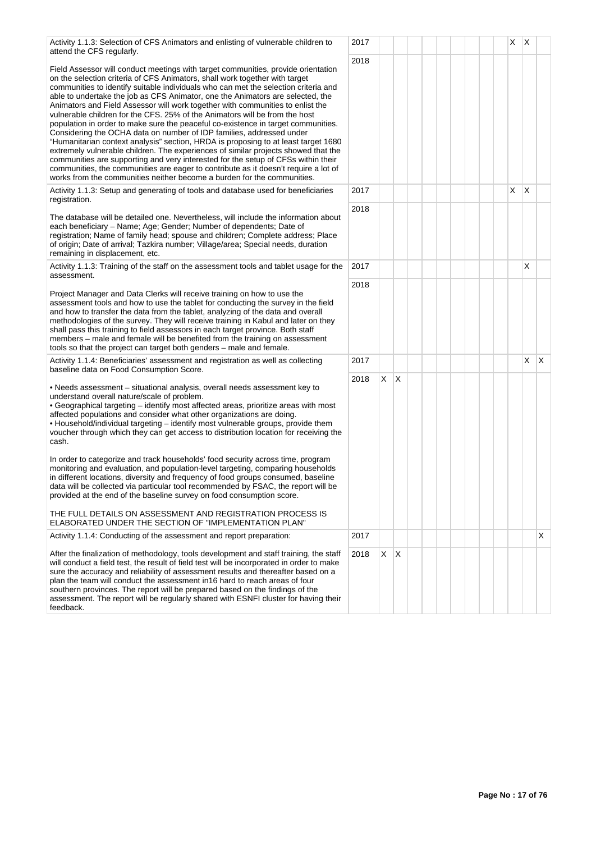| Activity 1.1.3: Selection of CFS Animators and enlisting of vulnerable children to<br>attend the CFS regularly.                                                                                                                                                                                                                                                                                                                                                                                                                                                                                                                                                                                                                                                                                                                                                                                                                                                                                                                                                                                            | 2017 |    |                         |  |  |  | X | X          |   |
|------------------------------------------------------------------------------------------------------------------------------------------------------------------------------------------------------------------------------------------------------------------------------------------------------------------------------------------------------------------------------------------------------------------------------------------------------------------------------------------------------------------------------------------------------------------------------------------------------------------------------------------------------------------------------------------------------------------------------------------------------------------------------------------------------------------------------------------------------------------------------------------------------------------------------------------------------------------------------------------------------------------------------------------------------------------------------------------------------------|------|----|-------------------------|--|--|--|---|------------|---|
| Field Assessor will conduct meetings with target communities, provide orientation<br>on the selection criteria of CFS Animators, shall work together with target<br>communities to identify suitable individuals who can met the selection criteria and<br>able to undertake the job as CFS Animator, one the Animators are selected, the<br>Animators and Field Assessor will work together with communities to enlist the<br>vulnerable children for the CFS. 25% of the Animators will be from the host<br>population in order to make sure the peaceful co-existence in target communities.<br>Considering the OCHA data on number of IDP families, addressed under<br>"Humanitarian context analysis" section, HRDA is proposing to at least target 1680<br>extremely vulnerable children. The experiences of similar projects showed that the<br>communities are supporting and very interested for the setup of CFSs within their<br>communities, the communities are eager to contribute as it doesn't require a lot of<br>works from the communities neither become a burden for the communities. | 2018 |    |                         |  |  |  |   |            |   |
| Activity 1.1.3: Setup and generating of tools and database used for beneficiaries<br>registration.                                                                                                                                                                                                                                                                                                                                                                                                                                                                                                                                                                                                                                                                                                                                                                                                                                                                                                                                                                                                         | 2017 |    |                         |  |  |  | X | X          |   |
| The database will be detailed one. Nevertheless, will include the information about<br>each beneficiary - Name; Age; Gender; Number of dependents; Date of<br>registration; Name of family head; spouse and children; Complete address; Place<br>of origin; Date of arrival; Tazkira number; Village/area; Special needs, duration<br>remaining in displacement, etc.                                                                                                                                                                                                                                                                                                                                                                                                                                                                                                                                                                                                                                                                                                                                      | 2018 |    |                         |  |  |  |   |            |   |
| Activity 1.1.3: Training of the staff on the assessment tools and tablet usage for the<br>assessment.                                                                                                                                                                                                                                                                                                                                                                                                                                                                                                                                                                                                                                                                                                                                                                                                                                                                                                                                                                                                      | 2017 |    |                         |  |  |  |   | X          |   |
| Project Manager and Data Clerks will receive training on how to use the<br>assessment tools and how to use the tablet for conducting the survey in the field<br>and how to transfer the data from the tablet, analyzing of the data and overall<br>methodologies of the survey. They will receive training in Kabul and later on they<br>shall pass this training to field assessors in each target province. Both staff<br>members – male and female will be benefited from the training on assessment<br>tools so that the project can target both genders – male and female.                                                                                                                                                                                                                                                                                                                                                                                                                                                                                                                            | 2018 |    |                         |  |  |  |   |            |   |
| Activity 1.1.4: Beneficiaries' assessment and registration as well as collecting<br>baseline data on Food Consumption Score.                                                                                                                                                                                                                                                                                                                                                                                                                                                                                                                                                                                                                                                                                                                                                                                                                                                                                                                                                                               | 2017 |    |                         |  |  |  |   | $X \mid X$ |   |
| • Needs assessment – situational analysis, overall needs assessment key to<br>understand overall nature/scale of problem.<br>• Geographical targeting - identify most affected areas, prioritize areas with most<br>affected populations and consider what other organizations are doing.<br>. Household/individual targeting - identify most vulnerable groups, provide them<br>voucher through which they can get access to distribution location for receiving the<br>cash.                                                                                                                                                                                                                                                                                                                                                                                                                                                                                                                                                                                                                             | 2018 | X. | $\mathsf{I} \mathsf{X}$ |  |  |  |   |            |   |
| In order to categorize and track households' food security across time, program<br>monitoring and evaluation, and population-level targeting, comparing households<br>in different locations, diversity and frequency of food groups consumed, baseline<br>data will be collected via particular tool recommended by FSAC, the report will be<br>provided at the end of the baseline survey on food consumption score.                                                                                                                                                                                                                                                                                                                                                                                                                                                                                                                                                                                                                                                                                     |      |    |                         |  |  |  |   |            |   |
| THE FULL DETAILS ON ASSESSMENT AND REGISTRATION PROCESS IS<br>ELABORATED UNDER THE SECTION OF "IMPLEMENTATION PLAN"                                                                                                                                                                                                                                                                                                                                                                                                                                                                                                                                                                                                                                                                                                                                                                                                                                                                                                                                                                                        |      |    |                         |  |  |  |   |            |   |
| Activity 1.1.4: Conducting of the assessment and report preparation:                                                                                                                                                                                                                                                                                                                                                                                                                                                                                                                                                                                                                                                                                                                                                                                                                                                                                                                                                                                                                                       | 2017 |    |                         |  |  |  |   |            | X |
| After the finalization of methodology, tools development and staff training, the staff<br>will conduct a field test, the result of field test will be incorporated in order to make<br>sure the accuracy and reliability of assessment results and thereafter based on a<br>plan the team will conduct the assessment in 16 hard to reach areas of four<br>southern provinces. The report will be prepared based on the findings of the<br>assessment. The report will be regularly shared with ESNFI cluster for having their<br>feedback.                                                                                                                                                                                                                                                                                                                                                                                                                                                                                                                                                                | 2018 | X. | $\mathsf{X}$            |  |  |  |   |            |   |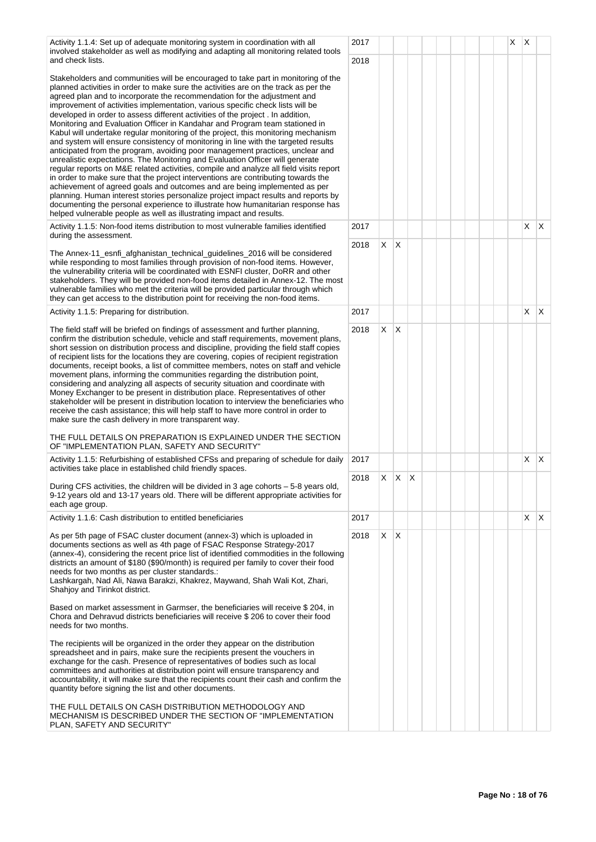| Activity 1.1.4: Set up of adequate monitoring system in coordination with all<br>involved stakeholder as well as modifying and adapting all monitoring related tools                                                                                                                                                                                                                                                                                                                                                                                                                                                                                                                                                                                                                                                                                                                                                                                                                                                                                                                                                                                                                                                                                                                                                                                              | 2017 |         |              |   |  |  | X | X       |              |
|-------------------------------------------------------------------------------------------------------------------------------------------------------------------------------------------------------------------------------------------------------------------------------------------------------------------------------------------------------------------------------------------------------------------------------------------------------------------------------------------------------------------------------------------------------------------------------------------------------------------------------------------------------------------------------------------------------------------------------------------------------------------------------------------------------------------------------------------------------------------------------------------------------------------------------------------------------------------------------------------------------------------------------------------------------------------------------------------------------------------------------------------------------------------------------------------------------------------------------------------------------------------------------------------------------------------------------------------------------------------|------|---------|--------------|---|--|--|---|---------|--------------|
| and check lists.                                                                                                                                                                                                                                                                                                                                                                                                                                                                                                                                                                                                                                                                                                                                                                                                                                                                                                                                                                                                                                                                                                                                                                                                                                                                                                                                                  | 2018 |         |              |   |  |  |   |         |              |
| Stakeholders and communities will be encouraged to take part in monitoring of the<br>planned activities in order to make sure the activities are on the track as per the<br>agreed plan and to incorporate the recommendation for the adjustment and<br>improvement of activities implementation, various specific check lists will be<br>developed in order to assess different activities of the project. In addition,<br>Monitoring and Evaluation Officer in Kandahar and Program team stationed in<br>Kabul will undertake regular monitoring of the project, this monitoring mechanism<br>and system will ensure consistency of monitoring in line with the targeted results<br>anticipated from the program, avoiding poor management practices, unclear and<br>unrealistic expectations. The Monitoring and Evaluation Officer will generate<br>regular reports on M&E related activities, compile and analyze all field visits report<br>in order to make sure that the project interventions are contributing towards the<br>achievement of agreed goals and outcomes and are being implemented as per<br>planning. Human interest stories personalize project impact results and reports by<br>documenting the personal experience to illustrate how humanitarian response has<br>helped vulnerable people as well as illustrating impact and results. |      |         |              |   |  |  |   |         |              |
| Activity 1.1.5: Non-food items distribution to most vulnerable families identified<br>during the assessment.                                                                                                                                                                                                                                                                                                                                                                                                                                                                                                                                                                                                                                                                                                                                                                                                                                                                                                                                                                                                                                                                                                                                                                                                                                                      | 2017 |         |              |   |  |  |   | X       | ΙX.          |
| The Annex-11_esnfi_afghanistan_technical_quidelines_2016 will be considered<br>while responding to most families through provision of non-food items. However,<br>the vulnerability criteria will be coordinated with ESNFI cluster, DoRR and other<br>stakeholders. They will be provided non-food items detailed in Annex-12. The most<br>vulnerable families who met the criteria will be provided particular through which<br>they can get access to the distribution point for receiving the non-food items.                                                                                                                                                                                                                                                                                                                                                                                                                                                                                                                                                                                                                                                                                                                                                                                                                                                 | 2018 | $X$ $X$ |              |   |  |  |   |         |              |
| Activity 1.1.5: Preparing for distribution.                                                                                                                                                                                                                                                                                                                                                                                                                                                                                                                                                                                                                                                                                                                                                                                                                                                                                                                                                                                                                                                                                                                                                                                                                                                                                                                       | 2017 |         |              |   |  |  |   | $X$ $X$ |              |
| The field staff will be briefed on findings of assessment and further planning,<br>confirm the distribution schedule, vehicle and staff requirements, movement plans,<br>short session on distribution process and discipline, providing the field staff copies<br>of recipient lists for the locations they are covering, copies of recipient registration<br>documents, receipt books, a list of committee members, notes on staff and vehicle<br>movement plans, informing the communities regarding the distribution point,<br>considering and analyzing all aspects of security situation and coordinate with<br>Money Exchanger to be present in distribution place. Representatives of other<br>stakeholder will be present in distribution location to interview the beneficiaries who<br>receive the cash assistance; this will help staff to have more control in order to<br>make sure the cash delivery in more transparent way.<br>THE FULL DETAILS ON PREPARATION IS EXPLAINED UNDER THE SECTION<br>OF "IMPLEMENTATION PLAN, SAFETY AND SECURITY"                                                                                                                                                                                                                                                                                                   | 2018 | $X$ $X$ |              |   |  |  |   |         |              |
| Activity 1.1.5: Refurbishing of established CFSs and preparing of schedule for daily                                                                                                                                                                                                                                                                                                                                                                                                                                                                                                                                                                                                                                                                                                                                                                                                                                                                                                                                                                                                                                                                                                                                                                                                                                                                              | 2017 |         |              |   |  |  |   | X       | ΙX.          |
| activities take place in established child friendly spaces.<br>During CFS activities, the children will be divided in 3 age cohorts - 5-8 years old,<br>9-12 years old and 13-17 years old. There will be different appropriate activities for<br>each age group.                                                                                                                                                                                                                                                                                                                                                                                                                                                                                                                                                                                                                                                                                                                                                                                                                                                                                                                                                                                                                                                                                                 | 2018 | X       | X.           | Х |  |  |   |         |              |
| Activity 1.1.6: Cash distribution to entitled beneficiaries                                                                                                                                                                                                                                                                                                                                                                                                                                                                                                                                                                                                                                                                                                                                                                                                                                                                                                                                                                                                                                                                                                                                                                                                                                                                                                       | 2017 |         |              |   |  |  |   | X.      | $\mathsf{X}$ |
| As per 5th page of FSAC cluster document (annex-3) which is uploaded in<br>documents sections as well as 4th page of FSAC Response Strategy-2017<br>(annex-4), considering the recent price list of identified commodities in the following<br>districts an amount of \$180 (\$90/month) is required per family to cover their food<br>needs for two months as per cluster standards.:<br>Lashkargah, Nad Ali, Nawa Barakzi, Khakrez, Maywand, Shah Wali Kot, Zhari,<br>Shahjoy and Tirinkot district.<br>Based on market assessment in Garmser, the beneficiaries will receive \$204, in<br>Chora and Dehravud districts beneficiaries will receive \$206 to cover their food<br>needs for two months.<br>The recipients will be organized in the order they appear on the distribution<br>spreadsheet and in pairs, make sure the recipients present the vouchers in<br>exchange for the cash. Presence of representatives of bodies such as local<br>committees and authorities at distribution point will ensure transparency and<br>accountability, it will make sure that the recipients count their cash and confirm the<br>quantity before signing the list and other documents.<br>THE FULL DETAILS ON CASH DISTRIBUTION METHODOLOGY AND<br>MECHANISM IS DESCRIBED UNDER THE SECTION OF "IMPLEMENTATION                                                  | 2018 | X.      | $\mathsf{X}$ |   |  |  |   |         |              |
| PLAN, SAFETY AND SECURITY"                                                                                                                                                                                                                                                                                                                                                                                                                                                                                                                                                                                                                                                                                                                                                                                                                                                                                                                                                                                                                                                                                                                                                                                                                                                                                                                                        |      |         |              |   |  |  |   |         |              |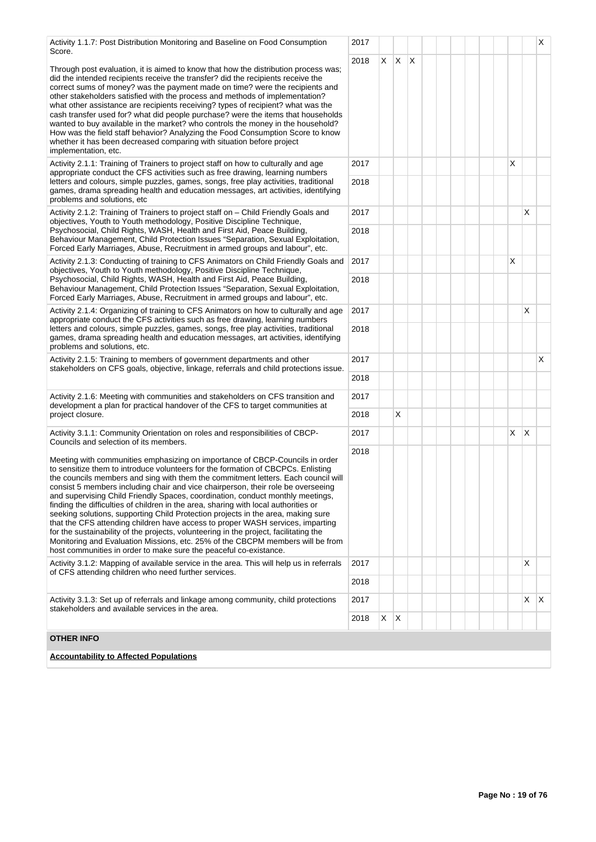| Activity 1.1.7: Post Distribution Monitoring and Baseline on Food Consumption<br>Score.                                                                                                                                                                                                                                                                                                                                                                                                                                                                                                                                                                                                                                                                                                                                                                                                                                                  | 2017         |    |              |     |  |  |   |              | X            |
|------------------------------------------------------------------------------------------------------------------------------------------------------------------------------------------------------------------------------------------------------------------------------------------------------------------------------------------------------------------------------------------------------------------------------------------------------------------------------------------------------------------------------------------------------------------------------------------------------------------------------------------------------------------------------------------------------------------------------------------------------------------------------------------------------------------------------------------------------------------------------------------------------------------------------------------|--------------|----|--------------|-----|--|--|---|--------------|--------------|
| Through post evaluation, it is aimed to know that how the distribution process was;<br>did the intended recipients receive the transfer? did the recipients receive the<br>correct sums of money? was the payment made on time? were the recipients and<br>other stakeholders satisfied with the process and methods of implementation?<br>what other assistance are recipients receiving? types of recipient? what was the<br>cash transfer used for? what did people purchase? were the items that households<br>wanted to buy available in the market? who controls the money in the household?<br>How was the field staff behavior? Analyzing the Food Consumption Score to know<br>whether it has been decreased comparing with situation before project<br>implementation, etc.                                                                                                                                                    | 2018         | X. | $\mathsf{X}$ | ΙX. |  |  |   |              |              |
| Activity 2.1.1: Training of Trainers to project staff on how to culturally and age<br>appropriate conduct the CFS activities such as free drawing, learning numbers<br>letters and colours, simple puzzles, games, songs, free play activities, traditional<br>games, drama spreading health and education messages, art activities, identifying<br>problems and solutions, etc                                                                                                                                                                                                                                                                                                                                                                                                                                                                                                                                                          | 2017<br>2018 |    |              |     |  |  | X |              |              |
| Activity 2.1.2: Training of Trainers to project staff on - Child Friendly Goals and                                                                                                                                                                                                                                                                                                                                                                                                                                                                                                                                                                                                                                                                                                                                                                                                                                                      | 2017         |    |              |     |  |  |   | X            |              |
| objectives, Youth to Youth methodology, Positive Discipline Technique,<br>Psychosocial, Child Rights, WASH, Health and First Aid, Peace Building,<br>Behaviour Management, Child Protection Issues "Separation, Sexual Exploitation,<br>Forced Early Marriages, Abuse, Recruitment in armed groups and labour", etc.                                                                                                                                                                                                                                                                                                                                                                                                                                                                                                                                                                                                                     | 2018         |    |              |     |  |  |   |              |              |
| Activity 2.1.3: Conducting of training to CFS Animators on Child Friendly Goals and<br>objectives, Youth to Youth methodology, Positive Discipline Technique,                                                                                                                                                                                                                                                                                                                                                                                                                                                                                                                                                                                                                                                                                                                                                                            | 2017         |    |              |     |  |  | X |              |              |
| Psychosocial, Child Rights, WASH, Health and First Aid, Peace Building,<br>Behaviour Management, Child Protection Issues "Separation, Sexual Exploitation,<br>Forced Early Marriages, Abuse, Recruitment in armed groups and labour", etc.                                                                                                                                                                                                                                                                                                                                                                                                                                                                                                                                                                                                                                                                                               | 2018         |    |              |     |  |  |   |              |              |
| Activity 2.1.4: Organizing of training to CFS Animators on how to culturally and age<br>appropriate conduct the CFS activities such as free drawing, learning numbers                                                                                                                                                                                                                                                                                                                                                                                                                                                                                                                                                                                                                                                                                                                                                                    | 2017         |    |              |     |  |  |   | X            |              |
| letters and colours, simple puzzles, games, songs, free play activities, traditional<br>games, drama spreading health and education messages, art activities, identifying<br>problems and solutions, etc.                                                                                                                                                                                                                                                                                                                                                                                                                                                                                                                                                                                                                                                                                                                                | 2018         |    |              |     |  |  |   |              |              |
| Activity 2.1.5: Training to members of government departments and other<br>stakeholders on CFS goals, objective, linkage, referrals and child protections issue.                                                                                                                                                                                                                                                                                                                                                                                                                                                                                                                                                                                                                                                                                                                                                                         | 2017         |    |              |     |  |  |   |              | X            |
|                                                                                                                                                                                                                                                                                                                                                                                                                                                                                                                                                                                                                                                                                                                                                                                                                                                                                                                                          | 2018         |    |              |     |  |  |   |              |              |
| Activity 2.1.6: Meeting with communities and stakeholders on CFS transition and<br>development a plan for practical handover of the CFS to target communities at                                                                                                                                                                                                                                                                                                                                                                                                                                                                                                                                                                                                                                                                                                                                                                         | 2017         |    |              |     |  |  |   |              |              |
| project closure.                                                                                                                                                                                                                                                                                                                                                                                                                                                                                                                                                                                                                                                                                                                                                                                                                                                                                                                         | 2018         |    | Χ            |     |  |  |   |              |              |
| Activity 3.1.1: Community Orientation on roles and responsibilities of CBCP-<br>Councils and selection of its members.                                                                                                                                                                                                                                                                                                                                                                                                                                                                                                                                                                                                                                                                                                                                                                                                                   | 2017         |    |              |     |  |  | X | $\mathsf{X}$ |              |
| Meeting with communities emphasizing on importance of CBCP-Councils in order<br>to sensitize them to introduce volunteers for the formation of CBCPCs. Enlisting<br>the councils members and sing with them the commitment letters. Each council will<br>consist 5 members including chair and vice chairperson, their role be overseeing<br>and supervising Child Friendly Spaces, coordination, conduct monthly meetings,<br>finding the difficulties of children in the area, sharing with local authorities or<br>seeking solutions, supporting Child Protection projects in the area, making sure<br>that the CFS attending children have access to proper WASH services, imparting<br>for the sustainability of the projects, volunteering in the project, facilitating the<br>Monitoring and Evaluation Missions, etc. 25% of the CBCPM members will be from<br>host communities in order to make sure the peaceful co-existance. | 2018         |    |              |     |  |  |   |              |              |
| Activity 3.1.2: Mapping of available service in the area. This will help us in referrals<br>of CFS attending children who need further services.                                                                                                                                                                                                                                                                                                                                                                                                                                                                                                                                                                                                                                                                                                                                                                                         | 2017         |    |              |     |  |  |   | Х            |              |
|                                                                                                                                                                                                                                                                                                                                                                                                                                                                                                                                                                                                                                                                                                                                                                                                                                                                                                                                          | 2018         |    |              |     |  |  |   |              |              |
| Activity 3.1.3: Set up of referrals and linkage among community, child protections<br>stakeholders and available services in the area.                                                                                                                                                                                                                                                                                                                                                                                                                                                                                                                                                                                                                                                                                                                                                                                                   | 2017         |    |              |     |  |  |   | X            | $\mathsf{X}$ |
|                                                                                                                                                                                                                                                                                                                                                                                                                                                                                                                                                                                                                                                                                                                                                                                                                                                                                                                                          |              | X  | $\mathsf{X}$ |     |  |  |   |              |              |
| OTHER INFO                                                                                                                                                                                                                                                                                                                                                                                                                                                                                                                                                                                                                                                                                                                                                                                                                                                                                                                               |              |    |              |     |  |  |   |              |              |
| <b>Accountability to Affected Populations</b>                                                                                                                                                                                                                                                                                                                                                                                                                                                                                                                                                                                                                                                                                                                                                                                                                                                                                            |              |    |              |     |  |  |   |              |              |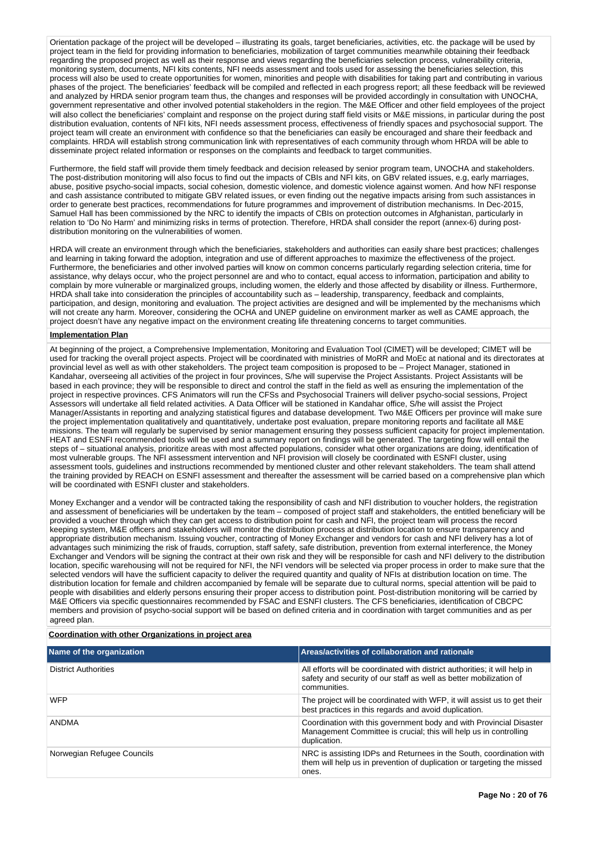Orientation package of the project will be developed – illustrating its goals, target beneficiaries, activities, etc. the package will be used by project team in the field for providing information to beneficiaries, mobilization of target communities meanwhile obtaining their feedback regarding the proposed project as well as their response and views regarding the beneficiaries selection process, vulnerability criteria, monitoring system, documents, NFI kits contents, NFI needs assessment and tools used for assessing the beneficiaries selection, this process will also be used to create opportunities for women, minorities and people with disabilities for taking part and contributing in various phases of the project. The beneficiaries' feedback will be compiled and reflected in each progress report; all these feedback will be reviewed and analyzed by HRDA senior program team thus, the changes and responses will be provided accordingly in consultation with UNOCHA, government representative and other involved potential stakeholders in the region. The M&E Officer and other field employees of the project will also collect the beneficiaries' complaint and response on the project during staff field visits or M&E missions, in particular during the post distribution evaluation, contents of NFI kits, NFI needs assessment process, effectiveness of friendly spaces and psychosocial support. The project team will create an environment with confidence so that the beneficiaries can easily be encouraged and share their feedback and complaints. HRDA will establish strong communication link with representatives of each community through whom HRDA will be able to disseminate project related information or responses on the complaints and feedback to target communities.

Furthermore, the field staff will provide them timely feedback and decision released by senior program team, UNOCHA and stakeholders. The post-distribution monitoring will also focus to find out the impacts of CBIs and NFI kits, on GBV related issues, e.g, early marriages, abuse, positive psycho-social impacts, social cohesion, domestic violence, and domestic violence against women. And how NFI response and cash assistance contributed to mitigate GBV related issues, or even finding out the negative impacts arising from such assistances in order to generate best practices, recommendations for future programmes and improvement of distribution mechanisms. In Dec-2015, Samuel Hall has been commissioned by the NRC to identify the impacts of CBIs on protection outcomes in Afghanistan, particularly in relation to 'Do No Harm' and minimizing risks in terms of protection. Therefore, HRDA shall consider the report (annex-6) during postdistribution monitoring on the vulnerabilities of women.

HRDA will create an environment through which the beneficiaries, stakeholders and authorities can easily share best practices; challenges and learning in taking forward the adoption, integration and use of different approaches to maximize the effectiveness of the project. Furthermore, the beneficiaries and other involved parties will know on common concerns particularly regarding selection criteria, time for assistance, why delays occur, who the project personnel are and who to contact, equal access to information, participation and ability to complain by more vulnerable or marginalized groups, including women, the elderly and those affected by disability or illness. Furthermore, HRDA shall take into consideration the principles of accountability such as – leadership, transparency, feedback and complaints, participation, and design, monitoring and evaluation. The project activities are designed and will be implemented by the mechanisms which will not create any harm. Moreover, considering the OCHA and UNEP guideline on environment marker as well as CAME approach, the project doesn't have any negative impact on the environment creating life threatening concerns to target communities.

# **Implementation Plan**

At beginning of the project, a Comprehensive Implementation, Monitoring and Evaluation Tool (CIMET) will be developed; CIMET will be used for tracking the overall project aspects. Project will be coordinated with ministries of MoRR and MoEc at national and its directorates at provincial level as well as with other stakeholders. The project team composition is proposed to be – Project Manager, stationed in Kandahar, overseeing all activities of the project in four provinces, S/he will supervise the Project Assistants. Project Assistants will be based in each province; they will be responsible to direct and control the staff in the field as well as ensuring the implementation of the project in respective provinces. CFS Animators will run the CFSs and Psychosocial Trainers will deliver psycho-social sessions, Project Assessors will undertake all field related activities. A Data Officer will be stationed in Kandahar office, S/he will assist the Project Manager/Assistants in reporting and analyzing statistical figures and database development. Two M&E Officers per province will make sure the project implementation qualitatively and quantitatively, undertake post evaluation, prepare monitoring reports and facilitate all M&E missions. The team will regularly be supervised by senior management ensuring they possess sufficient capacity for project implementation. HEAT and ESNFI recommended tools will be used and a summary report on findings will be generated. The targeting flow will entail the steps of – situational analysis, prioritize areas with most affected populations, consider what other organizations are doing, identification of most vulnerable groups. The NFI assessment intervention and NFI provision will closely be coordinated with ESNFI cluster, using assessment tools, guidelines and instructions recommended by mentioned cluster and other relevant stakeholders. The team shall attend the training provided by REACH on ESNFI assessment and thereafter the assessment will be carried based on a comprehensive plan which will be coordinated with ESNFI cluster and stakeholders.

Money Exchanger and a vendor will be contracted taking the responsibility of cash and NFI distribution to voucher holders, the registration and assessment of beneficiaries will be undertaken by the team – composed of project staff and stakeholders, the entitled beneficiary will be provided a voucher through which they can get access to distribution point for cash and NFI, the project team will process the record keeping system, M&E officers and stakeholders will monitor the distribution process at distribution location to ensure transparency and appropriate distribution mechanism. Issuing voucher, contracting of Money Exchanger and vendors for cash and NFI delivery has a lot of advantages such minimizing the risk of frauds, corruption, staff safety, safe distribution, prevention from external interference, the Money Exchanger and Vendors will be signing the contract at their own risk and they will be responsible for cash and NFI delivery to the distribution location, specific warehousing will not be required for NFI, the NFI vendors will be selected via proper process in order to make sure that the selected vendors will have the sufficient capacity to deliver the required quantity and quality of NFIs at distribution location on time. The distribution location for female and children accompanied by female will be separate due to cultural norms, special attention will be paid to people with disabilities and elderly persons ensuring their proper access to distribution point. Post-distribution monitoring will be carried by M&E Officers via specific questionnaires recommended by FSAC and ESNFI clusters. The CFS beneficiaries, identification of CBCPC members and provision of psycho-social support will be based on defined criteria and in coordination with target communities and as per agreed plan.

### **Coordination with other Organizations in project area**

| Name of the organization    | Areas/activities of collaboration and rationale                                                                                                                  |
|-----------------------------|------------------------------------------------------------------------------------------------------------------------------------------------------------------|
| <b>District Authorities</b> | All efforts will be coordinated with district authorities; it will help in<br>safety and security of our staff as well as better mobilization of<br>communities. |
| <b>WFP</b>                  | The project will be coordinated with WFP, it will assist us to get their<br>best practices in this regards and avoid duplication.                                |
| ANDMA                       | Coordination with this government body and with Provincial Disaster<br>Management Committee is crucial; this will help us in controlling<br>duplication.         |
| Norwegian Refugee Councils  | NRC is assisting IDPs and Returnees in the South, coordination with<br>them will help us in prevention of duplication or targeting the missed<br>ones.           |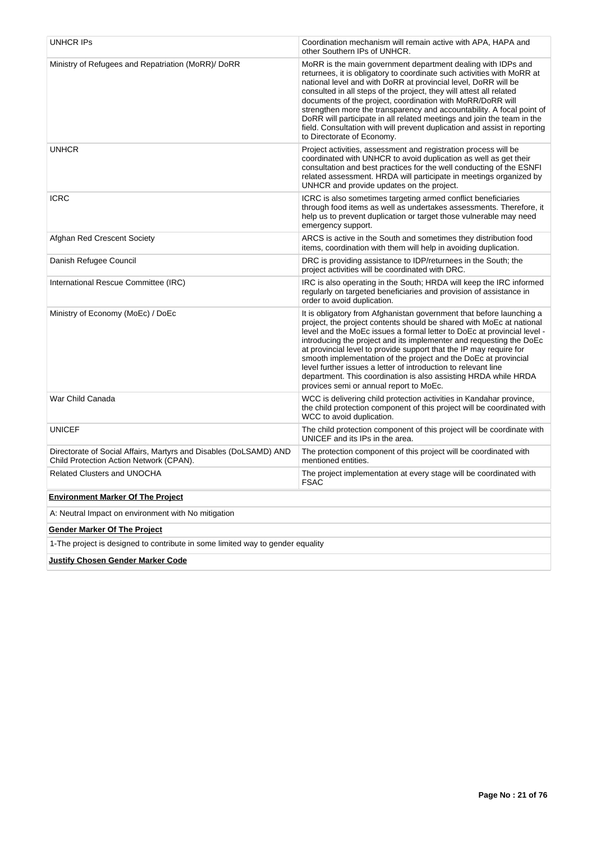| UNHCR IPs                                                                                                    | Coordination mechanism will remain active with APA, HAPA and<br>other Southern IPs of UNHCR.                                                                                                                                                                                                                                                                                                                                                                                                                                                                                                                            |
|--------------------------------------------------------------------------------------------------------------|-------------------------------------------------------------------------------------------------------------------------------------------------------------------------------------------------------------------------------------------------------------------------------------------------------------------------------------------------------------------------------------------------------------------------------------------------------------------------------------------------------------------------------------------------------------------------------------------------------------------------|
| Ministry of Refugees and Repatriation (MoRR)/ DoRR                                                           | MoRR is the main government department dealing with IDPs and<br>returnees, it is obligatory to coordinate such activities with MoRR at<br>national level and with DoRR at provincial level, DoRR will be<br>consulted in all steps of the project, they will attest all related<br>documents of the project, coordination with MoRR/DoRR will<br>strengthen more the transparency and accountability. A focal point of<br>DoRR will participate in all related meetings and join the team in the<br>field. Consultation with will prevent duplication and assist in reporting<br>to Directorate of Economy.             |
| <b>UNHCR</b>                                                                                                 | Project activities, assessment and registration process will be<br>coordinated with UNHCR to avoid duplication as well as get their<br>consultation and best practices for the well conducting of the ESNFI<br>related assessment. HRDA will participate in meetings organized by<br>UNHCR and provide updates on the project.                                                                                                                                                                                                                                                                                          |
| <b>ICRC</b>                                                                                                  | ICRC is also sometimes targeting armed conflict beneficiaries<br>through food items as well as undertakes assessments. Therefore, it<br>help us to prevent duplication or target those vulnerable may need<br>emergency support.                                                                                                                                                                                                                                                                                                                                                                                        |
| Afghan Red Crescent Society                                                                                  | ARCS is active in the South and sometimes they distribution food<br>items, coordination with them will help in avoiding duplication.                                                                                                                                                                                                                                                                                                                                                                                                                                                                                    |
| Danish Refugee Council                                                                                       | DRC is providing assistance to IDP/returnees in the South; the<br>project activities will be coordinated with DRC.                                                                                                                                                                                                                                                                                                                                                                                                                                                                                                      |
| International Rescue Committee (IRC)                                                                         | IRC is also operating in the South; HRDA will keep the IRC informed<br>regularly on targeted beneficiaries and provision of assistance in<br>order to avoid duplication.                                                                                                                                                                                                                                                                                                                                                                                                                                                |
| Ministry of Economy (MoEc) / DoEc                                                                            | It is obligatory from Afghanistan government that before launching a<br>project, the project contents should be shared with MoEc at national<br>level and the MoEc issues a formal letter to DoEc at provincial level -<br>introducing the project and its implementer and requesting the DoEc<br>at provincial level to provide support that the IP may require for<br>smooth implementation of the project and the DoEc at provincial<br>level further issues a letter of introduction to relevant line<br>department. This coordination is also assisting HRDA while HRDA<br>provices semi or annual report to MoEc. |
| War Child Canada                                                                                             | WCC is delivering child protection activities in Kandahar province,<br>the child protection component of this project will be coordinated with<br>WCC to avoid duplication.                                                                                                                                                                                                                                                                                                                                                                                                                                             |
| <b>UNICEF</b>                                                                                                | The child protection component of this project will be coordinate with<br>UNICEF and its IPs in the area.                                                                                                                                                                                                                                                                                                                                                                                                                                                                                                               |
| Directorate of Social Affairs, Martyrs and Disables (DoLSAMD) AND<br>Child Protection Action Network (CPAN). | The protection component of this project will be coordinated with<br>mentioned entities.                                                                                                                                                                                                                                                                                                                                                                                                                                                                                                                                |
| <b>Related Clusters and UNOCHA</b>                                                                           | The project implementation at every stage will be coordinated with<br><b>FSAC</b>                                                                                                                                                                                                                                                                                                                                                                                                                                                                                                                                       |
| <b>Environment Marker Of The Project</b>                                                                     |                                                                                                                                                                                                                                                                                                                                                                                                                                                                                                                                                                                                                         |
| A: Neutral Impact on environment with No mitigation                                                          |                                                                                                                                                                                                                                                                                                                                                                                                                                                                                                                                                                                                                         |
| <b>Gender Marker Of The Project</b>                                                                          |                                                                                                                                                                                                                                                                                                                                                                                                                                                                                                                                                                                                                         |
| 1-The project is designed to contribute in some limited way to gender equality                               |                                                                                                                                                                                                                                                                                                                                                                                                                                                                                                                                                                                                                         |
| <b>Justify Chosen Gender Marker Code</b>                                                                     |                                                                                                                                                                                                                                                                                                                                                                                                                                                                                                                                                                                                                         |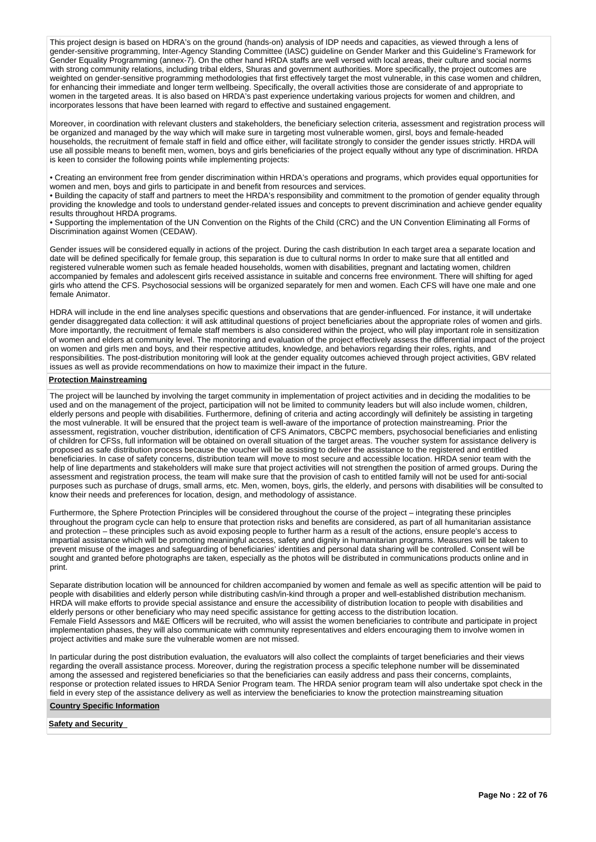This project design is based on HDRA's on the ground (hands-on) analysis of IDP needs and capacities, as viewed through a lens of gender-sensitive programming, Inter-Agency Standing Committee (IASC) guideline on Gender Marker and this Guideline's Framework for Gender Equality Programming (annex-7). On the other hand HRDA staffs are well versed with local areas, their culture and social norms with strong community relations, including tribal elders, Shuras and government authorities. More specifically, the project outcomes are weighted on gender-sensitive programming methodologies that first effectively target the most vulnerable, in this case women and children, for enhancing their immediate and longer term wellbeing. Specifically, the overall activities those are considerate of and appropriate to women in the targeted areas. It is also based on HRDA's past experience undertaking various projects for women and children, and incorporates lessons that have been learned with regard to effective and sustained engagement.

Moreover, in coordination with relevant clusters and stakeholders, the beneficiary selection criteria, assessment and registration process will be organized and managed by the way which will make sure in targeting most vulnerable women, girsl, boys and female-headed households, the recruitment of female staff in field and office either, will facilitate strongly to consider the gender issues strictly. HRDA will use all possible means to benefit men, women, boys and girls beneficiaries of the project equally without any type of discrimination. HRDA is keen to consider the following points while implementing projects:

• Creating an environment free from gender discrimination within HRDA's operations and programs, which provides equal opportunities for women and men, boys and girls to participate in and benefit from resources and services.

• Building the capacity of staff and partners to meet the HRDA's responsibility and commitment to the promotion of gender equality through providing the knowledge and tools to understand gender-related issues and concepts to prevent discrimination and achieve gender equality results throughout HRDA programs.

• Supporting the implementation of the UN Convention on the Rights of the Child (CRC) and the UN Convention Eliminating all Forms of Discrimination against Women (CEDAW).

Gender issues will be considered equally in actions of the project. During the cash distribution In each target area a separate location and date will be defined specifically for female group, this separation is due to cultural norms In order to make sure that all entitled and registered vulnerable women such as female headed households, women with disabilities, pregnant and lactating women, children accompanied by females and adolescent girls received assistance in suitable and concerns free environment. There will shifting for aged girls who attend the CFS. Psychosocial sessions will be organized separately for men and women. Each CFS will have one male and one female Animator.

HDRA will include in the end line analyses specific questions and observations that are gender-influenced. For instance, it will undertake gender disaggregated data collection: it will ask attitudinal questions of project beneficiaries about the appropriate roles of women and girls. More importantly, the recruitment of female staff members is also considered within the project, who will play important role in sensitization of women and elders at community level. The monitoring and evaluation of the project effectively assess the differential impact of the project on women and girls men and boys, and their respective attitudes, knowledge, and behaviors regarding their roles, rights, and responsibilities. The post-distribution monitoring will look at the gender equality outcomes achieved through project activities, GBV related issues as well as provide recommendations on how to maximize their impact in the future.

### **Protection Mainstreaming**

The project will be launched by involving the target community in implementation of project activities and in deciding the modalities to be used and on the management of the project, participation will not be limited to community leaders but will also include women, children, elderly persons and people with disabilities. Furthermore, defining of criteria and acting accordingly will definitely be assisting in targeting the most vulnerable. It will be ensured that the project team is well-aware of the importance of protection mainstreaming. Prior the assessment, registration, voucher distribution, identification of CFS Animators, CBCPC members, psychosocial beneficiaries and enlisting of children for CFSs, full information will be obtained on overall situation of the target areas. The voucher system for assistance delivery is proposed as safe distribution process because the voucher will be assisting to deliver the assistance to the registered and entitled beneficiaries. In case of safety concerns, distribution team will move to most secure and accessible location. HRDA senior team with the help of line departments and stakeholders will make sure that project activities will not strengthen the position of armed groups. During the assessment and registration process, the team will make sure that the provision of cash to entitled family will not be used for anti-social purposes such as purchase of drugs, small arms, etc. Men, women, boys, girls, the elderly, and persons with disabilities will be consulted to know their needs and preferences for location, design, and methodology of assistance.

Furthermore, the Sphere Protection Principles will be considered throughout the course of the project – integrating these principles throughout the program cycle can help to ensure that protection risks and benefits are considered, as part of all humanitarian assistance and protection – these principles such as avoid exposing people to further harm as a result of the actions, ensure people's access to impartial assistance which will be promoting meaningful access, safety and dignity in humanitarian programs. Measures will be taken to prevent misuse of the images and safeguarding of beneficiaries' identities and personal data sharing will be controlled. Consent will be sought and granted before photographs are taken, especially as the photos will be distributed in communications products online and in print.

Separate distribution location will be announced for children accompanied by women and female as well as specific attention will be paid to people with disabilities and elderly person while distributing cash/in-kind through a proper and well-established distribution mechanism. HRDA will make efforts to provide special assistance and ensure the accessibility of distribution location to people with disabilities and elderly persons or other beneficiary who may need specific assistance for getting access to the distribution location. Female Field Assessors and M&E Officers will be recruited, who will assist the women beneficiaries to contribute and participate in project implementation phases, they will also communicate with community representatives and elders encouraging them to involve women in project activities and make sure the vulnerable women are not missed.

In particular during the post distribution evaluation, the evaluators will also collect the complaints of target beneficiaries and their views regarding the overall assistance process. Moreover, during the registration process a specific telephone number will be disseminated among the assessed and registered beneficiaries so that the beneficiaries can easily address and pass their concerns, complaints, response or protection related issues to HRDA Senior Program team. The HRDA senior program team will also undertake spot check in the field in every step of the assistance delivery as well as interview the beneficiaries to know the protection mainstreaming situation

# **Country Specific Information**

### **Safety and Security**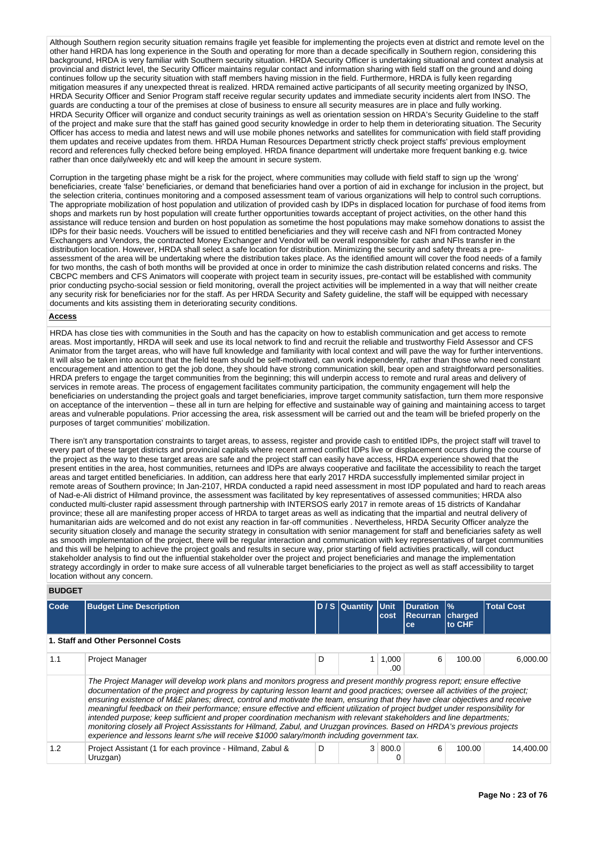Although Southern region security situation remains fragile yet feasible for implementing the projects even at district and remote level on the other hand HRDA has long experience in the South and operating for more than a decade specifically in Southern region, considering this background, HRDA is very familiar with Southern security situation. HRDA Security Officer is undertaking situational and context analysis at provincial and district level, the Security Officer maintains regular contact and information sharing with field staff on the ground and doing continues follow up the security situation with staff members having mission in the field. Furthermore, HRDA is fully keen regarding mitigation measures if any unexpected threat is realized. HRDA remained active participants of all security meeting organized by INSO, HRDA Security Officer and Senior Program staff receive regular security updates and immediate security incidents alert from INSO. The guards are conducting a tour of the premises at close of business to ensure all security measures are in place and fully working. HRDA Security Officer will organize and conduct security trainings as well as orientation session on HRDA's Security Guideline to the staff of the project and make sure that the staff has gained good security knowledge in order to help them in deteriorating situation. The Security Officer has access to media and latest news and will use mobile phones networks and satellites for communication with field staff providing them updates and receive updates from them. HRDA Human Resources Department strictly check project staffs' previous employment record and references fully checked before being employed. HRDA finance department will undertake more frequent banking e.g. twice rather than once daily/weekly etc and will keep the amount in secure system.

Corruption in the targeting phase might be a risk for the project, where communities may collude with field staff to sign up the 'wrong' beneficiaries, create 'false' beneficiaries, or demand that beneficiaries hand over a portion of aid in exchange for inclusion in the project, but the selection criteria, continues monitoring and a composed assessment team of various organizations will help to control such corruptions. The appropriate mobilization of host population and utilization of provided cash by IDPs in displaced location for purchase of food items from shops and markets run by host population will create further opportunities towards acceptant of project activities, on the other hand this assistance will reduce tension and burden on host population as sometime the host populations may make somehow donations to assist the IDPs for their basic needs. Vouchers will be issued to entitled beneficiaries and they will receive cash and NFI from contracted Money Exchangers and Vendors, the contracted Money Exchanger and Vendor will be overall responsible for cash and NFIs transfer in the distribution location. However, HRDA shall select a safe location for distribution. Minimizing the security and safety threats a preassessment of the area will be undertaking where the distribution takes place. As the identified amount will cover the food needs of a family for two months, the cash of both months will be provided at once in order to minimize the cash distribution related concerns and risks. The CBCPC members and CFS Animators will cooperate with project team in security issues, pre-contact will be established with community prior conducting psycho-social session or field monitoring, overall the project activities will be implemented in a way that will neither create any security risk for beneficiaries nor for the staff. As per HRDA Security and Safety guideline, the staff will be equipped with necessary documents and kits assisting them in deteriorating security conditions.

### **Access**

HRDA has close ties with communities in the South and has the capacity on how to establish communication and get access to remote areas. Most importantly, HRDA will seek and use its local network to find and recruit the reliable and trustworthy Field Assessor and CFS Animator from the target areas, who will have full knowledge and familiarity with local context and will pave the way for further interventions. It will also be taken into account that the field team should be self-motivated, can work independently, rather than those who need constant encouragement and attention to get the job done, they should have strong communication skill, bear open and straightforward personalities. HRDA prefers to engage the target communities from the beginning; this will underpin access to remote and rural areas and delivery of services in remote areas. The process of engagement facilitates community participation, the community engagement will help the beneficiaries on understanding the project goals and target beneficiaries, improve target community satisfaction, turn them more responsive on acceptance of the intervention – these all in turn are helping for effective and sustainable way of gaining and maintaining access to target areas and vulnerable populations. Prior accessing the area, risk assessment will be carried out and the team will be briefed properly on the purposes of target communities' mobilization.

There isn't any transportation constraints to target areas, to assess, register and provide cash to entitled IDPs, the project staff will travel to every part of these target districts and provincial capitals where recent armed conflict IDPs live or displacement occurs during the course of the project as the way to these target areas are safe and the project staff can easily have access, HRDA experience showed that the present entities in the area, host communities, returnees and IDPs are always cooperative and facilitate the accessibility to reach the target areas and target entitled beneficiaries. In addition, can address here that early 2017 HRDA successfully implemented similar project in remote areas of Southern province; In Jan-2107, HRDA conducted a rapid need assessment in most IDP populated and hard to reach areas of Nad-e-Ali district of Hilmand province, the assessment was facilitated by key representatives of assessed communities; HRDA also conducted multi-cluster rapid assessment through partnership with INTERSOS early 2017 in remote areas of 15 districts of Kandahar province; these all are manifesting proper access of HRDA to target areas as well as indicating that the impartial and neutral delivery of humanitarian aids are welcomed and do not exist any reaction in far-off communities . Nevertheless, HRDA Security Officer analyze the security situation closely and manage the security strategy in consultation with senior management for staff and beneficiaries safety as well as smooth implementation of the project, there will be regular interaction and communication with key representatives of target communities and this will be helping to achieve the project goals and results in secure way, prior starting of field activities practically, will conduct stakeholder analysis to find out the influential stakeholder over the project and project beneficiaries and manage the implementation strategy accordingly in order to make sure access of all vulnerable target beneficiaries to the project as well as staff accessibility to target location without any concern.

### **BUDGET**

| Code | <b>Budget Line Description</b>                                                                                                                                                                                                                                                                                                                                                                                                                                                                                                                                                                                                                                                                                                                                                                                                                                                     |   | D / S Quantity | <b>Unit</b><br>cost | <b>Duration</b><br><b>Recurran charged</b><br>ce | $\frac{9}{6}$<br>to CHF | <b>Total Cost</b> |  |  |  |  |
|------|------------------------------------------------------------------------------------------------------------------------------------------------------------------------------------------------------------------------------------------------------------------------------------------------------------------------------------------------------------------------------------------------------------------------------------------------------------------------------------------------------------------------------------------------------------------------------------------------------------------------------------------------------------------------------------------------------------------------------------------------------------------------------------------------------------------------------------------------------------------------------------|---|----------------|---------------------|--------------------------------------------------|-------------------------|-------------------|--|--|--|--|
|      | 1. Staff and Other Personnel Costs                                                                                                                                                                                                                                                                                                                                                                                                                                                                                                                                                                                                                                                                                                                                                                                                                                                 |   |                |                     |                                                  |                         |                   |  |  |  |  |
| 1.1  | <b>Project Manager</b>                                                                                                                                                                                                                                                                                                                                                                                                                                                                                                                                                                                                                                                                                                                                                                                                                                                             | D |                | 1,000<br>.00.       | 6                                                | 100.00                  | 6.000.00          |  |  |  |  |
|      | The Project Manager will develop work plans and monitors progress and present monthly progress report; ensure effective<br>documentation of the project and progress by capturing lesson learnt and good practices; oversee all activities of the project;<br>ensuring existence of M&E planes; direct, control and motivate the team, ensuring that they have clear objectives and receive<br>meaningful feedback on their performance; ensure effective and efficient utilization of project budget under responsibility for<br>intended purpose; keep sufficient and proper coordination mechanism with relevant stakeholders and line departments;<br>monitoring closely all Project Assisstants for Hilmand, Zabul, and Uruzgan provinces. Based on HRDA's previous projects<br>experience and lessons learnt s/he will receive \$1000 salary/month including government tax. |   |                |                     |                                                  |                         |                   |  |  |  |  |
| 1.2  | Project Assistant (1 for each province - Hilmand, Zabul &<br>Uruzgan)                                                                                                                                                                                                                                                                                                                                                                                                                                                                                                                                                                                                                                                                                                                                                                                                              | D |                | 3 800.0             | 6                                                | 100.00                  | 14,400.00         |  |  |  |  |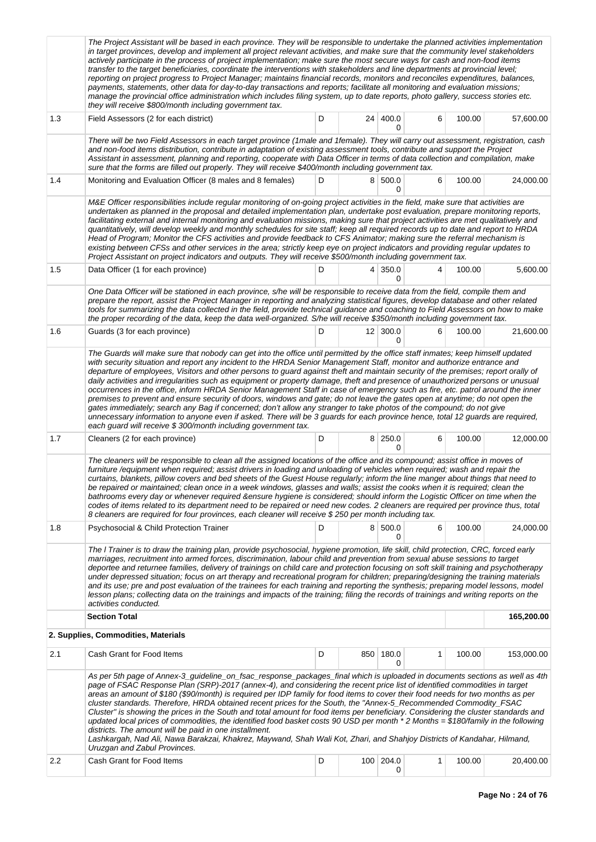|                  | The Project Assistant will be based in each province. They will be responsible to undertake the planned activities implementation<br>in target provinces, develop and implement all project relevant activities, and make sure that the community level stakeholders<br>actively participate in the process of project implementation; make sure the most secure ways for cash and non-food items<br>transfer to the target beneficiaries, coordinate the interventions with stakeholders and line departments at provincial level;<br>reporting on project progress to Project Manager; maintains financial records, monitors and reconciles expenditures, balances,<br>payments, statements, other data for day-to-day transactions and reports; facilitate all monitoring and evaluation missions;<br>manage the provincial office administration which includes filing system, up to date reports, photo gallery, success stories etc.<br>they will receive \$800/month including government tax.                                                                                                                           |   |                 |                     |              |        |            |  |  |  |  |
|------------------|---------------------------------------------------------------------------------------------------------------------------------------------------------------------------------------------------------------------------------------------------------------------------------------------------------------------------------------------------------------------------------------------------------------------------------------------------------------------------------------------------------------------------------------------------------------------------------------------------------------------------------------------------------------------------------------------------------------------------------------------------------------------------------------------------------------------------------------------------------------------------------------------------------------------------------------------------------------------------------------------------------------------------------------------------------------------------------------------------------------------------------|---|-----------------|---------------------|--------------|--------|------------|--|--|--|--|
| 1.3              | Field Assessors (2 for each district)                                                                                                                                                                                                                                                                                                                                                                                                                                                                                                                                                                                                                                                                                                                                                                                                                                                                                                                                                                                                                                                                                           | D | 24 <sup>1</sup> | 400.0<br>0          | 6            | 100.00 | 57,600.00  |  |  |  |  |
|                  | There will be two Field Assessors in each target province (1male and 1female). They will carry out assessment, registration, cash<br>and non-food items distribution, contribute in adaptation of existing assessment tools, contribute and support the Project<br>Assistant in assessment, planning and reporting, cooperate with Data Officer in terms of data collection and compilation, make<br>sure that the forms are filled out properly. They will receive \$400/month including government tax.                                                                                                                                                                                                                                                                                                                                                                                                                                                                                                                                                                                                                       |   |                 |                     |              |        |            |  |  |  |  |
| 1.4              | Monitoring and Evaluation Officer (8 males and 8 females)                                                                                                                                                                                                                                                                                                                                                                                                                                                                                                                                                                                                                                                                                                                                                                                                                                                                                                                                                                                                                                                                       | D |                 | 8 500.0<br>0        | 6            | 100.00 | 24,000.00  |  |  |  |  |
|                  | M&E Officer responsibilities include regular monitoring of on-going project activities in the field, make sure that activities are<br>undertaken as planned in the proposal and detailed implementation plan, undertake post evaluation, prepare monitoring reports,<br>facilitating external and internal monitoring and evaluation missions, making sure that project activities are met qualitatively and<br>quantitatively, will develop weekly and monthly schedules for site staff; keep all required records up to date and report to HRDA<br>Head of Program; Monitor the CFS activities and provide feedback to CFS Animator; making sure the referral mechanism is<br>existing between CFSs and other services in the area; strictly keep eye on project indicators and providing regular updates to<br>Project Assistant on project indicators and outputs. They will receive \$500/month including government tax.                                                                                                                                                                                                  |   |                 |                     |              |        |            |  |  |  |  |
| 1.5              | Data Officer (1 for each province)                                                                                                                                                                                                                                                                                                                                                                                                                                                                                                                                                                                                                                                                                                                                                                                                                                                                                                                                                                                                                                                                                              | D |                 | $4 \mid 350.0$<br>0 | 4            | 100.00 | 5,600.00   |  |  |  |  |
|                  | One Data Officer will be stationed in each province, s/he will be responsible to receive data from the field, compile them and<br>prepare the report, assist the Project Manager in reporting and analyzing statistical figures, develop database and other related<br>tools for summarizing the data collected in the field, provide technical guidance and coaching to Field Assessors on how to make<br>the proper recording of the data, keep the data well-organized. S/he will receive \$350/month including government tax.                                                                                                                                                                                                                                                                                                                                                                                                                                                                                                                                                                                              |   |                 |                     |              |        |            |  |  |  |  |
| 1.6              | Guards (3 for each province)                                                                                                                                                                                                                                                                                                                                                                                                                                                                                                                                                                                                                                                                                                                                                                                                                                                                                                                                                                                                                                                                                                    | D |                 | 12   300.0<br>0     | 6            | 100.00 | 21,600.00  |  |  |  |  |
|                  | The Guards will make sure that nobody can get into the office until permitted by the office staff inmates; keep himself updated<br>with security situation and report any incident to the HRDA Senior Management Staff, monitor and authorize entrance and<br>departure of employees, Visitors and other persons to guard against theft and maintain security of the premises; report orally of<br>daily activities and irregularities such as equipment or property damage, theft and presence of unauthorized persons or unusual<br>occurrences in the office, inform HRDA Senior Management Staff in case of emergency such as fire, etc. patrol around the inner<br>premises to prevent and ensure security of doors, windows and gate; do not leave the gates open at anytime; do not open the<br>gates immediately; search any Bag if concerned; don't allow any stranger to take photos of the compound; do not give<br>unnecessary information to anyone even if asked. There will be 3 guards for each province hence, total 12 guards are required,<br>each guard will receive \$ 300/month including government tax. |   |                 |                     |              |        |            |  |  |  |  |
| 1.7              | Cleaners (2 for each province)                                                                                                                                                                                                                                                                                                                                                                                                                                                                                                                                                                                                                                                                                                                                                                                                                                                                                                                                                                                                                                                                                                  | D |                 | 8 250.0<br>0        | 6            | 100.00 | 12,000.00  |  |  |  |  |
|                  | The cleaners will be responsible to clean all the assigned locations of the office and its compound; assist office in moves of<br>furniture /equipment when required; assist drivers in loading and unloading of vehicles when required; wash and repair the<br>curtains, blankets, pillow covers and bed sheets of the Guest House regularly; inform the line manger about things that need to<br>be repaired or maintained; clean once in a week windows, glasses and walls; assist the cooks when it is required; clean the<br>bathrooms every day or whenever required &ensure hygiene is considered; should inform the Logistic Officer on time when the<br>codes of items related to its department need to be repaired or need new codes. 2 cleaners are required per province thus, total<br>8 cleaners are required for four provinces, each cleaner will receive \$250 per month including tax.                                                                                                                                                                                                                       |   |                 |                     |              |        |            |  |  |  |  |
| 1.8              | <b>Psychosocial &amp; Child Protection Trainer</b>                                                                                                                                                                                                                                                                                                                                                                                                                                                                                                                                                                                                                                                                                                                                                                                                                                                                                                                                                                                                                                                                              | D |                 | 8 500.0<br>0        | 6            | 100.00 | 24,000.00  |  |  |  |  |
|                  | The I Trainer is to draw the training plan, provide psychosocial, hygiene promotion, life skill, child protection, CRC, forced early<br>marriages, recruitment into armed forces, discrimination, labour child and prevention from sexual abuse sessions to target<br>deportee and returnee families, delivery of trainings on child care and protection focusing on soft skill training and psychotherapy<br>under depressed situation; focus on art therapy and recreational program for children; preparing/designing the training materials<br>and its use; pre and post evaluation of the trainees for each training and reporting the synthesis; preparing model lessons, model<br>lesson plans; collecting data on the trainings and impacts of the training; filing the records of trainings and writing reports on the<br>activities conducted.                                                                                                                                                                                                                                                                        |   |                 |                     |              |        |            |  |  |  |  |
|                  | <b>Section Total</b>                                                                                                                                                                                                                                                                                                                                                                                                                                                                                                                                                                                                                                                                                                                                                                                                                                                                                                                                                                                                                                                                                                            |   |                 |                     |              |        | 165,200.00 |  |  |  |  |
|                  | 2. Supplies, Commodities, Materials                                                                                                                                                                                                                                                                                                                                                                                                                                                                                                                                                                                                                                                                                                                                                                                                                                                                                                                                                                                                                                                                                             |   |                 |                     |              |        |            |  |  |  |  |
| 2.1              | Cash Grant for Food Items                                                                                                                                                                                                                                                                                                                                                                                                                                                                                                                                                                                                                                                                                                                                                                                                                                                                                                                                                                                                                                                                                                       | D |                 | 850 180.0           | $\mathbf{1}$ | 100.00 | 153,000.00 |  |  |  |  |
|                  | As per 5th page of Annex-3_guideline_on_fsac_response_packages_final which is uploaded in documents sections as well as 4th<br>page of FSAC Response Plan (SRP)-2017 (annex-4), and considering the recent price list of identified commodities in target<br>areas an amount of \$180 (\$90/month) is required per IDP family for food items to cover their food needs for two months as per<br>cluster standards. Therefore, HRDA obtained recent prices for the South, the "Annex-5_Recommended Commodity_FSAC<br>Cluster" is showing the prices in the South and total amount for food items per beneficiary. Considering the cluster standards and<br>updated local prices of commodities, the identified food basket costs 90 USD per month *2 Months = \$180/family in the following<br>districts. The amount will be paid in one installment.<br>Lashkargah, Nad Ali, Nawa Barakzai, Khakrez, Maywand, Shah Wali Kot, Zhari, and Shahjoy Districts of Kandahar, Hilmand,<br>Uruzgan and Zabul Provinces.                                                                                                                 |   |                 |                     |              |        |            |  |  |  |  |
| $2.2\phantom{0}$ | Cash Grant for Food Items                                                                                                                                                                                                                                                                                                                                                                                                                                                                                                                                                                                                                                                                                                                                                                                                                                                                                                                                                                                                                                                                                                       | D |                 | 100 204.0<br>0      | 1            | 100.00 | 20,400.00  |  |  |  |  |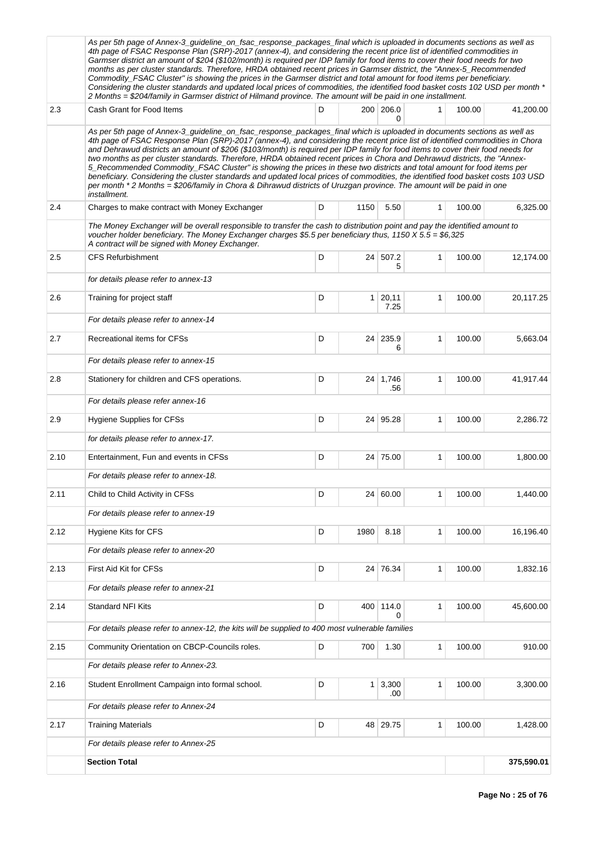|      | As per 5th page of Annex-3_guideline_on_fsac_response_packages_final which is uploaded in documents sections as well as<br>4th page of FSAC Response Plan (SRP)-2017 (annex-4), and considering the recent price list of identified commodities in<br>Garmser district an amount of \$204 (\$102/month) is required per IDP family for food items to cover their food needs for two<br>months as per cluster standards. Therefore, HRDA obtained recent prices in Garmser district, the "Annex-5_Recommended<br>Commodity_FSAC Cluster" is showing the prices in the Garmser district and total amount for food items per beneficiary.<br>Considering the cluster standards and updated local prices of commodities, the identified food basket costs 102 USD per month *<br>2 Months = \$204/family in Garmser district of Hilmand province. The amount will be paid in one installment.                                     |   |                 |                           |              |        |            |
|------|-------------------------------------------------------------------------------------------------------------------------------------------------------------------------------------------------------------------------------------------------------------------------------------------------------------------------------------------------------------------------------------------------------------------------------------------------------------------------------------------------------------------------------------------------------------------------------------------------------------------------------------------------------------------------------------------------------------------------------------------------------------------------------------------------------------------------------------------------------------------------------------------------------------------------------|---|-----------------|---------------------------|--------------|--------|------------|
| 2.3  | Cash Grant for Food Items                                                                                                                                                                                                                                                                                                                                                                                                                                                                                                                                                                                                                                                                                                                                                                                                                                                                                                     | D |                 | 200 206.0<br>0            | 1            | 100.00 | 41,200.00  |
|      | As per 5th page of Annex-3_guideline_on_fsac_response_packages_final which is uploaded in documents sections as well as<br>4th page of FSAC Response Plan (SRP)-2017 (annex-4), and considering the recent price list of identified commodities in Chora<br>and Dehrawud districts an amount of \$206 (\$103/month) is required per IDP family for food items to cover their food needs for<br>two months as per cluster standards. Therefore, HRDA obtained recent prices in Chora and Dehrawud districts, the "Annex-<br>5_Recommended Commodity_FSAC Cluster" is showing the prices in these two districts and total amount for food items per<br>beneficiary. Considering the cluster standards and updated local prices of commodities, the identified food basket costs 103 USD<br>per month *2 Months = \$206/family in Chora & Dihrawud districts of Uruzgan province. The amount will be paid in one<br>installment. |   |                 |                           |              |        |            |
| 2.4  | Charges to make contract with Money Exchanger                                                                                                                                                                                                                                                                                                                                                                                                                                                                                                                                                                                                                                                                                                                                                                                                                                                                                 | D | 1150            | 5.50                      | $\mathbf{1}$ | 100.00 | 6,325.00   |
|      | The Money Exchanger will be overall responsible to transfer the cash to distribution point and pay the identified amount to<br>voucher holder beneficiary. The Money Exchanger charges \$5.5 per beneficiary thus, 1150 $X 5.5 = $6,325$<br>A contract will be signed with Money Exchanger.                                                                                                                                                                                                                                                                                                                                                                                                                                                                                                                                                                                                                                   |   |                 |                           |              |        |            |
| 2.5  | <b>CFS Refurbishment</b>                                                                                                                                                                                                                                                                                                                                                                                                                                                                                                                                                                                                                                                                                                                                                                                                                                                                                                      | D | 24              | 507.2<br>5                | 1            | 100.00 | 12,174.00  |
|      | for details please refer to annex-13                                                                                                                                                                                                                                                                                                                                                                                                                                                                                                                                                                                                                                                                                                                                                                                                                                                                                          |   |                 |                           |              |        |            |
| 2.6  | Training for project staff                                                                                                                                                                                                                                                                                                                                                                                                                                                                                                                                                                                                                                                                                                                                                                                                                                                                                                    | D | $\mathbf{1}$    | 20,11<br>7.25             | 1            | 100.00 | 20,117.25  |
|      | For details please refer to annex-14                                                                                                                                                                                                                                                                                                                                                                                                                                                                                                                                                                                                                                                                                                                                                                                                                                                                                          |   |                 |                           |              |        |            |
| 2.7  | Recreational items for CFSs                                                                                                                                                                                                                                                                                                                                                                                                                                                                                                                                                                                                                                                                                                                                                                                                                                                                                                   | D | 24              | 235.9<br>6                | 1            | 100.00 | 5,663.04   |
|      | For details please refer to annex-15                                                                                                                                                                                                                                                                                                                                                                                                                                                                                                                                                                                                                                                                                                                                                                                                                                                                                          |   |                 |                           |              |        |            |
| 2.8  | Stationery for children and CFS operations.                                                                                                                                                                                                                                                                                                                                                                                                                                                                                                                                                                                                                                                                                                                                                                                                                                                                                   | D |                 | 24 1,746<br>.56           | 1            | 100.00 | 41,917.44  |
|      | For details please refer annex-16                                                                                                                                                                                                                                                                                                                                                                                                                                                                                                                                                                                                                                                                                                                                                                                                                                                                                             |   |                 |                           |              |        |            |
| 2.9  | Hygiene Supplies for CFSs                                                                                                                                                                                                                                                                                                                                                                                                                                                                                                                                                                                                                                                                                                                                                                                                                                                                                                     | D | 24 <sup>1</sup> | 95.28                     | 1            | 100.00 | 2,286.72   |
|      | for details please refer to annex-17.                                                                                                                                                                                                                                                                                                                                                                                                                                                                                                                                                                                                                                                                                                                                                                                                                                                                                         |   |                 |                           |              |        |            |
| 2.10 | Entertainment, Fun and events in CFSs                                                                                                                                                                                                                                                                                                                                                                                                                                                                                                                                                                                                                                                                                                                                                                                                                                                                                         | D |                 | 24 75.00                  | 1            | 100.00 | 1,800.00   |
|      | For details please refer to annex-18.                                                                                                                                                                                                                                                                                                                                                                                                                                                                                                                                                                                                                                                                                                                                                                                                                                                                                         |   |                 |                           |              |        |            |
| 2.11 | Child to Child Activity in CFSs                                                                                                                                                                                                                                                                                                                                                                                                                                                                                                                                                                                                                                                                                                                                                                                                                                                                                               | D | 24              | 60.00                     | 1            | 100.00 | 1,440.00   |
|      | For details please refer to annex-19                                                                                                                                                                                                                                                                                                                                                                                                                                                                                                                                                                                                                                                                                                                                                                                                                                                                                          |   |                 |                           |              |        |            |
| 2.12 | Hygiene Kits for CFS                                                                                                                                                                                                                                                                                                                                                                                                                                                                                                                                                                                                                                                                                                                                                                                                                                                                                                          | D | 1980            | 8.18                      | 1            | 100.00 | 16,196.40  |
|      | For details please refer to annex-20                                                                                                                                                                                                                                                                                                                                                                                                                                                                                                                                                                                                                                                                                                                                                                                                                                                                                          |   |                 |                           |              |        |            |
| 2.13 | First Aid Kit for CFSs                                                                                                                                                                                                                                                                                                                                                                                                                                                                                                                                                                                                                                                                                                                                                                                                                                                                                                        | D |                 | 24 76.34                  | $\mathbf{1}$ | 100.00 | 1,832.16   |
|      | For details please refer to annex-21                                                                                                                                                                                                                                                                                                                                                                                                                                                                                                                                                                                                                                                                                                                                                                                                                                                                                          |   |                 |                           |              |        |            |
| 2.14 | <b>Standard NFI Kits</b>                                                                                                                                                                                                                                                                                                                                                                                                                                                                                                                                                                                                                                                                                                                                                                                                                                                                                                      | D |                 | 400 114.0<br><sup>0</sup> | 1            | 100.00 | 45,600.00  |
|      | For details please refer to annex-12, the kits will be supplied to 400 most vulnerable families                                                                                                                                                                                                                                                                                                                                                                                                                                                                                                                                                                                                                                                                                                                                                                                                                               |   |                 |                           |              |        |            |
| 2.15 | Community Orientation on CBCP-Councils roles.                                                                                                                                                                                                                                                                                                                                                                                                                                                                                                                                                                                                                                                                                                                                                                                                                                                                                 | D | 700             | 1.30                      | 1            | 100.00 | 910.00     |
|      | For details please refer to Annex-23.                                                                                                                                                                                                                                                                                                                                                                                                                                                                                                                                                                                                                                                                                                                                                                                                                                                                                         |   |                 |                           |              |        |            |
| 2.16 | Student Enrollment Campaign into formal school.                                                                                                                                                                                                                                                                                                                                                                                                                                                                                                                                                                                                                                                                                                                                                                                                                                                                               | D | $\mathbf{1}$    | 3,300<br>.00              | 1            | 100.00 | 3,300.00   |
|      | For details please refer to Annex-24                                                                                                                                                                                                                                                                                                                                                                                                                                                                                                                                                                                                                                                                                                                                                                                                                                                                                          |   |                 |                           |              |        |            |
| 2.17 | <b>Training Materials</b>                                                                                                                                                                                                                                                                                                                                                                                                                                                                                                                                                                                                                                                                                                                                                                                                                                                                                                     | D | 48              | 29.75                     | 1            | 100.00 | 1,428.00   |
|      | For details please refer to Annex-25                                                                                                                                                                                                                                                                                                                                                                                                                                                                                                                                                                                                                                                                                                                                                                                                                                                                                          |   |                 |                           |              |        |            |
|      | <b>Section Total</b>                                                                                                                                                                                                                                                                                                                                                                                                                                                                                                                                                                                                                                                                                                                                                                                                                                                                                                          |   |                 |                           |              |        | 375,590.01 |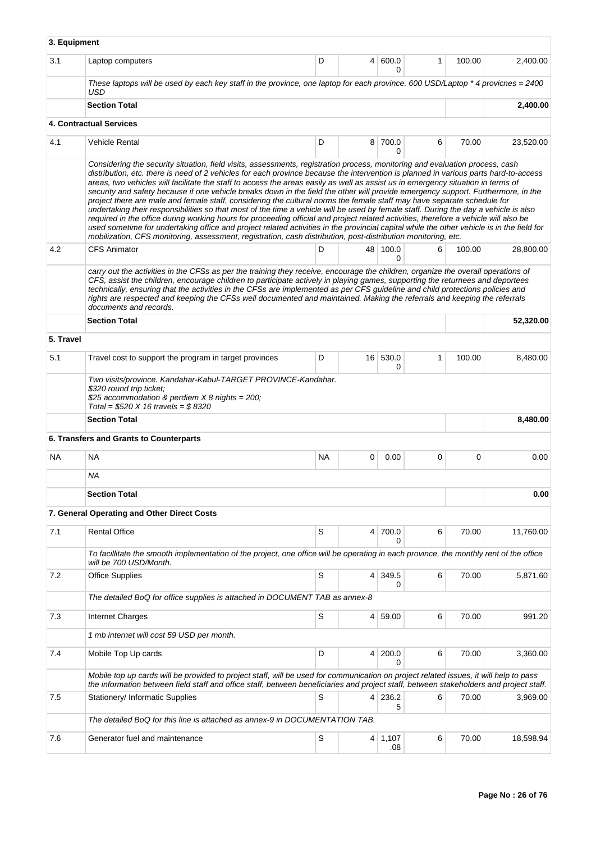| 3. Equipment |                                                                                                                                                                                                                                                                                                                                                                                                                                                                                                                                                                                                                                                                                                                                                                                                                                                                                                                                                                                                                                                                                                                                                                                                                        |           |                |                       |   |        |           |  |  |  |  |
|--------------|------------------------------------------------------------------------------------------------------------------------------------------------------------------------------------------------------------------------------------------------------------------------------------------------------------------------------------------------------------------------------------------------------------------------------------------------------------------------------------------------------------------------------------------------------------------------------------------------------------------------------------------------------------------------------------------------------------------------------------------------------------------------------------------------------------------------------------------------------------------------------------------------------------------------------------------------------------------------------------------------------------------------------------------------------------------------------------------------------------------------------------------------------------------------------------------------------------------------|-----------|----------------|-----------------------|---|--------|-----------|--|--|--|--|
| 3.1          | Laptop computers                                                                                                                                                                                                                                                                                                                                                                                                                                                                                                                                                                                                                                                                                                                                                                                                                                                                                                                                                                                                                                                                                                                                                                                                       | D         |                | 4   600.0<br>$\Omega$ | 1 | 100.00 | 2,400.00  |  |  |  |  |
|              | These laptops will be used by each key staff in the province, one laptop for each province. 600 USD/Laptop $*$ 4 provicnes = 2400<br>USD                                                                                                                                                                                                                                                                                                                                                                                                                                                                                                                                                                                                                                                                                                                                                                                                                                                                                                                                                                                                                                                                               |           |                |                       |   |        |           |  |  |  |  |
|              | <b>Section Total</b>                                                                                                                                                                                                                                                                                                                                                                                                                                                                                                                                                                                                                                                                                                                                                                                                                                                                                                                                                                                                                                                                                                                                                                                                   |           | 2.400.00       |                       |   |        |           |  |  |  |  |
|              | 4. Contractual Services                                                                                                                                                                                                                                                                                                                                                                                                                                                                                                                                                                                                                                                                                                                                                                                                                                                                                                                                                                                                                                                                                                                                                                                                |           |                |                       |   |        |           |  |  |  |  |
| 4.1          | <b>Vehicle Rental</b>                                                                                                                                                                                                                                                                                                                                                                                                                                                                                                                                                                                                                                                                                                                                                                                                                                                                                                                                                                                                                                                                                                                                                                                                  | D         |                | 8 700.0<br>0          | 6 | 70.00  | 23,520.00 |  |  |  |  |
|              | Considering the security situation, field visits, assessments, registration process, monitoring and evaluation process, cash<br>distribution, etc. there is need of 2 vehicles for each province because the intervention is planned in various parts hard-to-access<br>areas, two vehicles will facilitate the staff to access the areas easily as well as assist us in emergency situation in terms of<br>security and safety because if one vehicle breaks down in the field the other will provide emergency support. Furthermore, in the<br>project there are male and female staff, considering the cultural norms the female staff may have separate schedule for<br>undertaking their responsibilities so that most of the time a vehicle will be used by female staff. During the day a vehicle is also<br>required in the office during working hours for proceeding official and project related activities, therefore a vehicle will also be<br>used sometime for undertaking office and project related activities in the provincial capital while the other vehicle is in the field for<br>mobilization, CFS monitoring, assessment, registration, cash distribution, post-distribution monitoring, etc. |           |                |                       |   |        |           |  |  |  |  |
| 4.2          | <b>CFS Animator</b>                                                                                                                                                                                                                                                                                                                                                                                                                                                                                                                                                                                                                                                                                                                                                                                                                                                                                                                                                                                                                                                                                                                                                                                                    | D         | 48             | 100.0<br>0            | 6 | 100.00 | 28,800.00 |  |  |  |  |
|              | carry out the activities in the CFSs as per the training they receive, encourage the children, organize the overall operations of<br>CFS, assist the children, encourage children to participate actively in playing games, supporting the returnees and deportees<br>technically, ensuring that the activities in the CFSs are implemented as per CFS guideline and child protections policies and<br>rights are respected and keeping the CFSs well documented and maintained. Making the referrals and keeping the referrals<br>documents and records.                                                                                                                                                                                                                                                                                                                                                                                                                                                                                                                                                                                                                                                              |           |                |                       |   |        |           |  |  |  |  |
|              | <b>Section Total</b>                                                                                                                                                                                                                                                                                                                                                                                                                                                                                                                                                                                                                                                                                                                                                                                                                                                                                                                                                                                                                                                                                                                                                                                                   |           |                |                       |   |        | 52,320.00 |  |  |  |  |
| 5. Travel    |                                                                                                                                                                                                                                                                                                                                                                                                                                                                                                                                                                                                                                                                                                                                                                                                                                                                                                                                                                                                                                                                                                                                                                                                                        |           |                |                       |   |        |           |  |  |  |  |
| 5.1          | Travel cost to support the program in target provinces                                                                                                                                                                                                                                                                                                                                                                                                                                                                                                                                                                                                                                                                                                                                                                                                                                                                                                                                                                                                                                                                                                                                                                 | D         | 16             | 530.0<br>0            | 1 | 100.00 | 8,480.00  |  |  |  |  |
|              | Two visits/province. Kandahar-Kabul-TARGET PROVINCE-Kandahar.<br>\$320 round trip ticket;<br>\$25 accommodation & perdiem $X$ 8 nights = 200;<br>Total = $$520 X 16$ travels = $$8320$                                                                                                                                                                                                                                                                                                                                                                                                                                                                                                                                                                                                                                                                                                                                                                                                                                                                                                                                                                                                                                 |           |                |                       |   |        |           |  |  |  |  |
|              | <b>Section Total</b>                                                                                                                                                                                                                                                                                                                                                                                                                                                                                                                                                                                                                                                                                                                                                                                                                                                                                                                                                                                                                                                                                                                                                                                                   |           |                |                       |   |        | 8,480.00  |  |  |  |  |
|              | 6. Transfers and Grants to Counterparts                                                                                                                                                                                                                                                                                                                                                                                                                                                                                                                                                                                                                                                                                                                                                                                                                                                                                                                                                                                                                                                                                                                                                                                |           |                |                       |   |        |           |  |  |  |  |
| <b>NA</b>    | <b>NA</b>                                                                                                                                                                                                                                                                                                                                                                                                                                                                                                                                                                                                                                                                                                                                                                                                                                                                                                                                                                                                                                                                                                                                                                                                              | <b>NA</b> | 0              | 0.00                  | 0 | 0      | 0.00      |  |  |  |  |
|              | ΝA                                                                                                                                                                                                                                                                                                                                                                                                                                                                                                                                                                                                                                                                                                                                                                                                                                                                                                                                                                                                                                                                                                                                                                                                                     |           |                |                       |   |        |           |  |  |  |  |
|              | <b>Section Total</b>                                                                                                                                                                                                                                                                                                                                                                                                                                                                                                                                                                                                                                                                                                                                                                                                                                                                                                                                                                                                                                                                                                                                                                                                   |           |                | 0.00                  |   |        |           |  |  |  |  |
|              | 7. General Operating and Other Direct Costs                                                                                                                                                                                                                                                                                                                                                                                                                                                                                                                                                                                                                                                                                                                                                                                                                                                                                                                                                                                                                                                                                                                                                                            |           |                |                       |   |        |           |  |  |  |  |
| 7.1          | <b>Rental Office</b>                                                                                                                                                                                                                                                                                                                                                                                                                                                                                                                                                                                                                                                                                                                                                                                                                                                                                                                                                                                                                                                                                                                                                                                                   | S         | 4              | 700.0<br>0            | 6 | 70.00  | 11,760.00 |  |  |  |  |
|              | To facillitate the smooth implementation of the project, one office will be operating in each province, the monthly rent of the office<br>will be 700 USD/Month.                                                                                                                                                                                                                                                                                                                                                                                                                                                                                                                                                                                                                                                                                                                                                                                                                                                                                                                                                                                                                                                       |           |                |                       |   |        |           |  |  |  |  |
| 7.2          | <b>Office Supplies</b>                                                                                                                                                                                                                                                                                                                                                                                                                                                                                                                                                                                                                                                                                                                                                                                                                                                                                                                                                                                                                                                                                                                                                                                                 | S         | $\overline{4}$ | 349.5<br>0            | 6 | 70.00  | 5,871.60  |  |  |  |  |
|              | The detailed BoQ for office supplies is attached in DOCUMENT TAB as annex-8                                                                                                                                                                                                                                                                                                                                                                                                                                                                                                                                                                                                                                                                                                                                                                                                                                                                                                                                                                                                                                                                                                                                            |           |                |                       |   |        |           |  |  |  |  |
| 7.3          | Internet Charges                                                                                                                                                                                                                                                                                                                                                                                                                                                                                                                                                                                                                                                                                                                                                                                                                                                                                                                                                                                                                                                                                                                                                                                                       | S         | 4 <sup>1</sup> | 59.00                 | 6 | 70.00  | 991.20    |  |  |  |  |
|              | 1 mb internet will cost 59 USD per month.                                                                                                                                                                                                                                                                                                                                                                                                                                                                                                                                                                                                                                                                                                                                                                                                                                                                                                                                                                                                                                                                                                                                                                              |           |                |                       |   |        |           |  |  |  |  |
| 7.4          | Mobile Top Up cards                                                                                                                                                                                                                                                                                                                                                                                                                                                                                                                                                                                                                                                                                                                                                                                                                                                                                                                                                                                                                                                                                                                                                                                                    | D         | 4              | 200.0<br>0            | 6 | 70.00  | 3,360.00  |  |  |  |  |
|              | Mobile top up cards will be provided to project staff, will be used for communication on project related issues, it will help to pass<br>the information between field staff and office staff, between beneficiaries and project staff, between stakeholders and project staff.                                                                                                                                                                                                                                                                                                                                                                                                                                                                                                                                                                                                                                                                                                                                                                                                                                                                                                                                        |           |                |                       |   |        |           |  |  |  |  |
| 7.5          | Stationery/ Informatic Supplies                                                                                                                                                                                                                                                                                                                                                                                                                                                                                                                                                                                                                                                                                                                                                                                                                                                                                                                                                                                                                                                                                                                                                                                        | S         | 4              | 236.2<br>5            | 6 | 70.00  | 3,969.00  |  |  |  |  |
|              | The detailed BoQ for this line is attached as annex-9 in DOCUMENTATION TAB.                                                                                                                                                                                                                                                                                                                                                                                                                                                                                                                                                                                                                                                                                                                                                                                                                                                                                                                                                                                                                                                                                                                                            |           |                |                       |   |        |           |  |  |  |  |
| 7.6          | Generator fuel and maintenance                                                                                                                                                                                                                                                                                                                                                                                                                                                                                                                                                                                                                                                                                                                                                                                                                                                                                                                                                                                                                                                                                                                                                                                         | S         | 4              | 1,107<br>.08          | 6 | 70.00  | 18,598.94 |  |  |  |  |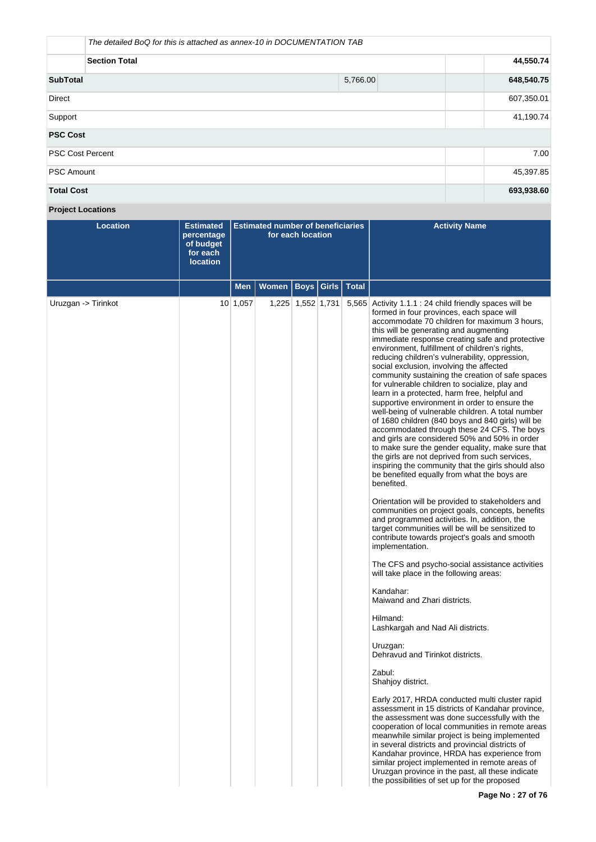|                         | The detailed BoQ for this is attached as annex-10 in DOCUMENTATION TAB |  |  |  |  |  |  |
|-------------------------|------------------------------------------------------------------------|--|--|--|--|--|--|
| <b>Section Total</b>    |                                                                        |  |  |  |  |  |  |
| <b>SubTotal</b>         | 648,540.75                                                             |  |  |  |  |  |  |
| <b>Direct</b>           | 607,350.01                                                             |  |  |  |  |  |  |
| Support                 | 41,190.74                                                              |  |  |  |  |  |  |
| <b>PSC Cost</b>         |                                                                        |  |  |  |  |  |  |
| <b>PSC Cost Percent</b> | 7.00                                                                   |  |  |  |  |  |  |
| <b>PSC Amount</b>       | 45,397.85                                                              |  |  |  |  |  |  |
| <b>Total Cost</b>       | 693,938.60                                                             |  |  |  |  |  |  |

**Project Locations**

| <b>Location</b>     | <b>Estimated</b><br>percentage<br>of budget<br>for each<br><b>location</b> | <b>Estimated number of beneficiaries</b><br>for each location |              |                   |              |              | <b>Activity Name</b>                                                                                                                                                                                                                                                                                                                                                                                                                                                                                                                                                                                                                                                                                                                                                                                                                                                                                                                                                                                                                                                                                                                                                                                                                                                                                                                                                                                                                                                                                                                                                                                                                                                                                                                                                                                                                                                                                                                                                                                                                                                                                                   |
|---------------------|----------------------------------------------------------------------------|---------------------------------------------------------------|--------------|-------------------|--------------|--------------|------------------------------------------------------------------------------------------------------------------------------------------------------------------------------------------------------------------------------------------------------------------------------------------------------------------------------------------------------------------------------------------------------------------------------------------------------------------------------------------------------------------------------------------------------------------------------------------------------------------------------------------------------------------------------------------------------------------------------------------------------------------------------------------------------------------------------------------------------------------------------------------------------------------------------------------------------------------------------------------------------------------------------------------------------------------------------------------------------------------------------------------------------------------------------------------------------------------------------------------------------------------------------------------------------------------------------------------------------------------------------------------------------------------------------------------------------------------------------------------------------------------------------------------------------------------------------------------------------------------------------------------------------------------------------------------------------------------------------------------------------------------------------------------------------------------------------------------------------------------------------------------------------------------------------------------------------------------------------------------------------------------------------------------------------------------------------------------------------------------------|
|                     |                                                                            | Men                                                           | <b>Women</b> | Boys              | <b>Girls</b> | <b>Total</b> |                                                                                                                                                                                                                                                                                                                                                                                                                                                                                                                                                                                                                                                                                                                                                                                                                                                                                                                                                                                                                                                                                                                                                                                                                                                                                                                                                                                                                                                                                                                                                                                                                                                                                                                                                                                                                                                                                                                                                                                                                                                                                                                        |
| Uruzgan -> Tirinkot |                                                                            | 10 1,057                                                      |              | 1,225 1,552 1,731 |              | 5,565        | Activity 1.1.1 : 24 child friendly spaces will be<br>formed in four provinces, each space will<br>accommodate 70 children for maximum 3 hours,<br>this will be generating and augmenting<br>immediate response creating safe and protective<br>environment, fulfillment of children's rights,<br>reducing children's vulnerability, oppression,<br>social exclusion, involving the affected<br>community sustaining the creation of safe spaces<br>for vulnerable children to socialize, play and<br>learn in a protected, harm free, helpful and<br>supportive environment in order to ensure the<br>well-being of vulnerable children. A total number<br>of 1680 children (840 boys and 840 girls) will be<br>accommodated through these 24 CFS. The boys<br>and girls are considered 50% and 50% in order<br>to make sure the gender equality, make sure that<br>the girls are not deprived from such services,<br>inspiring the community that the girls should also<br>be benefited equally from what the boys are<br>benefited.<br>Orientation will be provided to stakeholders and<br>communities on project goals, concepts, benefits<br>and programmed activities. In, addition, the<br>target communities will be will be sensitized to<br>contribute towards project's goals and smooth<br>implementation.<br>The CFS and psycho-social assistance activities<br>will take place in the following areas:<br>Kandahar:<br>Maiwand and Zhari districts.<br>Hilmand:<br>Lashkargah and Nad Ali districts.<br>Uruzgan:<br>Dehravud and Tirinkot districts.<br>Zabul:<br>Shahjoy district.<br>Early 2017, HRDA conducted multi cluster rapid<br>assessment in 15 districts of Kandahar province,<br>the assessment was done successfully with the<br>cooperation of local communities in remote areas<br>meanwhile similar project is being implemented<br>in several districts and provincial districts of<br>Kandahar province, HRDA has experience from<br>similar project implemented in remote areas of<br>Uruzgan province in the past, all these indicate<br>the possibilities of set up for the proposed |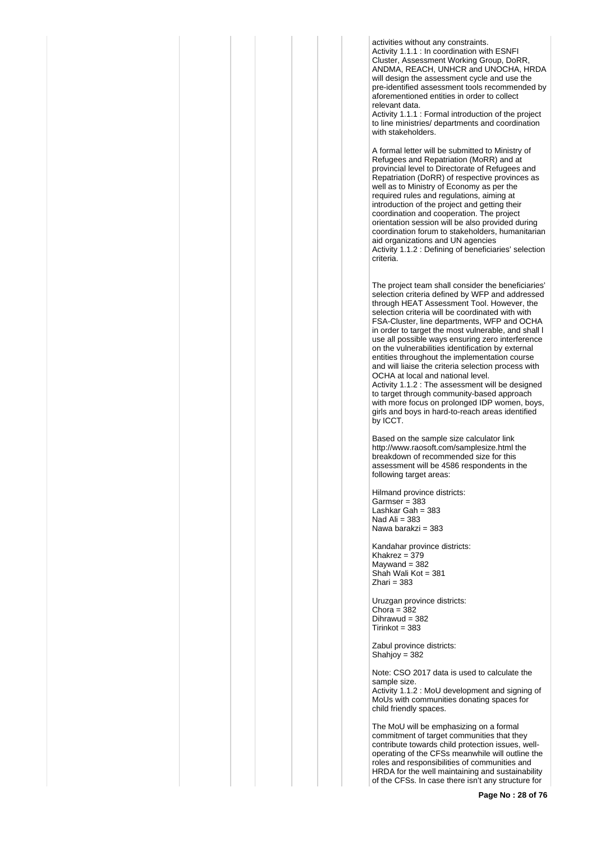activities without any constraints. Activity 1.1.1 : In coordination with ESNFI Cluster, Assessment Working Group, DoRR, ANDMA, REACH, UNHCR and UNOCHA, HRDA will design the assessment cycle and use the pre-identified assessment tools recommended by aforementioned entities in order to collect relevant data.

Activity 1.1.1 : Formal introduction of the project to line ministries/ departments and coordination with stakeholders.

A formal letter will be submitted to Ministry of Refugees and Repatriation (MoRR) and at provincial level to Directorate of Refugees and Repatriation (DoRR) of respective provinces as well as to Ministry of Economy as per the required rules and regulations, aiming at introduction of the project and getting their coordination and cooperation. The project orientation session will be also provided during coordination forum to stakeholders, humanitarian aid organizations and UN agencies Activity 1.1.2 : Defining of beneficiaries' selection criteria.

The project team shall consider the beneficiaries' selection criteria defined by WFP and addressed through HEAT Assessment Tool. However, the selection criteria will be coordinated with with FSA-Cluster, line departments, WFP and OCHA in order to target the most vulnerable, and shall l use all possible ways ensuring zero interference on the vulnerabilities identification by external entities throughout the implementation course and will liaise the criteria selection process with OCHA at local and national level. Activity 1.1.2 : The assessment will be designed to target through community-based approach with more focus on prolonged IDP women, boys, girls and boys in hard-to-reach areas identified by ICCT.

Based on the sample size calculator link http://www.raosoft.com/samplesize.html the breakdown of recommended size for this assessment will be 4586 respondents in the following target areas:

Hilmand province districts: Garmser = 383 Lashkar Gah = 383 Nad Ali  $= 383$ Nawa barakzi = 383

Kandahar province districts: Khakrez = 379  $M$ aywand = 382 Shah Wali Kot = 381  $Z$ hari = 383

Uruzgan province districts: Chora =  $382$  $Dihrawud = 382$ Tirinkot = 383

Zabul province districts: Shahjoy = 382

Note: CSO 2017 data is used to calculate the sample size. Activity 1.1.2 : MoU development and signing of MoUs with communities donating spaces for child friendly spaces.

The MoU will be emphasizing on a formal commitment of target communities that they contribute towards child protection issues, welloperating of the CFSs meanwhile will outline the roles and responsibilities of communities and HRDA for the well maintaining and sustainability of the CFSs. In case there isn't any structure for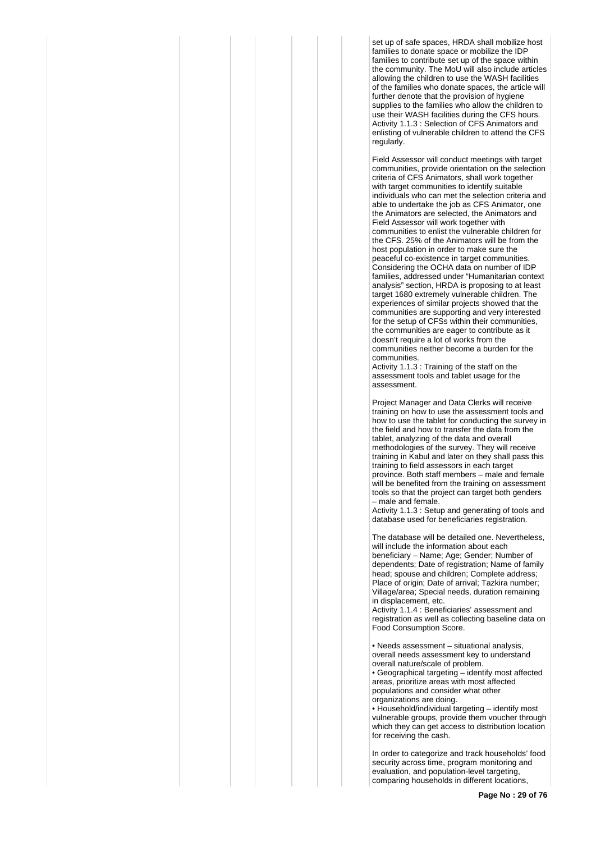set up of safe spaces, HRDA shall mobilize host families to donate space or mobilize the IDP families to contribute set up of the space within the community. The MoU will also include articles allowing the children to use the WASH facilities of the families who donate spaces, the article will further denote that the provision of hygiene supplies to the families who allow the children to use their WASH facilities during the CFS hours. Activity 1.1.3 : Selection of CFS Animators and enlisting of vulnerable children to attend the CFS regularly.

Field Assessor will conduct meetings with target communities, provide orientation on the selection criteria of CFS Animators, shall work together with target communities to identify suitable individuals who can met the selection criteria and able to undertake the job as CFS Animator, one the Animators are selected, the Animators and Field Assessor will work together with communities to enlist the vulnerable children for the CFS. 25% of the Animators will be from the host population in order to make sure the peaceful co-existence in target communities. Considering the OCHA data on number of IDP families, addressed under "Humanitarian context analysis" section, HRDA is proposing to at least target 1680 extremely vulnerable children. The experiences of similar projects showed that the communities are supporting and very interested for the setup of CFSs within their communities, the communities are eager to contribute as it doesn't require a lot of works from the communities neither become a burden for the communities.

Activity 1.1.3 : Training of the staff on the assessment tools and tablet usage for the assessment.

Project Manager and Data Clerks will receive training on how to use the assessment tools and how to use the tablet for conducting the survey in the field and how to transfer the data from the tablet, analyzing of the data and overall methodologies of the survey. They will receive training in Kabul and later on they shall pass this training to field assessors in each target province. Both staff members – male and female will be benefited from the training on assessment tools so that the project can target both genders – male and female.

Activity 1.1.3 : Setup and generating of tools and database used for beneficiaries registration.

The database will be detailed one. Nevertheless, will include the information about each beneficiary – Name; Age; Gender; Number of dependents; Date of registration; Name of family head; spouse and children; Complete address; Place of origin; Date of arrival; Tazkira number; Village/area; Special needs, duration remaining in displacement, etc.

Activity 1.1.4 : Beneficiaries' assessment and registration as well as collecting baseline data on Food Consumption Score.

• Needs assessment – situational analysis, overall needs assessment key to understand overall nature/scale of problem.

• Geographical targeting – identify most affected areas, prioritize areas with most affected populations and consider what other organizations are doing.

• Household/individual targeting – identify most vulnerable groups, provide them voucher through which they can get access to distribution location for receiving the cash.

In order to categorize and track households' food security across time, program monitoring and evaluation, and population-level targeting, comparing households in different locations,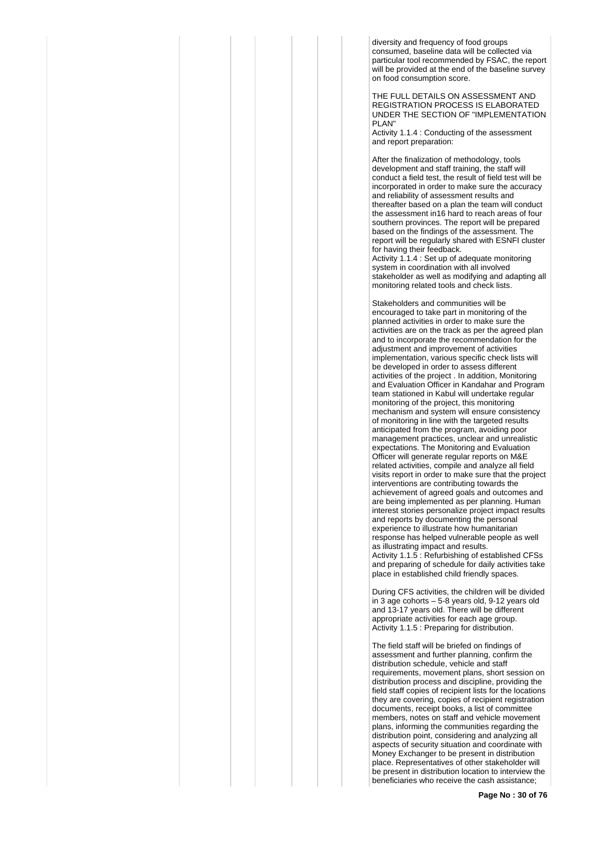diversity and frequency of food groups consumed, baseline data will be collected via particular tool recommended by FSAC, the report will be provided at the end of the baseline survey on food consumption score.

THE FULL DETAILS ON ASSESSMENT AND REGISTRATION PROCESS IS ELABORATED UNDER THE SECTION OF "IMPLEMENTATION PI AN"

Activity 1.1.4 : Conducting of the assessment and report preparation:

After the finalization of methodology, tools development and staff training, the staff will conduct a field test, the result of field test will be incorporated in order to make sure the accuracy and reliability of assessment results and thereafter based on a plan the team will conduct the assessment in16 hard to reach areas of four southern provinces. The report will be prepared based on the findings of the assessment. The report will be regularly shared with ESNFI cluster for having their feedback.

Activity 1.1.4 : Set up of adequate monitoring system in coordination with all involved stakeholder as well as modifying and adapting all monitoring related tools and check lists.

Stakeholders and communities will be encouraged to take part in monitoring of the planned activities in order to make sure the activities are on the track as per the agreed plan and to incorporate the recommendation for the adjustment and improvement of activities implementation, various specific check lists will be developed in order to assess different activities of the project . In addition, Monitoring and Evaluation Officer in Kandahar and Program team stationed in Kabul will undertake regular monitoring of the project, this monitoring mechanism and system will ensure consistency of monitoring in line with the targeted results anticipated from the program, avoiding poor management practices, unclear and unrealistic expectations. The Monitoring and Evaluation Officer will generate regular reports on M&E related activities, compile and analyze all field visits report in order to make sure that the project interventions are contributing towards the achievement of agreed goals and outcomes and are being implemented as per planning. Human interest stories personalize project impact results and reports by documenting the personal experience to illustrate how humanitarian response has helped vulnerable people as well as illustrating impact and results. Activity 1.1.5 : Refurbishing of established CFSs and preparing of schedule for daily activities take place in established child friendly spaces.

During CFS activities, the children will be divided in 3 age cohorts – 5-8 years old, 9-12 years old and 13-17 years old. There will be different appropriate activities for each age group. Activity 1.1.5 : Preparing for distribution.

The field staff will be briefed on findings of assessment and further planning, confirm the distribution schedule, vehicle and staff requirements, movement plans, short session on distribution process and discipline, providing the field staff copies of recipient lists for the locations they are covering, copies of recipient registration documents, receipt books, a list of committee members, notes on staff and vehicle movement plans, informing the communities regarding the distribution point, considering and analyzing all aspects of security situation and coordinate with Money Exchanger to be present in distribution place. Representatives of other stakeholder will be present in distribution location to interview the beneficiaries who receive the cash assistance;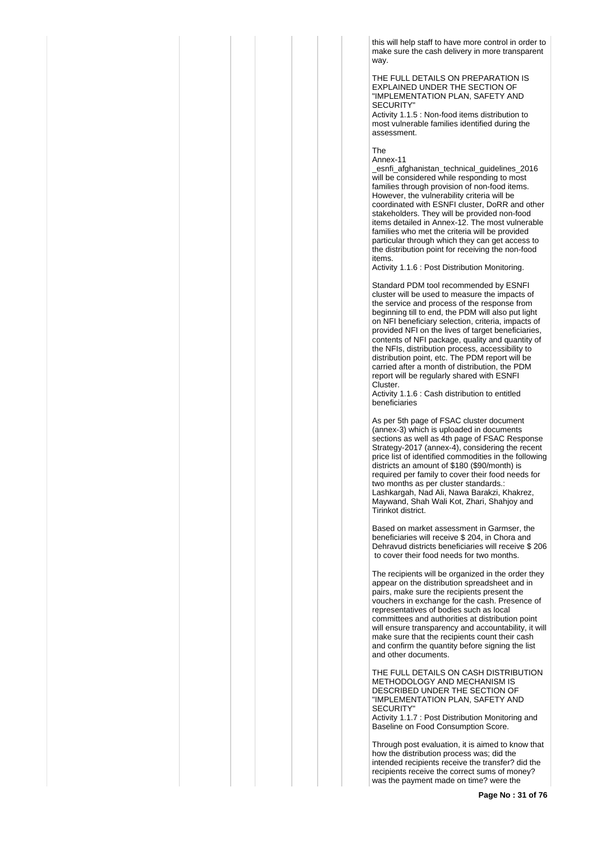this will help staff to have more control in order to make sure the cash delivery in more transparent way.

THE FULL DETAILS ON PREPARATION IS EXPLAINED UNDER THE SECTION OF "IMPLEMENTATION PLAN, SAFETY AND **SECURITY** 

Activity 1.1.5 : Non-food items distribution to most vulnerable families identified during the assessment.

The

Annex-11

\_esnfi\_afghanistan\_technical\_guidelines\_2016 will be considered while responding to most families through provision of non-food items. However, the vulnerability criteria will be coordinated with ESNFI cluster, DoRR and other stakeholders. They will be provided non-food items detailed in Annex-12. The most vulnerable families who met the criteria will be provided particular through which they can get access to the distribution point for receiving the non-food items.

Activity 1.1.6 : Post Distribution Monitoring.

Standard PDM tool recommended by ESNFI cluster will be used to measure the impacts of the service and process of the response from beginning till to end, the PDM will also put light on NFI beneficiary selection, criteria, impacts of provided NFI on the lives of target beneficiaries, contents of NFI package, quality and quantity of the NFIs, distribution process, accessibility to distribution point, etc. The PDM report will be carried after a month of distribution, the PDM report will be regularly shared with ESNFI Cluster.

Activity 1.1.6 : Cash distribution to entitled beneficiaries

As per 5th page of FSAC cluster document (annex-3) which is uploaded in documents sections as well as 4th page of FSAC Response Strategy-2017 (annex-4), considering the recent price list of identified commodities in the following districts an amount of \$180 (\$90/month) is required per family to cover their food needs for two months as per cluster standards.: Lashkargah, Nad Ali, Nawa Barakzi, Khakrez, Maywand, Shah Wali Kot, Zhari, Shahjoy and Tirinkot district.

Based on market assessment in Garmser, the beneficiaries will receive \$ 204, in Chora and Dehravud districts beneficiaries will receive \$ 206 to cover their food needs for two months.

The recipients will be organized in the order they appear on the distribution spreadsheet and in pairs, make sure the recipients present the vouchers in exchange for the cash. Presence of representatives of bodies such as local committees and authorities at distribution point will ensure transparency and accountability, it will make sure that the recipients count their cash and confirm the quantity before signing the list and other documents.

THE FULL DETAILS ON CASH DISTRIBUTION METHODOLOGY AND MECHANISM IS DESCRIBED UNDER THE SECTION OF "IMPLEMENTATION PLAN, SAFETY AND SECURITY'

Activity 1.1.7 : Post Distribution Monitoring and Baseline on Food Consumption Score.

Through post evaluation, it is aimed to know that how the distribution process was; did the intended recipients receive the transfer? did the recipients receive the correct sums of money? was the payment made on time? were the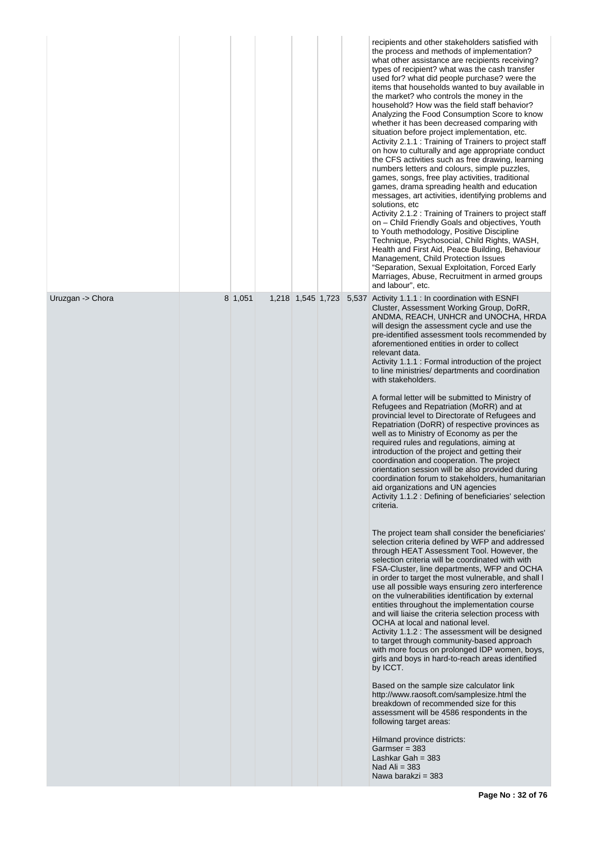|                  |         |                   |       | recipients and other stakeholders satisfied with<br>the process and methods of implementation?<br>what other assistance are recipients receiving?<br>types of recipient? what was the cash transfer<br>used for? what did people purchase? were the<br>items that households wanted to buy available in<br>the market? who controls the money in the<br>household? How was the field staff behavior?<br>Analyzing the Food Consumption Score to know<br>whether it has been decreased comparing with<br>situation before project implementation, etc.<br>Activity 2.1.1 : Training of Trainers to project staff<br>on how to culturally and age appropriate conduct<br>the CFS activities such as free drawing, learning<br>numbers letters and colours, simple puzzles,<br>games, songs, free play activities, traditional<br>games, drama spreading health and education<br>messages, art activities, identifying problems and<br>solutions, etc<br>Activity 2.1.2 : Training of Trainers to project staff<br>on - Child Friendly Goals and objectives, Youth<br>to Youth methodology, Positive Discipline<br>Technique, Psychosocial, Child Rights, WASH,<br>Health and First Aid, Peace Building, Behaviour<br>Management, Child Protection Issues<br>"Separation, Sexual Exploitation, Forced Early<br>Marriages, Abuse, Recruitment in armed groups<br>and labour", etc.                                                                                                                                                                                                                                                                                                                                                                                                                                                                                                                                                                                                                                                                                                                                                                                              |
|------------------|---------|-------------------|-------|-----------------------------------------------------------------------------------------------------------------------------------------------------------------------------------------------------------------------------------------------------------------------------------------------------------------------------------------------------------------------------------------------------------------------------------------------------------------------------------------------------------------------------------------------------------------------------------------------------------------------------------------------------------------------------------------------------------------------------------------------------------------------------------------------------------------------------------------------------------------------------------------------------------------------------------------------------------------------------------------------------------------------------------------------------------------------------------------------------------------------------------------------------------------------------------------------------------------------------------------------------------------------------------------------------------------------------------------------------------------------------------------------------------------------------------------------------------------------------------------------------------------------------------------------------------------------------------------------------------------------------------------------------------------------------------------------------------------------------------------------------------------------------------------------------------------------------------------------------------------------------------------------------------------------------------------------------------------------------------------------------------------------------------------------------------------------------------------------------------------------------------------------------------------------------|
| Uruzgan -> Chora | 8 1,051 | 1,218 1,545 1,723 | 5,537 | Activity 1.1.1 : In coordination with ESNFI<br>Cluster, Assessment Working Group, DoRR,<br>ANDMA, REACH, UNHCR and UNOCHA, HRDA<br>will design the assessment cycle and use the<br>pre-identified assessment tools recommended by<br>aforementioned entities in order to collect<br>relevant data.<br>Activity 1.1.1 : Formal introduction of the project<br>to line ministries/ departments and coordination<br>with stakeholders.<br>A formal letter will be submitted to Ministry of<br>Refugees and Repatriation (MoRR) and at<br>provincial level to Directorate of Refugees and<br>Repatriation (DoRR) of respective provinces as<br>well as to Ministry of Economy as per the<br>required rules and regulations, aiming at<br>introduction of the project and getting their<br>coordination and cooperation. The project<br>orientation session will be also provided during<br>coordination forum to stakeholders, humanitarian<br>aid organizations and UN agencies<br>Activity 1.1.2 : Defining of beneficiaries' selection<br>criteria.<br>The project team shall consider the beneficiaries'<br>selection criteria defined by WFP and addressed<br>through HEAT Assessment Tool. However, the<br>selection criteria will be coordinated with with<br>FSA-Cluster, line departments, WFP and OCHA<br>in order to target the most vulnerable, and shall I<br>use all possible ways ensuring zero interference<br>on the vulnerabilities identification by external<br>entities throughout the implementation course<br>and will liaise the criteria selection process with<br>OCHA at local and national level.<br>Activity 1.1.2 : The assessment will be designed<br>to target through community-based approach<br>with more focus on prolonged IDP women, boys,<br>girls and boys in hard-to-reach areas identified<br>by ICCT.<br>Based on the sample size calculator link<br>http://www.raosoft.com/samplesize.html the<br>breakdown of recommended size for this<br>assessment will be 4586 respondents in the<br>following target areas:<br>Hilmand province districts:<br>Garmser = $383$<br>Lashkar Gah = $383$<br>Nad Ali = $383$<br>Nawa barakzi = 383 |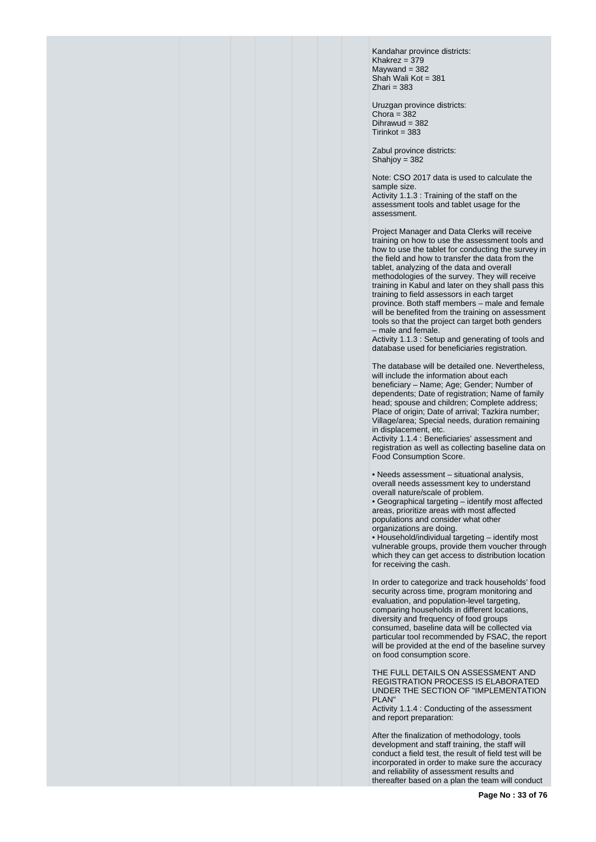Kandahar province districts: Khakrez =  $379$  $M$ aywand = 382 Shah Wali Kot = 381  $Z<sub>hair</sub> = 383$ 

Uruzgan province districts: Chora =  $382$ Dihrawud = 382  $Tirinkot = 383$ 

Zabul province districts: Shahjoy =  $382$ 

Note: CSO 2017 data is used to calculate the sample size.

Activity 1.1.3 : Training of the staff on the assessment tools and tablet usage for the assessment.

Project Manager and Data Clerks will receive training on how to use the assessment tools and how to use the tablet for conducting the survey in the field and how to transfer the data from the tablet, analyzing of the data and overall methodologies of the survey. They will receive training in Kabul and later on they shall pass this training to field assessors in each target province. Both staff members – male and female will be benefited from the training on assessment tools so that the project can target both genders – male and female.

Activity 1.1.3 : Setup and generating of tools and database used for beneficiaries registration.

The database will be detailed one. Nevertheless, will include the information about each beneficiary – Name; Age; Gender; Number of dependents; Date of registration; Name of family head; spouse and children; Complete address; Place of origin; Date of arrival; Tazkira number; Village/area; Special needs, duration remaining in displacement, etc.

Activity 1.1.4 : Beneficiaries' assessment and registration as well as collecting baseline data on Food Consumption Score.

• Needs assessment – situational analysis, overall needs assessment key to understand overall nature/scale of problem.

• Geographical targeting – identify most affected areas, prioritize areas with most affected populations and consider what other organizations are doing.

• Household/individual targeting – identify most vulnerable groups, provide them voucher through which they can get access to distribution location for receiving the cash.

In order to categorize and track households' food security across time, program monitoring and evaluation, and population-level targeting, comparing households in different locations, diversity and frequency of food groups consumed, baseline data will be collected via particular tool recommended by FSAC, the report will be provided at the end of the baseline survey on food consumption score.

THE FULL DETAILS ON ASSESSMENT AND REGISTRATION PROCESS IS ELABORATED UNDER THE SECTION OF "IMPLEMENTATION PI AN"

Activity 1.1.4 : Conducting of the assessment and report preparation:

After the finalization of methodology, tools development and staff training, the staff will conduct a field test, the result of field test will be incorporated in order to make sure the accuracy and reliability of assessment results and thereafter based on a plan the team will conduct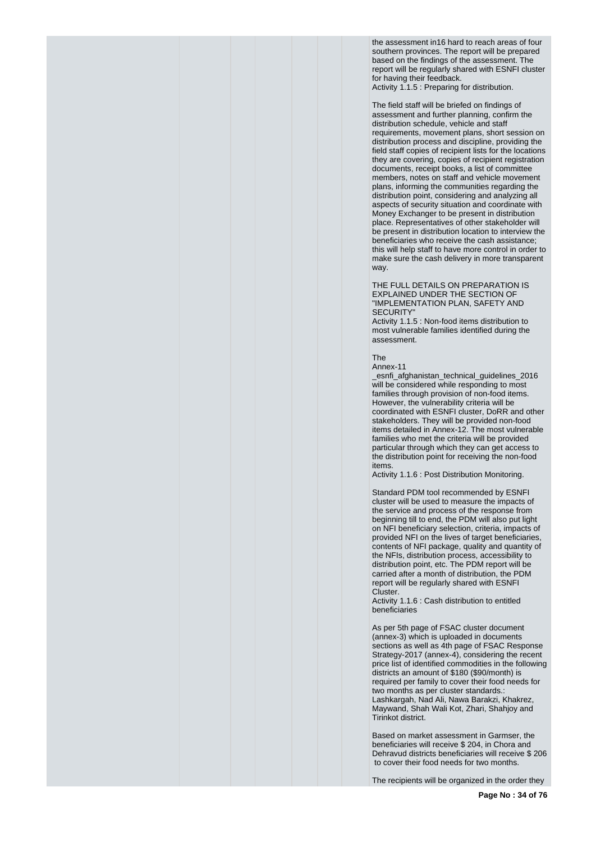the assessment in16 hard to reach areas of four southern provinces. The report will be prepared based on the findings of the assessment. The report will be regularly shared with ESNFI cluster for having their feedback. Activity 1.1.5 : Preparing for distribution.

The field staff will be briefed on findings of assessment and further planning, confirm the distribution schedule, vehicle and staff requirements, movement plans, short session on distribution process and discipline, providing the field staff copies of recipient lists for the locations they are covering, copies of recipient registration documents, receipt books, a list of committee members, notes on staff and vehicle movement plans, informing the communities regarding the distribution point, considering and analyzing all aspects of security situation and coordinate with Money Exchanger to be present in distribution place. Representatives of other stakeholder will be present in distribution location to interview the beneficiaries who receive the cash assistance; this will help staff to have more control in order to make sure the cash delivery in more transparent way.

#### THE FULL DETAILS ON PREPARATION IS EXPLAINED UNDER THE SECTION OF "IMPLEMENTATION PLAN, SAFETY AND SECURITY"

Activity 1.1.5 : Non-food items distribution to most vulnerable families identified during the assessment.

The

Annex-11 \_esnfi\_afghanistan\_technical\_guidelines\_2016 will be considered while responding to most families through provision of non-food items. However, the vulnerability criteria will be coordinated with ESNFI cluster, DoRR and other stakeholders. They will be provided non-food items detailed in Annex-12. The most vulnerable families who met the criteria will be provided particular through which they can get access to the distribution point for receiving the non-food items.

Activity 1.1.6 : Post Distribution Monitoring.

Standard PDM tool recommended by ESNFI cluster will be used to measure the impacts of the service and process of the response from beginning till to end, the PDM will also put light on NFI beneficiary selection, criteria, impacts of provided NFI on the lives of target beneficiaries, contents of NFI package, quality and quantity of the NFIs, distribution process, accessibility to distribution point, etc. The PDM report will be carried after a month of distribution, the PDM report will be regularly shared with ESNFI Cluster.

Activity 1.1.6 : Cash distribution to entitled beneficiaries

As per 5th page of FSAC cluster document (annex-3) which is uploaded in documents sections as well as 4th page of FSAC Response Strategy-2017 (annex-4), considering the recent price list of identified commodities in the following districts an amount of \$180 (\$90/month) is required per family to cover their food needs for two months as per cluster standards.: Lashkargah, Nad Ali, Nawa Barakzi, Khakrez, Maywand, Shah Wali Kot, Zhari, Shahjoy and Tirinkot district.

Based on market assessment in Garmser, the beneficiaries will receive \$ 204, in Chora and Dehravud districts beneficiaries will receive \$ 206 to cover their food needs for two months.

The recipients will be organized in the order they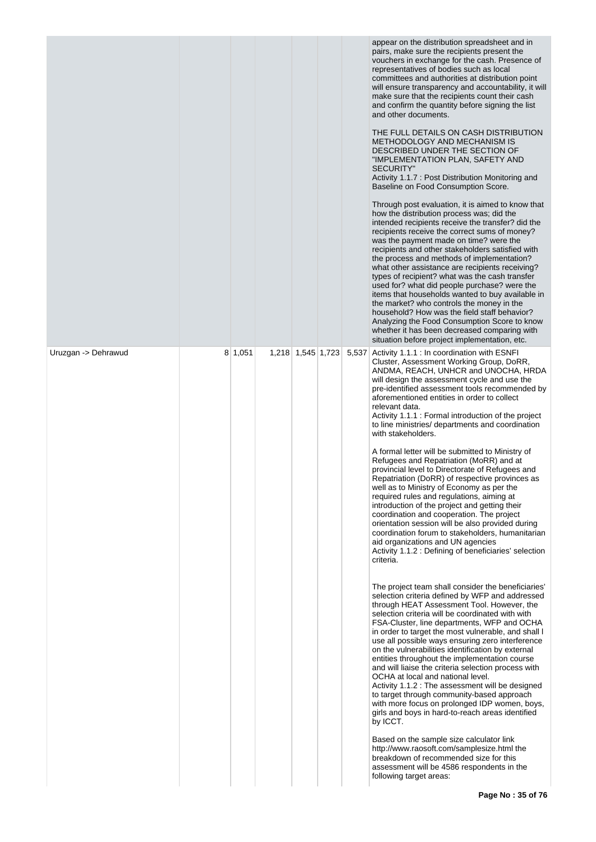|                     |         |                   |       | appear on the distribution spreadsheet and in<br>pairs, make sure the recipients present the<br>vouchers in exchange for the cash. Presence of<br>representatives of bodies such as local<br>committees and authorities at distribution point<br>will ensure transparency and accountability, it will<br>make sure that the recipients count their cash<br>and confirm the quantity before signing the list<br>and other documents.<br>THE FULL DETAILS ON CASH DISTRIBUTION<br>METHODOLOGY AND MECHANISM IS<br>DESCRIBED UNDER THE SECTION OF<br>"IMPLEMENTATION PLAN, SAFETY AND<br><b>SECURITY"</b><br>Activity 1.1.7 : Post Distribution Monitoring and<br>Baseline on Food Consumption Score.<br>Through post evaluation, it is aimed to know that<br>how the distribution process was; did the<br>intended recipients receive the transfer? did the<br>recipients receive the correct sums of money?<br>was the payment made on time? were the<br>recipients and other stakeholders satisfied with<br>the process and methods of implementation?<br>what other assistance are recipients receiving?<br>types of recipient? what was the cash transfer<br>used for? what did people purchase? were the<br>items that households wanted to buy available in<br>the market? who controls the money in the<br>household? How was the field staff behavior?<br>Analyzing the Food Consumption Score to know<br>whether it has been decreased comparing with<br>situation before project implementation, etc. |
|---------------------|---------|-------------------|-------|---------------------------------------------------------------------------------------------------------------------------------------------------------------------------------------------------------------------------------------------------------------------------------------------------------------------------------------------------------------------------------------------------------------------------------------------------------------------------------------------------------------------------------------------------------------------------------------------------------------------------------------------------------------------------------------------------------------------------------------------------------------------------------------------------------------------------------------------------------------------------------------------------------------------------------------------------------------------------------------------------------------------------------------------------------------------------------------------------------------------------------------------------------------------------------------------------------------------------------------------------------------------------------------------------------------------------------------------------------------------------------------------------------------------------------------------------------------------------------------------------------------|
| Uruzgan -> Dehrawud | 8 1,051 | 1,218 1,545 1,723 | 5,537 | Activity 1.1.1 : In coordination with ESNFI<br>Cluster, Assessment Working Group, DoRR,<br>ANDMA, REACH, UNHCR and UNOCHA, HRDA<br>will design the assessment cycle and use the<br>pre-identified assessment tools recommended by<br>aforementioned entities in order to collect<br>relevant data.<br>Activity 1.1.1 : Formal introduction of the project<br>to line ministries/ departments and coordination<br>with stakeholders.                                                                                                                                                                                                                                                                                                                                                                                                                                                                                                                                                                                                                                                                                                                                                                                                                                                                                                                                                                                                                                                                           |
|                     |         |                   |       | A formal letter will be submitted to Ministry of<br>Refugees and Repatriation (MoRR) and at<br>provincial level to Directorate of Refugees and<br>Repatriation (DoRR) of respective provinces as<br>well as to Ministry of Economy as per the<br>required rules and regulations, aiming at<br>introduction of the project and getting their<br>coordination and cooperation. The project<br>orientation session will be also provided during<br>coordination forum to stakeholders, humanitarian<br>aid organizations and UN agencies<br>Activity 1.1.2 : Defining of beneficiaries' selection<br>criteria.                                                                                                                                                                                                                                                                                                                                                                                                                                                                                                                                                                                                                                                                                                                                                                                                                                                                                                   |
|                     |         |                   |       | The project team shall consider the beneficiaries'<br>selection criteria defined by WFP and addressed<br>through HEAT Assessment Tool. However, the<br>selection criteria will be coordinated with with<br>FSA-Cluster, line departments, WFP and OCHA<br>in order to target the most vulnerable, and shall I<br>use all possible ways ensuring zero interference<br>on the vulnerabilities identification by external<br>entities throughout the implementation course<br>and will liaise the criteria selection process with<br>OCHA at local and national level.<br>Activity 1.1.2 : The assessment will be designed<br>to target through community-based approach<br>with more focus on prolonged IDP women, boys,<br>girls and boys in hard-to-reach areas identified<br>by ICCT.                                                                                                                                                                                                                                                                                                                                                                                                                                                                                                                                                                                                                                                                                                                        |
|                     |         |                   |       | Based on the sample size calculator link<br>http://www.raosoft.com/samplesize.html the<br>breakdown of recommended size for this<br>assessment will be 4586 respondents in the<br>following target areas:                                                                                                                                                                                                                                                                                                                                                                                                                                                                                                                                                                                                                                                                                                                                                                                                                                                                                                                                                                                                                                                                                                                                                                                                                                                                                                     |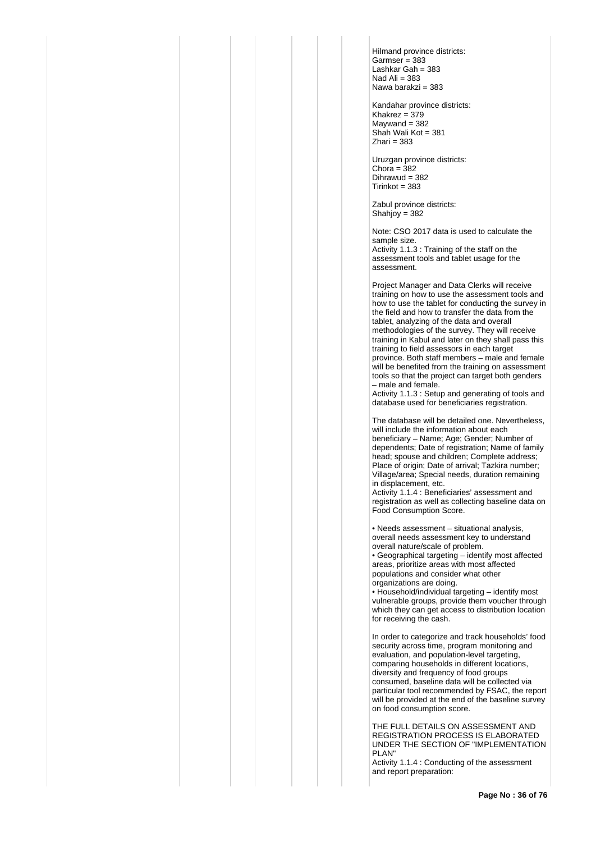Hilmand province districts:  $Garmser = 383$ Lashkar Gah = 383 Nad Ali  $= 383$ Nawa barakzi = 383

Kandahar province districts: Khakrez =  $379$  $M$ aywand = 382 Shah Wali Kot = 381  $Z$ hari = 383

Uruzgan province districts: Chora =  $382$ Dihrawud = 382  $Tirinkot = 383$ 

Zabul province districts: Shahjoy =  $382$ 

Note: CSO 2017 data is used to calculate the sample size.

Activity 1.1.3 : Training of the staff on the assessment tools and tablet usage for the assessment.

Project Manager and Data Clerks will receive training on how to use the assessment tools and how to use the tablet for conducting the survey in the field and how to transfer the data from the tablet, analyzing of the data and overall methodologies of the survey. They will receive training in Kabul and later on they shall pass this training to field assessors in each target province. Both staff members – male and female will be benefited from the training on assessment tools so that the project can target both genders – male and female.

Activity 1.1.3 : Setup and generating of tools and database used for beneficiaries registration.

The database will be detailed one. Nevertheless, will include the information about each beneficiary – Name; Age; Gender; Number of dependents; Date of registration; Name of family head; spouse and children; Complete address; Place of origin; Date of arrival; Tazkira number; Village/area; Special needs, duration remaining in displacement, etc.

Activity 1.1.4 : Beneficiaries' assessment and registration as well as collecting baseline data on Food Consumption Score.

• Needs assessment – situational analysis, overall needs assessment key to understand overall nature/scale of problem.

• Geographical targeting – identify most affected areas, prioritize areas with most affected populations and consider what other organizations are doing.

• Household/individual targeting – identify most vulnerable groups, provide them voucher through which they can get access to distribution location for receiving the cash.

In order to categorize and track households' food security across time, program monitoring and evaluation, and population-level targeting, comparing households in different locations, diversity and frequency of food groups consumed, baseline data will be collected via particular tool recommended by FSAC, the report will be provided at the end of the baseline survey on food consumption score.

THE FULL DETAILS ON ASSESSMENT AND REGISTRATION PROCESS IS ELABORATED UNDER THE SECTION OF "IMPLEMENTATION PLAN"

Activity 1.1.4 : Conducting of the assessment and report preparation: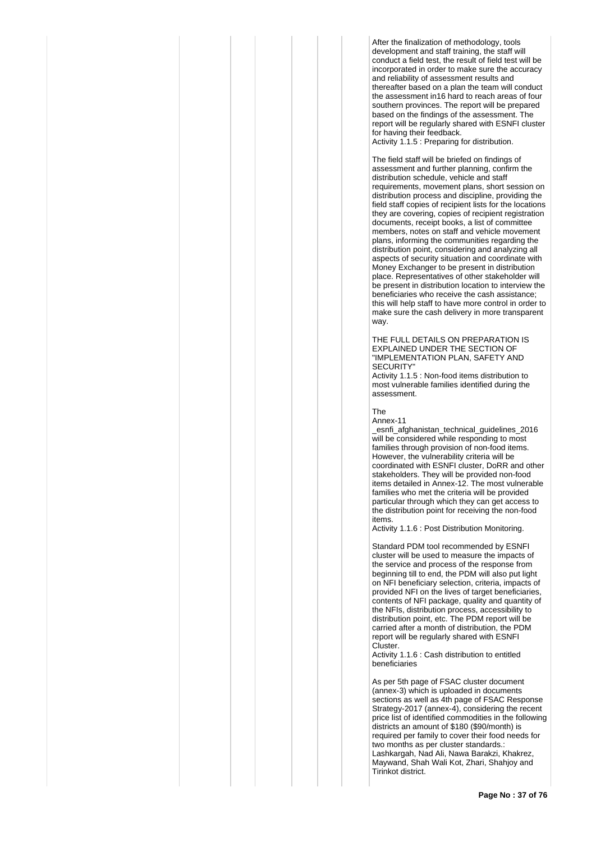After the finalization of methodology, tools development and staff training, the staff will conduct a field test, the result of field test will be incorporated in order to make sure the accuracy and reliability of assessment results and thereafter based on a plan the team will conduct the assessment in16 hard to reach areas of four southern provinces. The report will be prepared based on the findings of the assessment. The report will be regularly shared with ESNFI cluster for having their feedback.

Activity 1.1.5 : Preparing for distribution.

The field staff will be briefed on findings of assessment and further planning, confirm the distribution schedule, vehicle and staff requirements, movement plans, short session on distribution process and discipline, providing the field staff copies of recipient lists for the locations they are covering, copies of recipient registration documents, receipt books, a list of committee members, notes on staff and vehicle movement plans, informing the communities regarding the distribution point, considering and analyzing all aspects of security situation and coordinate with Money Exchanger to be present in distribution place. Representatives of other stakeholder will be present in distribution location to interview the beneficiaries who receive the cash assistance; this will help staff to have more control in order to make sure the cash delivery in more transparent way.

THE FULL DETAILS ON PREPARATION IS EXPLAINED UNDER THE SECTION OF "IMPLEMENTATION PLAN, SAFETY AND SECURITY"

Activity 1.1.5 : Non-food items distribution to most vulnerable families identified during the assessment.

The

Annex-11

\_esnfi\_afghanistan\_technical\_guidelines\_2016 will be considered while responding to most families through provision of non-food items. However, the vulnerability criteria will be coordinated with ESNFI cluster, DoRR and other stakeholders. They will be provided non-food items detailed in Annex-12. The most vulnerable families who met the criteria will be provided particular through which they can get access to the distribution point for receiving the non-food items.

Activity 1.1.6 : Post Distribution Monitoring.

Standard PDM tool recommended by ESNFI cluster will be used to measure the impacts of the service and process of the response from beginning till to end, the PDM will also put light on NFI beneficiary selection, criteria, impacts of provided NFI on the lives of target beneficiaries, contents of NFI package, quality and quantity of the NFIs, distribution process, accessibility to distribution point, etc. The PDM report will be carried after a month of distribution, the PDM report will be regularly shared with ESNFI Cluster.

Activity 1.1.6 : Cash distribution to entitled beneficiaries

As per 5th page of FSAC cluster document (annex-3) which is uploaded in documents sections as well as 4th page of FSAC Response Strategy-2017 (annex-4), considering the recent price list of identified commodities in the following districts an amount of \$180 (\$90/month) is required per family to cover their food needs for two months as per cluster standards.: Lashkargah, Nad Ali, Nawa Barakzi, Khakrez, Maywand, Shah Wali Kot, Zhari, Shahjoy and Tirinkot district.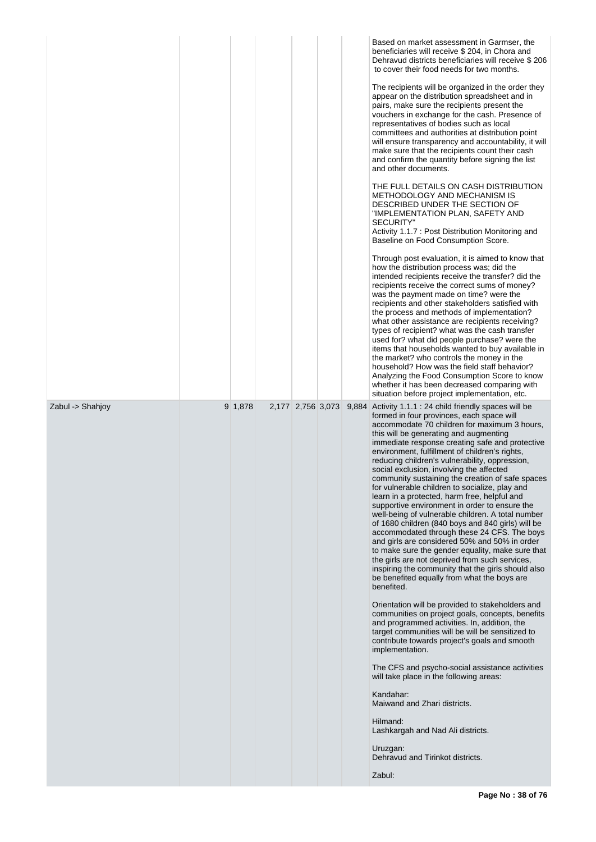|                  |         |                   |  | Based on market assessment in Garmser, the<br>beneficiaries will receive \$ 204, in Chora and<br>Dehravud districts beneficiaries will receive \$206<br>to cover their food needs for two months.<br>The recipients will be organized in the order they<br>appear on the distribution spreadsheet and in<br>pairs, make sure the recipients present the<br>vouchers in exchange for the cash. Presence of<br>representatives of bodies such as local<br>committees and authorities at distribution point<br>will ensure transparency and accountability, it will<br>make sure that the recipients count their cash<br>and confirm the quantity before signing the list<br>and other documents.<br>THE FULL DETAILS ON CASH DISTRIBUTION<br>METHODOLOGY AND MECHANISM IS<br>DESCRIBED UNDER THE SECTION OF<br>"IMPLEMENTATION PLAN, SAFETY AND<br><b>SECURITY"</b><br>Activity 1.1.7 : Post Distribution Monitoring and<br>Baseline on Food Consumption Score.<br>Through post evaluation, it is aimed to know that<br>how the distribution process was; did the<br>intended recipients receive the transfer? did the<br>recipients receive the correct sums of money?<br>was the payment made on time? were the<br>recipients and other stakeholders satisfied with<br>the process and methods of implementation?<br>what other assistance are recipients receiving?<br>types of recipient? what was the cash transfer<br>used for? what did people purchase? were the<br>items that households wanted to buy available in<br>the market? who controls the money in the<br>household? How was the field staff behavior?<br>Analyzing the Food Consumption Score to know<br>whether it has been decreased comparing with<br>situation before project implementation, etc. |
|------------------|---------|-------------------|--|--------------------------------------------------------------------------------------------------------------------------------------------------------------------------------------------------------------------------------------------------------------------------------------------------------------------------------------------------------------------------------------------------------------------------------------------------------------------------------------------------------------------------------------------------------------------------------------------------------------------------------------------------------------------------------------------------------------------------------------------------------------------------------------------------------------------------------------------------------------------------------------------------------------------------------------------------------------------------------------------------------------------------------------------------------------------------------------------------------------------------------------------------------------------------------------------------------------------------------------------------------------------------------------------------------------------------------------------------------------------------------------------------------------------------------------------------------------------------------------------------------------------------------------------------------------------------------------------------------------------------------------------------------------------------------------------------------------------------------------------------------------------------|
| Zabul -> Shahjoy | 9 1,878 | 2,177 2,756 3,073 |  | 9,884 Activity 1.1.1 : 24 child friendly spaces will be<br>formed in four provinces, each space will<br>accommodate 70 children for maximum 3 hours,<br>this will be generating and augmenting<br>immediate response creating safe and protective<br>environment, fulfillment of children's rights,<br>reducing children's vulnerability, oppression,<br>social exclusion, involving the affected<br>community sustaining the creation of safe spaces<br>for vulnerable children to socialize, play and<br>learn in a protected, harm free, helpful and<br>supportive environment in order to ensure the<br>well-being of vulnerable children. A total number<br>of 1680 children (840 boys and 840 girls) will be<br>accommodated through these 24 CFS. The boys<br>and girls are considered 50% and 50% in order<br>to make sure the gender equality, make sure that<br>the girls are not deprived from such services,<br>inspiring the community that the girls should also<br>be benefited equally from what the boys are<br>benefited.<br>Orientation will be provided to stakeholders and<br>communities on project goals, concepts, benefits<br>and programmed activities. In, addition, the<br>target communities will be will be sensitized to<br>contribute towards project's goals and smooth<br>implementation.<br>The CFS and psycho-social assistance activities<br>will take place in the following areas:<br>Kandahar:<br>Maiwand and Zhari districts.<br>Hilmand:<br>Lashkargah and Nad Ali districts.<br>Uruzgan:<br>Dehravud and Tirinkot districts.<br>Zabul:                                                                                                                                                                                        |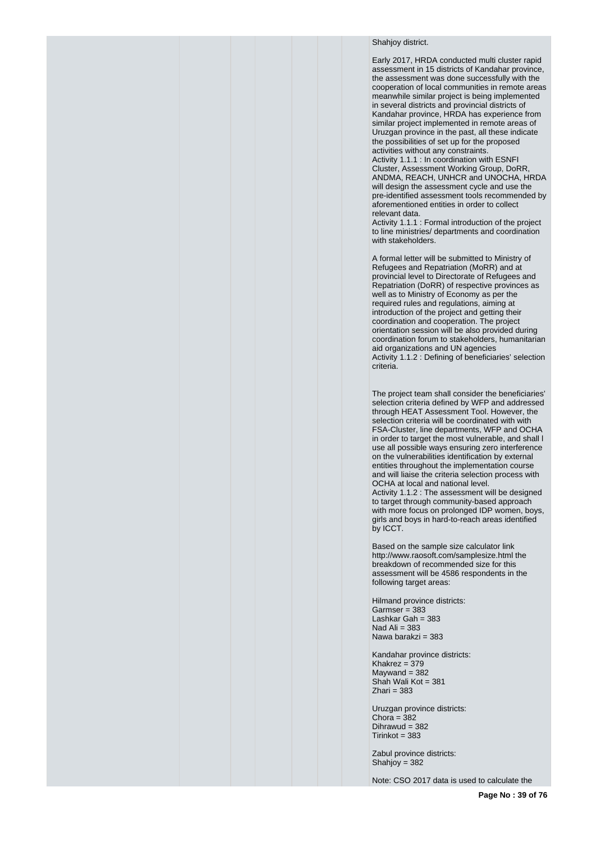## Shahiov district.

Early 2017, HRDA conducted multi cluster rapid assessment in 15 districts of Kandahar province, the assessment was done successfully with the cooperation of local communities in remote areas meanwhile similar project is being implemented in several districts and provincial districts of Kandahar province, HRDA has experience from similar project implemented in remote areas of Uruzgan province in the past, all these indicate the possibilities of set up for the proposed activities without any constraints. Activity 1.1.1 : In coordination with ESNFI Cluster, Assessment Working Group, DoRR, ANDMA, REACH, UNHCR and UNOCHA, HRDA will design the assessment cycle and use the pre-identified assessment tools recommended by aforementioned entities in order to collect relevant data.

Activity 1.1.1 : Formal introduction of the project to line ministries/ departments and coordination with stakeholders.

A formal letter will be submitted to Ministry of Refugees and Repatriation (MoRR) and at provincial level to Directorate of Refugees and Repatriation (DoRR) of respective provinces as well as to Ministry of Economy as per the required rules and regulations, aiming at introduction of the project and getting their coordination and cooperation. The project orientation session will be also provided during coordination forum to stakeholders, humanitarian aid organizations and UN agencies Activity 1.1.2 : Defining of beneficiaries' selection criteria.

The project team shall consider the beneficiaries' selection criteria defined by WFP and addressed through HEAT Assessment Tool. However, the selection criteria will be coordinated with with FSA-Cluster, line departments, WFP and OCHA in order to target the most vulnerable, and shall l use all possible ways ensuring zero interference on the vulnerabilities identification by external entities throughout the implementation course and will liaise the criteria selection process with OCHA at local and national level. Activity 1.1.2 : The assessment will be designed to target through community-based approach with more focus on prolonged IDP women, boys, girls and boys in hard-to-reach areas identified by ICCT.

Based on the sample size calculator link http://www.raosoft.com/samplesize.html the breakdown of recommended size for this assessment will be 4586 respondents in the following target areas:

Hilmand province districts:  $Garmser = 383$ Lashkar Gah = 383 Nad Ali  $= 383$ Nawa barakzi = 383

Kandahar province districts:  $Khakrez = 379$  $Maywand = 382$ Shah Wali Kot = 381  $Z$ hari = 383

Uruzgan province districts: Chora =  $382$ Dihrawud = 382  $Tirinkot = 383$ 

Zabul province districts: Shahjoy = 382

Note: CSO 2017 data is used to calculate the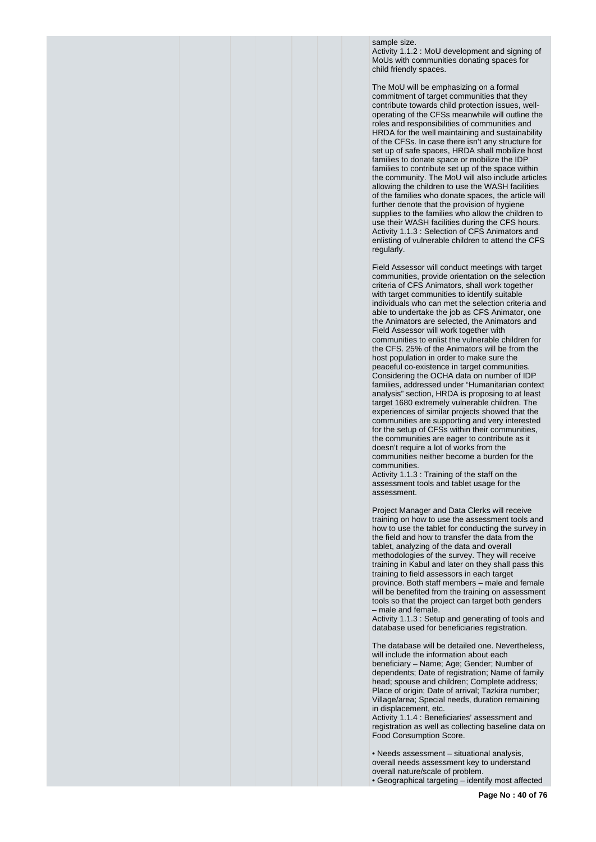sample size.

Activity 1.1.2 : MoU development and signing of MoUs with communities donating spaces for child friendly spaces.

The MoU will be emphasizing on a formal commitment of target communities that they contribute towards child protection issues, welloperating of the CFSs meanwhile will outline the roles and responsibilities of communities and HRDA for the well maintaining and sustainability of the CFSs. In case there isn't any structure for set up of safe spaces, HRDA shall mobilize host families to donate space or mobilize the IDP families to contribute set up of the space within the community. The MoU will also include articles allowing the children to use the WASH facilities of the families who donate spaces, the article will further denote that the provision of hygiene supplies to the families who allow the children to use their WASH facilities during the CFS hours. Activity 1.1.3 : Selection of CFS Animators and enlisting of vulnerable children to attend the CFS regularly.

Field Assessor will conduct meetings with target communities, provide orientation on the selection criteria of CFS Animators, shall work together with target communities to identify suitable individuals who can met the selection criteria and able to undertake the job as CFS Animator, one the Animators are selected, the Animators and Field Assessor will work together with communities to enlist the vulnerable children for the CFS. 25% of the Animators will be from the host population in order to make sure the peaceful co-existence in target communities. Considering the OCHA data on number of IDP families, addressed under "Humanitarian context analysis" section, HRDA is proposing to at least target 1680 extremely vulnerable children. The experiences of similar projects showed that the communities are supporting and very interested for the setup of CFSs within their communities, the communities are eager to contribute as it doesn't require a lot of works from the communities neither become a burden for the communities.

Activity 1.1.3 : Training of the staff on the assessment tools and tablet usage for the assessment.

Project Manager and Data Clerks will receive training on how to use the assessment tools and how to use the tablet for conducting the survey in the field and how to transfer the data from the tablet, analyzing of the data and overall methodologies of the survey. They will receive training in Kabul and later on they shall pass this training to field assessors in each target province. Both staff members – male and female will be benefited from the training on assessment tools so that the project can target both genders – male and female.

Activity 1.1.3 : Setup and generating of tools and database used for beneficiaries registration.

The database will be detailed one. Nevertheless, will include the information about each beneficiary – Name; Age; Gender; Number of dependents; Date of registration; Name of family head; spouse and children; Complete address; Place of origin; Date of arrival; Tazkira number; Village/area; Special needs, duration remaining in displacement, etc.

Activity 1.1.4 : Beneficiaries' assessment and registration as well as collecting baseline data on Food Consumption Score.

• Needs assessment – situational analysis, overall needs assessment key to understand overall nature/scale of problem. • Geographical targeting – identify most affected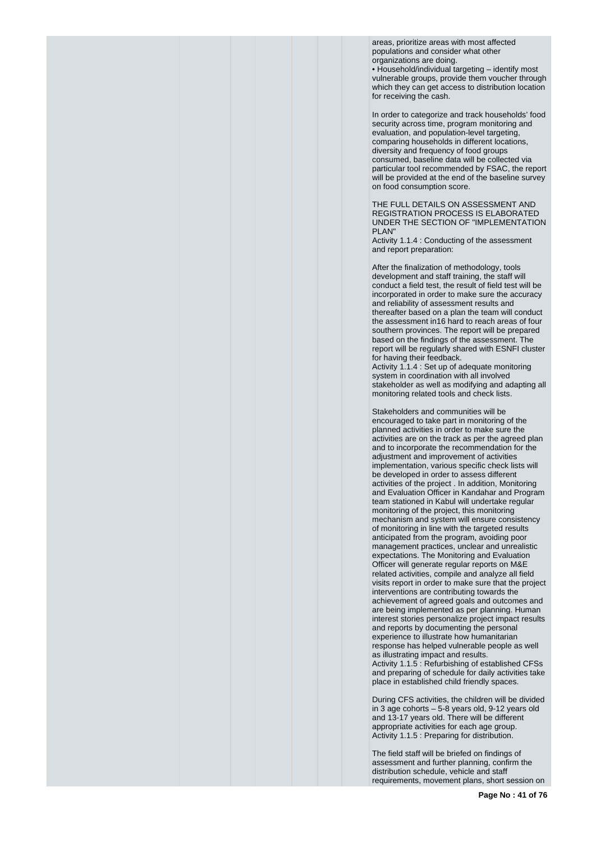areas, prioritize areas with most affected populations and consider what other organizations are doing.

• Household/individual targeting – identify most vulnerable groups, provide them voucher through which they can get access to distribution location for receiving the cash.

In order to categorize and track households' food security across time, program monitoring and evaluation, and population-level targeting, comparing households in different locations, diversity and frequency of food groups consumed, baseline data will be collected via particular tool recommended by FSAC, the report will be provided at the end of the baseline survey on food consumption score.

THE FULL DETAILS ON ASSESSMENT AND REGISTRATION PROCESS IS ELABORATED UNDER THE SECTION OF "IMPLEMENTATION PLAN"

Activity 1.1.4 : Conducting of the assessment and report preparation:

After the finalization of methodology, tools development and staff training, the staff will conduct a field test, the result of field test will be incorporated in order to make sure the accuracy and reliability of assessment results and thereafter based on a plan the team will conduct the assessment in16 hard to reach areas of four southern provinces. The report will be prepared based on the findings of the assessment. The report will be regularly shared with ESNFI cluster for having their feedback.

Activity 1.1.4 : Set up of adequate monitoring system in coordination with all involved stakeholder as well as modifying and adapting all monitoring related tools and check lists.

Stakeholders and communities will be encouraged to take part in monitoring of the planned activities in order to make sure the activities are on the track as per the agreed plan and to incorporate the recommendation for the adjustment and improvement of activities implementation, various specific check lists will be developed in order to assess different activities of the project . In addition, Monitoring and Evaluation Officer in Kandahar and Program team stationed in Kabul will undertake regular monitoring of the project, this monitoring mechanism and system will ensure consistency of monitoring in line with the targeted results anticipated from the program, avoiding poor management practices, unclear and unrealistic expectations. The Monitoring and Evaluation Officer will generate regular reports on M&E related activities, compile and analyze all field visits report in order to make sure that the project interventions are contributing towards the achievement of agreed goals and outcomes and are being implemented as per planning. Human interest stories personalize project impact results and reports by documenting the personal experience to illustrate how humanitarian response has helped vulnerable people as well as illustrating impact and results. Activity 1.1.5 : Refurbishing of established CFSs and preparing of schedule for daily activities take place in established child friendly spaces.

During CFS activities, the children will be divided in 3 age cohorts – 5-8 years old, 9-12 years old and 13-17 years old. There will be different appropriate activities for each age group. Activity 1.1.5 : Preparing for distribution.

The field staff will be briefed on findings of assessment and further planning, confirm the distribution schedule, vehicle and staff requirements, movement plans, short session on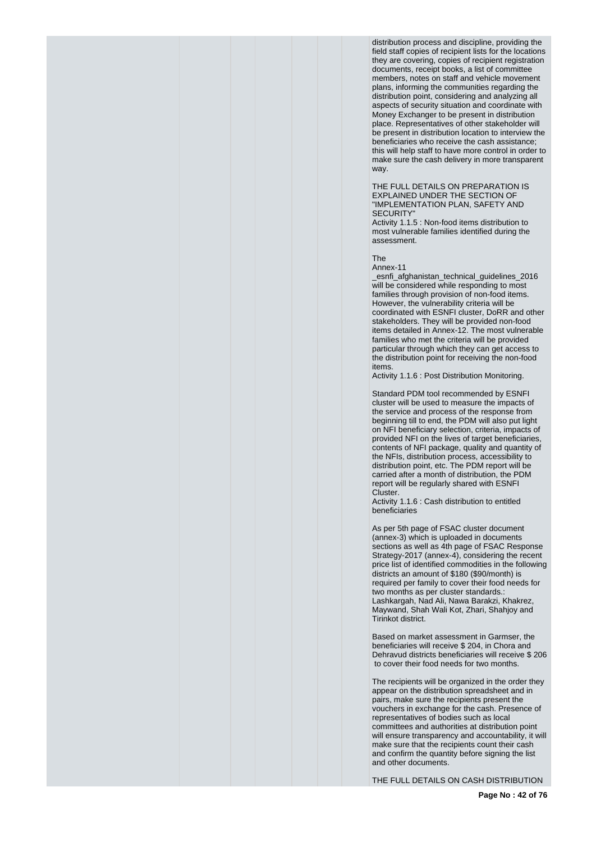distribution process and discipline, providing the field staff copies of recipient lists for the locations they are covering, copies of recipient registration documents, receipt books, a list of committee members, notes on staff and vehicle movement plans, informing the communities regarding the distribution point, considering and analyzing all aspects of security situation and coordinate with Money Exchanger to be present in distribution place. Representatives of other stakeholder will be present in distribution location to interview the beneficiaries who receive the cash assistance; this will help staff to have more control in order to make sure the cash delivery in more transparent way.

THE FULL DETAILS ON PREPARATION IS EXPLAINED UNDER THE SECTION OF "IMPLEMENTATION PLAN, SAFETY AND SECURITY"

Activity 1.1.5 : Non-food items distribution to most vulnerable families identified during the assessment.

The

Annex-11

\_esnfi\_afghanistan\_technical\_guidelines\_2016 will be considered while responding to most families through provision of non-food items. However, the vulnerability criteria will be coordinated with ESNFI cluster, DoRR and other stakeholders. They will be provided non-food items detailed in Annex-12. The most vulnerable families who met the criteria will be provided particular through which they can get access to the distribution point for receiving the non-food items.

Activity 1.1.6 : Post Distribution Monitoring.

Standard PDM tool recommended by ESNFI cluster will be used to measure the impacts of the service and process of the response from beginning till to end, the PDM will also put light on NFI beneficiary selection, criteria, impacts of provided NFI on the lives of target beneficiaries, contents of NFI package, quality and quantity of the NFIs, distribution process, accessibility to distribution point, etc. The PDM report will be carried after a month of distribution, the PDM report will be regularly shared with ESNFI Cluster.

Activity 1.1.6 : Cash distribution to entitled beneficiaries

As per 5th page of FSAC cluster document (annex-3) which is uploaded in documents sections as well as 4th page of FSAC Response Strategy-2017 (annex-4), considering the recent price list of identified commodities in the following districts an amount of \$180 (\$90/month) is required per family to cover their food needs for two months as per cluster standards. Lashkargah, Nad Ali, Nawa Barakzi, Khakrez, Maywand, Shah Wali Kot, Zhari, Shahjoy and Tirinkot district.

Based on market assessment in Garmser, the beneficiaries will receive \$ 204, in Chora and Dehravud districts beneficiaries will receive \$ 206 to cover their food needs for two months.

The recipients will be organized in the order they appear on the distribution spreadsheet and in pairs, make sure the recipients present the vouchers in exchange for the cash. Presence of representatives of bodies such as local committees and authorities at distribution point will ensure transparency and accountability, it will make sure that the recipients count their cash and confirm the quantity before signing the list and other documents.

THE FULL DETAILS ON CASH DISTRIBUTION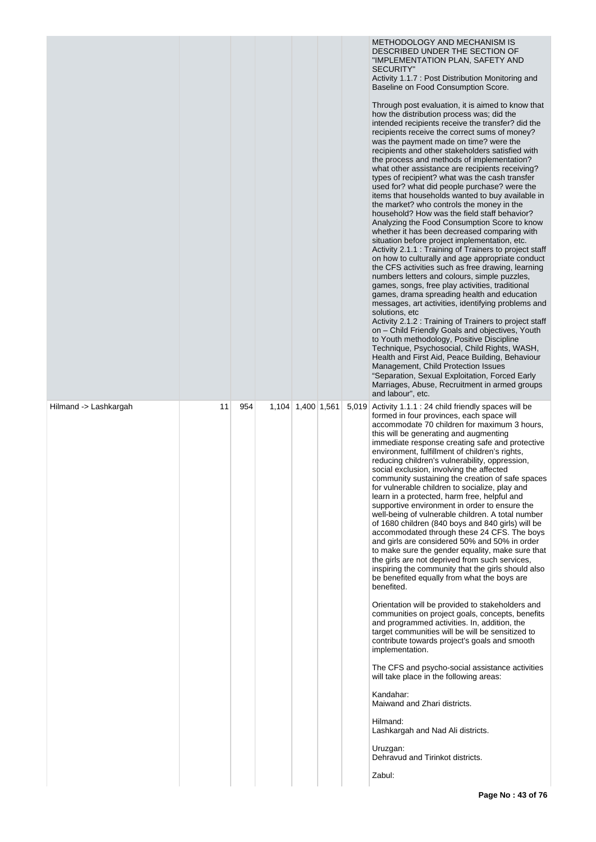|                       |    |     |                   |  | METHODOLOGY AND MECHANISM IS<br>DESCRIBED UNDER THE SECTION OF<br>"IMPLEMENTATION PLAN, SAFETY AND<br><b>SECURITY"</b><br>Activity 1.1.7 : Post Distribution Monitoring and<br>Baseline on Food Consumption Score.<br>Through post evaluation, it is aimed to know that<br>how the distribution process was; did the<br>intended recipients receive the transfer? did the<br>recipients receive the correct sums of money?<br>was the payment made on time? were the<br>recipients and other stakeholders satisfied with<br>the process and methods of implementation?<br>what other assistance are recipients receiving?<br>types of recipient? what was the cash transfer<br>used for? what did people purchase? were the<br>items that households wanted to buy available in<br>the market? who controls the money in the<br>household? How was the field staff behavior?<br>Analyzing the Food Consumption Score to know<br>whether it has been decreased comparing with<br>situation before project implementation, etc.<br>Activity 2.1.1 : Training of Trainers to project staff<br>on how to culturally and age appropriate conduct<br>the CFS activities such as free drawing, learning<br>numbers letters and colours, simple puzzles,<br>games, songs, free play activities, traditional<br>games, drama spreading health and education<br>messages, art activities, identifying problems and<br>solutions, etc<br>Activity 2.1.2 : Training of Trainers to project staff<br>on - Child Friendly Goals and objectives, Youth<br>to Youth methodology, Positive Discipline<br>Technique, Psychosocial, Child Rights, WASH,<br>Health and First Aid, Peace Building, Behaviour<br>Management, Child Protection Issues<br>"Separation, Sexual Exploitation, Forced Early<br>Marriages, Abuse, Recruitment in armed groups<br>and labour", etc. |
|-----------------------|----|-----|-------------------|--|--------------------------------------------------------------------------------------------------------------------------------------------------------------------------------------------------------------------------------------------------------------------------------------------------------------------------------------------------------------------------------------------------------------------------------------------------------------------------------------------------------------------------------------------------------------------------------------------------------------------------------------------------------------------------------------------------------------------------------------------------------------------------------------------------------------------------------------------------------------------------------------------------------------------------------------------------------------------------------------------------------------------------------------------------------------------------------------------------------------------------------------------------------------------------------------------------------------------------------------------------------------------------------------------------------------------------------------------------------------------------------------------------------------------------------------------------------------------------------------------------------------------------------------------------------------------------------------------------------------------------------------------------------------------------------------------------------------------------------------------------------------------------------------------------------------------------------------------------------|
| Hilmand -> Lashkargah | 11 | 954 | 1,104 1,400 1,561 |  | 5,019 Activity 1.1.1 : 24 child friendly spaces will be<br>formed in four provinces, each space will<br>accommodate 70 children for maximum 3 hours,<br>this will be generating and augmenting<br>immediate response creating safe and protective<br>environment, fulfillment of children's rights,<br>reducing children's vulnerability, oppression,<br>social exclusion, involving the affected<br>community sustaining the creation of safe spaces<br>for vulnerable children to socialize, play and<br>learn in a protected, harm free, helpful and<br>supportive environment in order to ensure the<br>well-being of vulnerable children. A total number<br>of 1680 children (840 boys and 840 girls) will be<br>accommodated through these 24 CFS. The boys<br>and girls are considered 50% and 50% in order<br>to make sure the gender equality, make sure that<br>the girls are not deprived from such services,<br>inspiring the community that the girls should also<br>be benefited equally from what the boys are<br>benefited.<br>Orientation will be provided to stakeholders and<br>communities on project goals, concepts, benefits<br>and programmed activities. In, addition, the<br>target communities will be will be sensitized to<br>contribute towards project's goals and smooth<br>implementation.<br>The CFS and psycho-social assistance activities<br>will take place in the following areas:<br>Kandahar:<br>Maiwand and Zhari districts.<br>Hilmand:<br>Lashkargah and Nad Ali districts.<br>Uruzgan:<br>Dehravud and Tirinkot districts.<br>Zabul:                                                                                                                                                                                                                                                                      |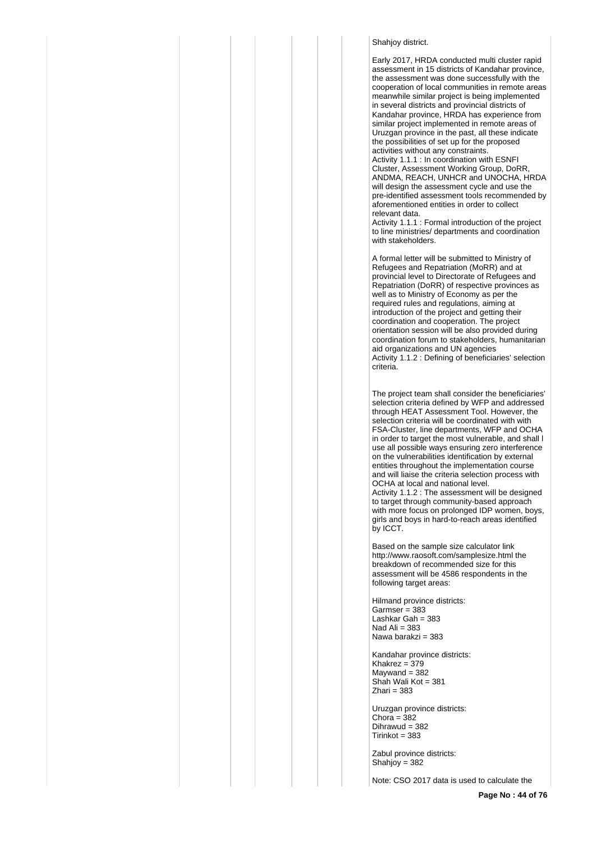# Shahiov district.

Early 2017, HRDA conducted multi cluster rapid assessment in 15 districts of Kandahar province, the assessment was done successfully with the cooperation of local communities in remote areas meanwhile similar project is being implemented in several districts and provincial districts of Kandahar province, HRDA has experience from similar project implemented in remote areas of Uruzgan province in the past, all these indicate the possibilities of set up for the proposed activities without any constraints.

Activity 1.1.1 : In coordination with ESNFI Cluster, Assessment Working Group, DoRR, ANDMA, REACH, UNHCR and UNOCHA, HRDA will design the assessment cycle and use the pre-identified assessment tools recommended by aforementioned entities in order to collect relevant data.

Activity 1.1.1 : Formal introduction of the project to line ministries/ departments and coordination with stakeholders.

A formal letter will be submitted to Ministry of Refugees and Repatriation (MoRR) and at provincial level to Directorate of Refugees and Repatriation (DoRR) of respective provinces as well as to Ministry of Economy as per the required rules and regulations, aiming at introduction of the project and getting their coordination and cooperation. The project orientation session will be also provided during coordination forum to stakeholders, humanitarian aid organizations and UN agencies Activity 1.1.2 : Defining of beneficiaries' selection criteria.

The project team shall consider the beneficiaries' selection criteria defined by WFP and addressed through HEAT Assessment Tool. However, the selection criteria will be coordinated with with FSA-Cluster, line departments, WFP and OCHA in order to target the most vulnerable, and shall l use all possible ways ensuring zero interference on the vulnerabilities identification by external entities throughout the implementation course and will liaise the criteria selection process with OCHA at local and national level. Activity 1.1.2 : The assessment will be designed to target through community-based approach with more focus on prolonged IDP women, boys, girls and boys in hard-to-reach areas identified by ICCT.

Based on the sample size calculator link http://www.raosoft.com/samplesize.html the breakdown of recommended size for this assessment will be 4586 respondents in the following target areas:

Hilmand province districts:  $Garmser = 383$ Lashkar Gah = 383 Nad Ali  $= 383$ Nawa barakzi = 383

Kandahar province districts: Khakrez =  $379$  $Maywand = 382$ Shah Wali Kot = 381  $Z$ hari = 383

Uruzgan province districts: Chora =  $382$ Dihrawud = 382  $Tirinkot = 383$ 

Zabul province districts: Shahjoy = 382

Note: CSO 2017 data is used to calculate the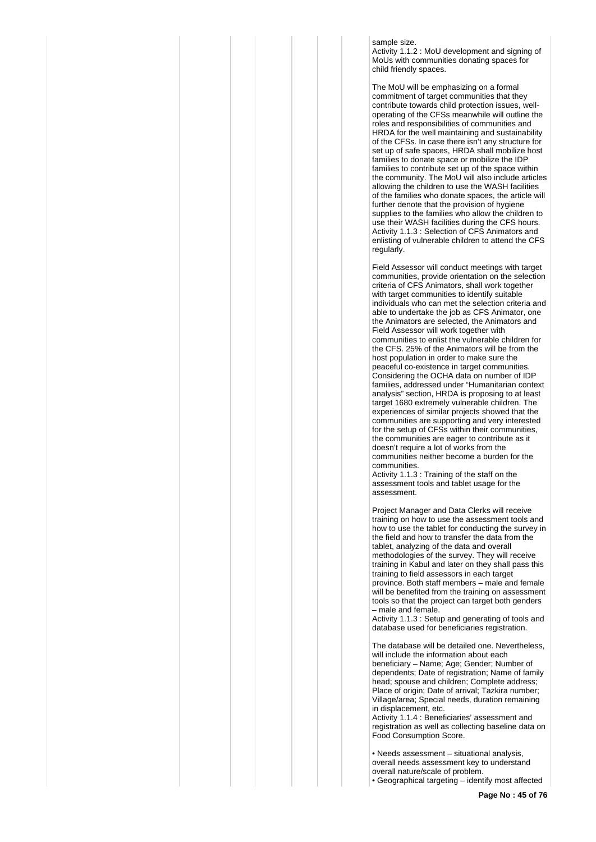sample size.

Activity 1.1.2 : MoU development and signing of MoUs with communities donating spaces for child friendly spaces.

The MoU will be emphasizing on a formal commitment of target communities that they contribute towards child protection issues, welloperating of the CFSs meanwhile will outline the roles and responsibilities of communities and HRDA for the well maintaining and sustainability of the CFSs. In case there isn't any structure for set up of safe spaces, HRDA shall mobilize host families to donate space or mobilize the IDP families to contribute set up of the space within the community. The MoU will also include articles allowing the children to use the WASH facilities of the families who donate spaces, the article will further denote that the provision of hygiene supplies to the families who allow the children to use their WASH facilities during the CFS hours. Activity 1.1.3 : Selection of CFS Animators and enlisting of vulnerable children to attend the CFS regularly.

Field Assessor will conduct meetings with target communities, provide orientation on the selection criteria of CFS Animators, shall work together with target communities to identify suitable individuals who can met the selection criteria and able to undertake the job as CFS Animator, one the Animators are selected, the Animators and Field Assessor will work together with communities to enlist the vulnerable children for the CFS. 25% of the Animators will be from the host population in order to make sure the peaceful co-existence in target communities. Considering the OCHA data on number of IDP families, addressed under "Humanitarian context analysis" section, HRDA is proposing to at least target 1680 extremely vulnerable children. The experiences of similar projects showed that the communities are supporting and very interested for the setup of CFSs within their communities, the communities are eager to contribute as it doesn't require a lot of works from the communities neither become a burden for the communities.

Activity 1.1.3 : Training of the staff on the assessment tools and tablet usage for the assessment.

Project Manager and Data Clerks will receive training on how to use the assessment tools and how to use the tablet for conducting the survey in the field and how to transfer the data from the tablet, analyzing of the data and overall methodologies of the survey. They will receive training in Kabul and later on they shall pass this training to field assessors in each target province. Both staff members – male and female will be benefited from the training on assessment tools so that the project can target both genders – male and female.

Activity 1.1.3 : Setup and generating of tools and database used for beneficiaries registration.

The database will be detailed one. Nevertheless, will include the information about each beneficiary – Name; Age; Gender; Number of dependents; Date of registration; Name of family head; spouse and children; Complete address; Place of origin; Date of arrival; Tazkira number; Village/area; Special needs, duration remaining in displacement, etc.

Activity 1.1.4 : Beneficiaries' assessment and registration as well as collecting baseline data on Food Consumption Score.

• Needs assessment – situational analysis, overall needs assessment key to understand overall nature/scale of problem. • Geographical targeting – identify most affected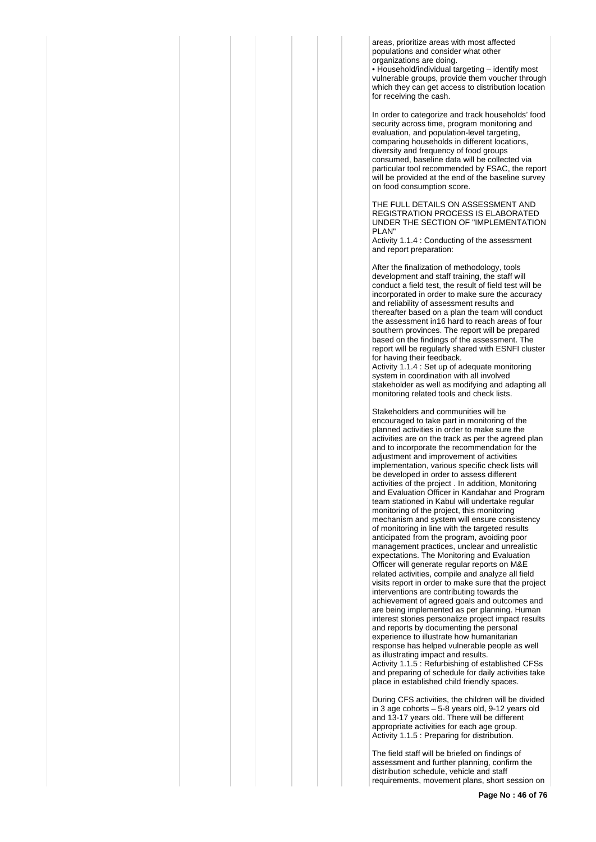areas, prioritize areas with most affected populations and consider what other organizations are doing.

• Household/individual targeting – identify most vulnerable groups, provide them voucher through which they can get access to distribution location for receiving the cash.

In order to categorize and track households' food security across time, program monitoring and evaluation, and population-level targeting, comparing households in different locations, diversity and frequency of food groups consumed, baseline data will be collected via particular tool recommended by FSAC, the report will be provided at the end of the baseline survey on food consumption score.

THE FULL DETAILS ON ASSESSMENT AND REGISTRATION PROCESS IS ELABORATED UNDER THE SECTION OF "IMPLEMENTATION PLAN"

Activity 1.1.4 : Conducting of the assessment and report preparation:

After the finalization of methodology, tools development and staff training, the staff will conduct a field test, the result of field test will be incorporated in order to make sure the accuracy and reliability of assessment results and thereafter based on a plan the team will conduct the assessment in16 hard to reach areas of four southern provinces. The report will be prepared based on the findings of the assessment. The report will be regularly shared with ESNFI cluster for having their feedback.

Activity 1.1.4 : Set up of adequate monitoring system in coordination with all involved stakeholder as well as modifying and adapting all monitoring related tools and check lists.

Stakeholders and communities will be encouraged to take part in monitoring of the planned activities in order to make sure the activities are on the track as per the agreed plan and to incorporate the recommendation for the adjustment and improvement of activities implementation, various specific check lists will be developed in order to assess different activities of the project . In addition, Monitoring and Evaluation Officer in Kandahar and Program team stationed in Kabul will undertake regular monitoring of the project, this monitoring mechanism and system will ensure consistency of monitoring in line with the targeted results anticipated from the program, avoiding poor management practices, unclear and unrealistic expectations. The Monitoring and Evaluation Officer will generate regular reports on M&E related activities, compile and analyze all field visits report in order to make sure that the project interventions are contributing towards the achievement of agreed goals and outcomes and are being implemented as per planning. Human interest stories personalize project impact results and reports by documenting the personal experience to illustrate how humanitarian response has helped vulnerable people as well as illustrating impact and results. Activity 1.1.5 : Refurbishing of established CFSs and preparing of schedule for daily activities take place in established child friendly spaces.

During CFS activities, the children will be divided in 3 age cohorts – 5-8 years old, 9-12 years old and 13-17 years old. There will be different appropriate activities for each age group. Activity 1.1.5 : Preparing for distribution.

The field staff will be briefed on findings of assessment and further planning, confirm the distribution schedule, vehicle and staff requirements, movement plans, short session on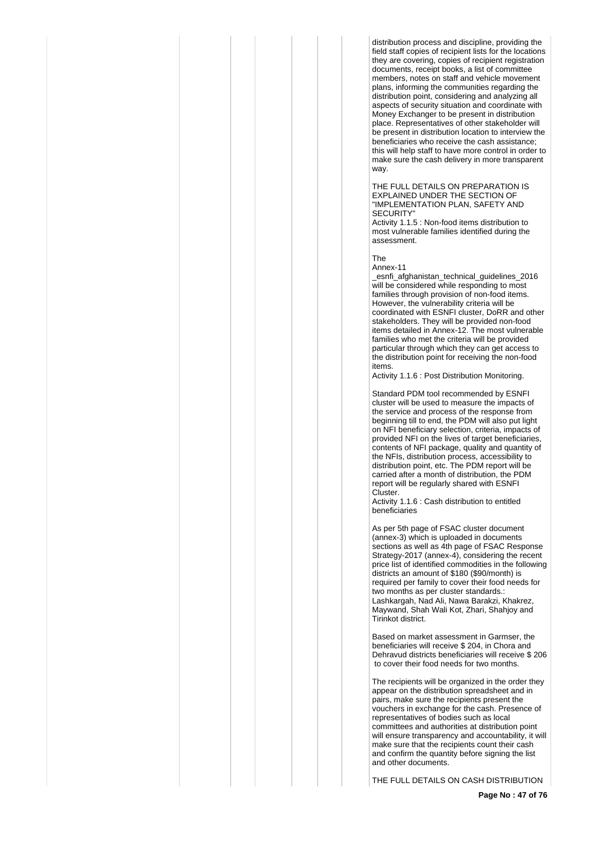distribution process and discipline, providing the field staff copies of recipient lists for the locations they are covering, copies of recipient registration documents, receipt books, a list of committee members, notes on staff and vehicle movement plans, informing the communities regarding the distribution point, considering and analyzing all aspects of security situation and coordinate with Money Exchanger to be present in distribution place. Representatives of other stakeholder will be present in distribution location to interview the beneficiaries who receive the cash assistance; this will help staff to have more control in order to make sure the cash delivery in more transparent way.

THE FULL DETAILS ON PREPARATION IS EXPLAINED UNDER THE SECTION OF "IMPLEMENTATION PLAN, SAFETY AND SECURITY"

Activity 1.1.5 : Non-food items distribution to most vulnerable families identified during the assessment.

The

Annex-11 \_esnfi\_afghanistan\_technical\_guidelines\_2016 will be considered while responding to most families through provision of non-food items. However, the vulnerability criteria will be coordinated with ESNFI cluster, DoRR and other stakeholders. They will be provided non-food items detailed in Annex-12. The most vulnerable families who met the criteria will be provided particular through which they can get access to the distribution point for receiving the non-food items.

Activity 1.1.6 : Post Distribution Monitoring.

Standard PDM tool recommended by ESNFI cluster will be used to measure the impacts of the service and process of the response from beginning till to end, the PDM will also put light on NFI beneficiary selection, criteria, impacts of provided NFI on the lives of target beneficiaries, contents of NFI package, quality and quantity of the NFIs, distribution process, accessibility to distribution point, etc. The PDM report will be carried after a month of distribution, the PDM report will be regularly shared with ESNFI Cluster.

Activity 1.1.6 : Cash distribution to entitled beneficiaries

As per 5th page of FSAC cluster document (annex-3) which is uploaded in documents sections as well as 4th page of FSAC Response Strategy-2017 (annex-4), considering the recent price list of identified commodities in the following districts an amount of \$180 (\$90/month) is required per family to cover their food needs for two months as per cluster standards.: Lashkargah, Nad Ali, Nawa Barakzi, Khakrez, Maywand, Shah Wali Kot, Zhari, Shahjoy and Tirinkot district.

Based on market assessment in Garmser, the beneficiaries will receive \$ 204, in Chora and Dehravud districts beneficiaries will receive \$ 206 to cover their food needs for two months.

The recipients will be organized in the order they appear on the distribution spreadsheet and in pairs, make sure the recipients present the vouchers in exchange for the cash. Presence of representatives of bodies such as local committees and authorities at distribution point will ensure transparency and accountability, it will make sure that the recipients count their cash and confirm the quantity before signing the list and other documents.

THE FULL DETAILS ON CASH DISTRIBUTION

**Page No : 47 of 76**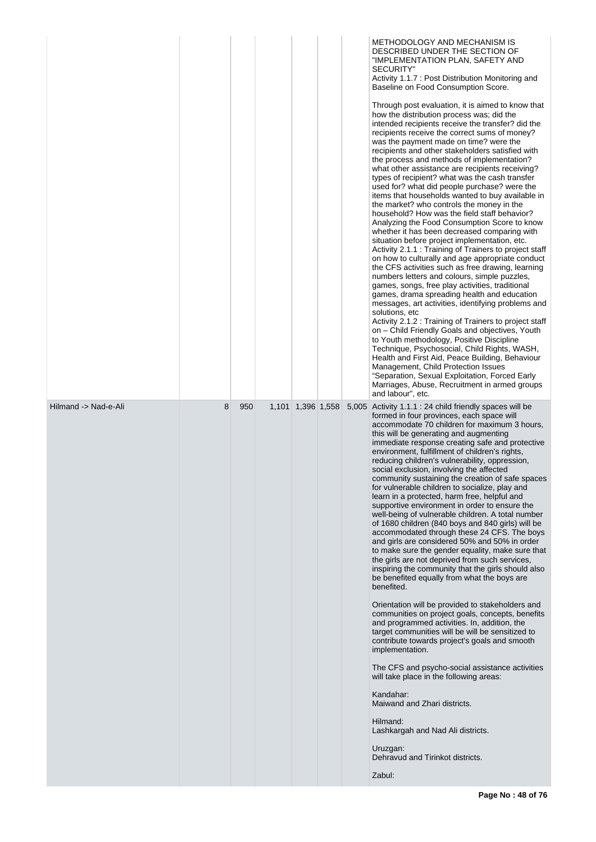|                      |   |     |  |  | METHODOLOGY AND MECHANISM IS<br>DESCRIBED UNDER THE SECTION OF<br>"IMPLEMENTATION PLAN, SAFETY AND<br>SECURITY"<br>Activity 1.1.7 : Post Distribution Monitoring and<br>Baseline on Food Consumption Score.<br>Through post evaluation, it is aimed to know that<br>how the distribution process was; did the<br>intended recipients receive the transfer? did the<br>recipients receive the correct sums of money?<br>was the payment made on time? were the<br>recipients and other stakeholders satisfied with<br>the process and methods of implementation?<br>what other assistance are recipients receiving?<br>types of recipient? what was the cash transfer<br>used for? what did people purchase? were the<br>items that households wanted to buy available in<br>the market? who controls the money in the<br>household? How was the field staff behavior?<br>Analyzing the Food Consumption Score to know<br>whether it has been decreased comparing with<br>situation before project implementation, etc.<br>Activity 2.1.1 : Training of Trainers to project staff<br>on how to culturally and age appropriate conduct<br>the CFS activities such as free drawing, learning<br>numbers letters and colours, simple puzzles,<br>games, songs, free play activities, traditional<br>games, drama spreading health and education<br>messages, art activities, identifying problems and<br>solutions, etc<br>Activity 2.1.2 : Training of Trainers to project staff<br>on - Child Friendly Goals and objectives, Youth<br>to Youth methodology, Positive Discipline<br>Technique, Psychosocial, Child Rights, WASH,<br>Health and First Aid, Peace Building, Behaviour<br>Management, Child Protection Issues<br>"Separation, Sexual Exploitation, Forced Early<br>Marriages, Abuse, Recruitment in armed groups<br>and labour", etc. |
|----------------------|---|-----|--|--|-------------------------------------------------------------------------------------------------------------------------------------------------------------------------------------------------------------------------------------------------------------------------------------------------------------------------------------------------------------------------------------------------------------------------------------------------------------------------------------------------------------------------------------------------------------------------------------------------------------------------------------------------------------------------------------------------------------------------------------------------------------------------------------------------------------------------------------------------------------------------------------------------------------------------------------------------------------------------------------------------------------------------------------------------------------------------------------------------------------------------------------------------------------------------------------------------------------------------------------------------------------------------------------------------------------------------------------------------------------------------------------------------------------------------------------------------------------------------------------------------------------------------------------------------------------------------------------------------------------------------------------------------------------------------------------------------------------------------------------------------------------------------------------------------------------------------------------------------|
| Hilmand -> Nad-e-Ali | 8 | 950 |  |  | 1,101 1,396 1,558 5,005 Activity 1.1.1 : 24 child friendly spaces will be<br>formed in four provinces, each space will<br>accommodate 70 children for maximum 3 hours,<br>this will be generating and augmenting<br>immediate response creating safe and protective<br>environment, fulfillment of children's rights,<br>reducing children's vulnerability, oppression,<br>social exclusion, involving the affected<br>community sustaining the creation of safe spaces<br>for vulnerable children to socialize, play and<br>learn in a protected, harm free, helpful and<br>supportive environment in order to ensure the<br>well-being of vulnerable children. A total number<br>of 1680 children (840 boys and 840 girls) will be<br>accommodated through these 24 CFS. The boys<br>and girls are considered 50% and 50% in order<br>to make sure the gender equality, make sure that<br>the girls are not deprived from such services,<br>inspiring the community that the girls should also<br>be benefited equally from what the boys are<br>benefited.<br>Orientation will be provided to stakeholders and<br>communities on project goals, concepts, benefits<br>and programmed activities. In, addition, the<br>target communities will be will be sensitized to<br>contribute towards project's goals and smooth<br>implementation.<br>The CFS and psycho-social assistance activities<br>will take place in the following areas:<br>Kandahar:<br>Maiwand and Zhari districts.<br>Hilmand:<br>Lashkargah and Nad Ali districts.<br>Uruzgan:<br>Dehravud and Tirinkot districts.<br>Zabul:                                                                                                                                                                                                                                             |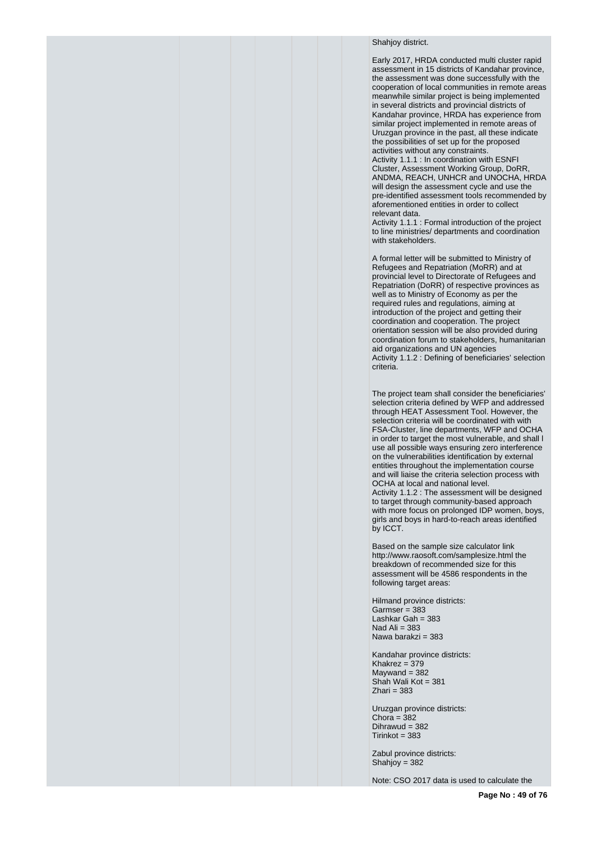## Shahiov district.

Early 2017, HRDA conducted multi cluster rapid assessment in 15 districts of Kandahar province, the assessment was done successfully with the cooperation of local communities in remote areas meanwhile similar project is being implemented in several districts and provincial districts of Kandahar province, HRDA has experience from similar project implemented in remote areas of Uruzgan province in the past, all these indicate the possibilities of set up for the proposed activities without any constraints.

Activity 1.1.1 : In coordination with ESNFI Cluster, Assessment Working Group, DoRR, ANDMA, REACH, UNHCR and UNOCHA, HRDA will design the assessment cycle and use the pre-identified assessment tools recommended by aforementioned entities in order to collect relevant data.

Activity 1.1.1 : Formal introduction of the project to line ministries/ departments and coordination with stakeholders.

A formal letter will be submitted to Ministry of Refugees and Repatriation (MoRR) and at provincial level to Directorate of Refugees and Repatriation (DoRR) of respective provinces as well as to Ministry of Economy as per the required rules and regulations, aiming at introduction of the project and getting their coordination and cooperation. The project orientation session will be also provided during coordination forum to stakeholders, humanitarian aid organizations and UN agencies Activity 1.1.2 : Defining of beneficiaries' selection criteria.

The project team shall consider the beneficiaries' selection criteria defined by WFP and addressed through HEAT Assessment Tool. However, the selection criteria will be coordinated with with FSA-Cluster, line departments, WFP and OCHA in order to target the most vulnerable, and shall l use all possible ways ensuring zero interference on the vulnerabilities identification by external entities throughout the implementation course and will liaise the criteria selection process with OCHA at local and national level. Activity 1.1.2 : The assessment will be designed to target through community-based approach with more focus on prolonged IDP women, boys, girls and boys in hard-to-reach areas identified by ICCT.

Based on the sample size calculator link http://www.raosoft.com/samplesize.html the breakdown of recommended size for this assessment will be 4586 respondents in the following target areas:

Hilmand province districts:  $Garmser = 383$ Lashkar Gah = 383 Nad Ali  $= 383$ Nawa barakzi = 383

Kandahar province districts:  $Khakrez = 379$  $Maywand = 382$ Shah Wali Kot = 381  $Z$ hari = 383

Uruzgan province districts: Chora =  $382$ Dihrawud = 382  $Tirinkot = 383$ 

Zabul province districts: Shahjoy = 382

Note: CSO 2017 data is used to calculate the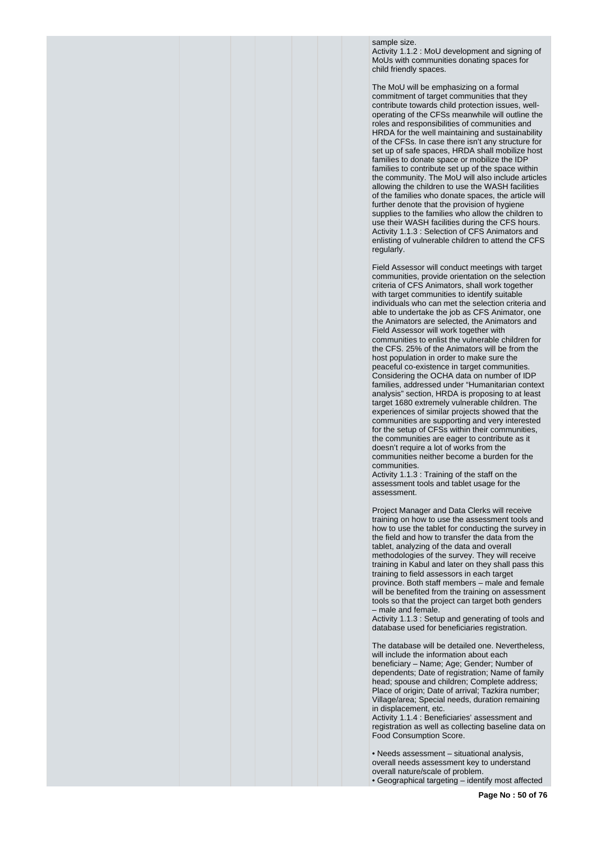sample size.

Activity 1.1.2 : MoU development and signing of MoUs with communities donating spaces for child friendly spaces.

The MoU will be emphasizing on a formal commitment of target communities that they contribute towards child protection issues, welloperating of the CFSs meanwhile will outline the roles and responsibilities of communities and HRDA for the well maintaining and sustainability of the CFSs. In case there isn't any structure for set up of safe spaces, HRDA shall mobilize host families to donate space or mobilize the IDP families to contribute set up of the space within the community. The MoU will also include articles allowing the children to use the WASH facilities of the families who donate spaces, the article will further denote that the provision of hygiene supplies to the families who allow the children to use their WASH facilities during the CFS hours. Activity 1.1.3 : Selection of CFS Animators and enlisting of vulnerable children to attend the CFS regularly.

Field Assessor will conduct meetings with target communities, provide orientation on the selection criteria of CFS Animators, shall work together with target communities to identify suitable individuals who can met the selection criteria and able to undertake the job as CFS Animator, one the Animators are selected, the Animators and Field Assessor will work together with communities to enlist the vulnerable children for the CFS. 25% of the Animators will be from the host population in order to make sure the peaceful co-existence in target communities. Considering the OCHA data on number of IDP families, addressed under "Humanitarian context analysis" section, HRDA is proposing to at least target 1680 extremely vulnerable children. The experiences of similar projects showed that the communities are supporting and very interested for the setup of CFSs within their communities, the communities are eager to contribute as it doesn't require a lot of works from the communities neither become a burden for the communities.

Activity 1.1.3 : Training of the staff on the assessment tools and tablet usage for the assessment.

Project Manager and Data Clerks will receive training on how to use the assessment tools and how to use the tablet for conducting the survey in the field and how to transfer the data from the tablet, analyzing of the data and overall methodologies of the survey. They will receive training in Kabul and later on they shall pass this training to field assessors in each target province. Both staff members – male and female will be benefited from the training on assessment tools so that the project can target both genders – male and female.

Activity 1.1.3 : Setup and generating of tools and database used for beneficiaries registration.

The database will be detailed one. Nevertheless, will include the information about each beneficiary – Name; Age; Gender; Number of dependents; Date of registration; Name of family head; spouse and children; Complete address; Place of origin; Date of arrival; Tazkira number; Village/area; Special needs, duration remaining in displacement, etc.

Activity 1.1.4 : Beneficiaries' assessment and registration as well as collecting baseline data on Food Consumption Score.

• Needs assessment – situational analysis, overall needs assessment key to understand overall nature/scale of problem. • Geographical targeting – identify most affected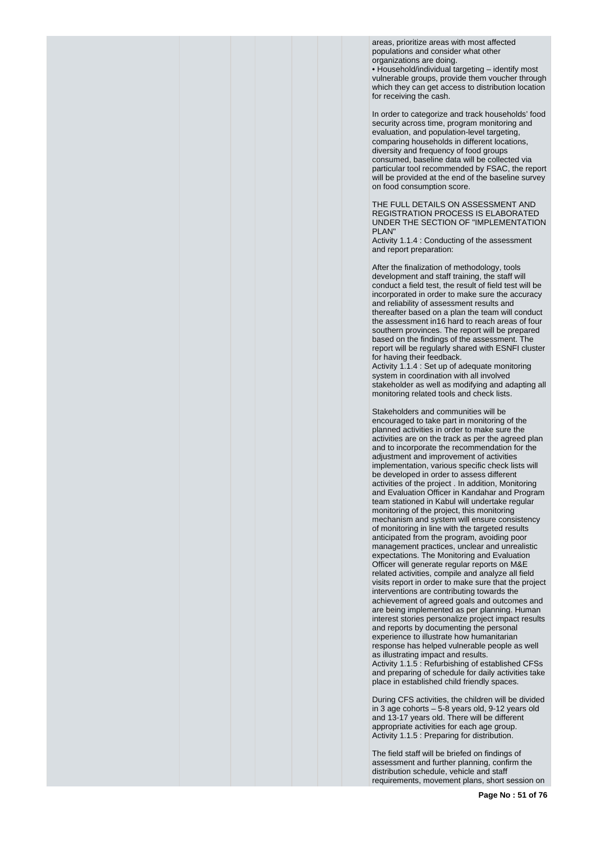areas, prioritize areas with most affected populations and consider what other organizations are doing.

• Household/individual targeting – identify most vulnerable groups, provide them voucher through which they can get access to distribution location for receiving the cash.

In order to categorize and track households' food security across time, program monitoring and evaluation, and population-level targeting. comparing households in different locations, diversity and frequency of food groups consumed, baseline data will be collected via particular tool recommended by FSAC, the report will be provided at the end of the baseline survey on food consumption score.

THE FULL DETAILS ON ASSESSMENT AND REGISTRATION PROCESS IS ELABORATED UNDER THE SECTION OF "IMPLEMENTATION PLAN"

Activity 1.1.4 : Conducting of the assessment and report preparation:

After the finalization of methodology, tools development and staff training, the staff will conduct a field test, the result of field test will be incorporated in order to make sure the accuracy and reliability of assessment results and thereafter based on a plan the team will conduct the assessment in16 hard to reach areas of four southern provinces. The report will be prepared based on the findings of the assessment. The report will be regularly shared with ESNFI cluster for having their feedback.

Activity 1.1.4 : Set up of adequate monitoring system in coordination with all involved stakeholder as well as modifying and adapting all monitoring related tools and check lists.

Stakeholders and communities will be encouraged to take part in monitoring of the planned activities in order to make sure the activities are on the track as per the agreed plan and to incorporate the recommendation for the adjustment and improvement of activities implementation, various specific check lists will be developed in order to assess different activities of the project . In addition, Monitoring and Evaluation Officer in Kandahar and Program team stationed in Kabul will undertake regular monitoring of the project, this monitoring mechanism and system will ensure consistency of monitoring in line with the targeted results anticipated from the program, avoiding poor management practices, unclear and unrealistic expectations. The Monitoring and Evaluation Officer will generate regular reports on M&E related activities, compile and analyze all field visits report in order to make sure that the project interventions are contributing towards the achievement of agreed goals and outcomes and are being implemented as per planning. Human interest stories personalize project impact results and reports by documenting the personal experience to illustrate how humanitarian response has helped vulnerable people as well as illustrating impact and results. Activity 1.1.5 : Refurbishing of established CFSs and preparing of schedule for daily activities take place in established child friendly spaces.

During CFS activities, the children will be divided in 3 age cohorts – 5-8 years old, 9-12 years old and 13-17 years old. There will be different appropriate activities for each age group. Activity 1.1.5 : Preparing for distribution.

The field staff will be briefed on findings of assessment and further planning, confirm the distribution schedule, vehicle and staff requirements, movement plans, short session on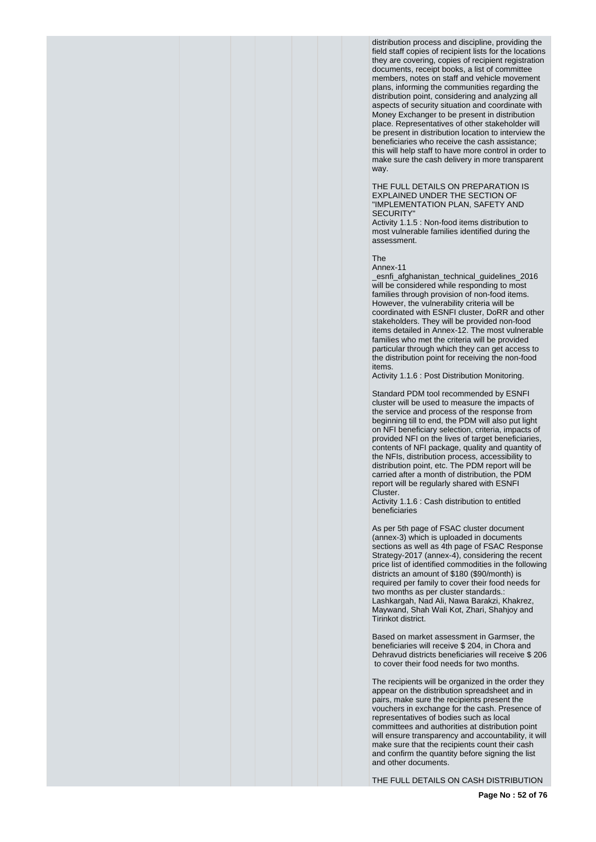distribution process and discipline, providing the field staff copies of recipient lists for the locations they are covering, copies of recipient registration documents, receipt books, a list of committee members, notes on staff and vehicle movement plans, informing the communities regarding the distribution point, considering and analyzing all aspects of security situation and coordinate with Money Exchanger to be present in distribution place. Representatives of other stakeholder will be present in distribution location to interview the beneficiaries who receive the cash assistance; this will help staff to have more control in order to make sure the cash delivery in more transparent way.

THE FULL DETAILS ON PREPARATION IS EXPLAINED UNDER THE SECTION OF "IMPLEMENTATION PLAN, SAFETY AND SECURITY"

Activity 1.1.5 : Non-food items distribution to most vulnerable families identified during the assessment.

The

Annex-11

\_esnfi\_afghanistan\_technical\_guidelines\_2016 will be considered while responding to most families through provision of non-food items. However, the vulnerability criteria will be coordinated with ESNFI cluster, DoRR and other stakeholders. They will be provided non-food items detailed in Annex-12. The most vulnerable families who met the criteria will be provided particular through which they can get access to the distribution point for receiving the non-food items.

Activity 1.1.6 : Post Distribution Monitoring.

Standard PDM tool recommended by ESNFI cluster will be used to measure the impacts of the service and process of the response from beginning till to end, the PDM will also put light on NFI beneficiary selection, criteria, impacts of provided NFI on the lives of target beneficiaries, contents of NFI package, quality and quantity of the NFIs, distribution process, accessibility to distribution point, etc. The PDM report will be carried after a month of distribution, the PDM report will be regularly shared with ESNFI Cluster.

Activity 1.1.6 : Cash distribution to entitled beneficiaries

As per 5th page of FSAC cluster document (annex-3) which is uploaded in documents sections as well as 4th page of FSAC Response Strategy-2017 (annex-4), considering the recent price list of identified commodities in the following districts an amount of \$180 (\$90/month) is required per family to cover their food needs for two months as per cluster standards. Lashkargah, Nad Ali, Nawa Barakzi, Khakrez, Maywand, Shah Wali Kot, Zhari, Shahjoy and Tirinkot district.

Based on market assessment in Garmser, the beneficiaries will receive \$ 204, in Chora and Dehravud districts beneficiaries will receive \$ 206 to cover their food needs for two months.

The recipients will be organized in the order they appear on the distribution spreadsheet and in pairs, make sure the recipients present the vouchers in exchange for the cash. Presence of representatives of bodies such as local committees and authorities at distribution point will ensure transparency and accountability, it will make sure that the recipients count their cash and confirm the quantity before signing the list and other documents.

THE FULL DETAILS ON CASH DISTRIBUTION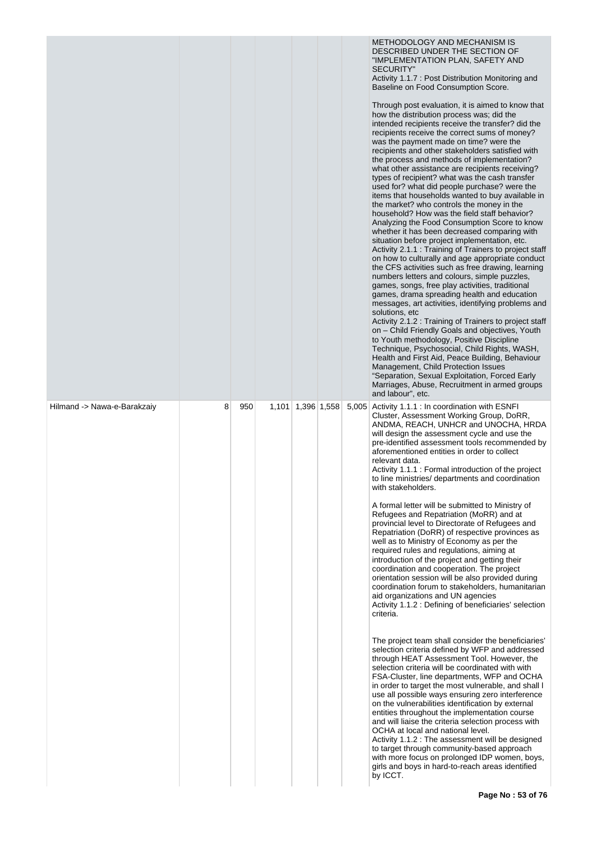|                             |   |     |       |             | METHODOLOGY AND MECHANISM IS<br>DESCRIBED UNDER THE SECTION OF<br>"IMPLEMENTATION PLAN, SAFETY AND<br><b>SECURITY"</b><br>Activity 1.1.7 : Post Distribution Monitoring and<br>Baseline on Food Consumption Score.<br>Through post evaluation, it is aimed to know that<br>how the distribution process was; did the<br>intended recipients receive the transfer? did the<br>recipients receive the correct sums of money?<br>was the payment made on time? were the<br>recipients and other stakeholders satisfied with<br>the process and methods of implementation?<br>what other assistance are recipients receiving?<br>types of recipient? what was the cash transfer<br>used for? what did people purchase? were the<br>items that households wanted to buy available in<br>the market? who controls the money in the<br>household? How was the field staff behavior?<br>Analyzing the Food Consumption Score to know<br>whether it has been decreased comparing with<br>situation before project implementation, etc.<br>Activity 2.1.1 : Training of Trainers to project staff<br>on how to culturally and age appropriate conduct<br>the CFS activities such as free drawing, learning<br>numbers letters and colours, simple puzzles,<br>games, songs, free play activities, traditional<br>games, drama spreading health and education<br>messages, art activities, identifying problems and<br>solutions, etc<br>Activity 2.1.2 : Training of Trainers to project staff<br>on - Child Friendly Goals and objectives, Youth<br>to Youth methodology, Positive Discipline<br>Technique, Psychosocial, Child Rights, WASH,<br>Health and First Aid, Peace Building, Behaviour<br>Management, Child Protection Issues<br>"Separation, Sexual Exploitation, Forced Early<br>Marriages, Abuse, Recruitment in armed groups<br>and labour", etc. |
|-----------------------------|---|-----|-------|-------------|--------------------------------------------------------------------------------------------------------------------------------------------------------------------------------------------------------------------------------------------------------------------------------------------------------------------------------------------------------------------------------------------------------------------------------------------------------------------------------------------------------------------------------------------------------------------------------------------------------------------------------------------------------------------------------------------------------------------------------------------------------------------------------------------------------------------------------------------------------------------------------------------------------------------------------------------------------------------------------------------------------------------------------------------------------------------------------------------------------------------------------------------------------------------------------------------------------------------------------------------------------------------------------------------------------------------------------------------------------------------------------------------------------------------------------------------------------------------------------------------------------------------------------------------------------------------------------------------------------------------------------------------------------------------------------------------------------------------------------------------------------------------------------------------------------------------------------------------------------|
| Hilmand -> Nawa-e-Barakzaiy | 8 | 950 | 1,101 | 1,396 1,558 | 5,005 Activity 1.1.1 : In coordination with ESNFI<br>Cluster, Assessment Working Group, DoRR,<br>ANDMA, REACH, UNHCR and UNOCHA, HRDA<br>will design the assessment cycle and use the<br>pre-identified assessment tools recommended by<br>aforementioned entities in order to collect<br>relevant data.<br>Activity 1.1.1 : Formal introduction of the project<br>to line ministries/ departments and coordination<br>with stakeholders.<br>A formal letter will be submitted to Ministry of<br>Refugees and Repatriation (MoRR) and at<br>provincial level to Directorate of Refugees and<br>Repatriation (DoRR) of respective provinces as<br>well as to Ministry of Economy as per the<br>required rules and regulations, aiming at<br>introduction of the project and getting their<br>coordination and cooperation. The project<br>orientation session will be also provided during<br>coordination forum to stakeholders, humanitarian<br>aid organizations and UN agencies<br>Activity 1.1.2 : Defining of beneficiaries' selection<br>criteria.<br>The project team shall consider the beneficiaries'<br>selection criteria defined by WFP and addressed<br>through HEAT Assessment Tool. However, the<br>selection criteria will be coordinated with with<br>FSA-Cluster, line departments, WFP and OCHA<br>in order to target the most vulnerable, and shall I<br>use all possible ways ensuring zero interference<br>on the vulnerabilities identification by external<br>entities throughout the implementation course<br>and will liaise the criteria selection process with<br>OCHA at local and national level.<br>Activity 1.1.2 : The assessment will be designed<br>to target through community-based approach<br>with more focus on prolonged IDP women, boys,<br>girls and boys in hard-to-reach areas identified<br>by ICCT.     |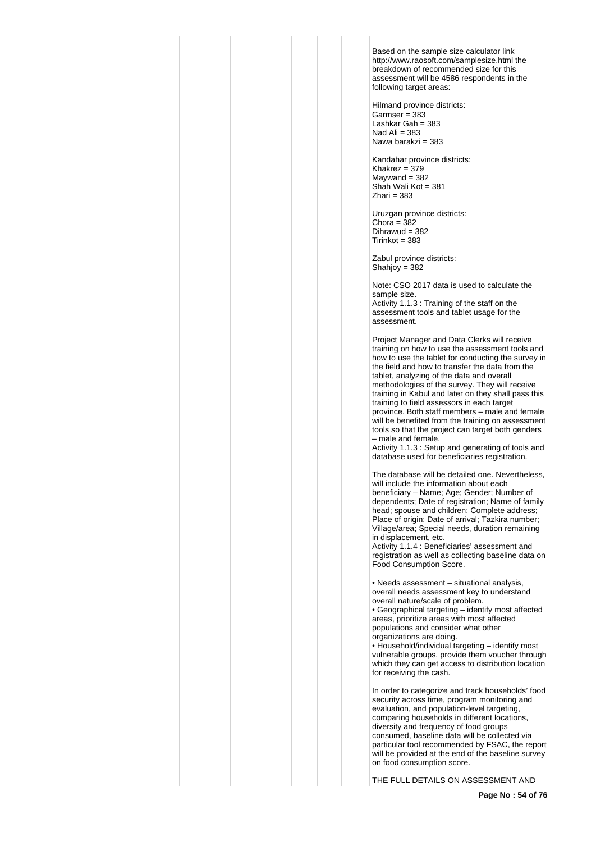Based on the sample size calculator link http://www.raosoft.com/samplesize.html the breakdown of recommended size for this assessment will be 4586 respondents in the following target areas:

Hilmand province districts:  $Garmser = 383$ Lashkar Gah = 383 Nad Ali  $= 383$ Nawa barakzi = 383

Kandahar province districts: Khakrez =  $379$  $M$ aywand = 382 Shah Wali Kot = 381  $Z$ hari = 383

Uruzgan province districts:  $Chora = 382$ Dihrawud = 382  $Tirinkot = 383$ 

Zabul province districts: Shahjoy = 382

Note: CSO 2017 data is used to calculate the sample size. Activity 1.1.3 : Training of the staff on the assessment tools and tablet usage for the assessment.

Project Manager and Data Clerks will receive training on how to use the assessment tools and how to use the tablet for conducting the survey in the field and how to transfer the data from the tablet, analyzing of the data and overall methodologies of the survey. They will receive training in Kabul and later on they shall pass this training to field assessors in each target province. Both staff members – male and female will be benefited from the training on assessment tools so that the project can target both genders – male and female.

Activity 1.1.3 : Setup and generating of tools and database used for beneficiaries registration.

The database will be detailed one. Nevertheless, will include the information about each beneficiary – Name; Age; Gender; Number of dependents; Date of registration; Name of family head; spouse and children; Complete address; Place of origin; Date of arrival; Tazkira number; Village/area; Special needs, duration remaining in displacement, etc.

Activity 1.1.4 : Beneficiaries' assessment and registration as well as collecting baseline data on Food Consumption Score.

• Needs assessment – situational analysis, overall needs assessment key to understand overall nature/scale of problem.

• Geographical targeting – identify most affected areas, prioritize areas with most affected populations and consider what other organizations are doing.

• Household/individual targeting – identify most vulnerable groups, provide them voucher through which they can get access to distribution location for receiving the cash.

In order to categorize and track households' food security across time, program monitoring and evaluation, and population-level targeting, comparing households in different locations, diversity and frequency of food groups consumed, baseline data will be collected via particular tool recommended by FSAC, the report will be provided at the end of the baseline survey on food consumption score.

THE FULL DETAILS ON ASSESSMENT AND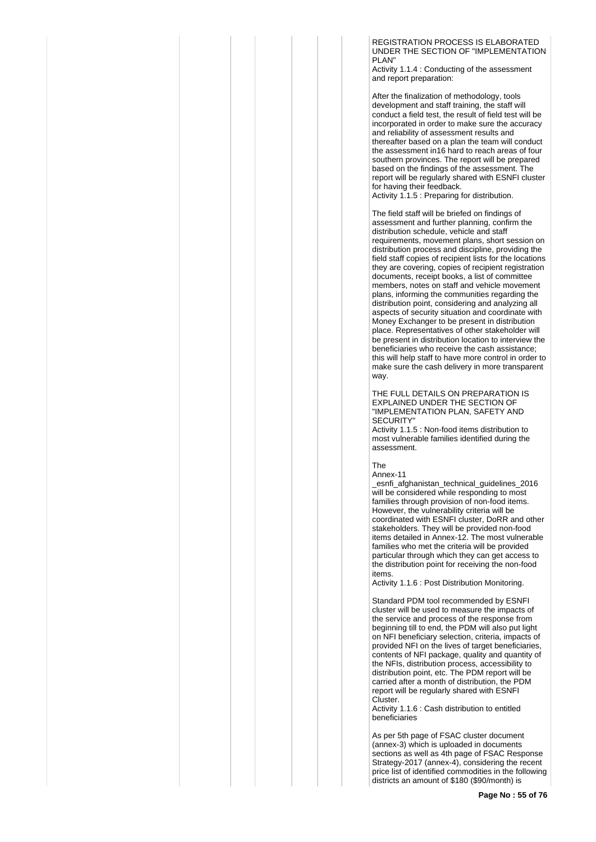REGISTRATION PROCESS IS ELABORATED UNDER THE SECTION OF "IMPLEMENTATION PLAN"

Activity 1.1.4 : Conducting of the assessment and report preparation:

After the finalization of methodology, tools development and staff training, the staff will conduct a field test, the result of field test will be incorporated in order to make sure the accuracy and reliability of assessment results and thereafter based on a plan the team will conduct the assessment in16 hard to reach areas of four southern provinces. The report will be prepared based on the findings of the assessment. The report will be regularly shared with ESNFI cluster for having their feedback.

Activity 1.1.5 : Preparing for distribution.

The field staff will be briefed on findings of assessment and further planning, confirm the distribution schedule, vehicle and staff requirements, movement plans, short session on distribution process and discipline, providing the field staff copies of recipient lists for the locations they are covering, copies of recipient registration documents, receipt books, a list of committee members, notes on staff and vehicle movement plans, informing the communities regarding the distribution point, considering and analyzing all aspects of security situation and coordinate with Money Exchanger to be present in distribution place. Representatives of other stakeholder will be present in distribution location to interview the beneficiaries who receive the cash assistance; this will help staff to have more control in order to make sure the cash delivery in more transparent way.

THE FULL DETAILS ON PREPARATION IS EXPLAINED UNDER THE SECTION OF "IMPLEMENTATION PLAN, SAFETY AND SECURITY"

Activity 1.1.5 : Non-food items distribution to most vulnerable families identified during the assessment.

The

Annex-11

\_esnfi\_afghanistan\_technical\_guidelines\_2016 will be considered while responding to most families through provision of non-food items. However, the vulnerability criteria will be coordinated with ESNFI cluster, DoRR and other stakeholders. They will be provided non-food items detailed in Annex-12. The most vulnerable families who met the criteria will be provided particular through which they can get access to the distribution point for receiving the non-food items.

Activity 1.1.6 : Post Distribution Monitoring.

Standard PDM tool recommended by ESNFI cluster will be used to measure the impacts of the service and process of the response from beginning till to end, the PDM will also put light on NFI beneficiary selection, criteria, impacts of provided NFI on the lives of target beneficiaries, contents of NFI package, quality and quantity of the NFIs, distribution process, accessibility to distribution point, etc. The PDM report will be carried after a month of distribution, the PDM report will be regularly shared with ESNFI Cluster.

Activity 1.1.6 : Cash distribution to entitled beneficiaries

As per 5th page of FSAC cluster document (annex-3) which is uploaded in documents sections as well as 4th page of FSAC Response Strategy-2017 (annex-4), considering the recent price list of identified commodities in the following districts an amount of \$180 (\$90/month) is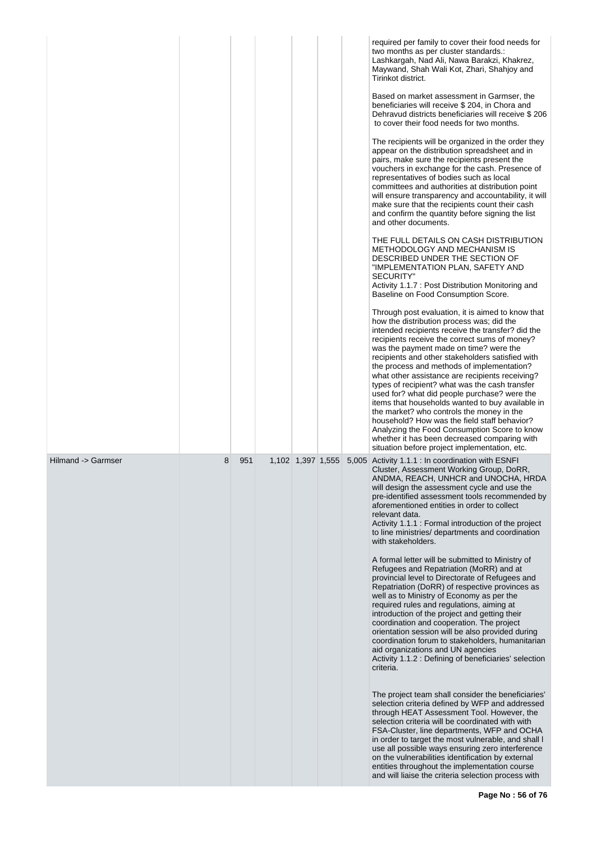|                    |   |     |                   |  | required per family to cover their food needs for<br>two months as per cluster standards.:<br>Lashkargah, Nad Ali, Nawa Barakzi, Khakrez,<br>Maywand, Shah Wali Kot, Zhari, Shahjoy and<br>Tirinkot district.<br>Based on market assessment in Garmser, the<br>beneficiaries will receive \$ 204, in Chora and<br>Dehravud districts beneficiaries will receive \$206<br>to cover their food needs for two months.<br>The recipients will be organized in the order they<br>appear on the distribution spreadsheet and in<br>pairs, make sure the recipients present the<br>vouchers in exchange for the cash. Presence of<br>representatives of bodies such as local<br>committees and authorities at distribution point<br>will ensure transparency and accountability, it will<br>make sure that the recipients count their cash<br>and confirm the quantity before signing the list<br>and other documents.<br>THE FULL DETAILS ON CASH DISTRIBUTION<br>METHODOLOGY AND MECHANISM IS<br>DESCRIBED UNDER THE SECTION OF<br>"IMPLEMENTATION PLAN, SAFETY AND<br><b>SECURITY"</b><br>Activity 1.1.7 : Post Distribution Monitoring and<br>Baseline on Food Consumption Score.<br>Through post evaluation, it is aimed to know that<br>how the distribution process was; did the<br>intended recipients receive the transfer? did the<br>recipients receive the correct sums of money?<br>was the payment made on time? were the<br>recipients and other stakeholders satisfied with<br>the process and methods of implementation?<br>what other assistance are recipients receiving?<br>types of recipient? what was the cash transfer<br>used for? what did people purchase? were the<br>items that households wanted to buy available in<br>the market? who controls the money in the<br>household? How was the field staff behavior?<br>Analyzing the Food Consumption Score to know<br>whether it has been decreased comparing with<br>situation before project implementation, etc. |
|--------------------|---|-----|-------------------|--|-------------------------------------------------------------------------------------------------------------------------------------------------------------------------------------------------------------------------------------------------------------------------------------------------------------------------------------------------------------------------------------------------------------------------------------------------------------------------------------------------------------------------------------------------------------------------------------------------------------------------------------------------------------------------------------------------------------------------------------------------------------------------------------------------------------------------------------------------------------------------------------------------------------------------------------------------------------------------------------------------------------------------------------------------------------------------------------------------------------------------------------------------------------------------------------------------------------------------------------------------------------------------------------------------------------------------------------------------------------------------------------------------------------------------------------------------------------------------------------------------------------------------------------------------------------------------------------------------------------------------------------------------------------------------------------------------------------------------------------------------------------------------------------------------------------------------------------------------------------------------------------------------------------------------------------------------------------------------------------------|
| Hilmand -> Garmser | 8 | 951 | 1,102 1,397 1,555 |  | 5,005 Activity 1.1.1 : In coordination with ESNFI<br>Cluster, Assessment Working Group, DoRR,<br>ANDMA, REACH, UNHCR and UNOCHA, HRDA<br>will design the assessment cycle and use the<br>pre-identified assessment tools recommended by<br>aforementioned entities in order to collect<br>relevant data.<br>Activity 1.1.1 : Formal introduction of the project<br>to line ministries/ departments and coordination<br>with stakeholders.<br>A formal letter will be submitted to Ministry of<br>Refugees and Repatriation (MoRR) and at<br>provincial level to Directorate of Refugees and<br>Repatriation (DoRR) of respective provinces as<br>well as to Ministry of Economy as per the<br>required rules and regulations, aiming at<br>introduction of the project and getting their<br>coordination and cooperation. The project<br>orientation session will be also provided during<br>coordination forum to stakeholders, humanitarian<br>aid organizations and UN agencies<br>Activity 1.1.2 : Defining of beneficiaries' selection<br>criteria.<br>The project team shall consider the beneficiaries'<br>selection criteria defined by WFP and addressed<br>through HEAT Assessment Tool. However, the<br>selection criteria will be coordinated with with<br>FSA-Cluster, line departments, WFP and OCHA<br>in order to target the most vulnerable, and shall I<br>use all possible ways ensuring zero interference<br>on the vulnerabilities identification by external<br>entities throughout the implementation course<br>and will liaise the criteria selection process with                                                                                                                                                                                                                                                                                                                                                                                                |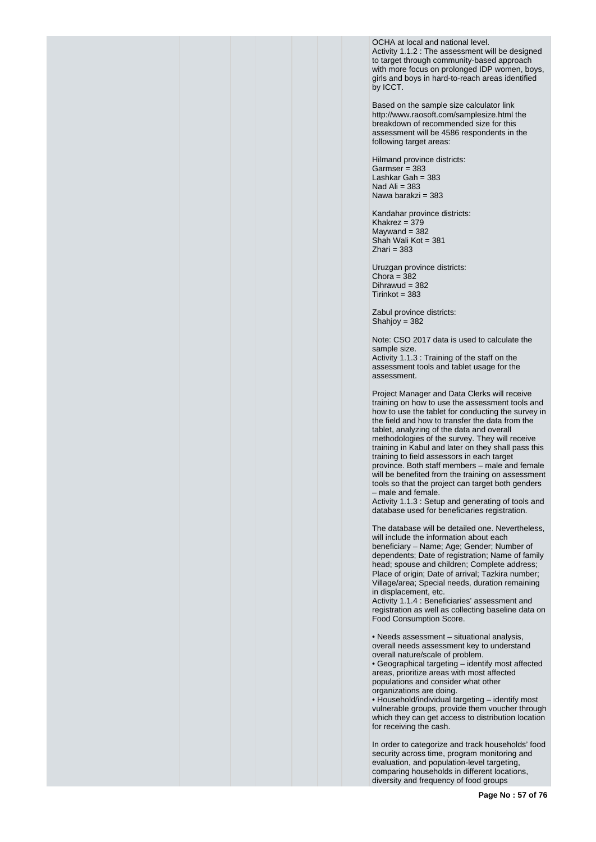OCHA at local and national level. Activity 1.1.2 : The assessment will be designed to target through community-based approach with more focus on prolonged IDP women, boys, girls and boys in hard-to-reach areas identified by ICCT.

Based on the sample size calculator link http://www.raosoft.com/samplesize.html the breakdown of recommended size for this assessment will be 4586 respondents in the following target areas:

Hilmand province districts:  $Garmser = 383$ Lashkar Gah = 383 Nad Ali  $= 383$ Nawa barakzi = 383

Kandahar province districts: Khakrez =  $379$  $Maywand = 382$ Shah Wali Kot = 381  $Z$ hari = 383

Uruzgan province districts: Chora =  $382$ Dihrawud = 382  $Tirinkot = 383$ 

Zabul province districts: Shahjoy = 382

Note: CSO 2017 data is used to calculate the sample size. Activity 1.1.3 : Training of the staff on the assessment tools and tablet usage for the assessment.

Project Manager and Data Clerks will receive training on how to use the assessment tools and how to use the tablet for conducting the survey in the field and how to transfer the data from the tablet, analyzing of the data and overall methodologies of the survey. They will receive training in Kabul and later on they shall pass this training to field assessors in each target province. Both staff members – male and female will be benefited from the training on assessment tools so that the project can target both genders – male and female.

Activity 1.1.3 : Setup and generating of tools and database used for beneficiaries registration.

The database will be detailed one. Nevertheless, will include the information about each beneficiary – Name; Age; Gender; Number of dependents; Date of registration; Name of family head; spouse and children; Complete address; Place of origin; Date of arrival; Tazkira number; Village/area; Special needs, duration remaining in displacement, etc.

Activity 1.1.4 : Beneficiaries' assessment and registration as well as collecting baseline data on Food Consumption Score.

• Needs assessment – situational analysis, overall needs assessment key to understand overall nature/scale of problem.

• Geographical targeting – identify most affected areas, prioritize areas with most affected populations and consider what other organizations are doing.

• Household/individual targeting – identify most vulnerable groups, provide them voucher through which they can get access to distribution location for receiving the cash.

In order to categorize and track households' food security across time, program monitoring and evaluation, and population-level targeting, comparing households in different locations, diversity and frequency of food groups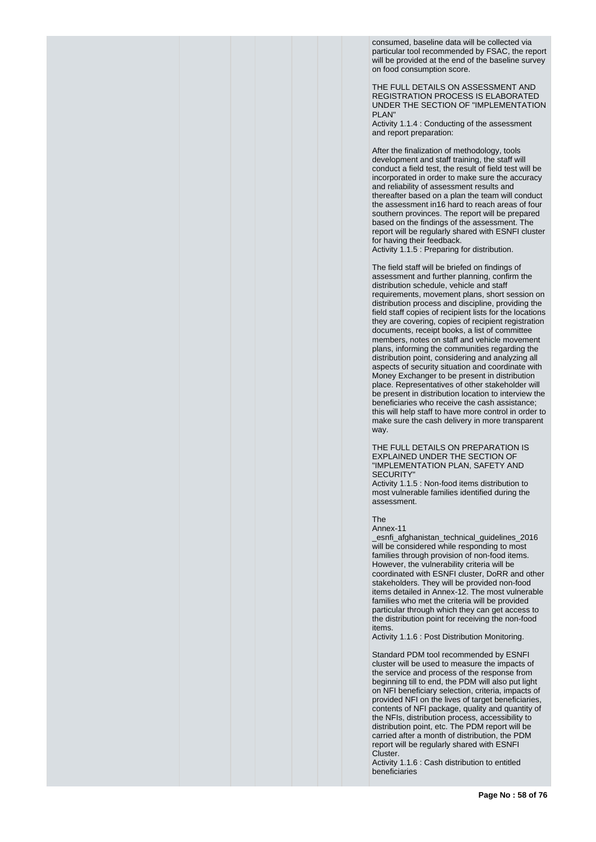consumed, baseline data will be collected via particular tool recommended by FSAC, the report will be provided at the end of the baseline survey on food consumption score.

THE FULL DETAILS ON ASSESSMENT AND REGISTRATION PROCESS IS ELABORATED UNDER THE SECTION OF "IMPLEMENTATION PLAN"

Activity 1.1.4 : Conducting of the assessment and report preparation:

After the finalization of methodology, tools development and staff training, the staff will conduct a field test, the result of field test will be incorporated in order to make sure the accuracy and reliability of assessment results and thereafter based on a plan the team will conduct the assessment in16 hard to reach areas of four southern provinces. The report will be prepared based on the findings of the assessment. The report will be regularly shared with ESNFI cluster for having their feedback. Activity 1.1.5 : Preparing for distribution.

The field staff will be briefed on findings of assessment and further planning, confirm the distribution schedule, vehicle and staff requirements, movement plans, short session on distribution process and discipline, providing the field staff copies of recipient lists for the locations they are covering, copies of recipient registration documents, receipt books, a list of committee members, notes on staff and vehicle movement plans, informing the communities regarding the distribution point, considering and analyzing all aspects of security situation and coordinate with Money Exchanger to be present in distribution place. Representatives of other stakeholder will be present in distribution location to interview the beneficiaries who receive the cash assistance; this will help staff to have more control in order to make sure the cash delivery in more transparent way.

THE FULL DETAILS ON PREPARATION IS EXPLAINED UNDER THE SECTION OF "IMPLEMENTATION PLAN, SAFETY AND SECURITY"

Activity 1.1.5 : Non-food items distribution to most vulnerable families identified during the assessment.

The

Annex-11

\_esnfi\_afghanistan\_technical\_guidelines\_2016 will be considered while responding to most families through provision of non-food items. However, the vulnerability criteria will be coordinated with ESNFI cluster, DoRR and other stakeholders. They will be provided non-food items detailed in Annex-12. The most vulnerable families who met the criteria will be provided particular through which they can get access to the distribution point for receiving the non-food items.

Activity 1.1.6 : Post Distribution Monitoring.

Standard PDM tool recommended by ESNFI cluster will be used to measure the impacts of the service and process of the response from beginning till to end, the PDM will also put light on NFI beneficiary selection, criteria, impacts of provided NFI on the lives of target beneficiaries, contents of NFI package, quality and quantity of the NFIs, distribution process, accessibility to distribution point, etc. The PDM report will be carried after a month of distribution, the PDM report will be regularly shared with ESNFI Cluster.

Activity 1.1.6 : Cash distribution to entitled beneficiaries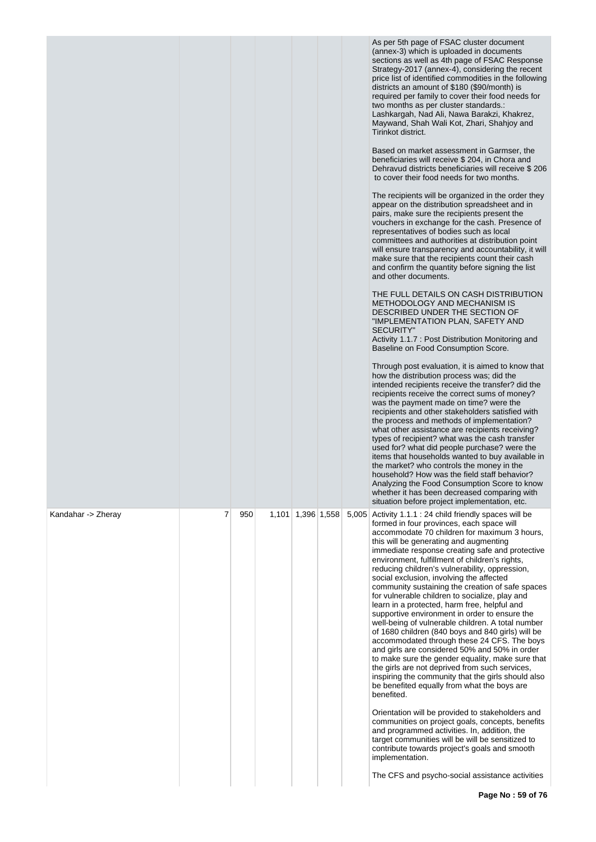|                    |   |     |       |             |  | As per 5th page of FSAC cluster document<br>(annex-3) which is uploaded in documents<br>sections as well as 4th page of FSAC Response<br>Strategy-2017 (annex-4), considering the recent<br>price list of identified commodities in the following<br>districts an amount of \$180 (\$90/month) is<br>required per family to cover their food needs for<br>two months as per cluster standards.:<br>Lashkargah, Nad Ali, Nawa Barakzi, Khakrez,<br>Maywand, Shah Wali Kot, Zhari, Shahjoy and<br>Tirinkot district.<br>Based on market assessment in Garmser, the<br>beneficiaries will receive \$204, in Chora and<br>Dehravud districts beneficiaries will receive \$206<br>to cover their food needs for two months.<br>The recipients will be organized in the order they<br>appear on the distribution spreadsheet and in<br>pairs, make sure the recipients present the<br>vouchers in exchange for the cash. Presence of<br>representatives of bodies such as local<br>committees and authorities at distribution point<br>will ensure transparency and accountability, it will<br>make sure that the recipients count their cash<br>and confirm the quantity before signing the list<br>and other documents.<br>THE FULL DETAILS ON CASH DISTRIBUTION<br>METHODOLOGY AND MECHANISM IS<br>DESCRIBED UNDER THE SECTION OF<br>"IMPLEMENTATION PLAN, SAFETY AND<br><b>SECURITY"</b><br>Activity 1.1.7 : Post Distribution Monitoring and<br>Baseline on Food Consumption Score.<br>Through post evaluation, it is aimed to know that<br>how the distribution process was; did the<br>intended recipients receive the transfer? did the<br>recipients receive the correct sums of money?<br>was the payment made on time? were the<br>recipients and other stakeholders satisfied with<br>the process and methods of implementation?<br>what other assistance are recipients receiving?<br>types of recipient? what was the cash transfer<br>used for? what did people purchase? were the<br>items that households wanted to buy available in<br>the market? who controls the money in the<br>household? How was the field staff behavior?<br>Analyzing the Food Consumption Score to know<br>whether it has been decreased comparing with<br>situation before project implementation, etc. |
|--------------------|---|-----|-------|-------------|--|-----------------------------------------------------------------------------------------------------------------------------------------------------------------------------------------------------------------------------------------------------------------------------------------------------------------------------------------------------------------------------------------------------------------------------------------------------------------------------------------------------------------------------------------------------------------------------------------------------------------------------------------------------------------------------------------------------------------------------------------------------------------------------------------------------------------------------------------------------------------------------------------------------------------------------------------------------------------------------------------------------------------------------------------------------------------------------------------------------------------------------------------------------------------------------------------------------------------------------------------------------------------------------------------------------------------------------------------------------------------------------------------------------------------------------------------------------------------------------------------------------------------------------------------------------------------------------------------------------------------------------------------------------------------------------------------------------------------------------------------------------------------------------------------------------------------------------------------------------------------------------------------------------------------------------------------------------------------------------------------------------------------------------------------------------------------------------------------------------------------------------------------------------------------------------------------------------------------------------------------------------------------------------------------------|
| Kandahar -> Zheray | 7 | 950 | 1,101 | 1,396 1,558 |  | 5,005 Activity 1.1.1 : 24 child friendly spaces will be<br>formed in four provinces, each space will<br>accommodate 70 children for maximum 3 hours,<br>this will be generating and augmenting<br>immediate response creating safe and protective<br>environment, fulfillment of children's rights,<br>reducing children's vulnerability, oppression,<br>social exclusion, involving the affected<br>community sustaining the creation of safe spaces<br>for vulnerable children to socialize, play and<br>learn in a protected, harm free, helpful and<br>supportive environment in order to ensure the<br>well-being of vulnerable children. A total number<br>of 1680 children (840 boys and 840 girls) will be<br>accommodated through these 24 CFS. The boys<br>and girls are considered 50% and 50% in order<br>to make sure the gender equality, make sure that<br>the girls are not deprived from such services,<br>inspiring the community that the girls should also<br>be benefited equally from what the boys are<br>benefited.<br>Orientation will be provided to stakeholders and<br>communities on project goals, concepts, benefits<br>and programmed activities. In, addition, the<br>target communities will be will be sensitized to<br>contribute towards project's goals and smooth<br>implementation.<br>The CFS and psycho-social assistance activities                                                                                                                                                                                                                                                                                                                                                                                                                                                                                                                                                                                                                                                                                                                                                                                                                                                                                                                |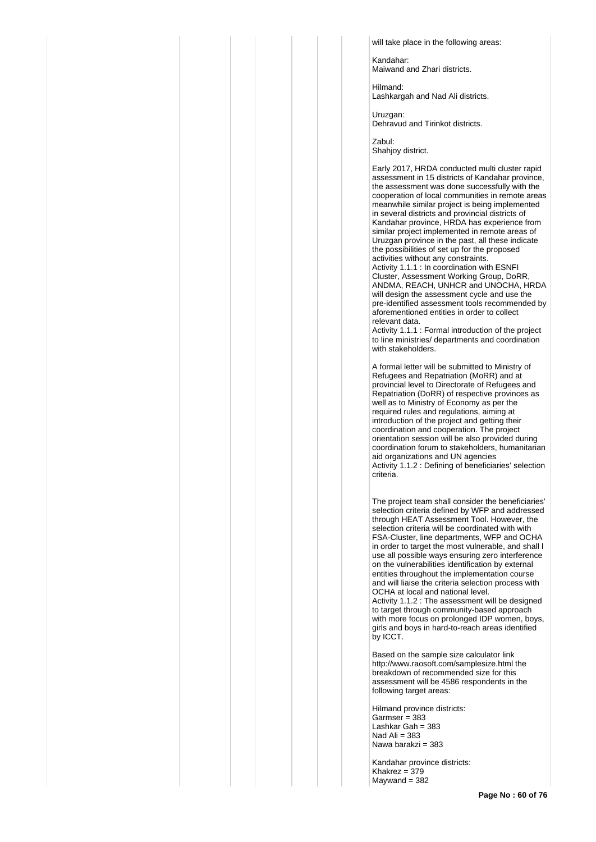will take place in the following areas:

Kandahar: Maiwand and Zhari districts.

Hilmand: Lashkargah and Nad Ali districts.

Uruzgan: Dehravud and Tirinkot districts.

Zabul: Shahjoy district.

Early 2017, HRDA conducted multi cluster rapid assessment in 15 districts of Kandahar province, the assessment was done successfully with the cooperation of local communities in remote areas meanwhile similar project is being implemented in several districts and provincial districts of Kandahar province, HRDA has experience from similar project implemented in remote areas of Uruzgan province in the past, all these indicate the possibilities of set up for the proposed activities without any constraints. Activity 1.1.1 : In coordination with ESNFI

Cluster, Assessment Working Group, DoRR, ANDMA, REACH, UNHCR and UNOCHA, HRDA will design the assessment cycle and use the pre-identified assessment tools recommended by aforementioned entities in order to collect relevant data.

Activity 1.1.1 : Formal introduction of the project to line ministries/ departments and coordination with stakeholders.

A formal letter will be submitted to Ministry of Refugees and Repatriation (MoRR) and at provincial level to Directorate of Refugees and Repatriation (DoRR) of respective provinces as well as to Ministry of Economy as per the required rules and regulations, aiming at introduction of the project and getting their coordination and cooperation. The project orientation session will be also provided during coordination forum to stakeholders, humanitarian aid organizations and UN agencies Activity 1.1.2 : Defining of beneficiaries' selection criteria.

The project team shall consider the beneficiaries' selection criteria defined by WFP and addressed through HEAT Assessment Tool. However, the selection criteria will be coordinated with with FSA-Cluster, line departments, WFP and OCHA in order to target the most vulnerable, and shall l use all possible ways ensuring zero interference on the vulnerabilities identification by external entities throughout the implementation course and will liaise the criteria selection process with OCHA at local and national level. Activity 1.1.2 : The assessment will be designed to target through community-based approach with more focus on prolonged IDP women, boys, girls and boys in hard-to-reach areas identified by ICCT.

Based on the sample size calculator link http://www.raosoft.com/samplesize.html the breakdown of recommended size for this assessment will be 4586 respondents in the following target areas:

Hilmand province districts: Garmser = 383 Lashkar Gah = 383 Nad Ali  $= 383$ Nawa barakzi = 383

Kandahar province districts: Khakrez = 379  $M$ aywand = 382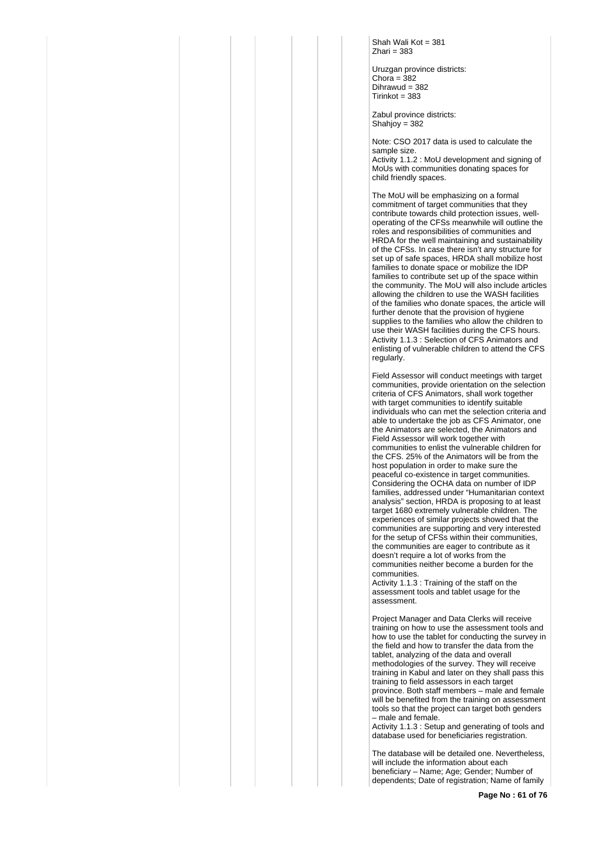Shah Wali Kot = 381  $Z$ hari = 383

Uruzgan province districts: Chora =  $382$ Dihrawud = 382  $Tirinkot = 383$ 

Zabul province districts: Shahjoy =  $382$ 

Note: CSO 2017 data is used to calculate the sample size.

Activity 1.1.2 : MoU development and signing of MoUs with communities donating spaces for child friendly spaces.

The MoU will be emphasizing on a formal commitment of target communities that they contribute towards child protection issues, welloperating of the CFSs meanwhile will outline the roles and responsibilities of communities and HRDA for the well maintaining and sustainability of the CFSs. In case there isn't any structure for set up of safe spaces, HRDA shall mobilize host families to donate space or mobilize the IDP families to contribute set up of the space within the community. The MoU will also include articles allowing the children to use the WASH facilities of the families who donate spaces, the article will further denote that the provision of hygiene supplies to the families who allow the children to use their WASH facilities during the CFS hours. Activity 1.1.3 : Selection of CFS Animators and enlisting of vulnerable children to attend the CFS regularly.

Field Assessor will conduct meetings with target communities, provide orientation on the selection criteria of CFS Animators, shall work together with target communities to identify suitable individuals who can met the selection criteria and able to undertake the job as CFS Animator, one the Animators are selected, the Animators and Field Assessor will work together with communities to enlist the vulnerable children for the CFS. 25% of the Animators will be from the host population in order to make sure the peaceful co-existence in target communities. Considering the OCHA data on number of IDP families, addressed under "Humanitarian context analysis" section, HRDA is proposing to at least target 1680 extremely vulnerable children. The experiences of similar projects showed that the communities are supporting and very interested for the setup of CFSs within their communities, the communities are eager to contribute as it doesn't require a lot of works from the communities neither become a burden for the communities.

Activity 1.1.3 : Training of the staff on the assessment tools and tablet usage for the assessment.

Project Manager and Data Clerks will receive training on how to use the assessment tools and how to use the tablet for conducting the survey in the field and how to transfer the data from the tablet, analyzing of the data and overall methodologies of the survey. They will receive training in Kabul and later on they shall pass this training to field assessors in each target province. Both staff members – male and female will be benefited from the training on assessment tools so that the project can target both genders – male and female.

Activity 1.1.3 : Setup and generating of tools and database used for beneficiaries registration.

The database will be detailed one. Nevertheless, will include the information about each beneficiary – Name; Age; Gender; Number of dependents; Date of registration; Name of family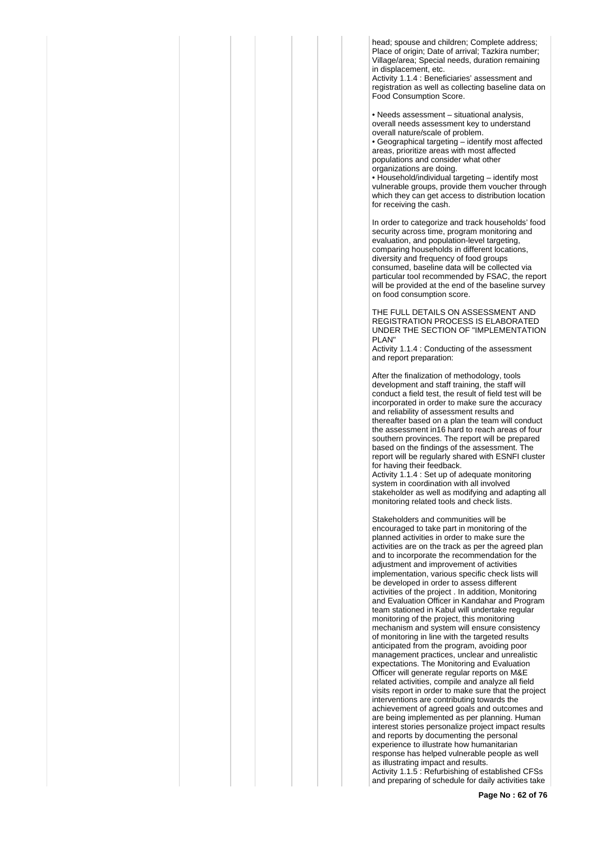head; spouse and children; Complete address; Place of origin; Date of arrival: Tazkira number: Village/area; Special needs, duration remaining in displacement, etc.

Activity 1.1.4 : Beneficiaries' assessment and registration as well as collecting baseline data on Food Consumption Score.

• Needs assessment – situational analysis, overall needs assessment key to understand overall nature/scale of problem.

• Geographical targeting – identify most affected areas, prioritize areas with most affected populations and consider what other organizations are doing.

• Household/individual targeting – identify most vulnerable groups, provide them voucher through which they can get access to distribution location for receiving the cash.

In order to categorize and track households' food security across time, program monitoring and evaluation, and population-level targeting, comparing households in different locations, diversity and frequency of food groups consumed, baseline data will be collected via particular tool recommended by FSAC, the report will be provided at the end of the baseline survey on food consumption score.

THE FULL DETAILS ON ASSESSMENT AND REGISTRATION PROCESS IS ELABORATED UNDER THE SECTION OF "IMPLEMENTATION PLAN"

Activity 1.1.4 : Conducting of the assessment and report preparation:

After the finalization of methodology, tools development and staff training, the staff will conduct a field test, the result of field test will be incorporated in order to make sure the accuracy and reliability of assessment results and thereafter based on a plan the team will conduct the assessment in16 hard to reach areas of four southern provinces. The report will be prepared based on the findings of the assessment. The report will be regularly shared with ESNFI cluster for having their feedback.

Activity 1.1.4 : Set up of adequate monitoring system in coordination with all involved stakeholder as well as modifying and adapting all monitoring related tools and check lists.

Stakeholders and communities will be encouraged to take part in monitoring of the planned activities in order to make sure the activities are on the track as per the agreed plan and to incorporate the recommendation for the adiustment and improvement of activities implementation, various specific check lists will be developed in order to assess different activities of the project . In addition, Monitoring and Evaluation Officer in Kandahar and Program team stationed in Kabul will undertake regular monitoring of the project, this monitoring mechanism and system will ensure consistency of monitoring in line with the targeted results anticipated from the program, avoiding poor management practices, unclear and unrealistic expectations. The Monitoring and Evaluation Officer will generate regular reports on M&E related activities, compile and analyze all field visits report in order to make sure that the project interventions are contributing towards the achievement of agreed goals and outcomes and are being implemented as per planning. Human interest stories personalize project impact results and reports by documenting the personal experience to illustrate how humanitarian response has helped vulnerable people as well as illustrating impact and results. Activity 1.1.5 : Refurbishing of established CFSs and preparing of schedule for daily activities take

**Page No : 62 of 76**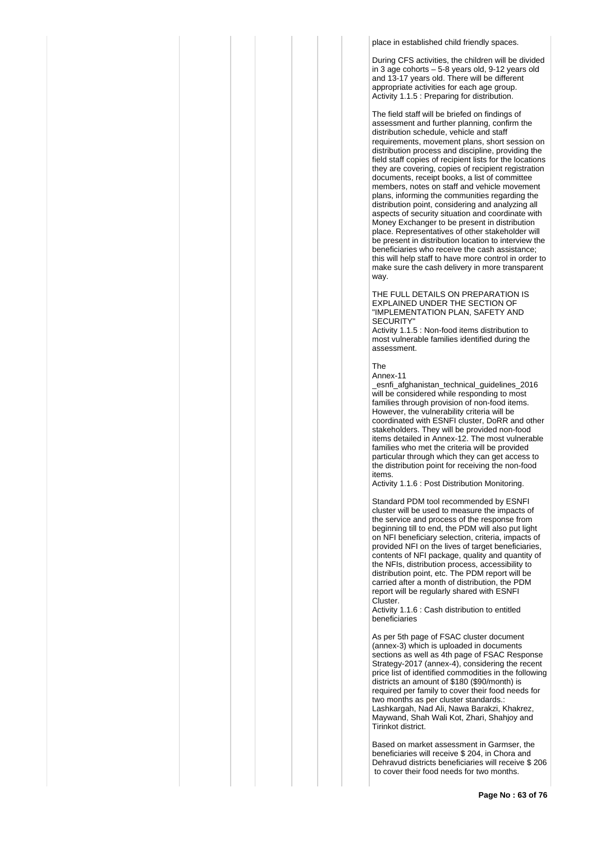place in established child friendly spaces.

During CFS activities, the children will be divided in 3 age cohorts – 5-8 years old, 9-12 years old and 13-17 years old. There will be different appropriate activities for each age group. Activity 1.1.5 : Preparing for distribution.

The field staff will be briefed on findings of assessment and further planning, confirm the distribution schedule, vehicle and staff requirements, movement plans, short session on distribution process and discipline, providing the field staff copies of recipient lists for the locations they are covering, copies of recipient registration documents, receipt books, a list of committee members, notes on staff and vehicle movement plans, informing the communities regarding the distribution point, considering and analyzing all aspects of security situation and coordinate with Money Exchanger to be present in distribution place. Representatives of other stakeholder will be present in distribution location to interview the beneficiaries who receive the cash assistance; this will help staff to have more control in order to make sure the cash delivery in more transparent way.

#### THE FULL DETAILS ON PREPARATION IS EXPLAINED UNDER THE SECTION OF "IMPLEMENTATION PLAN, SAFETY AND SECURITY"

Activity 1.1.5 : Non-food items distribution to most vulnerable families identified during the assessment.

The Annex-11

\_esnfi\_afghanistan\_technical\_guidelines\_2016 will be considered while responding to most families through provision of non-food items. However, the vulnerability criteria will be coordinated with ESNFI cluster, DoRR and other stakeholders. They will be provided non-food items detailed in Annex-12. The most vulnerable families who met the criteria will be provided particular through which they can get access to the distribution point for receiving the non-food items.

Activity 1.1.6 : Post Distribution Monitoring.

Standard PDM tool recommended by ESNFI cluster will be used to measure the impacts of the service and process of the response from beginning till to end, the PDM will also put light on NFI beneficiary selection, criteria, impacts of provided NFI on the lives of target beneficiaries, contents of NFI package, quality and quantity of the NFIs, distribution process, accessibility to distribution point, etc. The PDM report will be carried after a month of distribution, the PDM report will be regularly shared with ESNFI Cluster.

Activity 1.1.6 : Cash distribution to entitled beneficiaries

As per 5th page of FSAC cluster document (annex-3) which is uploaded in documents sections as well as 4th page of FSAC Response Strategy-2017 (annex-4), considering the recent price list of identified commodities in the following districts an amount of \$180 (\$90/month) is required per family to cover their food needs for two months as per cluster standards.: Lashkargah, Nad Ali, Nawa Barakzi, Khakrez, Maywand, Shah Wali Kot, Zhari, Shahjoy and Tirinkot district.

Based on market assessment in Garmser, the beneficiaries will receive \$ 204, in Chora and Dehravud districts beneficiaries will receive \$ 206 to cover their food needs for two months.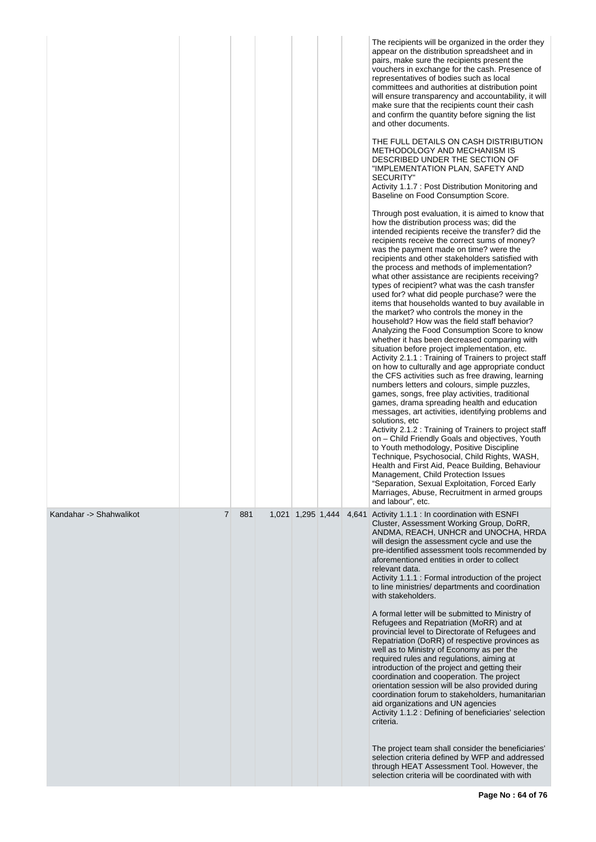|                         |                |     |                   |  | The recipients will be organized in the order they<br>appear on the distribution spreadsheet and in<br>pairs, make sure the recipients present the<br>vouchers in exchange for the cash. Presence of<br>representatives of bodies such as local<br>committees and authorities at distribution point<br>will ensure transparency and accountability, it will<br>make sure that the recipients count their cash<br>and confirm the quantity before signing the list<br>and other documents.<br>THE FULL DETAILS ON CASH DISTRIBUTION<br>METHODOLOGY AND MECHANISM IS<br>DESCRIBED UNDER THE SECTION OF<br>"IMPLEMENTATION PLAN, SAFETY AND<br>SECURITY"<br>Activity 1.1.7 : Post Distribution Monitoring and<br>Baseline on Food Consumption Score.<br>Through post evaluation, it is aimed to know that<br>how the distribution process was; did the<br>intended recipients receive the transfer? did the<br>recipients receive the correct sums of money?<br>was the payment made on time? were the<br>recipients and other stakeholders satisfied with<br>the process and methods of implementation?<br>what other assistance are recipients receiving?<br>types of recipient? what was the cash transfer<br>used for? what did people purchase? were the<br>items that households wanted to buy available in<br>the market? who controls the money in the<br>household? How was the field staff behavior?<br>Analyzing the Food Consumption Score to know<br>whether it has been decreased comparing with<br>situation before project implementation, etc.<br>Activity 2.1.1 : Training of Trainers to project staff<br>on how to culturally and age appropriate conduct<br>the CFS activities such as free drawing, learning<br>numbers letters and colours, simple puzzles,<br>games, songs, free play activities, traditional<br>games, drama spreading health and education<br>messages, art activities, identifying problems and<br>solutions, etc<br>Activity 2.1.2 : Training of Trainers to project staff<br>on - Child Friendly Goals and objectives, Youth<br>to Youth methodology, Positive Discipline<br>Technique, Psychosocial, Child Rights, WASH,<br>Health and First Aid, Peace Building, Behaviour<br>Management, Child Protection Issues<br>"Separation, Sexual Exploitation, Forced Early<br>Marriages, Abuse, Recruitment in armed groups<br>and labour", etc. |
|-------------------------|----------------|-----|-------------------|--|---------------------------------------------------------------------------------------------------------------------------------------------------------------------------------------------------------------------------------------------------------------------------------------------------------------------------------------------------------------------------------------------------------------------------------------------------------------------------------------------------------------------------------------------------------------------------------------------------------------------------------------------------------------------------------------------------------------------------------------------------------------------------------------------------------------------------------------------------------------------------------------------------------------------------------------------------------------------------------------------------------------------------------------------------------------------------------------------------------------------------------------------------------------------------------------------------------------------------------------------------------------------------------------------------------------------------------------------------------------------------------------------------------------------------------------------------------------------------------------------------------------------------------------------------------------------------------------------------------------------------------------------------------------------------------------------------------------------------------------------------------------------------------------------------------------------------------------------------------------------------------------------------------------------------------------------------------------------------------------------------------------------------------------------------------------------------------------------------------------------------------------------------------------------------------------------------------------------------------------------------------------------------------------------------------------------------------------------------------------------------------------|
| Kandahar -> Shahwalikot | $\overline{7}$ | 881 | 1,021 1,295 1,444 |  | 4,641 Activity 1.1.1 : In coordination with ESNFI<br>Cluster, Assessment Working Group, DoRR,<br>ANDMA, REACH, UNHCR and UNOCHA, HRDA<br>will design the assessment cycle and use the<br>pre-identified assessment tools recommended by<br>aforementioned entities in order to collect<br>relevant data.<br>Activity 1.1.1 : Formal introduction of the project<br>to line ministries/ departments and coordination<br>with stakeholders.<br>A formal letter will be submitted to Ministry of<br>Refugees and Repatriation (MoRR) and at<br>provincial level to Directorate of Refugees and<br>Repatriation (DoRR) of respective provinces as<br>well as to Ministry of Economy as per the<br>required rules and regulations, aiming at<br>introduction of the project and getting their<br>coordination and cooperation. The project<br>orientation session will be also provided during<br>coordination forum to stakeholders, humanitarian<br>aid organizations and UN agencies<br>Activity 1.1.2 : Defining of beneficiaries' selection<br>criteria.<br>The project team shall consider the beneficiaries'<br>selection criteria defined by WFP and addressed<br>through HEAT Assessment Tool. However, the<br>selection criteria will be coordinated with with                                                                                                                                                                                                                                                                                                                                                                                                                                                                                                                                                                                                                                                                                                                                                                                                                                                                                                                                                                                                                                                                                                                   |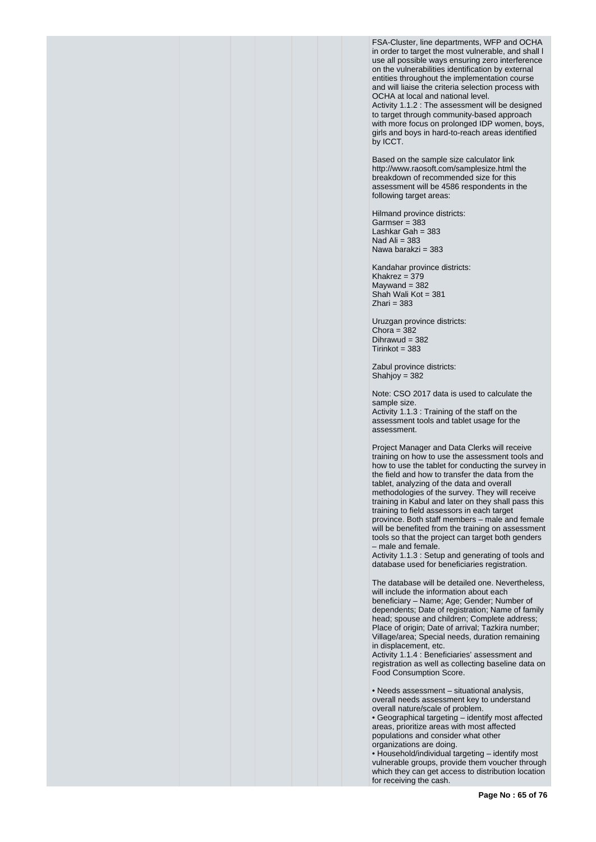FSA-Cluster, line departments, WFP and OCHA in order to target the most vulnerable, and shall l use all possible ways ensuring zero interference on the vulnerabilities identification by external entities throughout the implementation course and will liaise the criteria selection process with OCHA at local and national level. Activity 1.1.2 : The assessment will be designed

to target through community-based approach with more focus on prolonged IDP women, boys, girls and boys in hard-to-reach areas identified by ICCT.

Based on the sample size calculator link http://www.raosoft.com/samplesize.html the breakdown of recommended size for this assessment will be 4586 respondents in the following target areas:

Hilmand province districts: Garmser = 383 Lashkar Gah = 383 Nad Ali  $= 383$ Nawa barakzi = 383

Kandahar province districts: Khakrez = 379  $M$ aywand = 382 Shah Wali Kot = 381  $Z$ hari = 383

Uruzgan province districts: Chora =  $382$ Dihrawud = 382  $Tirinkot = 383$ 

Zabul province districts: Shahjoy =  $382$ 

Note: CSO 2017 data is used to calculate the sample size. Activity 1.1.3 : Training of the staff on the assessment tools and tablet usage for the assessment.

Project Manager and Data Clerks will receive training on how to use the assessment tools and how to use the tablet for conducting the survey in the field and how to transfer the data from the tablet, analyzing of the data and overall methodologies of the survey. They will receive training in Kabul and later on they shall pass this training to field assessors in each target province. Both staff members – male and female will be benefited from the training on assessment tools so that the project can target both genders – male and female.

Activity 1.1.3 : Setup and generating of tools and database used for beneficiaries registration.

The database will be detailed one. Nevertheless, will include the information about each beneficiary – Name; Age; Gender; Number of dependents; Date of registration; Name of family head; spouse and children; Complete address; Place of origin; Date of arrival; Tazkira number; Village/area; Special needs, duration remaining in displacement, etc.

Activity 1.1.4 : Beneficiaries' assessment and registration as well as collecting baseline data on Food Consumption Score.

• Needs assessment – situational analysis, overall needs assessment key to understand overall nature/scale of problem.

• Geographical targeting – identify most affected areas, prioritize areas with most affected populations and consider what other organizations are doing.

• Household/individual targeting – identify most vulnerable groups, provide them voucher through which they can get access to distribution location for receiving the cash.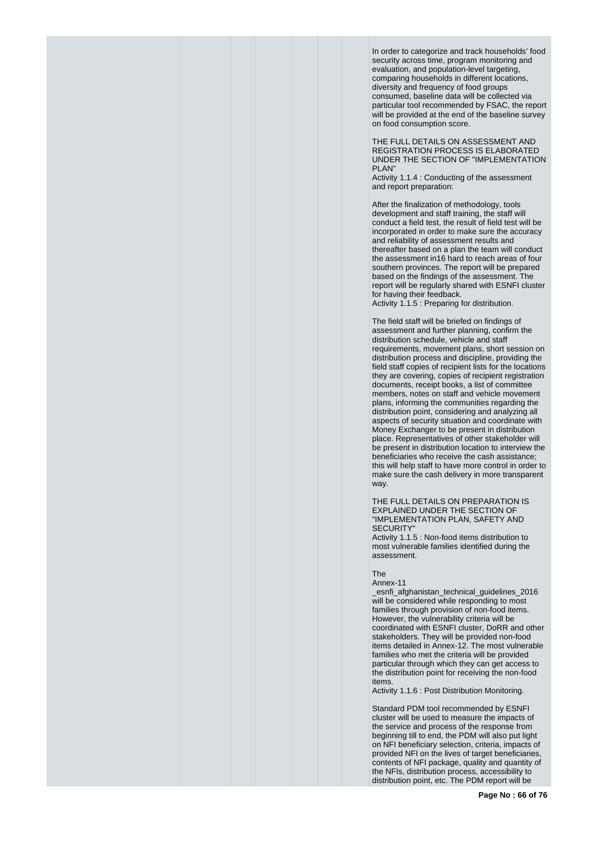In order to categorize and track households' food security across time, program monitoring and evaluation, and population-level targeting, comparing households in different locations, diversity and frequency of food groups consumed, baseline data will be collected via particular tool recommended by FSAC, the report will be provided at the end of the baseline survey on food consumption score.

THE FULL DETAILS ON ASSESSMENT AND REGISTRATION PROCESS IS ELABORATED UNDER THE SECTION OF "IMPLEMENTATION PLAN"

Activity 1.1.4 : Conducting of the assessment and report preparation:

After the finalization of methodology, tools development and staff training, the staff will conduct a field test, the result of field test will be incorporated in order to make sure the accuracy and reliability of assessment results and thereafter based on a plan the team will conduct the assessment in16 hard to reach areas of four southern provinces. The report will be prepared based on the findings of the assessment. The report will be regularly shared with ESNFI cluster for having their feedback.

Activity 1.1.5 : Preparing for distribution.

The field staff will be briefed on findings of assessment and further planning, confirm the distribution schedule, vehicle and staff requirements, movement plans, short session on distribution process and discipline, providing the field staff copies of recipient lists for the locations they are covering, copies of recipient registration documents, receipt books, a list of committee members, notes on staff and vehicle movement plans, informing the communities regarding the distribution point, considering and analyzing all aspects of security situation and coordinate with Money Exchanger to be present in distribution place. Representatives of other stakeholder will be present in distribution location to interview the beneficiaries who receive the cash assistance; this will help staff to have more control in order to make sure the cash delivery in more transparent way.

THE FULL DETAILS ON PREPARATION IS EXPLAINED UNDER THE SECTION OF "IMPLEMENTATION PLAN, SAFETY AND SECURITY"

Activity 1.1.5 : Non-food items distribution to most vulnerable families identified during the assessment.

#### The

Annex-11

\_esnfi\_afghanistan\_technical\_guidelines\_2016 will be considered while responding to most families through provision of non-food items. However, the vulnerability criteria will be coordinated with ESNFI cluster, DoRR and other stakeholders. They will be provided non-food items detailed in Annex-12. The most vulnerable families who met the criteria will be provided particular through which they can get access to the distribution point for receiving the non-food items.

Activity 1.1.6 : Post Distribution Monitoring.

Standard PDM tool recommended by ESNFI cluster will be used to measure the impacts of the service and process of the response from beginning till to end, the PDM will also put light on NFI beneficiary selection, criteria, impacts of provided NFI on the lives of target beneficiaries, contents of NFI package, quality and quantity of the NFIs, distribution process, accessibility to distribution point, etc. The PDM report will be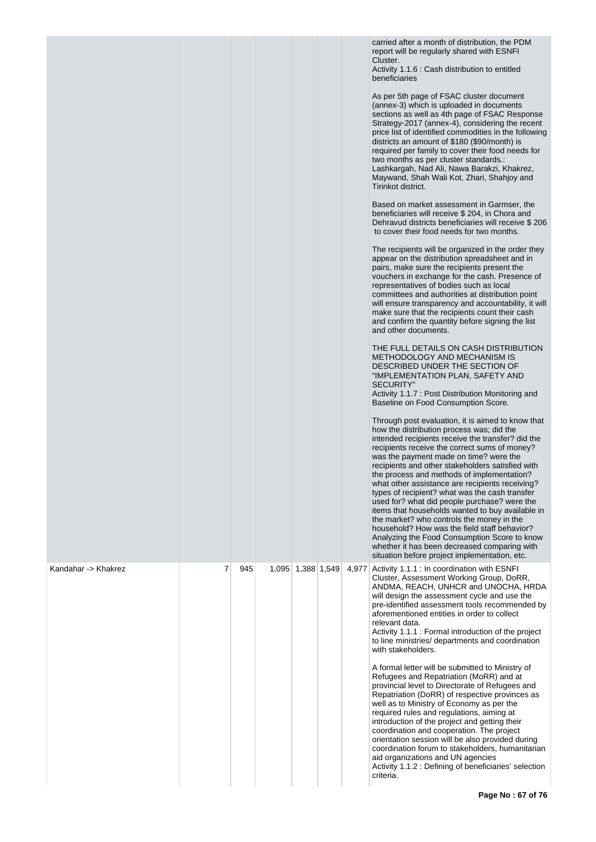|                     |   |     |                   |       | carried after a month of distribution, the PDM<br>report will be regularly shared with ESNFI<br>Cluster.<br>Activity 1.1.6 : Cash distribution to entitled<br>beneficiaries<br>As per 5th page of FSAC cluster document<br>(annex-3) which is uploaded in documents<br>sections as well as 4th page of FSAC Response<br>Strategy-2017 (annex-4), considering the recent<br>price list of identified commodities in the following<br>districts an amount of \$180 (\$90/month) is<br>required per family to cover their food needs for<br>two months as per cluster standards.:<br>Lashkargah, Nad Ali, Nawa Barakzi, Khakrez,<br>Maywand, Shah Wali Kot, Zhari, Shahjoy and<br>Tirinkot district.<br>Based on market assessment in Garmser, the<br>beneficiaries will receive \$204, in Chora and<br>Dehravud districts beneficiaries will receive \$206<br>to cover their food needs for two months.<br>The recipients will be organized in the order they<br>appear on the distribution spreadsheet and in<br>pairs, make sure the recipients present the<br>vouchers in exchange for the cash. Presence of<br>representatives of bodies such as local<br>committees and authorities at distribution point<br>will ensure transparency and accountability, it will<br>make sure that the recipients count their cash<br>and confirm the quantity before signing the list<br>and other documents.<br>THE FULL DETAILS ON CASH DISTRIBUTION<br>METHODOLOGY AND MECHANISM IS<br>DESCRIBED UNDER THE SECTION OF<br>"IMPLEMENTATION PLAN, SAFETY AND<br><b>SECURITY"</b><br>Activity 1.1.7 : Post Distribution Monitoring and<br>Baseline on Food Consumption Score.<br>Through post evaluation, it is aimed to know that<br>how the distribution process was; did the<br>intended recipients receive the transfer? did the<br>recipients receive the correct sums of money?<br>was the payment made on time? were the<br>recipients and other stakeholders satisfied with<br>the process and methods of implementation?<br>what other assistance are recipients receiving?<br>types of recipient? what was the cash transfer<br>used for? what did people purchase? were the<br>items that households wanted to buy available in<br>the market? who controls the money in the<br>household? How was the field staff behavior?<br>Analyzing the Food Consumption Score to know<br>whether it has been decreased comparing with<br>situation before project implementation, etc. |
|---------------------|---|-----|-------------------|-------|------------------------------------------------------------------------------------------------------------------------------------------------------------------------------------------------------------------------------------------------------------------------------------------------------------------------------------------------------------------------------------------------------------------------------------------------------------------------------------------------------------------------------------------------------------------------------------------------------------------------------------------------------------------------------------------------------------------------------------------------------------------------------------------------------------------------------------------------------------------------------------------------------------------------------------------------------------------------------------------------------------------------------------------------------------------------------------------------------------------------------------------------------------------------------------------------------------------------------------------------------------------------------------------------------------------------------------------------------------------------------------------------------------------------------------------------------------------------------------------------------------------------------------------------------------------------------------------------------------------------------------------------------------------------------------------------------------------------------------------------------------------------------------------------------------------------------------------------------------------------------------------------------------------------------------------------------------------------------------------------------------------------------------------------------------------------------------------------------------------------------------------------------------------------------------------------------------------------------------------------------------------------------------------------------------------------------------------------------------------------------------------------------------------------------------------------------------------------------|
| Kandahar -> Khakrez | 7 | 945 | 1,095 1,388 1,549 | 4,977 | Activity 1.1.1 : In coordination with ESNFI<br>Cluster, Assessment Working Group, DoRR,<br>ANDMA, REACH, UNHCR and UNOCHA, HRDA<br>will design the assessment cycle and use the<br>pre-identified assessment tools recommended by<br>aforementioned entities in order to collect<br>relevant data.<br>Activity 1.1.1 : Formal introduction of the project<br>to line ministries/ departments and coordination<br>with stakeholders.<br>A formal letter will be submitted to Ministry of<br>Refugees and Repatriation (MoRR) and at<br>provincial level to Directorate of Refugees and<br>Repatriation (DoRR) of respective provinces as<br>well as to Ministry of Economy as per the<br>required rules and regulations, aiming at<br>introduction of the project and getting their<br>coordination and cooperation. The project<br>orientation session will be also provided during<br>coordination forum to stakeholders, humanitarian                                                                                                                                                                                                                                                                                                                                                                                                                                                                                                                                                                                                                                                                                                                                                                                                                                                                                                                                                                                                                                                                                                                                                                                                                                                                                                                                                                                                                                                                                                                                      |
|                     |   |     |                   |       | aid organizations and UN agencies<br>Activity 1.1.2 : Defining of beneficiaries' selection<br>criteria.                                                                                                                                                                                                                                                                                                                                                                                                                                                                                                                                                                                                                                                                                                                                                                                                                                                                                                                                                                                                                                                                                                                                                                                                                                                                                                                                                                                                                                                                                                                                                                                                                                                                                                                                                                                                                                                                                                                                                                                                                                                                                                                                                                                                                                                                                                                                                                      |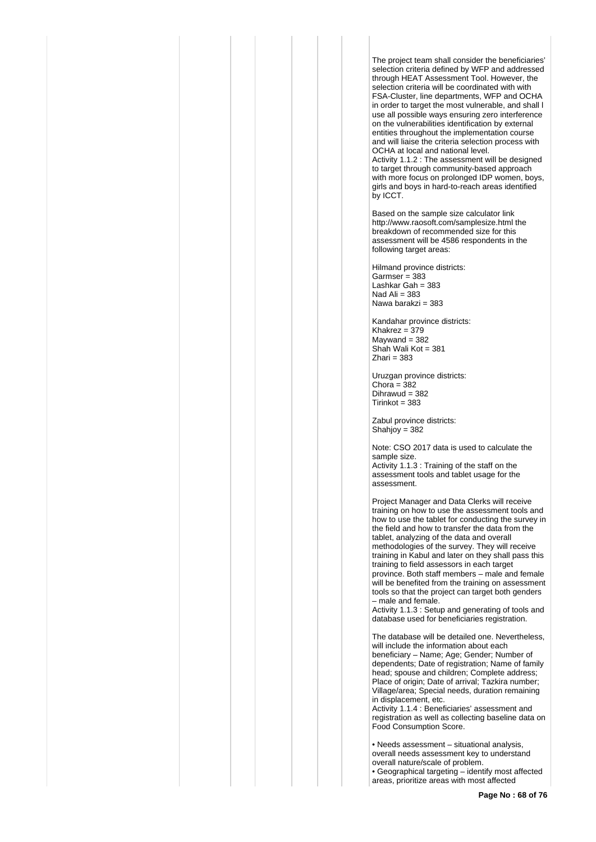The project team shall consider the beneficiaries' selection criteria defined by WFP and addressed through HEAT Assessment Tool. However, the selection criteria will be coordinated with with FSA-Cluster, line departments, WFP and OCHA in order to target the most vulnerable, and shall l use all possible ways ensuring zero interference on the vulnerabilities identification by external entities throughout the implementation course and will liaise the criteria selection process with OCHA at local and national level. Activity 1.1.2 : The assessment will be designed to target through community-based approach with more focus on prolonged IDP women, boys, girls and boys in hard-to-reach areas identified by ICCT.

Based on the sample size calculator link http://www.raosoft.com/samplesize.html the breakdown of recommended size for this assessment will be 4586 respondents in the following target areas:

Hilmand province districts: Garmser = 383 Lashkar Gah = 383 Nad Ali  $= 383$ Nawa barakzi = 383

Kandahar province districts: Khakrez = 379  $M$ aywand = 382 Shah Wali Kot = 381  $Z$ hari = 383

Uruzgan province districts:  $Chora = 382$ Dihrawud = 382  $Tirinkot = 383$ 

Zabul province districts: Shahjoy = 382

Note: CSO 2017 data is used to calculate the sample size. Activity 1.1.3 : Training of the staff on the assessment tools and tablet usage for the assessment.

Project Manager and Data Clerks will receive training on how to use the assessment tools and how to use the tablet for conducting the survey in the field and how to transfer the data from the tablet, analyzing of the data and overall methodologies of the survey. They will receive training in Kabul and later on they shall pass this training to field assessors in each target province. Both staff members – male and female will be benefited from the training on assessment tools so that the project can target both genders – male and female.

Activity 1.1.3 : Setup and generating of tools and database used for beneficiaries registration.

The database will be detailed one. Nevertheless, will include the information about each beneficiary – Name; Age; Gender; Number of dependents; Date of registration; Name of family head; spouse and children; Complete address; Place of origin; Date of arrival; Tazkira number; Village/area; Special needs, duration remaining in displacement, etc.

Activity 1.1.4 : Beneficiaries' assessment and registration as well as collecting baseline data on Food Consumption Score.

• Needs assessment – situational analysis, overall needs assessment key to understand overall nature/scale of problem. • Geographical targeting – identify most affected areas, prioritize areas with most affected

**Page No : 68 of 76**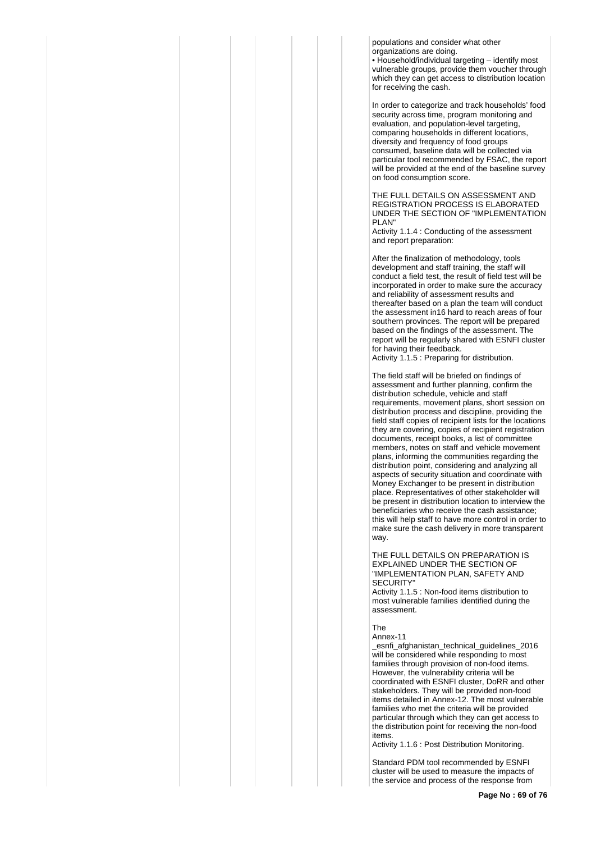populations and consider what other organizations are doing.

• Household/individual targeting – identify most vulnerable groups, provide them voucher through which they can get access to distribution location for receiving the cash.

In order to categorize and track households' food security across time, program monitoring and evaluation, and population-level targeting, comparing households in different locations, diversity and frequency of food groups consumed, baseline data will be collected via particular tool recommended by FSAC, the report will be provided at the end of the baseline survey on food consumption score.

THE FULL DETAILS ON ASSESSMENT AND REGISTRATION PROCESS IS ELABORATED UNDER THE SECTION OF "IMPLEMENTATION PLAN"

Activity 1.1.4 : Conducting of the assessment and report preparation:

After the finalization of methodology, tools development and staff training, the staff will conduct a field test, the result of field test will be incorporated in order to make sure the accuracy and reliability of assessment results and thereafter based on a plan the team will conduct the assessment in16 hard to reach areas of four southern provinces. The report will be prepared based on the findings of the assessment. The report will be regularly shared with ESNFI cluster for having their feedback. Activity 1.1.5 : Preparing for distribution.

The field staff will be briefed on findings of assessment and further planning, confirm the distribution schedule, vehicle and staff requirements, movement plans, short session on distribution process and discipline, providing the field staff copies of recipient lists for the locations they are covering, copies of recipient registration documents, receipt books, a list of committee members, notes on staff and vehicle movement plans, informing the communities regarding the distribution point, considering and analyzing all aspects of security situation and coordinate with Money Exchanger to be present in distribution place. Representatives of other stakeholder will be present in distribution location to interview the beneficiaries who receive the cash assistance; this will help staff to have more control in order to make sure the cash delivery in more transparent way.

THE FULL DETAILS ON PREPARATION IS EXPLAINED UNDER THE SECTION OF "IMPLEMENTATION PLAN, SAFETY AND **SECURITY** 

Activity 1.1.5 : Non-food items distribution to most vulnerable families identified during the assessment.

The

Annex-11

\_esnfi\_afghanistan\_technical\_guidelines\_2016 will be considered while responding to most families through provision of non-food items. However, the vulnerability criteria will be coordinated with ESNFI cluster, DoRR and other stakeholders. They will be provided non-food items detailed in Annex-12. The most vulnerable families who met the criteria will be provided particular through which they can get access to the distribution point for receiving the non-food items.

Activity 1.1.6 : Post Distribution Monitoring.

Standard PDM tool recommended by ESNFI cluster will be used to measure the impacts of the service and process of the response from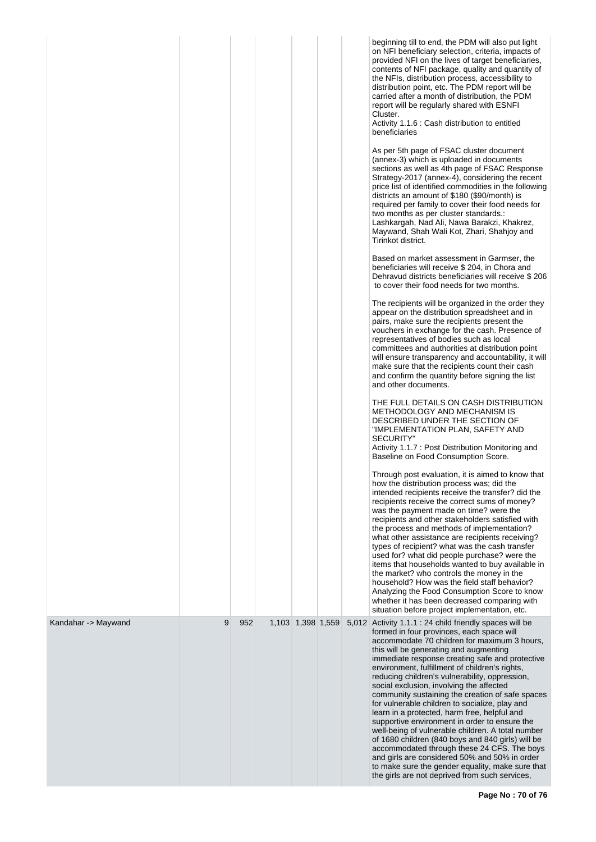|                     |   |     |                   |  | beginning till to end, the PDM will also put light<br>on NFI beneficiary selection, criteria, impacts of<br>provided NFI on the lives of target beneficiaries,<br>contents of NFI package, quality and quantity of<br>the NFIs, distribution process, accessibility to<br>distribution point, etc. The PDM report will be<br>carried after a month of distribution, the PDM<br>report will be regularly shared with ESNFI<br>Cluster.<br>Activity 1.1.6 : Cash distribution to entitled<br>beneficiaries<br>As per 5th page of FSAC cluster document<br>(annex-3) which is uploaded in documents<br>sections as well as 4th page of FSAC Response<br>Strategy-2017 (annex-4), considering the recent<br>price list of identified commodities in the following<br>districts an amount of \$180 (\$90/month) is<br>required per family to cover their food needs for<br>two months as per cluster standards.:<br>Lashkargah, Nad Ali, Nawa Barakzi, Khakrez,<br>Maywand, Shah Wali Kot, Zhari, Shahjoy and<br>Tirinkot district.<br>Based on market assessment in Garmser, the<br>beneficiaries will receive \$ 204, in Chora and<br>Dehravud districts beneficiaries will receive \$206<br>to cover their food needs for two months.<br>The recipients will be organized in the order they<br>appear on the distribution spreadsheet and in<br>pairs, make sure the recipients present the<br>vouchers in exchange for the cash. Presence of<br>representatives of bodies such as local<br>committees and authorities at distribution point<br>will ensure transparency and accountability, it will<br>make sure that the recipients count their cash<br>and confirm the quantity before signing the list<br>and other documents.<br>THE FULL DETAILS ON CASH DISTRIBUTION<br>METHODOLOGY AND MECHANISM IS<br>DESCRIBED UNDER THE SECTION OF<br>"IMPLEMENTATION PLAN, SAFETY AND<br><b>SECURITY"</b><br>Activity 1.1.7 : Post Distribution Monitoring and<br>Baseline on Food Consumption Score.<br>Through post evaluation, it is aimed to know that<br>how the distribution process was; did the<br>intended recipients receive the transfer? did the<br>recipients receive the correct sums of money?<br>was the payment made on time? were the<br>recipients and other stakeholders satisfied with<br>the process and methods of implementation?<br>what other assistance are recipients receiving?<br>types of recipient? what was the cash transfer<br>used for? what did people purchase? were the<br>items that households wanted to buy available in<br>the market? who controls the money in the<br>household? How was the field staff behavior?<br>Analyzing the Food Consumption Score to know<br>whether it has been decreased comparing with<br>situation before project implementation, etc. |
|---------------------|---|-----|-------------------|--|------------------------------------------------------------------------------------------------------------------------------------------------------------------------------------------------------------------------------------------------------------------------------------------------------------------------------------------------------------------------------------------------------------------------------------------------------------------------------------------------------------------------------------------------------------------------------------------------------------------------------------------------------------------------------------------------------------------------------------------------------------------------------------------------------------------------------------------------------------------------------------------------------------------------------------------------------------------------------------------------------------------------------------------------------------------------------------------------------------------------------------------------------------------------------------------------------------------------------------------------------------------------------------------------------------------------------------------------------------------------------------------------------------------------------------------------------------------------------------------------------------------------------------------------------------------------------------------------------------------------------------------------------------------------------------------------------------------------------------------------------------------------------------------------------------------------------------------------------------------------------------------------------------------------------------------------------------------------------------------------------------------------------------------------------------------------------------------------------------------------------------------------------------------------------------------------------------------------------------------------------------------------------------------------------------------------------------------------------------------------------------------------------------------------------------------------------------------------------------------------------------------------------------------------------------------------------------------------------------------------------------------------------------------------------------------------------------------------------------------------------------------------------------------------------------|
| Kandahar -> Maywand | 9 | 952 | 1,103 1,398 1,559 |  | 5,012 Activity 1.1.1 : 24 child friendly spaces will be<br>formed in four provinces, each space will<br>accommodate 70 children for maximum 3 hours,<br>this will be generating and augmenting<br>immediate response creating safe and protective<br>environment, fulfillment of children's rights,<br>reducing children's vulnerability, oppression,<br>social exclusion, involving the affected<br>community sustaining the creation of safe spaces<br>for vulnerable children to socialize, play and<br>learn in a protected, harm free, helpful and<br>supportive environment in order to ensure the<br>well-being of vulnerable children. A total number<br>of 1680 children (840 boys and 840 girls) will be<br>accommodated through these 24 CFS. The boys<br>and girls are considered 50% and 50% in order<br>to make sure the gender equality, make sure that<br>the girls are not deprived from such services,                                                                                                                                                                                                                                                                                                                                                                                                                                                                                                                                                                                                                                                                                                                                                                                                                                                                                                                                                                                                                                                                                                                                                                                                                                                                                                                                                                                                                                                                                                                                                                                                                                                                                                                                                                                                                                                                                   |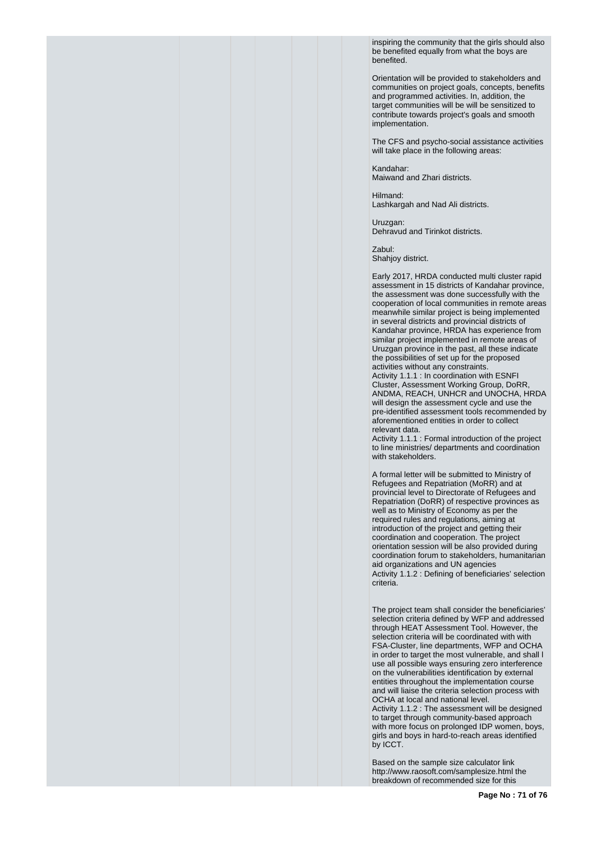inspiring the community that the girls should also be benefited equally from what the boys are benefited.

Orientation will be provided to stakeholders and communities on project goals, concepts, benefits and programmed activities. In, addition, the target communities will be will be sensitized to contribute towards project's goals and smooth implementation.

The CFS and psycho-social assistance activities will take place in the following areas:

Kandahar: Maiwand and Zhari districts.

Hilmand: Lashkargah and Nad Ali districts.

Uruzgan: Dehravud and Tirinkot districts.

Zabul: Shahjoy district.

Early 2017, HRDA conducted multi cluster rapid assessment in 15 districts of Kandahar province, the assessment was done successfully with the cooperation of local communities in remote areas meanwhile similar project is being implemented in several districts and provincial districts of Kandahar province, HRDA has experience from similar project implemented in remote areas of Uruzgan province in the past, all these indicate the possibilities of set up for the proposed activities without any constraints.

Activity 1.1.1 : In coordination with ESNFI Cluster, Assessment Working Group, DoRR, ANDMA, REACH, UNHCR and UNOCHA, HRDA will design the assessment cycle and use the pre-identified assessment tools recommended by aforementioned entities in order to collect relevant data.

Activity 1.1.1 : Formal introduction of the project to line ministries/ departments and coordination with stakeholders.

A formal letter will be submitted to Ministry of Refugees and Repatriation (MoRR) and at provincial level to Directorate of Refugees and Repatriation (DoRR) of respective provinces as well as to Ministry of Economy as per the required rules and regulations, aiming at introduction of the project and getting their coordination and cooperation. The project orientation session will be also provided during coordination forum to stakeholders, humanitarian aid organizations and UN agencies Activity 1.1.2 : Defining of beneficiaries' selection criteria.

The project team shall consider the beneficiaries' selection criteria defined by WFP and addressed through HEAT Assessment Tool. However, the selection criteria will be coordinated with with FSA-Cluster, line departments, WFP and OCHA in order to target the most vulnerable, and shall l use all possible ways ensuring zero interference on the vulnerabilities identification by external entities throughout the implementation course and will liaise the criteria selection process with OCHA at local and national level. Activity 1.1.2 : The assessment will be designed to target through community-based approach with more focus on prolonged IDP women, boys, girls and boys in hard-to-reach areas identified by ICCT.

Based on the sample size calculator link http://www.raosoft.com/samplesize.html the breakdown of recommended size for this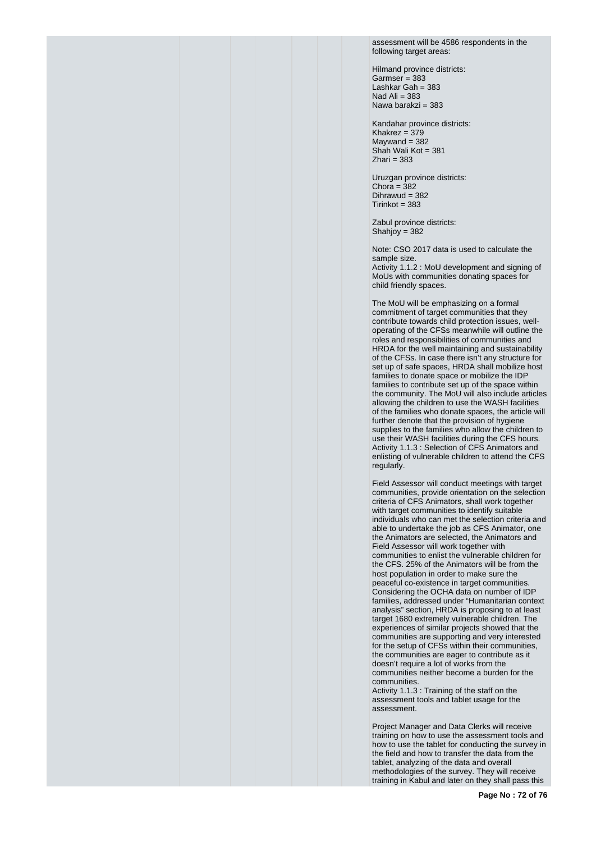assessment will be 4586 respondents in the following target areas:

Hilmand province districts:  $Garmser = 383$ Lashkar Gah = 383 Nad Ali  $=$  383 Nawa barakzi = 383

Kandahar province districts: Khakrez =  $379$  $Maywand = 382$ Shah Wali Kot = 381  $Z$ hari = 383

Uruzgan province districts: Chora =  $382$ Dihrawud = 382  $Tirinkot = 383$ 

Zabul province districts: Shahjoy = 382

Note: CSO 2017 data is used to calculate the sample size.

Activity 1.1.2 : MoU development and signing of MoUs with communities donating spaces for child friendly spaces.

The MoU will be emphasizing on a formal commitment of target communities that they contribute towards child protection issues, welloperating of the CFSs meanwhile will outline the roles and responsibilities of communities and HRDA for the well maintaining and sustainability of the CFSs. In case there isn't any structure for set up of safe spaces, HRDA shall mobilize host families to donate space or mobilize the IDP families to contribute set up of the space within the community. The MoU will also include articles allowing the children to use the WASH facilities of the families who donate spaces, the article will further denote that the provision of hygiene supplies to the families who allow the children to use their WASH facilities during the CFS hours. Activity 1.1.3 : Selection of CFS Animators and enlisting of vulnerable children to attend the CFS regularly.

Field Assessor will conduct meetings with target communities, provide orientation on the selection criteria of CFS Animators, shall work together with target communities to identify suitable individuals who can met the selection criteria and able to undertake the job as CFS Animator, one the Animators are selected, the Animators and Field Assessor will work together with communities to enlist the vulnerable children for the CFS. 25% of the Animators will be from the host population in order to make sure the peaceful co-existence in target communities. Considering the OCHA data on number of IDP families, addressed under "Humanitarian context analysis" section, HRDA is proposing to at least target 1680 extremely vulnerable children. The experiences of similar projects showed that the communities are supporting and very interested for the setup of CFSs within their communities, the communities are eager to contribute as it doesn't require a lot of works from the communities neither become a burden for the communities.

Activity 1.1.3 : Training of the staff on the assessment tools and tablet usage for the assessment.

Project Manager and Data Clerks will receive training on how to use the assessment tools and how to use the tablet for conducting the survey in the field and how to transfer the data from the tablet, analyzing of the data and overall methodologies of the survey. They will receive training in Kabul and later on they shall pass this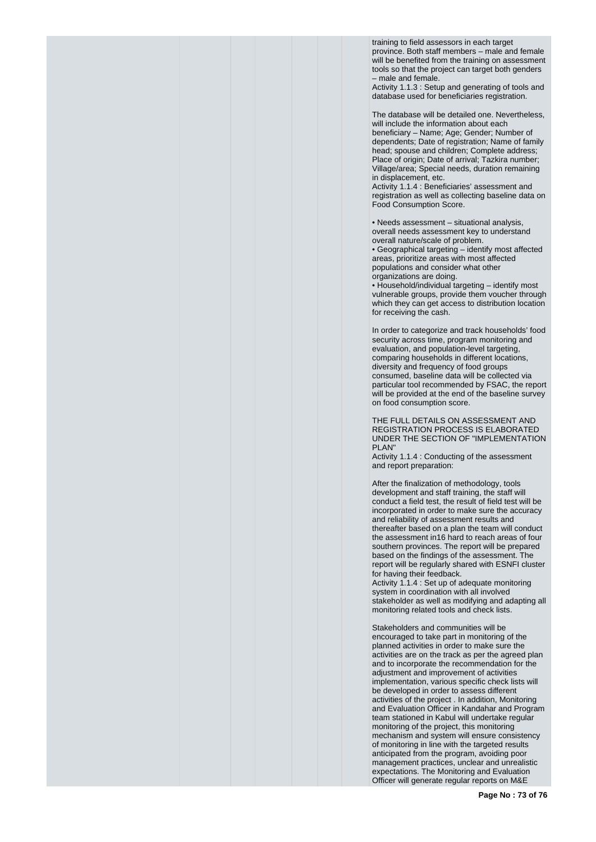training to field assessors in each target province. Both staff members – male and female will be benefited from the training on assessment tools so that the project can target both genders – male and female.

Activity 1.1.3 : Setup and generating of tools and database used for beneficiaries registration.

The database will be detailed one. Nevertheless, will include the information about each beneficiary – Name; Age; Gender; Number of dependents; Date of registration; Name of family head; spouse and children; Complete address; Place of origin; Date of arrival; Tazkira number; Village/area; Special needs, duration remaining in displacement, etc.

Activity 1.1.4 : Beneficiaries' assessment and registration as well as collecting baseline data on Food Consumption Score.

• Needs assessment – situational analysis, overall needs assessment key to understand overall nature/scale of problem.

• Geographical targeting – identify most affected areas, prioritize areas with most affected populations and consider what other organizations are doing.

• Household/individual targeting – identify most vulnerable groups, provide them voucher through which they can get access to distribution location for receiving the cash.

In order to categorize and track households' food security across time, program monitoring and evaluation, and population-level targeting, comparing households in different locations, diversity and frequency of food groups consumed, baseline data will be collected via particular tool recommended by FSAC, the report will be provided at the end of the baseline survey on food consumption score.

THE FULL DETAILS ON ASSESSMENT AND REGISTRATION PROCESS IS ELABORATED UNDER THE SECTION OF "IMPLEMENTATION PLAN"

Activity 1.1.4 : Conducting of the assessment and report preparation:

After the finalization of methodology, tools development and staff training, the staff will conduct a field test, the result of field test will be incorporated in order to make sure the accuracy and reliability of assessment results and thereafter based on a plan the team will conduct the assessment in16 hard to reach areas of four southern provinces. The report will be prepared based on the findings of the assessment. The report will be regularly shared with ESNFI cluster for having their feedback.

Activity 1.1.4 : Set up of adequate monitoring system in coordination with all involved stakeholder as well as modifying and adapting all monitoring related tools and check lists.

Stakeholders and communities will be encouraged to take part in monitoring of the planned activities in order to make sure the activities are on the track as per the agreed plan and to incorporate the recommendation for the adjustment and improvement of activities implementation, various specific check lists will be developed in order to assess different activities of the project . In addition, Monitoring and Evaluation Officer in Kandahar and Program team stationed in Kabul will undertake regular monitoring of the project, this monitoring mechanism and system will ensure consistency of monitoring in line with the targeted results anticipated from the program, avoiding poor management practices, unclear and unrealistic expectations. The Monitoring and Evaluation Officer will generate regular reports on M&E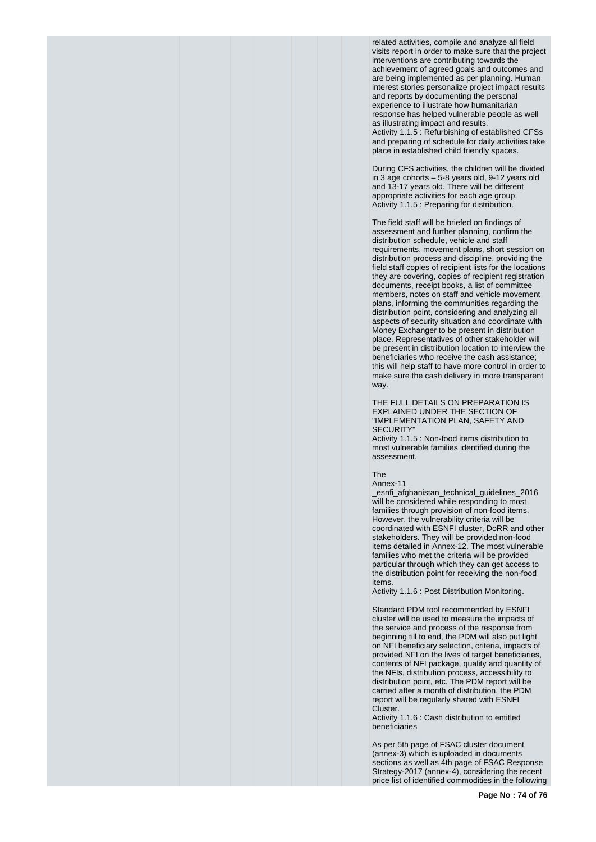related activities, compile and analyze all field visits report in order to make sure that the project interventions are contributing towards the achievement of agreed goals and outcomes and are being implemented as per planning. Human interest stories personalize project impact results and reports by documenting the personal experience to illustrate how humanitarian response has helped vulnerable people as well as illustrating impact and results. Activity 1.1.5 : Refurbishing of established CFSs and preparing of schedule for daily activities take place in established child friendly spaces.

During CFS activities, the children will be divided in 3 age cohorts – 5-8 years old, 9-12 years old and 13-17 years old. There will be different appropriate activities for each age group. Activity 1.1.5 : Preparing for distribution.

The field staff will be briefed on findings of assessment and further planning, confirm the distribution schedule, vehicle and staff requirements, movement plans, short session on distribution process and discipline, providing the field staff copies of recipient lists for the locations they are covering, copies of recipient registration documents, receipt books, a list of committee members, notes on staff and vehicle movement plans, informing the communities regarding the distribution point, considering and analyzing all aspects of security situation and coordinate with Money Exchanger to be present in distribution place. Representatives of other stakeholder will be present in distribution location to interview the beneficiaries who receive the cash assistance; this will help staff to have more control in order to make sure the cash delivery in more transparent way.

THE FULL DETAILS ON PREPARATION IS EXPLAINED UNDER THE SECTION OF "IMPLEMENTATION PLAN, SAFETY AND SECURITY"

Activity 1.1.5 : Non-food items distribution to most vulnerable families identified during the assessment.

The

Annex-11 \_esnfi\_afghanistan\_technical\_guidelines\_2016 will be considered while responding to most

families through provision of non-food items. However, the vulnerability criteria will be coordinated with ESNFI cluster, DoRR and other stakeholders. They will be provided non-food items detailed in Annex-12. The most vulnerable families who met the criteria will be provided particular through which they can get access to the distribution point for receiving the non-food items.

Activity 1.1.6 : Post Distribution Monitoring.

Standard PDM tool recommended by ESNFI cluster will be used to measure the impacts of the service and process of the response from beginning till to end, the PDM will also put light on NFI beneficiary selection, criteria, impacts of provided NFI on the lives of target beneficiaries, contents of NFI package, quality and quantity of the NFIs, distribution process, accessibility to distribution point, etc. The PDM report will be carried after a month of distribution, the PDM report will be regularly shared with ESNFI Cluster.

Activity 1.1.6 : Cash distribution to entitled beneficiaries

As per 5th page of FSAC cluster document (annex-3) which is uploaded in documents sections as well as 4th page of FSAC Response Strategy-2017 (annex-4), considering the recent price list of identified commodities in the following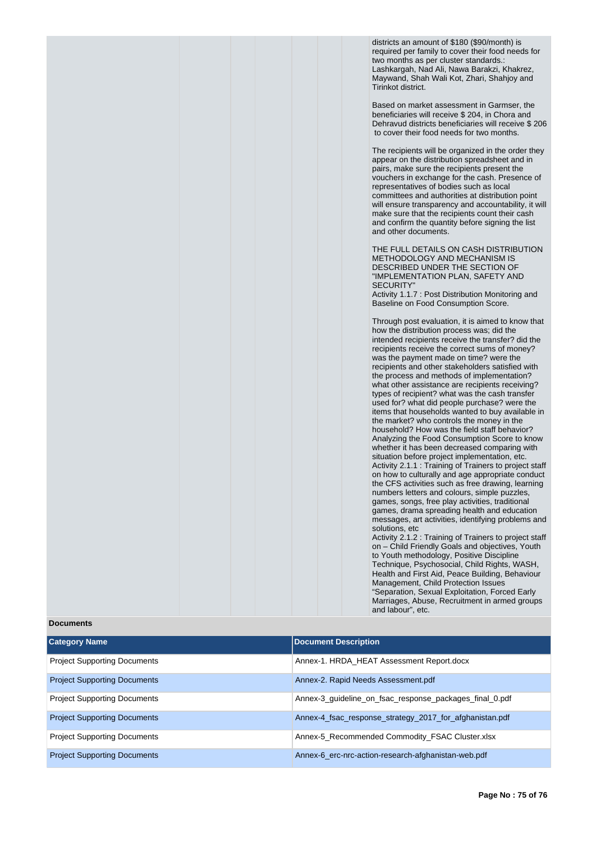districts an amount of \$180 (\$90/month) is required per family to cover their food needs for two months as per cluster standards.: Lashkargah, Nad Ali, Nawa Barakzi, Khakrez, Maywand, Shah Wali Kot, Zhari, Shahjoy and Tirinkot district.

Based on market assessment in Garmser, the beneficiaries will receive \$ 204, in Chora and Dehravud districts beneficiaries will receive \$ 206 to cover their food needs for two months.

The recipients will be organized in the order they appear on the distribution spreadsheet and in pairs, make sure the recipients present the vouchers in exchange for the cash. Presence of representatives of bodies such as local committees and authorities at distribution point will ensure transparency and accountability, it will make sure that the recipients count their cash and confirm the quantity before signing the list and other documents.

THE FULL DETAILS ON CASH DISTRIBUTION METHODOLOGY AND MECHANISM IS DESCRIBED UNDER THE SECTION OF "IMPLEMENTATION PLAN, SAFETY AND **SECURITY** 

Activity 1.1.7 : Post Distribution Monitoring and Baseline on Food Consumption Score.

Through post evaluation, it is aimed to know that how the distribution process was; did the intended recipients receive the transfer? did the recipients receive the correct sums of money? was the payment made on time? were the recipients and other stakeholders satisfied with the process and methods of implementation? what other assistance are recipients receiving? types of recipient? what was the cash transfer used for? what did people purchase? were the items that households wanted to buy available in the market? who controls the money in the household? How was the field staff behavior? Analyzing the Food Consumption Score to know whether it has been decreased comparing with situation before project implementation, etc. Activity 2.1.1 : Training of Trainers to project staff on how to culturally and age appropriate conduct the CFS activities such as free drawing, learning numbers letters and colours, simple puzzles, games, songs, free play activities, traditional games, drama spreading health and education messages, art activities, identifying problems and solutions, etc

Activity 2.1.2 : Training of Trainers to project staff on – Child Friendly Goals and objectives, Youth to Youth methodology, Positive Discipline Technique, Psychosocial, Child Rights, WASH, Health and First Aid, Peace Building, Behaviour Management, Child Protection Issues "Separation, Sexual Exploitation, Forced Early Marriages, Abuse, Recruitment in armed groups and labour", etc.

## **Category Name Document Description** Project Supporting Documents Annex-1. HRDA\_HEAT Assessment Report.docx Project Supporting Documents Annex-2. Rapid Needs Assessment.pdf Project Supporting Documents Annex-3\_guideline\_on\_fsac\_response\_packages\_final\_0.pdf Project Supporting Documents Annex-4\_fsac\_response\_strategy\_2017\_for\_afghanistan.pdf Project Supporting Documents Annex-5\_Recommended Commodity\_FSAC Cluster.xlsx Project Supporting Documents Annex-6 erc-nrc-action-research-afghanistan-web.pdf

## **Documents**